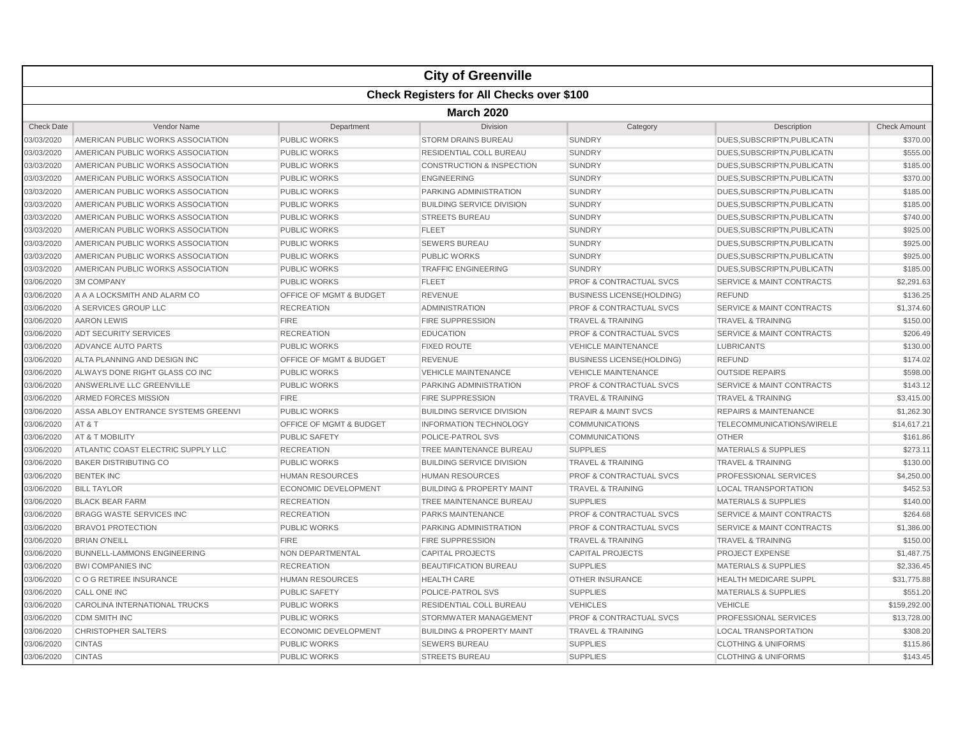| <b>Check Registers for All Checks over \$100</b><br><b>March 2020</b><br><b>Check Date</b><br>Category<br>Vendor Name<br>Department<br><b>Division</b><br>Description<br><b>SUNDRY</b><br>03/03/2020<br>AMERICAN PUBLIC WORKS ASSOCIATION<br><b>PUBLIC WORKS</b><br><b>STORM DRAINS BUREAU</b><br>DUES, SUBSCRIPTN, PUBLICATN<br>03/03/2020<br>AMERICAN PUBLIC WORKS ASSOCIATION<br><b>PUBLIC WORKS</b><br>RESIDENTIAL COLL BUREAU<br><b>SUNDRY</b><br>DUES, SUBSCRIPTN, PUBLICATN<br>03/03/2020<br><b>CONSTRUCTION &amp; INSPECTION</b><br><b>SUNDRY</b><br>AMERICAN PUBLIC WORKS ASSOCIATION<br><b>PUBLIC WORKS</b><br>DUES, SUBSCRIPTN, PUBLICATN<br>03/03/2020<br>AMERICAN PUBLIC WORKS ASSOCIATION<br><b>PUBLIC WORKS</b><br><b>ENGINEERING</b><br><b>SUNDRY</b><br>DUES, SUBSCRIPTN, PUBLICATN<br>AMERICAN PUBLIC WORKS ASSOCIATION<br>PARKING ADMINISTRATION<br><b>SUNDRY</b><br>DUES, SUBSCRIPTN, PUBLICATN<br>03/03/2020<br><b>PUBLIC WORKS</b><br>03/03/2020<br>AMERICAN PUBLIC WORKS ASSOCIATION<br><b>PUBLIC WORKS</b><br><b>BUILDING SERVICE DIVISION</b><br><b>SUNDRY</b><br>DUES.SUBSCRIPTN.PUBLICATN<br>03/03/2020<br><b>SUNDRY</b><br>AMERICAN PUBLIC WORKS ASSOCIATION<br><b>PUBLIC WORKS</b><br><b>STREETS BUREAU</b><br>DUES, SUBSCRIPTN, PUBLICATN<br><b>FLEET</b><br>03/03/2020<br>AMERICAN PUBLIC WORKS ASSOCIATION<br><b>PUBLIC WORKS</b><br><b>SUNDRY</b><br>DUES.SUBSCRIPTN.PUBLICATN<br>03/03/2020<br><b>SUNDRY</b><br>AMERICAN PUBLIC WORKS ASSOCIATION<br><b>PUBLIC WORKS</b><br><b>SEWERS BUREAU</b><br>DUES, SUBSCRIPTN, PUBLICATN<br>03/03/2020<br>AMERICAN PUBLIC WORKS ASSOCIATION<br><b>PUBLIC WORKS</b><br><b>PUBLIC WORKS</b><br><b>SUNDRY</b><br>DUES, SUBSCRIPTN, PUBLICATN<br>03/03/2020<br>AMERICAN PUBLIC WORKS ASSOCIATION<br><b>PUBLIC WORKS</b><br><b>TRAFFIC ENGINEERING</b><br><b>SUNDRY</b><br>DUES, SUBSCRIPTN, PUBLICATN<br><b>PROF &amp; CONTRACTUAL SVCS</b><br>03/06/2020<br><b>3M COMPANY</b><br><b>PUBLIC WORKS</b><br><b>FLEET</b><br>SERVICE & MAINT CONTRACTS<br>A A A LOCKSMITH AND ALARM CO<br><b>OFFICE OF MGMT &amp; BUDGET</b><br><b>REFUND</b><br>03/06/2020<br><b>REVENUE</b><br><b>BUSINESS LICENSE(HOLDING)</b><br>03/06/2020<br>A SERVICES GROUP LLC<br><b>RECREATION</b><br><b>ADMINISTRATION</b><br><b>PROF &amp; CONTRACTUAL SVCS</b><br><b>SERVICE &amp; MAINT CONTRACTS</b><br><b>FIRE SUPPRESSION</b><br>03/06/2020<br><b>AARON LEWIS</b><br><b>FIRE</b><br><b>TRAVEL &amp; TRAINING</b><br><b>TRAVEL &amp; TRAINING</b><br><b>ADT SECURITY SERVICES</b><br><b>EDUCATION</b><br><b>PROF &amp; CONTRACTUAL SVCS</b><br><b>SERVICE &amp; MAINT CONTRACTS</b><br>03/06/2020<br><b>RECREATION</b><br>03/06/2020<br>ADVANCE AUTO PARTS<br><b>PUBLIC WORKS</b><br><b>FIXED ROUTE</b><br><b>VEHICLE MAINTENANCE</b><br><b>LUBRICANTS</b><br>03/06/2020<br>ALTA PLANNING AND DESIGN INC<br><b>OFFICE OF MGMT &amp; BUDGET</b><br><b>REVENUE</b><br><b>BUSINESS LICENSE(HOLDING)</b><br><b>REFUND</b><br>03/06/2020<br>ALWAYS DONE RIGHT GLASS CO INC<br><b>PUBLIC WORKS</b><br><b>VEHICLE MAINTENANCE</b><br><b>VEHICLE MAINTENANCE</b><br><b>OUTSIDE REPAIRS</b><br>03/06/2020<br>ANSWERLIVE LLC GREENVILLE<br><b>PUBLIC WORKS</b><br>PARKING ADMINISTRATION<br><b>PROF &amp; CONTRACTUAL SVCS</b><br><b>SERVICE &amp; MAINT CONTRACTS</b><br>03/06/2020<br>ARMED FORCES MISSION<br><b>FIRE</b><br><b>FIRE SUPPRESSION</b><br><b>TRAVEL &amp; TRAINING</b><br><b>TRAVEL &amp; TRAINING</b><br>03/06/2020<br>ASSA ABLOY ENTRANCE SYSTEMS GREENVI<br><b>PUBLIC WORKS</b><br><b>REPAIRS &amp; MAINTENANCE</b><br><b>BUILDING SERVICE DIVISION</b><br><b>REPAIR &amp; MAINT SVCS</b><br>AT&T<br>03/06/2020<br><b>OFFICE OF MGMT &amp; BUDGET</b><br><b>INFORMATION TECHNOLOGY</b><br><b>COMMUNICATIONS</b><br><b>TELECOMMUNICATIONS/WIRELE</b><br>03/06/2020<br>AT & T MOBILITY<br><b>PUBLIC SAFETY</b><br>POLICE-PATROL SVS<br><b>OTHER</b><br><b>COMMUNICATIONS</b><br>03/06/2020<br>ATLANTIC COAST ELECTRIC SUPPLY LLC<br><b>RECREATION</b><br>TREE MAINTENANCE BUREAU<br><b>SUPPLIES</b><br><b>MATERIALS &amp; SUPPLIES</b><br><b>BAKER DISTRIBUTING CO</b><br>03/06/2020<br><b>PUBLIC WORKS</b><br><b>BUILDING SERVICE DIVISION</b><br><b>TRAVEL &amp; TRAINING</b><br><b>TRAVEL &amp; TRAINING</b><br>03/06/2020<br><b>BENTEK INC</b><br><b>HUMAN RESOURCES</b><br><b>HUMAN RESOURCES</b><br><b>PROF &amp; CONTRACTUAL SVCS</b><br>PROFESSIONAL SERVICES<br><b>BILL TAYLOR</b><br><b>ECONOMIC DEVELOPMENT</b><br><b>BUILDING &amp; PROPERTY MAINT</b><br><b>LOCAL TRANSPORTATION</b><br>03/06/2020<br><b>TRAVEL &amp; TRAINING</b><br>03/06/2020<br><b>BLACK BEAR FARM</b><br><b>RECREATION</b><br>TREE MAINTENANCE BUREAU<br><b>SUPPLIES</b><br><b>MATERIALS &amp; SUPPLIES</b><br><b>BRAGG WASTE SERVICES INC</b><br><b>PROF &amp; CONTRACTUAL SVCS</b><br><b>SERVICE &amp; MAINT CONTRACTS</b><br>03/06/2020<br><b>RECREATION</b><br><b>PARKS MAINTENANCE</b><br>03/06/2020<br><b>BRAVO1 PROTECTION</b><br><b>PUBLIC WORKS</b><br>PARKING ADMINISTRATION<br><b>PROF &amp; CONTRACTUAL SVCS</b><br><b>SERVICE &amp; MAINT CONTRACTS</b><br>03/06/2020<br><b>FIRE</b><br><b>BRIAN O'NEILL</b><br><b>FIRE SUPPRESSION</b><br><b>TRAVEL &amp; TRAINING</b><br><b>TRAVEL &amp; TRAINING</b><br>03/06/2020<br><b>BUNNELL-LAMMONS ENGINEERING</b><br><b>NON DEPARTMENTAL</b><br><b>CAPITAL PROJECTS</b><br><b>CAPITAL PROJECTS</b><br><b>PROJECT EXPENSE</b><br>03/06/2020<br><b>BWI COMPANIES INC</b><br><b>BEAUTIFICATION BUREAU</b><br><b>SUPPLIES</b><br><b>RECREATION</b><br><b>MATERIALS &amp; SUPPLIES</b><br>C O G RETIREE INSURANCE<br>03/06/2020<br><b>HUMAN RESOURCES</b><br><b>HEALTH CARE</b><br><b>OTHER INSURANCE</b><br><b>HEALTH MEDICARE SUPPL</b><br>03/06/2020<br><b>CALL ONE INC</b><br><b>PUBLIC SAFETY</b><br>POLICE-PATROL SVS<br><b>SUPPLIES</b><br><b>MATERIALS &amp; SUPPLIES</b><br>03/06/2020<br>CAROLINA INTERNATIONAL TRUCKS<br><b>PUBLIC WORKS</b><br><b>VEHICLES</b><br><b>VEHICLE</b><br>RESIDENTIAL COLL BUREAU<br><b>CDM SMITH INC</b><br><b>PROF &amp; CONTRACTUAL SVCS</b><br>PROFESSIONAL SERVICES<br>03/06/2020<br><b>PUBLIC WORKS</b><br>STORMWATER MANAGEMENT<br>03/06/2020<br><b>CHRISTOPHER SALTERS</b><br><b>ECONOMIC DEVELOPMENT</b><br><b>BUILDING &amp; PROPERTY MAINT</b><br><b>TRAVEL &amp; TRAINING</b><br><b>LOCAL TRANSPORTATION</b><br><b>CINTAS</b><br>03/06/2020<br><b>PUBLIC WORKS</b><br><b>SEWERS BUREAU</b><br><b>SUPPLIES</b><br><b>CLOTHING &amp; UNIFORMS</b><br>03/06/2020<br><b>CINTAS</b><br><b>PUBLIC WORKS</b><br><b>STREETS BUREAU</b><br><b>SUPPLIES</b><br><b>CLOTHING &amp; UNIFORMS</b> |  |  | <b>City of Greenville</b> |  |  |                     |  |  |  |  |
|-----------------------------------------------------------------------------------------------------------------------------------------------------------------------------------------------------------------------------------------------------------------------------------------------------------------------------------------------------------------------------------------------------------------------------------------------------------------------------------------------------------------------------------------------------------------------------------------------------------------------------------------------------------------------------------------------------------------------------------------------------------------------------------------------------------------------------------------------------------------------------------------------------------------------------------------------------------------------------------------------------------------------------------------------------------------------------------------------------------------------------------------------------------------------------------------------------------------------------------------------------------------------------------------------------------------------------------------------------------------------------------------------------------------------------------------------------------------------------------------------------------------------------------------------------------------------------------------------------------------------------------------------------------------------------------------------------------------------------------------------------------------------------------------------------------------------------------------------------------------------------------------------------------------------------------------------------------------------------------------------------------------------------------------------------------------------------------------------------------------------------------------------------------------------------------------------------------------------------------------------------------------------------------------------------------------------------------------------------------------------------------------------------------------------------------------------------------------------------------------------------------------------------------------------------------------------------------------------------------------------------------------------------------------------------------------------------------------------------------------------------------------------------------------------------------------------------------------------------------------------------------------------------------------------------------------------------------------------------------------------------------------------------------------------------------------------------------------------------------------------------------------------------------------------------------------------------------------------------------------------------------------------------------------------------------------------------------------------------------------------------------------------------------------------------------------------------------------------------------------------------------------------------------------------------------------------------------------------------------------------------------------------------------------------------------------------------------------------------------------------------------------------------------------------------------------------------------------------------------------------------------------------------------------------------------------------------------------------------------------------------------------------------------------------------------------------------------------------------------------------------------------------------------------------------------------------------------------------------------------------------------------------------------------------------------------------------------------------------------------------------------------------------------------------------------------------------------------------------------------------------------------------------------------------------------------------------------------------------------------------------------------------------------------------------------------------------------------------------------------------------------------------------------------------------------------------------------------------------------------------------------------------------------------------------------------------------------------------------------------------------------------------------------------------------------------------------------------------------------------------------------------------------------------------------------------------------------------------------------------------------------------------------------------------------------------------------------------------------------------------------------------------------------------------------------------------------------------------------------------------------------------------------------------------------------------------------------------------------------------------------------------------------------------------------------------------------------------------------------------------------------------------------------------------------------------------------------------------------------------------------------------------------------------------------------------------------------------------------------------------------------------------------------------------------------------------------------------------------------------------------------------------------------------------------------------------------------------------------------------------------------------------------------------------------------------------------------------------------------------------------------------------------------------------------------------------------------------------------------------------------------------------------------------------------------------------------------------------------------------------------------|--|--|---------------------------|--|--|---------------------|--|--|--|--|
|                                                                                                                                                                                                                                                                                                                                                                                                                                                                                                                                                                                                                                                                                                                                                                                                                                                                                                                                                                                                                                                                                                                                                                                                                                                                                                                                                                                                                                                                                                                                                                                                                                                                                                                                                                                                                                                                                                                                                                                                                                                                                                                                                                                                                                                                                                                                                                                                                                                                                                                                                                                                                                                                                                                                                                                                                                                                                                                                                                                                                                                                                                                                                                                                                                                                                                                                                                                                                                                                                                                                                                                                                                                                                                                                                                                                                                                                                                                                                                                                                                                                                                                                                                                                                                                                                                                                                                                                                                                                                                                                                                                                                                                                                                                                                                                                                                                                                                                                                                                                                                                                                                                                                                                                                                                                                                                                                                                                                                                                                                                                                                                                                                                                                                                                                                                                                                                                                                                                                                                                                                                                                                                                                                                                                                                                                                                                                                                                                                                                                                                                                                                                                                   |  |  |                           |  |  |                     |  |  |  |  |
|                                                                                                                                                                                                                                                                                                                                                                                                                                                                                                                                                                                                                                                                                                                                                                                                                                                                                                                                                                                                                                                                                                                                                                                                                                                                                                                                                                                                                                                                                                                                                                                                                                                                                                                                                                                                                                                                                                                                                                                                                                                                                                                                                                                                                                                                                                                                                                                                                                                                                                                                                                                                                                                                                                                                                                                                                                                                                                                                                                                                                                                                                                                                                                                                                                                                                                                                                                                                                                                                                                                                                                                                                                                                                                                                                                                                                                                                                                                                                                                                                                                                                                                                                                                                                                                                                                                                                                                                                                                                                                                                                                                                                                                                                                                                                                                                                                                                                                                                                                                                                                                                                                                                                                                                                                                                                                                                                                                                                                                                                                                                                                                                                                                                                                                                                                                                                                                                                                                                                                                                                                                                                                                                                                                                                                                                                                                                                                                                                                                                                                                                                                                                                                   |  |  |                           |  |  |                     |  |  |  |  |
|                                                                                                                                                                                                                                                                                                                                                                                                                                                                                                                                                                                                                                                                                                                                                                                                                                                                                                                                                                                                                                                                                                                                                                                                                                                                                                                                                                                                                                                                                                                                                                                                                                                                                                                                                                                                                                                                                                                                                                                                                                                                                                                                                                                                                                                                                                                                                                                                                                                                                                                                                                                                                                                                                                                                                                                                                                                                                                                                                                                                                                                                                                                                                                                                                                                                                                                                                                                                                                                                                                                                                                                                                                                                                                                                                                                                                                                                                                                                                                                                                                                                                                                                                                                                                                                                                                                                                                                                                                                                                                                                                                                                                                                                                                                                                                                                                                                                                                                                                                                                                                                                                                                                                                                                                                                                                                                                                                                                                                                                                                                                                                                                                                                                                                                                                                                                                                                                                                                                                                                                                                                                                                                                                                                                                                                                                                                                                                                                                                                                                                                                                                                                                                   |  |  |                           |  |  | <b>Check Amount</b> |  |  |  |  |
|                                                                                                                                                                                                                                                                                                                                                                                                                                                                                                                                                                                                                                                                                                                                                                                                                                                                                                                                                                                                                                                                                                                                                                                                                                                                                                                                                                                                                                                                                                                                                                                                                                                                                                                                                                                                                                                                                                                                                                                                                                                                                                                                                                                                                                                                                                                                                                                                                                                                                                                                                                                                                                                                                                                                                                                                                                                                                                                                                                                                                                                                                                                                                                                                                                                                                                                                                                                                                                                                                                                                                                                                                                                                                                                                                                                                                                                                                                                                                                                                                                                                                                                                                                                                                                                                                                                                                                                                                                                                                                                                                                                                                                                                                                                                                                                                                                                                                                                                                                                                                                                                                                                                                                                                                                                                                                                                                                                                                                                                                                                                                                                                                                                                                                                                                                                                                                                                                                                                                                                                                                                                                                                                                                                                                                                                                                                                                                                                                                                                                                                                                                                                                                   |  |  |                           |  |  | \$370.00            |  |  |  |  |
|                                                                                                                                                                                                                                                                                                                                                                                                                                                                                                                                                                                                                                                                                                                                                                                                                                                                                                                                                                                                                                                                                                                                                                                                                                                                                                                                                                                                                                                                                                                                                                                                                                                                                                                                                                                                                                                                                                                                                                                                                                                                                                                                                                                                                                                                                                                                                                                                                                                                                                                                                                                                                                                                                                                                                                                                                                                                                                                                                                                                                                                                                                                                                                                                                                                                                                                                                                                                                                                                                                                                                                                                                                                                                                                                                                                                                                                                                                                                                                                                                                                                                                                                                                                                                                                                                                                                                                                                                                                                                                                                                                                                                                                                                                                                                                                                                                                                                                                                                                                                                                                                                                                                                                                                                                                                                                                                                                                                                                                                                                                                                                                                                                                                                                                                                                                                                                                                                                                                                                                                                                                                                                                                                                                                                                                                                                                                                                                                                                                                                                                                                                                                                                   |  |  |                           |  |  | \$555.00            |  |  |  |  |
|                                                                                                                                                                                                                                                                                                                                                                                                                                                                                                                                                                                                                                                                                                                                                                                                                                                                                                                                                                                                                                                                                                                                                                                                                                                                                                                                                                                                                                                                                                                                                                                                                                                                                                                                                                                                                                                                                                                                                                                                                                                                                                                                                                                                                                                                                                                                                                                                                                                                                                                                                                                                                                                                                                                                                                                                                                                                                                                                                                                                                                                                                                                                                                                                                                                                                                                                                                                                                                                                                                                                                                                                                                                                                                                                                                                                                                                                                                                                                                                                                                                                                                                                                                                                                                                                                                                                                                                                                                                                                                                                                                                                                                                                                                                                                                                                                                                                                                                                                                                                                                                                                                                                                                                                                                                                                                                                                                                                                                                                                                                                                                                                                                                                                                                                                                                                                                                                                                                                                                                                                                                                                                                                                                                                                                                                                                                                                                                                                                                                                                                                                                                                                                   |  |  |                           |  |  | \$185.00            |  |  |  |  |
|                                                                                                                                                                                                                                                                                                                                                                                                                                                                                                                                                                                                                                                                                                                                                                                                                                                                                                                                                                                                                                                                                                                                                                                                                                                                                                                                                                                                                                                                                                                                                                                                                                                                                                                                                                                                                                                                                                                                                                                                                                                                                                                                                                                                                                                                                                                                                                                                                                                                                                                                                                                                                                                                                                                                                                                                                                                                                                                                                                                                                                                                                                                                                                                                                                                                                                                                                                                                                                                                                                                                                                                                                                                                                                                                                                                                                                                                                                                                                                                                                                                                                                                                                                                                                                                                                                                                                                                                                                                                                                                                                                                                                                                                                                                                                                                                                                                                                                                                                                                                                                                                                                                                                                                                                                                                                                                                                                                                                                                                                                                                                                                                                                                                                                                                                                                                                                                                                                                                                                                                                                                                                                                                                                                                                                                                                                                                                                                                                                                                                                                                                                                                                                   |  |  |                           |  |  | \$370.00            |  |  |  |  |
|                                                                                                                                                                                                                                                                                                                                                                                                                                                                                                                                                                                                                                                                                                                                                                                                                                                                                                                                                                                                                                                                                                                                                                                                                                                                                                                                                                                                                                                                                                                                                                                                                                                                                                                                                                                                                                                                                                                                                                                                                                                                                                                                                                                                                                                                                                                                                                                                                                                                                                                                                                                                                                                                                                                                                                                                                                                                                                                                                                                                                                                                                                                                                                                                                                                                                                                                                                                                                                                                                                                                                                                                                                                                                                                                                                                                                                                                                                                                                                                                                                                                                                                                                                                                                                                                                                                                                                                                                                                                                                                                                                                                                                                                                                                                                                                                                                                                                                                                                                                                                                                                                                                                                                                                                                                                                                                                                                                                                                                                                                                                                                                                                                                                                                                                                                                                                                                                                                                                                                                                                                                                                                                                                                                                                                                                                                                                                                                                                                                                                                                                                                                                                                   |  |  |                           |  |  | \$185.00            |  |  |  |  |
|                                                                                                                                                                                                                                                                                                                                                                                                                                                                                                                                                                                                                                                                                                                                                                                                                                                                                                                                                                                                                                                                                                                                                                                                                                                                                                                                                                                                                                                                                                                                                                                                                                                                                                                                                                                                                                                                                                                                                                                                                                                                                                                                                                                                                                                                                                                                                                                                                                                                                                                                                                                                                                                                                                                                                                                                                                                                                                                                                                                                                                                                                                                                                                                                                                                                                                                                                                                                                                                                                                                                                                                                                                                                                                                                                                                                                                                                                                                                                                                                                                                                                                                                                                                                                                                                                                                                                                                                                                                                                                                                                                                                                                                                                                                                                                                                                                                                                                                                                                                                                                                                                                                                                                                                                                                                                                                                                                                                                                                                                                                                                                                                                                                                                                                                                                                                                                                                                                                                                                                                                                                                                                                                                                                                                                                                                                                                                                                                                                                                                                                                                                                                                                   |  |  |                           |  |  | \$185.00            |  |  |  |  |
|                                                                                                                                                                                                                                                                                                                                                                                                                                                                                                                                                                                                                                                                                                                                                                                                                                                                                                                                                                                                                                                                                                                                                                                                                                                                                                                                                                                                                                                                                                                                                                                                                                                                                                                                                                                                                                                                                                                                                                                                                                                                                                                                                                                                                                                                                                                                                                                                                                                                                                                                                                                                                                                                                                                                                                                                                                                                                                                                                                                                                                                                                                                                                                                                                                                                                                                                                                                                                                                                                                                                                                                                                                                                                                                                                                                                                                                                                                                                                                                                                                                                                                                                                                                                                                                                                                                                                                                                                                                                                                                                                                                                                                                                                                                                                                                                                                                                                                                                                                                                                                                                                                                                                                                                                                                                                                                                                                                                                                                                                                                                                                                                                                                                                                                                                                                                                                                                                                                                                                                                                                                                                                                                                                                                                                                                                                                                                                                                                                                                                                                                                                                                                                   |  |  |                           |  |  | \$740.00            |  |  |  |  |
|                                                                                                                                                                                                                                                                                                                                                                                                                                                                                                                                                                                                                                                                                                                                                                                                                                                                                                                                                                                                                                                                                                                                                                                                                                                                                                                                                                                                                                                                                                                                                                                                                                                                                                                                                                                                                                                                                                                                                                                                                                                                                                                                                                                                                                                                                                                                                                                                                                                                                                                                                                                                                                                                                                                                                                                                                                                                                                                                                                                                                                                                                                                                                                                                                                                                                                                                                                                                                                                                                                                                                                                                                                                                                                                                                                                                                                                                                                                                                                                                                                                                                                                                                                                                                                                                                                                                                                                                                                                                                                                                                                                                                                                                                                                                                                                                                                                                                                                                                                                                                                                                                                                                                                                                                                                                                                                                                                                                                                                                                                                                                                                                                                                                                                                                                                                                                                                                                                                                                                                                                                                                                                                                                                                                                                                                                                                                                                                                                                                                                                                                                                                                                                   |  |  |                           |  |  | \$925.00            |  |  |  |  |
|                                                                                                                                                                                                                                                                                                                                                                                                                                                                                                                                                                                                                                                                                                                                                                                                                                                                                                                                                                                                                                                                                                                                                                                                                                                                                                                                                                                                                                                                                                                                                                                                                                                                                                                                                                                                                                                                                                                                                                                                                                                                                                                                                                                                                                                                                                                                                                                                                                                                                                                                                                                                                                                                                                                                                                                                                                                                                                                                                                                                                                                                                                                                                                                                                                                                                                                                                                                                                                                                                                                                                                                                                                                                                                                                                                                                                                                                                                                                                                                                                                                                                                                                                                                                                                                                                                                                                                                                                                                                                                                                                                                                                                                                                                                                                                                                                                                                                                                                                                                                                                                                                                                                                                                                                                                                                                                                                                                                                                                                                                                                                                                                                                                                                                                                                                                                                                                                                                                                                                                                                                                                                                                                                                                                                                                                                                                                                                                                                                                                                                                                                                                                                                   |  |  |                           |  |  | \$925.00            |  |  |  |  |
|                                                                                                                                                                                                                                                                                                                                                                                                                                                                                                                                                                                                                                                                                                                                                                                                                                                                                                                                                                                                                                                                                                                                                                                                                                                                                                                                                                                                                                                                                                                                                                                                                                                                                                                                                                                                                                                                                                                                                                                                                                                                                                                                                                                                                                                                                                                                                                                                                                                                                                                                                                                                                                                                                                                                                                                                                                                                                                                                                                                                                                                                                                                                                                                                                                                                                                                                                                                                                                                                                                                                                                                                                                                                                                                                                                                                                                                                                                                                                                                                                                                                                                                                                                                                                                                                                                                                                                                                                                                                                                                                                                                                                                                                                                                                                                                                                                                                                                                                                                                                                                                                                                                                                                                                                                                                                                                                                                                                                                                                                                                                                                                                                                                                                                                                                                                                                                                                                                                                                                                                                                                                                                                                                                                                                                                                                                                                                                                                                                                                                                                                                                                                                                   |  |  |                           |  |  | \$925.00            |  |  |  |  |
|                                                                                                                                                                                                                                                                                                                                                                                                                                                                                                                                                                                                                                                                                                                                                                                                                                                                                                                                                                                                                                                                                                                                                                                                                                                                                                                                                                                                                                                                                                                                                                                                                                                                                                                                                                                                                                                                                                                                                                                                                                                                                                                                                                                                                                                                                                                                                                                                                                                                                                                                                                                                                                                                                                                                                                                                                                                                                                                                                                                                                                                                                                                                                                                                                                                                                                                                                                                                                                                                                                                                                                                                                                                                                                                                                                                                                                                                                                                                                                                                                                                                                                                                                                                                                                                                                                                                                                                                                                                                                                                                                                                                                                                                                                                                                                                                                                                                                                                                                                                                                                                                                                                                                                                                                                                                                                                                                                                                                                                                                                                                                                                                                                                                                                                                                                                                                                                                                                                                                                                                                                                                                                                                                                                                                                                                                                                                                                                                                                                                                                                                                                                                                                   |  |  |                           |  |  | \$185.00            |  |  |  |  |
|                                                                                                                                                                                                                                                                                                                                                                                                                                                                                                                                                                                                                                                                                                                                                                                                                                                                                                                                                                                                                                                                                                                                                                                                                                                                                                                                                                                                                                                                                                                                                                                                                                                                                                                                                                                                                                                                                                                                                                                                                                                                                                                                                                                                                                                                                                                                                                                                                                                                                                                                                                                                                                                                                                                                                                                                                                                                                                                                                                                                                                                                                                                                                                                                                                                                                                                                                                                                                                                                                                                                                                                                                                                                                                                                                                                                                                                                                                                                                                                                                                                                                                                                                                                                                                                                                                                                                                                                                                                                                                                                                                                                                                                                                                                                                                                                                                                                                                                                                                                                                                                                                                                                                                                                                                                                                                                                                                                                                                                                                                                                                                                                                                                                                                                                                                                                                                                                                                                                                                                                                                                                                                                                                                                                                                                                                                                                                                                                                                                                                                                                                                                                                                   |  |  |                           |  |  | \$2,291.63          |  |  |  |  |
|                                                                                                                                                                                                                                                                                                                                                                                                                                                                                                                                                                                                                                                                                                                                                                                                                                                                                                                                                                                                                                                                                                                                                                                                                                                                                                                                                                                                                                                                                                                                                                                                                                                                                                                                                                                                                                                                                                                                                                                                                                                                                                                                                                                                                                                                                                                                                                                                                                                                                                                                                                                                                                                                                                                                                                                                                                                                                                                                                                                                                                                                                                                                                                                                                                                                                                                                                                                                                                                                                                                                                                                                                                                                                                                                                                                                                                                                                                                                                                                                                                                                                                                                                                                                                                                                                                                                                                                                                                                                                                                                                                                                                                                                                                                                                                                                                                                                                                                                                                                                                                                                                                                                                                                                                                                                                                                                                                                                                                                                                                                                                                                                                                                                                                                                                                                                                                                                                                                                                                                                                                                                                                                                                                                                                                                                                                                                                                                                                                                                                                                                                                                                                                   |  |  |                           |  |  | \$136.25            |  |  |  |  |
|                                                                                                                                                                                                                                                                                                                                                                                                                                                                                                                                                                                                                                                                                                                                                                                                                                                                                                                                                                                                                                                                                                                                                                                                                                                                                                                                                                                                                                                                                                                                                                                                                                                                                                                                                                                                                                                                                                                                                                                                                                                                                                                                                                                                                                                                                                                                                                                                                                                                                                                                                                                                                                                                                                                                                                                                                                                                                                                                                                                                                                                                                                                                                                                                                                                                                                                                                                                                                                                                                                                                                                                                                                                                                                                                                                                                                                                                                                                                                                                                                                                                                                                                                                                                                                                                                                                                                                                                                                                                                                                                                                                                                                                                                                                                                                                                                                                                                                                                                                                                                                                                                                                                                                                                                                                                                                                                                                                                                                                                                                                                                                                                                                                                                                                                                                                                                                                                                                                                                                                                                                                                                                                                                                                                                                                                                                                                                                                                                                                                                                                                                                                                                                   |  |  |                           |  |  | \$1,374.60          |  |  |  |  |
|                                                                                                                                                                                                                                                                                                                                                                                                                                                                                                                                                                                                                                                                                                                                                                                                                                                                                                                                                                                                                                                                                                                                                                                                                                                                                                                                                                                                                                                                                                                                                                                                                                                                                                                                                                                                                                                                                                                                                                                                                                                                                                                                                                                                                                                                                                                                                                                                                                                                                                                                                                                                                                                                                                                                                                                                                                                                                                                                                                                                                                                                                                                                                                                                                                                                                                                                                                                                                                                                                                                                                                                                                                                                                                                                                                                                                                                                                                                                                                                                                                                                                                                                                                                                                                                                                                                                                                                                                                                                                                                                                                                                                                                                                                                                                                                                                                                                                                                                                                                                                                                                                                                                                                                                                                                                                                                                                                                                                                                                                                                                                                                                                                                                                                                                                                                                                                                                                                                                                                                                                                                                                                                                                                                                                                                                                                                                                                                                                                                                                                                                                                                                                                   |  |  |                           |  |  | \$150.00            |  |  |  |  |
|                                                                                                                                                                                                                                                                                                                                                                                                                                                                                                                                                                                                                                                                                                                                                                                                                                                                                                                                                                                                                                                                                                                                                                                                                                                                                                                                                                                                                                                                                                                                                                                                                                                                                                                                                                                                                                                                                                                                                                                                                                                                                                                                                                                                                                                                                                                                                                                                                                                                                                                                                                                                                                                                                                                                                                                                                                                                                                                                                                                                                                                                                                                                                                                                                                                                                                                                                                                                                                                                                                                                                                                                                                                                                                                                                                                                                                                                                                                                                                                                                                                                                                                                                                                                                                                                                                                                                                                                                                                                                                                                                                                                                                                                                                                                                                                                                                                                                                                                                                                                                                                                                                                                                                                                                                                                                                                                                                                                                                                                                                                                                                                                                                                                                                                                                                                                                                                                                                                                                                                                                                                                                                                                                                                                                                                                                                                                                                                                                                                                                                                                                                                                                                   |  |  |                           |  |  | \$206.49            |  |  |  |  |
|                                                                                                                                                                                                                                                                                                                                                                                                                                                                                                                                                                                                                                                                                                                                                                                                                                                                                                                                                                                                                                                                                                                                                                                                                                                                                                                                                                                                                                                                                                                                                                                                                                                                                                                                                                                                                                                                                                                                                                                                                                                                                                                                                                                                                                                                                                                                                                                                                                                                                                                                                                                                                                                                                                                                                                                                                                                                                                                                                                                                                                                                                                                                                                                                                                                                                                                                                                                                                                                                                                                                                                                                                                                                                                                                                                                                                                                                                                                                                                                                                                                                                                                                                                                                                                                                                                                                                                                                                                                                                                                                                                                                                                                                                                                                                                                                                                                                                                                                                                                                                                                                                                                                                                                                                                                                                                                                                                                                                                                                                                                                                                                                                                                                                                                                                                                                                                                                                                                                                                                                                                                                                                                                                                                                                                                                                                                                                                                                                                                                                                                                                                                                                                   |  |  |                           |  |  | \$130.00            |  |  |  |  |
|                                                                                                                                                                                                                                                                                                                                                                                                                                                                                                                                                                                                                                                                                                                                                                                                                                                                                                                                                                                                                                                                                                                                                                                                                                                                                                                                                                                                                                                                                                                                                                                                                                                                                                                                                                                                                                                                                                                                                                                                                                                                                                                                                                                                                                                                                                                                                                                                                                                                                                                                                                                                                                                                                                                                                                                                                                                                                                                                                                                                                                                                                                                                                                                                                                                                                                                                                                                                                                                                                                                                                                                                                                                                                                                                                                                                                                                                                                                                                                                                                                                                                                                                                                                                                                                                                                                                                                                                                                                                                                                                                                                                                                                                                                                                                                                                                                                                                                                                                                                                                                                                                                                                                                                                                                                                                                                                                                                                                                                                                                                                                                                                                                                                                                                                                                                                                                                                                                                                                                                                                                                                                                                                                                                                                                                                                                                                                                                                                                                                                                                                                                                                                                   |  |  |                           |  |  | \$174.02            |  |  |  |  |
|                                                                                                                                                                                                                                                                                                                                                                                                                                                                                                                                                                                                                                                                                                                                                                                                                                                                                                                                                                                                                                                                                                                                                                                                                                                                                                                                                                                                                                                                                                                                                                                                                                                                                                                                                                                                                                                                                                                                                                                                                                                                                                                                                                                                                                                                                                                                                                                                                                                                                                                                                                                                                                                                                                                                                                                                                                                                                                                                                                                                                                                                                                                                                                                                                                                                                                                                                                                                                                                                                                                                                                                                                                                                                                                                                                                                                                                                                                                                                                                                                                                                                                                                                                                                                                                                                                                                                                                                                                                                                                                                                                                                                                                                                                                                                                                                                                                                                                                                                                                                                                                                                                                                                                                                                                                                                                                                                                                                                                                                                                                                                                                                                                                                                                                                                                                                                                                                                                                                                                                                                                                                                                                                                                                                                                                                                                                                                                                                                                                                                                                                                                                                                                   |  |  |                           |  |  | \$598.00            |  |  |  |  |
|                                                                                                                                                                                                                                                                                                                                                                                                                                                                                                                                                                                                                                                                                                                                                                                                                                                                                                                                                                                                                                                                                                                                                                                                                                                                                                                                                                                                                                                                                                                                                                                                                                                                                                                                                                                                                                                                                                                                                                                                                                                                                                                                                                                                                                                                                                                                                                                                                                                                                                                                                                                                                                                                                                                                                                                                                                                                                                                                                                                                                                                                                                                                                                                                                                                                                                                                                                                                                                                                                                                                                                                                                                                                                                                                                                                                                                                                                                                                                                                                                                                                                                                                                                                                                                                                                                                                                                                                                                                                                                                                                                                                                                                                                                                                                                                                                                                                                                                                                                                                                                                                                                                                                                                                                                                                                                                                                                                                                                                                                                                                                                                                                                                                                                                                                                                                                                                                                                                                                                                                                                                                                                                                                                                                                                                                                                                                                                                                                                                                                                                                                                                                                                   |  |  |                           |  |  | \$143.12            |  |  |  |  |
|                                                                                                                                                                                                                                                                                                                                                                                                                                                                                                                                                                                                                                                                                                                                                                                                                                                                                                                                                                                                                                                                                                                                                                                                                                                                                                                                                                                                                                                                                                                                                                                                                                                                                                                                                                                                                                                                                                                                                                                                                                                                                                                                                                                                                                                                                                                                                                                                                                                                                                                                                                                                                                                                                                                                                                                                                                                                                                                                                                                                                                                                                                                                                                                                                                                                                                                                                                                                                                                                                                                                                                                                                                                                                                                                                                                                                                                                                                                                                                                                                                                                                                                                                                                                                                                                                                                                                                                                                                                                                                                                                                                                                                                                                                                                                                                                                                                                                                                                                                                                                                                                                                                                                                                                                                                                                                                                                                                                                                                                                                                                                                                                                                                                                                                                                                                                                                                                                                                                                                                                                                                                                                                                                                                                                                                                                                                                                                                                                                                                                                                                                                                                                                   |  |  |                           |  |  | \$3,415.00          |  |  |  |  |
|                                                                                                                                                                                                                                                                                                                                                                                                                                                                                                                                                                                                                                                                                                                                                                                                                                                                                                                                                                                                                                                                                                                                                                                                                                                                                                                                                                                                                                                                                                                                                                                                                                                                                                                                                                                                                                                                                                                                                                                                                                                                                                                                                                                                                                                                                                                                                                                                                                                                                                                                                                                                                                                                                                                                                                                                                                                                                                                                                                                                                                                                                                                                                                                                                                                                                                                                                                                                                                                                                                                                                                                                                                                                                                                                                                                                                                                                                                                                                                                                                                                                                                                                                                                                                                                                                                                                                                                                                                                                                                                                                                                                                                                                                                                                                                                                                                                                                                                                                                                                                                                                                                                                                                                                                                                                                                                                                                                                                                                                                                                                                                                                                                                                                                                                                                                                                                                                                                                                                                                                                                                                                                                                                                                                                                                                                                                                                                                                                                                                                                                                                                                                                                   |  |  |                           |  |  | \$1,262.30          |  |  |  |  |
|                                                                                                                                                                                                                                                                                                                                                                                                                                                                                                                                                                                                                                                                                                                                                                                                                                                                                                                                                                                                                                                                                                                                                                                                                                                                                                                                                                                                                                                                                                                                                                                                                                                                                                                                                                                                                                                                                                                                                                                                                                                                                                                                                                                                                                                                                                                                                                                                                                                                                                                                                                                                                                                                                                                                                                                                                                                                                                                                                                                                                                                                                                                                                                                                                                                                                                                                                                                                                                                                                                                                                                                                                                                                                                                                                                                                                                                                                                                                                                                                                                                                                                                                                                                                                                                                                                                                                                                                                                                                                                                                                                                                                                                                                                                                                                                                                                                                                                                                                                                                                                                                                                                                                                                                                                                                                                                                                                                                                                                                                                                                                                                                                                                                                                                                                                                                                                                                                                                                                                                                                                                                                                                                                                                                                                                                                                                                                                                                                                                                                                                                                                                                                                   |  |  |                           |  |  | \$14,617.21         |  |  |  |  |
|                                                                                                                                                                                                                                                                                                                                                                                                                                                                                                                                                                                                                                                                                                                                                                                                                                                                                                                                                                                                                                                                                                                                                                                                                                                                                                                                                                                                                                                                                                                                                                                                                                                                                                                                                                                                                                                                                                                                                                                                                                                                                                                                                                                                                                                                                                                                                                                                                                                                                                                                                                                                                                                                                                                                                                                                                                                                                                                                                                                                                                                                                                                                                                                                                                                                                                                                                                                                                                                                                                                                                                                                                                                                                                                                                                                                                                                                                                                                                                                                                                                                                                                                                                                                                                                                                                                                                                                                                                                                                                                                                                                                                                                                                                                                                                                                                                                                                                                                                                                                                                                                                                                                                                                                                                                                                                                                                                                                                                                                                                                                                                                                                                                                                                                                                                                                                                                                                                                                                                                                                                                                                                                                                                                                                                                                                                                                                                                                                                                                                                                                                                                                                                   |  |  |                           |  |  | \$161.86            |  |  |  |  |
|                                                                                                                                                                                                                                                                                                                                                                                                                                                                                                                                                                                                                                                                                                                                                                                                                                                                                                                                                                                                                                                                                                                                                                                                                                                                                                                                                                                                                                                                                                                                                                                                                                                                                                                                                                                                                                                                                                                                                                                                                                                                                                                                                                                                                                                                                                                                                                                                                                                                                                                                                                                                                                                                                                                                                                                                                                                                                                                                                                                                                                                                                                                                                                                                                                                                                                                                                                                                                                                                                                                                                                                                                                                                                                                                                                                                                                                                                                                                                                                                                                                                                                                                                                                                                                                                                                                                                                                                                                                                                                                                                                                                                                                                                                                                                                                                                                                                                                                                                                                                                                                                                                                                                                                                                                                                                                                                                                                                                                                                                                                                                                                                                                                                                                                                                                                                                                                                                                                                                                                                                                                                                                                                                                                                                                                                                                                                                                                                                                                                                                                                                                                                                                   |  |  |                           |  |  | \$273.11            |  |  |  |  |
|                                                                                                                                                                                                                                                                                                                                                                                                                                                                                                                                                                                                                                                                                                                                                                                                                                                                                                                                                                                                                                                                                                                                                                                                                                                                                                                                                                                                                                                                                                                                                                                                                                                                                                                                                                                                                                                                                                                                                                                                                                                                                                                                                                                                                                                                                                                                                                                                                                                                                                                                                                                                                                                                                                                                                                                                                                                                                                                                                                                                                                                                                                                                                                                                                                                                                                                                                                                                                                                                                                                                                                                                                                                                                                                                                                                                                                                                                                                                                                                                                                                                                                                                                                                                                                                                                                                                                                                                                                                                                                                                                                                                                                                                                                                                                                                                                                                                                                                                                                                                                                                                                                                                                                                                                                                                                                                                                                                                                                                                                                                                                                                                                                                                                                                                                                                                                                                                                                                                                                                                                                                                                                                                                                                                                                                                                                                                                                                                                                                                                                                                                                                                                                   |  |  |                           |  |  | \$130.00            |  |  |  |  |
|                                                                                                                                                                                                                                                                                                                                                                                                                                                                                                                                                                                                                                                                                                                                                                                                                                                                                                                                                                                                                                                                                                                                                                                                                                                                                                                                                                                                                                                                                                                                                                                                                                                                                                                                                                                                                                                                                                                                                                                                                                                                                                                                                                                                                                                                                                                                                                                                                                                                                                                                                                                                                                                                                                                                                                                                                                                                                                                                                                                                                                                                                                                                                                                                                                                                                                                                                                                                                                                                                                                                                                                                                                                                                                                                                                                                                                                                                                                                                                                                                                                                                                                                                                                                                                                                                                                                                                                                                                                                                                                                                                                                                                                                                                                                                                                                                                                                                                                                                                                                                                                                                                                                                                                                                                                                                                                                                                                                                                                                                                                                                                                                                                                                                                                                                                                                                                                                                                                                                                                                                                                                                                                                                                                                                                                                                                                                                                                                                                                                                                                                                                                                                                   |  |  |                           |  |  | \$4,250.00          |  |  |  |  |
|                                                                                                                                                                                                                                                                                                                                                                                                                                                                                                                                                                                                                                                                                                                                                                                                                                                                                                                                                                                                                                                                                                                                                                                                                                                                                                                                                                                                                                                                                                                                                                                                                                                                                                                                                                                                                                                                                                                                                                                                                                                                                                                                                                                                                                                                                                                                                                                                                                                                                                                                                                                                                                                                                                                                                                                                                                                                                                                                                                                                                                                                                                                                                                                                                                                                                                                                                                                                                                                                                                                                                                                                                                                                                                                                                                                                                                                                                                                                                                                                                                                                                                                                                                                                                                                                                                                                                                                                                                                                                                                                                                                                                                                                                                                                                                                                                                                                                                                                                                                                                                                                                                                                                                                                                                                                                                                                                                                                                                                                                                                                                                                                                                                                                                                                                                                                                                                                                                                                                                                                                                                                                                                                                                                                                                                                                                                                                                                                                                                                                                                                                                                                                                   |  |  |                           |  |  | \$452.53            |  |  |  |  |
|                                                                                                                                                                                                                                                                                                                                                                                                                                                                                                                                                                                                                                                                                                                                                                                                                                                                                                                                                                                                                                                                                                                                                                                                                                                                                                                                                                                                                                                                                                                                                                                                                                                                                                                                                                                                                                                                                                                                                                                                                                                                                                                                                                                                                                                                                                                                                                                                                                                                                                                                                                                                                                                                                                                                                                                                                                                                                                                                                                                                                                                                                                                                                                                                                                                                                                                                                                                                                                                                                                                                                                                                                                                                                                                                                                                                                                                                                                                                                                                                                                                                                                                                                                                                                                                                                                                                                                                                                                                                                                                                                                                                                                                                                                                                                                                                                                                                                                                                                                                                                                                                                                                                                                                                                                                                                                                                                                                                                                                                                                                                                                                                                                                                                                                                                                                                                                                                                                                                                                                                                                                                                                                                                                                                                                                                                                                                                                                                                                                                                                                                                                                                                                   |  |  |                           |  |  | \$140.00            |  |  |  |  |
|                                                                                                                                                                                                                                                                                                                                                                                                                                                                                                                                                                                                                                                                                                                                                                                                                                                                                                                                                                                                                                                                                                                                                                                                                                                                                                                                                                                                                                                                                                                                                                                                                                                                                                                                                                                                                                                                                                                                                                                                                                                                                                                                                                                                                                                                                                                                                                                                                                                                                                                                                                                                                                                                                                                                                                                                                                                                                                                                                                                                                                                                                                                                                                                                                                                                                                                                                                                                                                                                                                                                                                                                                                                                                                                                                                                                                                                                                                                                                                                                                                                                                                                                                                                                                                                                                                                                                                                                                                                                                                                                                                                                                                                                                                                                                                                                                                                                                                                                                                                                                                                                                                                                                                                                                                                                                                                                                                                                                                                                                                                                                                                                                                                                                                                                                                                                                                                                                                                                                                                                                                                                                                                                                                                                                                                                                                                                                                                                                                                                                                                                                                                                                                   |  |  |                           |  |  | \$264.68            |  |  |  |  |
|                                                                                                                                                                                                                                                                                                                                                                                                                                                                                                                                                                                                                                                                                                                                                                                                                                                                                                                                                                                                                                                                                                                                                                                                                                                                                                                                                                                                                                                                                                                                                                                                                                                                                                                                                                                                                                                                                                                                                                                                                                                                                                                                                                                                                                                                                                                                                                                                                                                                                                                                                                                                                                                                                                                                                                                                                                                                                                                                                                                                                                                                                                                                                                                                                                                                                                                                                                                                                                                                                                                                                                                                                                                                                                                                                                                                                                                                                                                                                                                                                                                                                                                                                                                                                                                                                                                                                                                                                                                                                                                                                                                                                                                                                                                                                                                                                                                                                                                                                                                                                                                                                                                                                                                                                                                                                                                                                                                                                                                                                                                                                                                                                                                                                                                                                                                                                                                                                                                                                                                                                                                                                                                                                                                                                                                                                                                                                                                                                                                                                                                                                                                                                                   |  |  |                           |  |  | \$1,386.00          |  |  |  |  |
|                                                                                                                                                                                                                                                                                                                                                                                                                                                                                                                                                                                                                                                                                                                                                                                                                                                                                                                                                                                                                                                                                                                                                                                                                                                                                                                                                                                                                                                                                                                                                                                                                                                                                                                                                                                                                                                                                                                                                                                                                                                                                                                                                                                                                                                                                                                                                                                                                                                                                                                                                                                                                                                                                                                                                                                                                                                                                                                                                                                                                                                                                                                                                                                                                                                                                                                                                                                                                                                                                                                                                                                                                                                                                                                                                                                                                                                                                                                                                                                                                                                                                                                                                                                                                                                                                                                                                                                                                                                                                                                                                                                                                                                                                                                                                                                                                                                                                                                                                                                                                                                                                                                                                                                                                                                                                                                                                                                                                                                                                                                                                                                                                                                                                                                                                                                                                                                                                                                                                                                                                                                                                                                                                                                                                                                                                                                                                                                                                                                                                                                                                                                                                                   |  |  |                           |  |  | \$150.00            |  |  |  |  |
|                                                                                                                                                                                                                                                                                                                                                                                                                                                                                                                                                                                                                                                                                                                                                                                                                                                                                                                                                                                                                                                                                                                                                                                                                                                                                                                                                                                                                                                                                                                                                                                                                                                                                                                                                                                                                                                                                                                                                                                                                                                                                                                                                                                                                                                                                                                                                                                                                                                                                                                                                                                                                                                                                                                                                                                                                                                                                                                                                                                                                                                                                                                                                                                                                                                                                                                                                                                                                                                                                                                                                                                                                                                                                                                                                                                                                                                                                                                                                                                                                                                                                                                                                                                                                                                                                                                                                                                                                                                                                                                                                                                                                                                                                                                                                                                                                                                                                                                                                                                                                                                                                                                                                                                                                                                                                                                                                                                                                                                                                                                                                                                                                                                                                                                                                                                                                                                                                                                                                                                                                                                                                                                                                                                                                                                                                                                                                                                                                                                                                                                                                                                                                                   |  |  |                           |  |  | \$1,487.75          |  |  |  |  |
|                                                                                                                                                                                                                                                                                                                                                                                                                                                                                                                                                                                                                                                                                                                                                                                                                                                                                                                                                                                                                                                                                                                                                                                                                                                                                                                                                                                                                                                                                                                                                                                                                                                                                                                                                                                                                                                                                                                                                                                                                                                                                                                                                                                                                                                                                                                                                                                                                                                                                                                                                                                                                                                                                                                                                                                                                                                                                                                                                                                                                                                                                                                                                                                                                                                                                                                                                                                                                                                                                                                                                                                                                                                                                                                                                                                                                                                                                                                                                                                                                                                                                                                                                                                                                                                                                                                                                                                                                                                                                                                                                                                                                                                                                                                                                                                                                                                                                                                                                                                                                                                                                                                                                                                                                                                                                                                                                                                                                                                                                                                                                                                                                                                                                                                                                                                                                                                                                                                                                                                                                                                                                                                                                                                                                                                                                                                                                                                                                                                                                                                                                                                                                                   |  |  |                           |  |  | \$2,336.45          |  |  |  |  |
|                                                                                                                                                                                                                                                                                                                                                                                                                                                                                                                                                                                                                                                                                                                                                                                                                                                                                                                                                                                                                                                                                                                                                                                                                                                                                                                                                                                                                                                                                                                                                                                                                                                                                                                                                                                                                                                                                                                                                                                                                                                                                                                                                                                                                                                                                                                                                                                                                                                                                                                                                                                                                                                                                                                                                                                                                                                                                                                                                                                                                                                                                                                                                                                                                                                                                                                                                                                                                                                                                                                                                                                                                                                                                                                                                                                                                                                                                                                                                                                                                                                                                                                                                                                                                                                                                                                                                                                                                                                                                                                                                                                                                                                                                                                                                                                                                                                                                                                                                                                                                                                                                                                                                                                                                                                                                                                                                                                                                                                                                                                                                                                                                                                                                                                                                                                                                                                                                                                                                                                                                                                                                                                                                                                                                                                                                                                                                                                                                                                                                                                                                                                                                                   |  |  |                           |  |  | \$31,775.88         |  |  |  |  |
|                                                                                                                                                                                                                                                                                                                                                                                                                                                                                                                                                                                                                                                                                                                                                                                                                                                                                                                                                                                                                                                                                                                                                                                                                                                                                                                                                                                                                                                                                                                                                                                                                                                                                                                                                                                                                                                                                                                                                                                                                                                                                                                                                                                                                                                                                                                                                                                                                                                                                                                                                                                                                                                                                                                                                                                                                                                                                                                                                                                                                                                                                                                                                                                                                                                                                                                                                                                                                                                                                                                                                                                                                                                                                                                                                                                                                                                                                                                                                                                                                                                                                                                                                                                                                                                                                                                                                                                                                                                                                                                                                                                                                                                                                                                                                                                                                                                                                                                                                                                                                                                                                                                                                                                                                                                                                                                                                                                                                                                                                                                                                                                                                                                                                                                                                                                                                                                                                                                                                                                                                                                                                                                                                                                                                                                                                                                                                                                                                                                                                                                                                                                                                                   |  |  |                           |  |  | \$551.20            |  |  |  |  |
|                                                                                                                                                                                                                                                                                                                                                                                                                                                                                                                                                                                                                                                                                                                                                                                                                                                                                                                                                                                                                                                                                                                                                                                                                                                                                                                                                                                                                                                                                                                                                                                                                                                                                                                                                                                                                                                                                                                                                                                                                                                                                                                                                                                                                                                                                                                                                                                                                                                                                                                                                                                                                                                                                                                                                                                                                                                                                                                                                                                                                                                                                                                                                                                                                                                                                                                                                                                                                                                                                                                                                                                                                                                                                                                                                                                                                                                                                                                                                                                                                                                                                                                                                                                                                                                                                                                                                                                                                                                                                                                                                                                                                                                                                                                                                                                                                                                                                                                                                                                                                                                                                                                                                                                                                                                                                                                                                                                                                                                                                                                                                                                                                                                                                                                                                                                                                                                                                                                                                                                                                                                                                                                                                                                                                                                                                                                                                                                                                                                                                                                                                                                                                                   |  |  |                           |  |  | \$159,292.00        |  |  |  |  |
|                                                                                                                                                                                                                                                                                                                                                                                                                                                                                                                                                                                                                                                                                                                                                                                                                                                                                                                                                                                                                                                                                                                                                                                                                                                                                                                                                                                                                                                                                                                                                                                                                                                                                                                                                                                                                                                                                                                                                                                                                                                                                                                                                                                                                                                                                                                                                                                                                                                                                                                                                                                                                                                                                                                                                                                                                                                                                                                                                                                                                                                                                                                                                                                                                                                                                                                                                                                                                                                                                                                                                                                                                                                                                                                                                                                                                                                                                                                                                                                                                                                                                                                                                                                                                                                                                                                                                                                                                                                                                                                                                                                                                                                                                                                                                                                                                                                                                                                                                                                                                                                                                                                                                                                                                                                                                                                                                                                                                                                                                                                                                                                                                                                                                                                                                                                                                                                                                                                                                                                                                                                                                                                                                                                                                                                                                                                                                                                                                                                                                                                                                                                                                                   |  |  |                           |  |  | \$13,728.00         |  |  |  |  |
|                                                                                                                                                                                                                                                                                                                                                                                                                                                                                                                                                                                                                                                                                                                                                                                                                                                                                                                                                                                                                                                                                                                                                                                                                                                                                                                                                                                                                                                                                                                                                                                                                                                                                                                                                                                                                                                                                                                                                                                                                                                                                                                                                                                                                                                                                                                                                                                                                                                                                                                                                                                                                                                                                                                                                                                                                                                                                                                                                                                                                                                                                                                                                                                                                                                                                                                                                                                                                                                                                                                                                                                                                                                                                                                                                                                                                                                                                                                                                                                                                                                                                                                                                                                                                                                                                                                                                                                                                                                                                                                                                                                                                                                                                                                                                                                                                                                                                                                                                                                                                                                                                                                                                                                                                                                                                                                                                                                                                                                                                                                                                                                                                                                                                                                                                                                                                                                                                                                                                                                                                                                                                                                                                                                                                                                                                                                                                                                                                                                                                                                                                                                                                                   |  |  |                           |  |  | \$308.20            |  |  |  |  |
|                                                                                                                                                                                                                                                                                                                                                                                                                                                                                                                                                                                                                                                                                                                                                                                                                                                                                                                                                                                                                                                                                                                                                                                                                                                                                                                                                                                                                                                                                                                                                                                                                                                                                                                                                                                                                                                                                                                                                                                                                                                                                                                                                                                                                                                                                                                                                                                                                                                                                                                                                                                                                                                                                                                                                                                                                                                                                                                                                                                                                                                                                                                                                                                                                                                                                                                                                                                                                                                                                                                                                                                                                                                                                                                                                                                                                                                                                                                                                                                                                                                                                                                                                                                                                                                                                                                                                                                                                                                                                                                                                                                                                                                                                                                                                                                                                                                                                                                                                                                                                                                                                                                                                                                                                                                                                                                                                                                                                                                                                                                                                                                                                                                                                                                                                                                                                                                                                                                                                                                                                                                                                                                                                                                                                                                                                                                                                                                                                                                                                                                                                                                                                                   |  |  |                           |  |  | \$115.86            |  |  |  |  |
|                                                                                                                                                                                                                                                                                                                                                                                                                                                                                                                                                                                                                                                                                                                                                                                                                                                                                                                                                                                                                                                                                                                                                                                                                                                                                                                                                                                                                                                                                                                                                                                                                                                                                                                                                                                                                                                                                                                                                                                                                                                                                                                                                                                                                                                                                                                                                                                                                                                                                                                                                                                                                                                                                                                                                                                                                                                                                                                                                                                                                                                                                                                                                                                                                                                                                                                                                                                                                                                                                                                                                                                                                                                                                                                                                                                                                                                                                                                                                                                                                                                                                                                                                                                                                                                                                                                                                                                                                                                                                                                                                                                                                                                                                                                                                                                                                                                                                                                                                                                                                                                                                                                                                                                                                                                                                                                                                                                                                                                                                                                                                                                                                                                                                                                                                                                                                                                                                                                                                                                                                                                                                                                                                                                                                                                                                                                                                                                                                                                                                                                                                                                                                                   |  |  |                           |  |  | \$143.45            |  |  |  |  |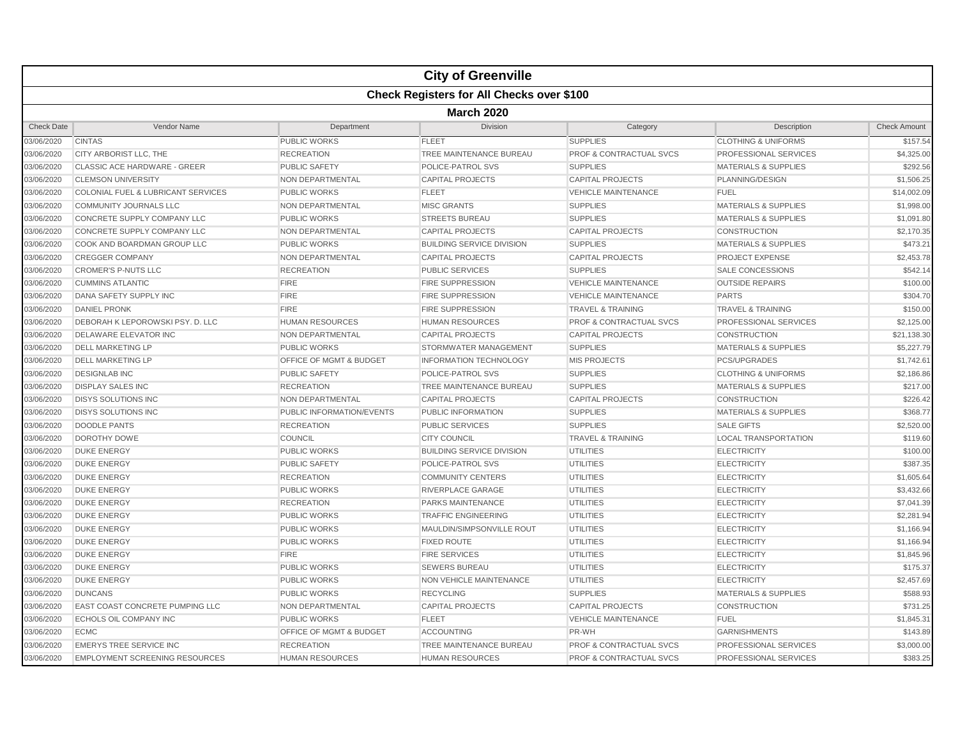|                   |                                                  |                           | <b>City of Greenville</b>        |                                    |                                 |                     |  |  |  |  |
|-------------------|--------------------------------------------------|---------------------------|----------------------------------|------------------------------------|---------------------------------|---------------------|--|--|--|--|
|                   | <b>Check Registers for All Checks over \$100</b> |                           |                                  |                                    |                                 |                     |  |  |  |  |
|                   | <b>March 2020</b>                                |                           |                                  |                                    |                                 |                     |  |  |  |  |
| <b>Check Date</b> | Vendor Name                                      | Department                | Division                         | Category                           | Description                     | <b>Check Amount</b> |  |  |  |  |
| 03/06/2020        | <b>CINTAS</b>                                    | <b>PUBLIC WORKS</b>       | <b>FLEET</b>                     | <b>SUPPLIES</b>                    | <b>CLOTHING &amp; UNIFORMS</b>  | \$157.54            |  |  |  |  |
| 03/06/2020        | CITY ARBORIST LLC, THE                           | <b>RECREATION</b>         | TREE MAINTENANCE BUREAU          | <b>PROF &amp; CONTRACTUAL SVCS</b> | PROFESSIONAL SERVICES           | \$4,325.00          |  |  |  |  |
| 03/06/2020        | CLASSIC ACE HARDWARE - GREER                     | <b>PUBLIC SAFETY</b>      | POLICE-PATROL SVS                | <b>SUPPLIES</b>                    | <b>MATERIALS &amp; SUPPLIES</b> | \$292.56            |  |  |  |  |
| 03/06/2020        | <b>CLEMSON UNIVERSITY</b>                        | <b>NON DEPARTMENTAL</b>   | <b>CAPITAL PROJECTS</b>          | <b>CAPITAL PROJECTS</b>            | PLANNING/DESIGN                 | \$1,506.25          |  |  |  |  |
| 03/06/2020        | COLONIAL FUEL & LUBRICANT SERVICES               | <b>PUBLIC WORKS</b>       | <b>FLEET</b>                     | <b>VEHICLE MAINTENANCE</b>         | <b>FUEL</b>                     | \$14,002.09         |  |  |  |  |
| 03/06/2020        | <b>COMMUNITY JOURNALS LLC</b>                    | NON DEPARTMENTAL          | <b>MISC GRANTS</b>               | <b>SUPPLIES</b>                    | <b>MATERIALS &amp; SUPPLIES</b> | \$1,998.00          |  |  |  |  |
| 03/06/2020        | CONCRETE SUPPLY COMPANY LLC                      | <b>PUBLIC WORKS</b>       | <b>STREETS BUREAU</b>            | <b>SUPPLIES</b>                    | <b>MATERIALS &amp; SUPPLIES</b> | \$1,091.80          |  |  |  |  |
| 03/06/2020        | CONCRETE SUPPLY COMPANY LLC                      | NON DEPARTMENTAL          | <b>CAPITAL PROJECTS</b>          | <b>CAPITAL PROJECTS</b>            | <b>CONSTRUCTION</b>             | \$2,170.35          |  |  |  |  |
| 03/06/2020        | COOK AND BOARDMAN GROUP LLC                      | <b>PUBLIC WORKS</b>       | <b>BUILDING SERVICE DIVISION</b> | <b>SUPPLIES</b>                    | <b>MATERIALS &amp; SUPPLIES</b> | \$473.21            |  |  |  |  |
| 03/06/2020        | <b>CREGGER COMPANY</b>                           | <b>NON DEPARTMENTAL</b>   | <b>CAPITAL PROJECTS</b>          | <b>CAPITAL PROJECTS</b>            | <b>PROJECT EXPENSE</b>          | \$2,453.78          |  |  |  |  |
| 03/06/2020        | <b>CROMER'S P-NUTS LLC</b>                       | <b>RECREATION</b>         | <b>PUBLIC SERVICES</b>           | <b>SUPPLIES</b>                    | <b>SALE CONCESSIONS</b>         | \$542.14            |  |  |  |  |
| 03/06/2020        | <b>CUMMINS ATLANTIC</b>                          | <b>FIRE</b>               | <b>FIRE SUPPRESSION</b>          | <b>VEHICLE MAINTENANCE</b>         | <b>OUTSIDE REPAIRS</b>          | \$100.00            |  |  |  |  |
| 03/06/2020        | DANA SAFETY SUPPLY INC                           | <b>FIRE</b>               | <b>FIRE SUPPRESSION</b>          | <b>VEHICLE MAINTENANCE</b>         | <b>PARTS</b>                    | \$304.70            |  |  |  |  |
| 03/06/2020        | <b>DANIEL PRONK</b>                              | <b>FIRE</b>               | <b>FIRE SUPPRESSION</b>          | <b>TRAVEL &amp; TRAINING</b>       | <b>TRAVEL &amp; TRAINING</b>    | \$150.00            |  |  |  |  |
| 03/06/2020        | <b>DEBORAH K LEPOROWSKI PSY. D. LLC</b>          | <b>HUMAN RESOURCES</b>    | <b>HUMAN RESOURCES</b>           | <b>PROF &amp; CONTRACTUAL SVCS</b> | PROFESSIONAL SERVICES           | \$2,125.00          |  |  |  |  |
| 03/06/2020        | DELAWARE ELEVATOR INC                            | <b>NON DEPARTMENTAL</b>   | <b>CAPITAL PROJECTS</b>          | <b>CAPITAL PROJECTS</b>            | <b>CONSTRUCTION</b>             | \$21,138.30         |  |  |  |  |
| 03/06/2020        | <b>DELL MARKETING LP</b>                         | <b>PUBLIC WORKS</b>       | STORMWATER MANAGEMENT            | <b>SUPPLIES</b>                    | <b>MATERIALS &amp; SUPPLIES</b> | \$5,227.79          |  |  |  |  |
| 03/06/2020        | <b>DELL MARKETING LP</b>                         | OFFICE OF MGMT & BUDGET   | <b>INFORMATION TECHNOLOGY</b>    | <b>MIS PROJECTS</b>                | <b>PCS/UPGRADES</b>             | \$1,742.61          |  |  |  |  |
| 03/06/2020        | <b>DESIGNLAB INC</b>                             | <b>PUBLIC SAFETY</b>      | POLICE-PATROL SVS                | <b>SUPPLIES</b>                    | <b>CLOTHING &amp; UNIFORMS</b>  | \$2,186.86          |  |  |  |  |
| 03/06/2020        | <b>DISPLAY SALES INC</b>                         | <b>RECREATION</b>         | TREE MAINTENANCE BUREAU          | <b>SUPPLIES</b>                    | <b>MATERIALS &amp; SUPPLIES</b> | \$217.00            |  |  |  |  |
| 03/06/2020        | <b>DISYS SOLUTIONS INC</b>                       | <b>NON DEPARTMENTAL</b>   | <b>CAPITAL PROJECTS</b>          | <b>CAPITAL PROJECTS</b>            | <b>CONSTRUCTION</b>             | \$226.42            |  |  |  |  |
| 03/06/2020        | <b>DISYS SOLUTIONS INC</b>                       | PUBLIC INFORMATION/EVENTS | PUBLIC INFORMATION               | <b>SUPPLIES</b>                    | <b>MATERIALS &amp; SUPPLIES</b> | \$368.77            |  |  |  |  |
| 03/06/2020        | <b>DOODLE PANTS</b>                              | <b>RECREATION</b>         | <b>PUBLIC SERVICES</b>           | <b>SUPPLIES</b>                    | <b>SALE GIFTS</b>               | \$2,520.00          |  |  |  |  |
| 03/06/2020        | <b>DOROTHY DOWE</b>                              | COUNCIL                   | <b>CITY COUNCIL</b>              | <b>TRAVEL &amp; TRAINING</b>       | <b>LOCAL TRANSPORTATION</b>     | \$119.60            |  |  |  |  |
| 03/06/2020        | <b>DUKE ENERGY</b>                               | <b>PUBLIC WORKS</b>       | <b>BUILDING SERVICE DIVISION</b> | <b>UTILITIES</b>                   | <b>ELECTRICITY</b>              | \$100.00            |  |  |  |  |
| 03/06/2020        | <b>DUKE ENERGY</b>                               | <b>PUBLIC SAFETY</b>      | POLICE-PATROL SVS                | <b>UTILITIES</b>                   | <b>ELECTRICITY</b>              | \$387.35            |  |  |  |  |
| 03/06/2020        | <b>DUKE ENERGY</b>                               | <b>RECREATION</b>         | <b>COMMUNITY CENTERS</b>         | <b>UTILITIES</b>                   | <b>ELECTRICITY</b>              | \$1,605.64          |  |  |  |  |
| 03/06/2020        | <b>DUKE ENERGY</b>                               | <b>PUBLIC WORKS</b>       | <b>RIVERPLACE GARAGE</b>         | <b>UTILITIES</b>                   | <b>ELECTRICITY</b>              | \$3,432.66          |  |  |  |  |
| 03/06/2020        | <b>DUKE ENERGY</b>                               | <b>RECREATION</b>         | PARKS MAINTENANCE                | <b>UTILITIES</b>                   | <b>ELECTRICITY</b>              | \$7,041.39          |  |  |  |  |
| 03/06/2020        | <b>DUKE ENERGY</b>                               | <b>PUBLIC WORKS</b>       | <b>TRAFFIC ENGINEERING</b>       | <b>UTILITIES</b>                   | <b>ELECTRICITY</b>              | \$2,281.94          |  |  |  |  |
| 03/06/2020        | <b>DUKE ENERGY</b>                               | <b>PUBLIC WORKS</b>       | MAULDIN/SIMPSONVILLE ROUT        | <b>UTILITIES</b>                   | <b>ELECTRICITY</b>              | \$1,166.94          |  |  |  |  |
| 03/06/2020        | <b>DUKE ENERGY</b>                               | <b>PUBLIC WORKS</b>       | <b>FIXED ROUTE</b>               | <b>UTILITIES</b>                   | <b>ELECTRICITY</b>              | \$1,166.94          |  |  |  |  |
| 03/06/2020        | <b>DUKE ENERGY</b>                               | <b>FIRE</b>               | <b>FIRE SERVICES</b>             | <b>UTILITIES</b>                   | <b>ELECTRICITY</b>              | \$1,845.96          |  |  |  |  |
| 03/06/2020        | <b>DUKE ENERGY</b>                               | <b>PUBLIC WORKS</b>       | <b>SEWERS BUREAU</b>             | <b>UTILITIES</b>                   | <b>ELECTRICITY</b>              | \$175.37            |  |  |  |  |
| 03/06/2020        | <b>DUKE ENERGY</b>                               | <b>PUBLIC WORKS</b>       | <b>NON VEHICLE MAINTENANCE</b>   | <b>UTILITIES</b>                   | <b>ELECTRICITY</b>              | \$2,457.69          |  |  |  |  |
| 03/06/2020        | <b>DUNCANS</b>                                   | <b>PUBLIC WORKS</b>       | <b>RECYCLING</b>                 | <b>SUPPLIES</b>                    | <b>MATERIALS &amp; SUPPLIES</b> | \$588.93            |  |  |  |  |
| 03/06/2020        | <b>EAST COAST CONCRETE PUMPING LLC</b>           | NON DEPARTMENTAL          | <b>CAPITAL PROJECTS</b>          | <b>CAPITAL PROJECTS</b>            | <b>CONSTRUCTION</b>             | \$731.25            |  |  |  |  |
| 03/06/2020        | ECHOLS OIL COMPANY INC                           | <b>PUBLIC WORKS</b>       | <b>FLEET</b>                     | <b>VEHICLE MAINTENANCE</b>         | <b>FUEL</b>                     | \$1,845.31          |  |  |  |  |
| 03/06/2020        | <b>ECMC</b>                                      | OFFICE OF MGMT & BUDGET   | <b>ACCOUNTING</b>                | PR-WH                              | <b>GARNISHMENTS</b>             | \$143.89            |  |  |  |  |
| 03/06/2020        | <b>EMERYS TREE SERVICE INC</b>                   | <b>RECREATION</b>         | TREE MAINTENANCE BUREAU          | <b>PROF &amp; CONTRACTUAL SVCS</b> | PROFESSIONAL SERVICES           | \$3,000.00          |  |  |  |  |
| 03/06/2020        | <b>EMPLOYMENT SCREENING RESOURCES</b>            | <b>HUMAN RESOURCES</b>    | <b>HUMAN RESOURCES</b>           | PROF & CONTRACTUAL SVCS            | PROFESSIONAL SERVICES           | \$383.25            |  |  |  |  |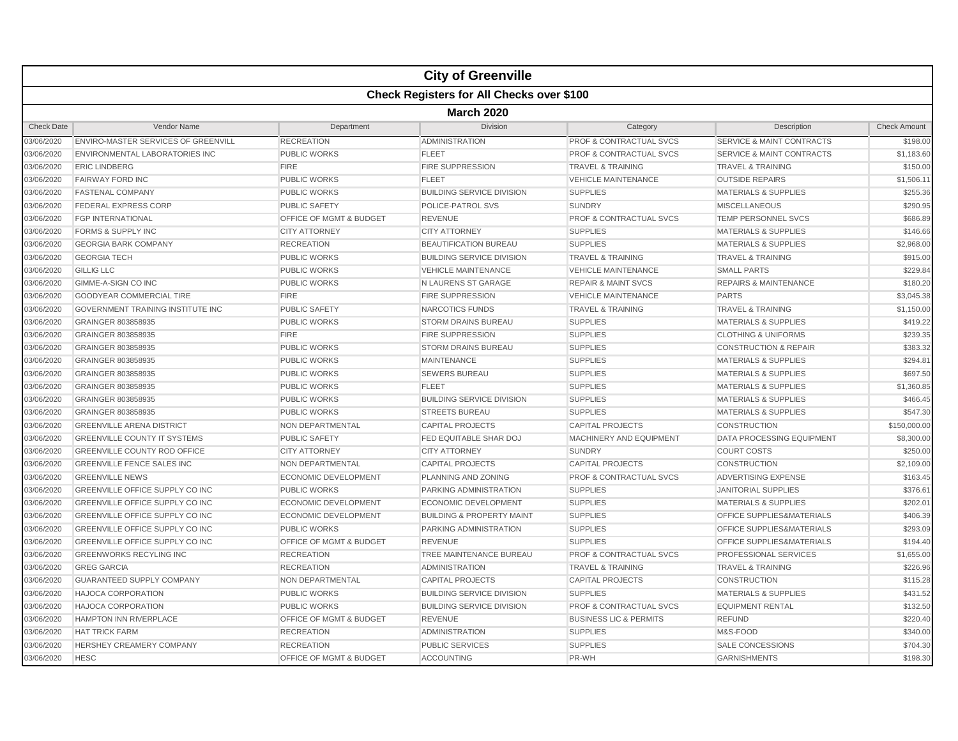|                   |                                                  |                                    | <b>City of Greenville</b>            |                                    |                                      |                     |  |  |  |
|-------------------|--------------------------------------------------|------------------------------------|--------------------------------------|------------------------------------|--------------------------------------|---------------------|--|--|--|
|                   | <b>Check Registers for All Checks over \$100</b> |                                    |                                      |                                    |                                      |                     |  |  |  |
|                   | <b>March 2020</b>                                |                                    |                                      |                                    |                                      |                     |  |  |  |
| <b>Check Date</b> | Vendor Name                                      | Department                         | <b>Division</b>                      | Category                           | Description                          | <b>Check Amount</b> |  |  |  |
| 03/06/2020        | <b>ENVIRO-MASTER SERVICES OF GREENVILL</b>       | <b>RECREATION</b>                  | <b>ADMINISTRATION</b>                | <b>PROF &amp; CONTRACTUAL SVCS</b> | <b>SERVICE &amp; MAINT CONTRACTS</b> | \$198.00            |  |  |  |
| 03/06/2020        | ENVIRONMENTAL LABORATORIES INC                   | <b>PUBLIC WORKS</b>                | <b>FLEET</b>                         | <b>PROF &amp; CONTRACTUAL SVCS</b> | <b>SERVICE &amp; MAINT CONTRACTS</b> | \$1,183.60          |  |  |  |
| 03/06/2020        | <b>ERIC LINDBERG</b>                             | <b>FIRE</b>                        | <b>FIRE SUPPRESSION</b>              | <b>TRAVEL &amp; TRAINING</b>       | <b>TRAVEL &amp; TRAINING</b>         | \$150.00            |  |  |  |
| 03/06/2020        | <b>FAIRWAY FORD INC</b>                          | <b>PUBLIC WORKS</b>                | <b>FLEET</b>                         | <b>VEHICLE MAINTENANCE</b>         | <b>OUTSIDE REPAIRS</b>               | \$1,506.11          |  |  |  |
| 03/06/2020        | <b>FASTENAL COMPANY</b>                          | <b>PUBLIC WORKS</b>                | <b>BUILDING SERVICE DIVISION</b>     | <b>SUPPLIES</b>                    | <b>MATERIALS &amp; SUPPLIES</b>      | \$255.36            |  |  |  |
| 03/06/2020        | <b>FEDERAL EXPRESS CORP</b>                      | <b>PUBLIC SAFETY</b>               | POLICE-PATROL SVS                    | <b>SUNDRY</b>                      | <b>MISCELLANEOUS</b>                 | \$290.95            |  |  |  |
| 03/06/2020        | <b>FGP INTERNATIONAL</b>                         | <b>OFFICE OF MGMT &amp; BUDGET</b> | <b>REVENUE</b>                       | <b>PROF &amp; CONTRACTUAL SVCS</b> | <b>TEMP PERSONNEL SVCS</b>           | \$686.89            |  |  |  |
| 03/06/2020        | <b>FORMS &amp; SUPPLY INC</b>                    | <b>CITY ATTORNEY</b>               | <b>CITY ATTORNEY</b>                 | <b>SUPPLIES</b>                    | <b>MATERIALS &amp; SUPPLIES</b>      | \$146.66            |  |  |  |
| 03/06/2020        | <b>GEORGIA BARK COMPANY</b>                      | <b>RECREATION</b>                  | <b>BEAUTIFICATION BUREAU</b>         | <b>SUPPLIES</b>                    | <b>MATERIALS &amp; SUPPLIES</b>      | \$2,968.00          |  |  |  |
| 03/06/2020        | <b>GEORGIA TECH</b>                              | <b>PUBLIC WORKS</b>                | <b>BUILDING SERVICE DIVISION</b>     | <b>TRAVEL &amp; TRAINING</b>       | <b>TRAVEL &amp; TRAINING</b>         | \$915.00            |  |  |  |
| 03/06/2020        | <b>GILLIG LLC</b>                                | <b>PUBLIC WORKS</b>                | <b>VEHICLE MAINTENANCE</b>           | <b>VEHICLE MAINTENANCE</b>         | <b>SMALL PARTS</b>                   | \$229.84            |  |  |  |
| 03/06/2020        | GIMME-A-SIGN CO INC                              | <b>PUBLIC WORKS</b>                | N LAURENS ST GARAGE                  | <b>REPAIR &amp; MAINT SVCS</b>     | <b>REPAIRS &amp; MAINTENANCE</b>     | \$180.20            |  |  |  |
| 03/06/2020        | <b>GOODYEAR COMMERCIAL TIRE</b>                  | <b>FIRE</b>                        | <b>FIRE SUPPRESSION</b>              | <b>VEHICLE MAINTENANCE</b>         | <b>PARTS</b>                         | \$3,045.38          |  |  |  |
| 03/06/2020        | <b>GOVERNMENT TRAINING INSTITUTE INC</b>         | <b>PUBLIC SAFETY</b>               | NARCOTICS FUNDS                      | <b>TRAVEL &amp; TRAINING</b>       | <b>TRAVEL &amp; TRAINING</b>         | \$1,150.00          |  |  |  |
| 03/06/2020        | GRAINGER 803858935                               | <b>PUBLIC WORKS</b>                | <b>STORM DRAINS BUREAU</b>           | <b>SUPPLIES</b>                    | <b>MATERIALS &amp; SUPPLIES</b>      | \$419.22            |  |  |  |
| 03/06/2020        | GRAINGER 803858935                               | <b>FIRE</b>                        | <b>FIRE SUPPRESSION</b>              | <b>SUPPLIES</b>                    | <b>CLOTHING &amp; UNIFORMS</b>       | \$239.35            |  |  |  |
| 03/06/2020        | GRAINGER 803858935                               | <b>PUBLIC WORKS</b>                | <b>STORM DRAINS BUREAU</b>           | <b>SUPPLIES</b>                    | <b>CONSTRUCTION &amp; REPAIR</b>     | \$383.32            |  |  |  |
| 03/06/2020        | GRAINGER 803858935                               | <b>PUBLIC WORKS</b>                | <b>MAINTENANCE</b>                   | <b>SUPPLIES</b>                    | <b>MATERIALS &amp; SUPPLIES</b>      | \$294.81            |  |  |  |
| 03/06/2020        | GRAINGER 803858935                               | <b>PUBLIC WORKS</b>                | <b>SEWERS BUREAU</b>                 | <b>SUPPLIES</b>                    | <b>MATERIALS &amp; SUPPLIES</b>      | \$697.50            |  |  |  |
| 03/06/2020        | GRAINGER 803858935                               | <b>PUBLIC WORKS</b>                | <b>FLEET</b>                         | <b>SUPPLIES</b>                    | <b>MATERIALS &amp; SUPPLIES</b>      | \$1,360.85          |  |  |  |
| 03/06/2020        | GRAINGER 803858935                               | <b>PUBLIC WORKS</b>                | <b>BUILDING SERVICE DIVISION</b>     | <b>SUPPLIES</b>                    | <b>MATERIALS &amp; SUPPLIES</b>      | \$466.45            |  |  |  |
| 03/06/2020        | GRAINGER 803858935                               | <b>PUBLIC WORKS</b>                | <b>STREETS BUREAU</b>                | <b>SUPPLIES</b>                    | <b>MATERIALS &amp; SUPPLIES</b>      | \$547.30            |  |  |  |
| 03/06/2020        | <b>GREENVILLE ARENA DISTRICT</b>                 | NON DEPARTMENTAL                   | <b>CAPITAL PROJECTS</b>              | <b>CAPITAL PROJECTS</b>            | <b>CONSTRUCTION</b>                  | \$150,000.00        |  |  |  |
| 03/06/2020        | <b>GREENVILLE COUNTY IT SYSTEMS</b>              | <b>PUBLIC SAFETY</b>               | FED EQUITABLE SHAR DOJ               | <b>MACHINERY AND EQUIPMENT</b>     | <b>DATA PROCESSING EQUIPMENT</b>     | \$8,300.00          |  |  |  |
| 03/06/2020        | <b>GREENVILLE COUNTY ROD OFFICE</b>              | <b>CITY ATTORNEY</b>               | <b>CITY ATTORNEY</b>                 | <b>SUNDRY</b>                      | <b>COURT COSTS</b>                   | \$250.00            |  |  |  |
| 03/06/2020        | <b>GREENVILLE FENCE SALES INC</b>                | NON DEPARTMENTAL                   | <b>CAPITAL PROJECTS</b>              | <b>CAPITAL PROJECTS</b>            | <b>CONSTRUCTION</b>                  | \$2,109.00          |  |  |  |
| 03/06/2020        | <b>GREENVILLE NEWS</b>                           | ECONOMIC DEVELOPMENT               | PLANNING AND ZONING                  | <b>PROF &amp; CONTRACTUAL SVCS</b> | <b>ADVERTISING EXPENSE</b>           | \$163.45            |  |  |  |
| 03/06/2020        | GREENVILLE OFFICE SUPPLY CO INC                  | <b>PUBLIC WORKS</b>                | PARKING ADMINISTRATION               | <b>SUPPLIES</b>                    | <b>JANITORIAL SUPPLIES</b>           | \$376.61            |  |  |  |
| 03/06/2020        | <b>GREENVILLE OFFICE SUPPLY CO INC</b>           | ECONOMIC DEVELOPMENT               | ECONOMIC DEVELOPMENT                 | <b>SUPPLIES</b>                    | <b>MATERIALS &amp; SUPPLIES</b>      | \$202.01            |  |  |  |
| 03/06/2020        | GREENVILLE OFFICE SUPPLY CO INC                  | ECONOMIC DEVELOPMENT               | <b>BUILDING &amp; PROPERTY MAINT</b> | <b>SUPPLIES</b>                    | OFFICE SUPPLIES&MATERIALS            | \$406.39            |  |  |  |
| 03/06/2020        | <b>GREENVILLE OFFICE SUPPLY CO INC</b>           | <b>PUBLIC WORKS</b>                | <b>PARKING ADMINISTRATION</b>        | <b>SUPPLIES</b>                    | <b>OFFICE SUPPLIES&amp;MATERIALS</b> | \$293.09            |  |  |  |
| 03/06/2020        | <b>GREENVILLE OFFICE SUPPLY CO INC</b>           | OFFICE OF MGMT & BUDGET            | <b>REVENUE</b>                       | <b>SUPPLIES</b>                    | <b>OFFICE SUPPLIES&amp;MATERIALS</b> | \$194.40            |  |  |  |
| 03/06/2020        | <b>GREENWORKS RECYLING INC</b>                   | <b>RECREATION</b>                  | TREE MAINTENANCE BUREAU              | <b>PROF &amp; CONTRACTUAL SVCS</b> | <b>PROFESSIONAL SERVICES</b>         | \$1,655.00          |  |  |  |
| 03/06/2020        | <b>GREG GARCIA</b>                               | <b>RECREATION</b>                  | <b>ADMINISTRATION</b>                | <b>TRAVEL &amp; TRAINING</b>       | <b>TRAVEL &amp; TRAINING</b>         | \$226.96            |  |  |  |
| 03/06/2020        | <b>GUARANTEED SUPPLY COMPANY</b>                 | NON DEPARTMENTAL                   | <b>CAPITAL PROJECTS</b>              | <b>CAPITAL PROJECTS</b>            | <b>CONSTRUCTION</b>                  | \$115.28            |  |  |  |
| 03/06/2020        | <b>HAJOCA CORPORATION</b>                        | <b>PUBLIC WORKS</b>                | <b>BUILDING SERVICE DIVISION</b>     | <b>SUPPLIES</b>                    | <b>MATERIALS &amp; SUPPLIES</b>      | \$431.52            |  |  |  |
| 03/06/2020        | <b>HAJOCA CORPORATION</b>                        | <b>PUBLIC WORKS</b>                | <b>BUILDING SERVICE DIVISION</b>     | <b>PROF &amp; CONTRACTUAL SVCS</b> | <b>EQUIPMENT RENTAL</b>              | \$132.50            |  |  |  |
| 03/06/2020        | HAMPTON INN RIVERPLACE                           | OFFICE OF MGMT & BUDGET            | <b>REVENUE</b>                       | <b>BUSINESS LIC &amp; PERMITS</b>  | <b>REFUND</b>                        | \$220.40            |  |  |  |
| 03/06/2020        | <b>HAT TRICK FARM</b>                            | <b>RECREATION</b>                  | <b>ADMINISTRATION</b>                | <b>SUPPLIES</b>                    | M&S-FOOD                             | \$340.00            |  |  |  |
| 03/06/2020        | <b>HERSHEY CREAMERY COMPANY</b>                  | <b>RECREATION</b>                  | PUBLIC SERVICES                      | <b>SUPPLIES</b>                    | SALE CONCESSIONS                     | \$704.30            |  |  |  |
| 03/06/2020        | <b>HESC</b>                                      | OFFICE OF MGMT & BUDGET            | <b>ACCOUNTING</b>                    | PR-WH                              | <b>GARNISHMENTS</b>                  | \$198.30            |  |  |  |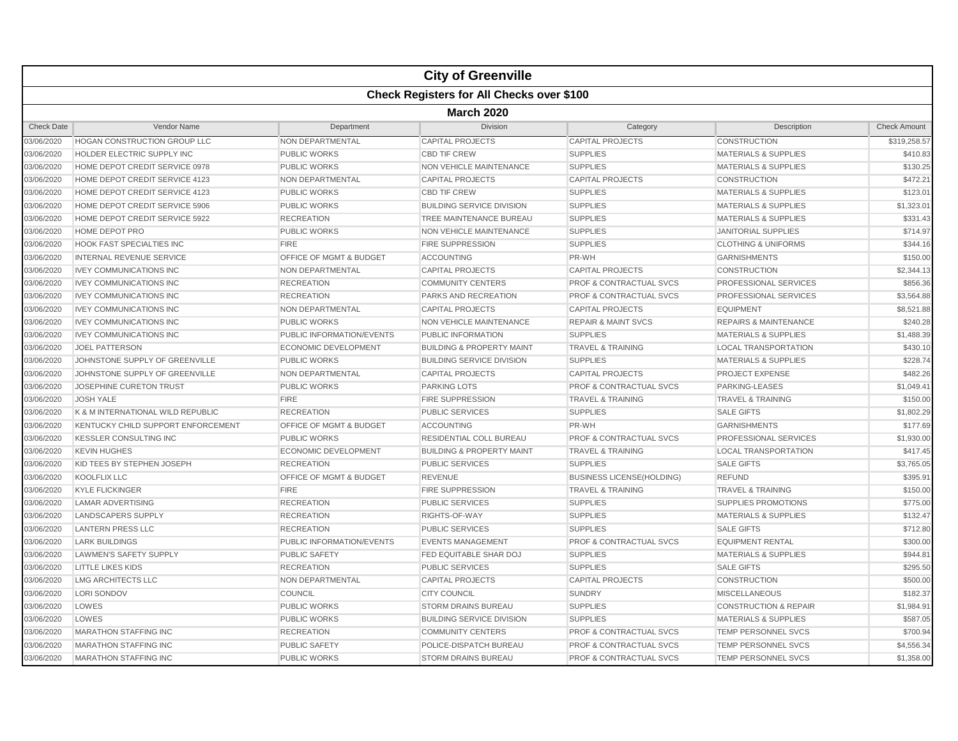|                   |                                                  |                             | <b>City of Greenville</b>            |                                    |                                  |                     |  |  |  |  |
|-------------------|--------------------------------------------------|-----------------------------|--------------------------------------|------------------------------------|----------------------------------|---------------------|--|--|--|--|
|                   | <b>Check Registers for All Checks over \$100</b> |                             |                                      |                                    |                                  |                     |  |  |  |  |
|                   | <b>March 2020</b>                                |                             |                                      |                                    |                                  |                     |  |  |  |  |
| <b>Check Date</b> | Vendor Name                                      | Department                  | <b>Division</b>                      | Category                           | Description                      | <b>Check Amount</b> |  |  |  |  |
| 03/06/2020        | <b>HOGAN CONSTRUCTION GROUP LLC</b>              | NON DEPARTMENTAL            | <b>CAPITAL PROJECTS</b>              | <b>CAPITAL PROJECTS</b>            | <b>CONSTRUCTION</b>              | \$319,258.57        |  |  |  |  |
| 03/06/2020        | HOLDER ELECTRIC SUPPLY INC                       | <b>PUBLIC WORKS</b>         | <b>CBD TIF CREW</b>                  | <b>SUPPLIES</b>                    | <b>MATERIALS &amp; SUPPLIES</b>  | \$410.83            |  |  |  |  |
| 03/06/2020        | HOME DEPOT CREDIT SERVICE 0978                   | <b>PUBLIC WORKS</b>         | NON VEHICLE MAINTENANCE              | <b>SUPPLIES</b>                    | <b>MATERIALS &amp; SUPPLIES</b>  | \$130.25            |  |  |  |  |
| 03/06/2020        | HOME DEPOT CREDIT SERVICE 4123                   | NON DEPARTMENTAL            | <b>CAPITAL PROJECTS</b>              | <b>CAPITAL PROJECTS</b>            | <b>CONSTRUCTION</b>              | \$472.21            |  |  |  |  |
| 03/06/2020        | HOME DEPOT CREDIT SERVICE 4123                   | <b>PUBLIC WORKS</b>         | <b>CBD TIF CREW</b>                  | <b>SUPPLIES</b>                    | <b>MATERIALS &amp; SUPPLIES</b>  | \$123.01            |  |  |  |  |
| 03/06/2020        | HOME DEPOT CREDIT SERVICE 5906                   | <b>PUBLIC WORKS</b>         | <b>BUILDING SERVICE DIVISION</b>     | <b>SUPPLIES</b>                    | <b>MATERIALS &amp; SUPPLIES</b>  | \$1,323.01          |  |  |  |  |
| 03/06/2020        | HOME DEPOT CREDIT SERVICE 5922                   | <b>RECREATION</b>           | TREE MAINTENANCE BUREAU              | <b>SUPPLIES</b>                    | <b>MATERIALS &amp; SUPPLIES</b>  | \$331.43            |  |  |  |  |
| 03/06/2020        | <b>HOME DEPOT PRO</b>                            | <b>PUBLIC WORKS</b>         | <b>NON VEHICLE MAINTENANCE</b>       | <b>SUPPLIES</b>                    | <b>JANITORIAL SUPPLIES</b>       | \$714.97            |  |  |  |  |
| 03/06/2020        | <b>HOOK FAST SPECIALTIES INC</b>                 | FIRE                        | <b>FIRE SUPPRESSION</b>              | <b>SUPPLIES</b>                    | <b>CLOTHING &amp; UNIFORMS</b>   | \$344.16            |  |  |  |  |
| 03/06/2020        | <b>INTERNAL REVENUE SERVICE</b>                  | OFFICE OF MGMT & BUDGET     | <b>ACCOUNTING</b>                    | PR-WH                              | <b>GARNISHMENTS</b>              | \$150.00            |  |  |  |  |
| 03/06/2020        | <b>IVEY COMMUNICATIONS INC</b>                   | NON DEPARTMENTAL            | <b>CAPITAL PROJECTS</b>              | <b>CAPITAL PROJECTS</b>            | <b>CONSTRUCTION</b>              | \$2,344.13          |  |  |  |  |
| 03/06/2020        | <b>IVEY COMMUNICATIONS INC</b>                   | <b>RECREATION</b>           | <b>COMMUNITY CENTERS</b>             | PROF & CONTRACTUAL SVCS            | PROFESSIONAL SERVICES            | \$856.36            |  |  |  |  |
| 03/06/2020        | <b>IVEY COMMUNICATIONS INC</b>                   | <b>RECREATION</b>           | PARKS AND RECREATION                 | PROF & CONTRACTUAL SVCS            | PROFESSIONAL SERVICES            | \$3,564.88          |  |  |  |  |
| 03/06/2020        | <b>IVEY COMMUNICATIONS INC</b>                   | NON DEPARTMENTAL            | <b>CAPITAL PROJECTS</b>              | <b>CAPITAL PROJECTS</b>            | <b>EQUIPMENT</b>                 | \$8,521.88          |  |  |  |  |
| 03/06/2020        | <b>IVEY COMMUNICATIONS INC</b>                   | <b>PUBLIC WORKS</b>         | <b>NON VEHICLE MAINTENANCE</b>       | <b>REPAIR &amp; MAINT SVCS</b>     | <b>REPAIRS &amp; MAINTENANCE</b> | \$240.28            |  |  |  |  |
| 03/06/2020        | <b>IVEY COMMUNICATIONS INC</b>                   | PUBLIC INFORMATION/EVENTS   | PUBLIC INFORMATION                   | <b>SUPPLIES</b>                    | <b>MATERIALS &amp; SUPPLIES</b>  | \$1,488.39          |  |  |  |  |
| 03/06/2020        | <b>JOEL PATTERSON</b>                            | <b>ECONOMIC DEVELOPMENT</b> | <b>BUILDING &amp; PROPERTY MAINT</b> | <b>TRAVEL &amp; TRAINING</b>       | <b>LOCAL TRANSPORTATION</b>      | \$430.10            |  |  |  |  |
| 03/06/2020        | JOHNSTONE SUPPLY OF GREENVILLE                   | <b>PUBLIC WORKS</b>         | <b>BUILDING SERVICE DIVISION</b>     | <b>SUPPLIES</b>                    | <b>MATERIALS &amp; SUPPLIES</b>  | \$228.74            |  |  |  |  |
| 03/06/2020        | JOHNSTONE SUPPLY OF GREENVILLE                   | NON DEPARTMENTAL            | <b>CAPITAL PROJECTS</b>              | <b>CAPITAL PROJECTS</b>            | <b>PROJECT EXPENSE</b>           | \$482.26            |  |  |  |  |
| 03/06/2020        | JOSEPHINE CURETON TRUST                          | <b>PUBLIC WORKS</b>         | <b>PARKING LOTS</b>                  | PROF & CONTRACTUAL SVCS            | PARKING-LEASES                   | \$1,049.41          |  |  |  |  |
| 03/06/2020        | <b>JOSH YALE</b>                                 | <b>FIRE</b>                 | <b>FIRE SUPPRESSION</b>              | <b>TRAVEL &amp; TRAINING</b>       | <b>TRAVEL &amp; TRAINING</b>     | \$150.00            |  |  |  |  |
| 03/06/2020        | K & M INTERNATIONAL WILD REPUBLIC                | <b>RECREATION</b>           | <b>PUBLIC SERVICES</b>               | <b>SUPPLIES</b>                    | <b>SALE GIFTS</b>                | \$1,802.29          |  |  |  |  |
| 03/06/2020        | KENTUCKY CHILD SUPPORT ENFORCEMENT               | OFFICE OF MGMT & BUDGET     | <b>ACCOUNTING</b>                    | PR-WH                              | <b>GARNISHMENTS</b>              | \$177.69            |  |  |  |  |
| 03/06/2020        | <b>KESSLER CONSULTING INC</b>                    | <b>PUBLIC WORKS</b>         | <b>RESIDENTIAL COLL BUREAU</b>       | <b>PROF &amp; CONTRACTUAL SVCS</b> | <b>PROFESSIONAL SERVICES</b>     | \$1,930.00          |  |  |  |  |
| 03/06/2020        | <b>KEVIN HUGHES</b>                              | ECONOMIC DEVELOPMENT        | <b>BUILDING &amp; PROPERTY MAINT</b> | <b>TRAVEL &amp; TRAINING</b>       | <b>LOCAL TRANSPORTATION</b>      | \$417.45            |  |  |  |  |
| 03/06/2020        | KID TEES BY STEPHEN JOSEPH                       | <b>RECREATION</b>           | <b>PUBLIC SERVICES</b>               | <b>SUPPLIES</b>                    | <b>SALE GIFTS</b>                | \$3,765.05          |  |  |  |  |
| 03/06/2020        | KOOLFLIX LLC                                     | OFFICE OF MGMT & BUDGET     | <b>REVENUE</b>                       | <b>BUSINESS LICENSE(HOLDING)</b>   | <b>REFUND</b>                    | \$395.91            |  |  |  |  |
| 03/06/2020        | <b>KYLE FLICKINGER</b>                           | <b>FIRE</b>                 | <b>FIRE SUPPRESSION</b>              | <b>TRAVEL &amp; TRAINING</b>       | <b>TRAVEL &amp; TRAINING</b>     | \$150.00            |  |  |  |  |
| 03/06/2020        | <b>LAMAR ADVERTISING</b>                         | <b>RECREATION</b>           | <b>PUBLIC SERVICES</b>               | <b>SUPPLIES</b>                    | <b>SUPPLIES PROMOTIONS</b>       | \$775.00            |  |  |  |  |
| 03/06/2020        | <b>LANDSCAPERS SUPPLY</b>                        | <b>RECREATION</b>           | RIGHTS-OF-WAY                        | <b>SUPPLIES</b>                    | <b>MATERIALS &amp; SUPPLIES</b>  | \$132.47            |  |  |  |  |
| 03/06/2020        | <b>LANTERN PRESS LLC</b>                         | <b>RECREATION</b>           | <b>PUBLIC SERVICES</b>               | <b>SUPPLIES</b>                    | <b>SALE GIFTS</b>                | \$712.80            |  |  |  |  |
| 03/06/2020        | <b>LARK BUILDINGS</b>                            | PUBLIC INFORMATION/EVENTS   | <b>EVENTS MANAGEMENT</b>             | PROF & CONTRACTUAL SVCS            | <b>EQUIPMENT RENTAL</b>          | \$300.00            |  |  |  |  |
| 03/06/2020        | <b>LAWMEN'S SAFETY SUPPLY</b>                    | <b>PUBLIC SAFETY</b>        | FED EQUITABLE SHAR DOJ               | <b>SUPPLIES</b>                    | <b>MATERIALS &amp; SUPPLIES</b>  | \$944.81            |  |  |  |  |
| 03/06/2020        | <b>LITTLE LIKES KIDS</b>                         | <b>RECREATION</b>           | <b>PUBLIC SERVICES</b>               | <b>SUPPLIES</b>                    | <b>SALE GIFTS</b>                | \$295.50            |  |  |  |  |
| 03/06/2020        | <b>LMG ARCHITECTS LLC</b>                        | NON DEPARTMENTAL            | <b>CAPITAL PROJECTS</b>              | <b>CAPITAL PROJECTS</b>            | <b>CONSTRUCTION</b>              | \$500.00            |  |  |  |  |
| 03/06/2020        | <b>LORI SONDOV</b>                               | <b>COUNCIL</b>              | <b>CITY COUNCIL</b>                  | <b>SUNDRY</b>                      | <b>MISCELLANEOUS</b>             | \$182.37            |  |  |  |  |
| 03/06/2020        | LOWES                                            | <b>PUBLIC WORKS</b>         | <b>STORM DRAINS BUREAU</b>           | <b>SUPPLIES</b>                    | <b>CONSTRUCTION &amp; REPAIR</b> | \$1,984.91          |  |  |  |  |
| 03/06/2020        | LOWES                                            | <b>PUBLIC WORKS</b>         | <b>BUILDING SERVICE DIVISION</b>     | <b>SUPPLIES</b>                    | <b>MATERIALS &amp; SUPPLIES</b>  | \$587.05            |  |  |  |  |
| 03/06/2020        | <b>MARATHON STAFFING INC</b>                     | <b>RECREATION</b>           | <b>COMMUNITY CENTERS</b>             | <b>PROF &amp; CONTRACTUAL SVCS</b> | <b>TEMP PERSONNEL SVCS</b>       | \$700.94            |  |  |  |  |
| 03/06/2020        | <b>MARATHON STAFFING INC</b>                     | <b>PUBLIC SAFETY</b>        | POLICE-DISPATCH BUREAU               | <b>PROF &amp; CONTRACTUAL SVCS</b> | <b>TEMP PERSONNEL SVCS</b>       | \$4,556.34          |  |  |  |  |
| 03/06/2020        | <b>MARATHON STAFFING INC</b>                     | <b>PUBLIC WORKS</b>         | <b>STORM DRAINS BUREAU</b>           | <b>PROF &amp; CONTRACTUAL SVCS</b> | <b>TEMP PERSONNEL SVCS</b>       | \$1,358.00          |  |  |  |  |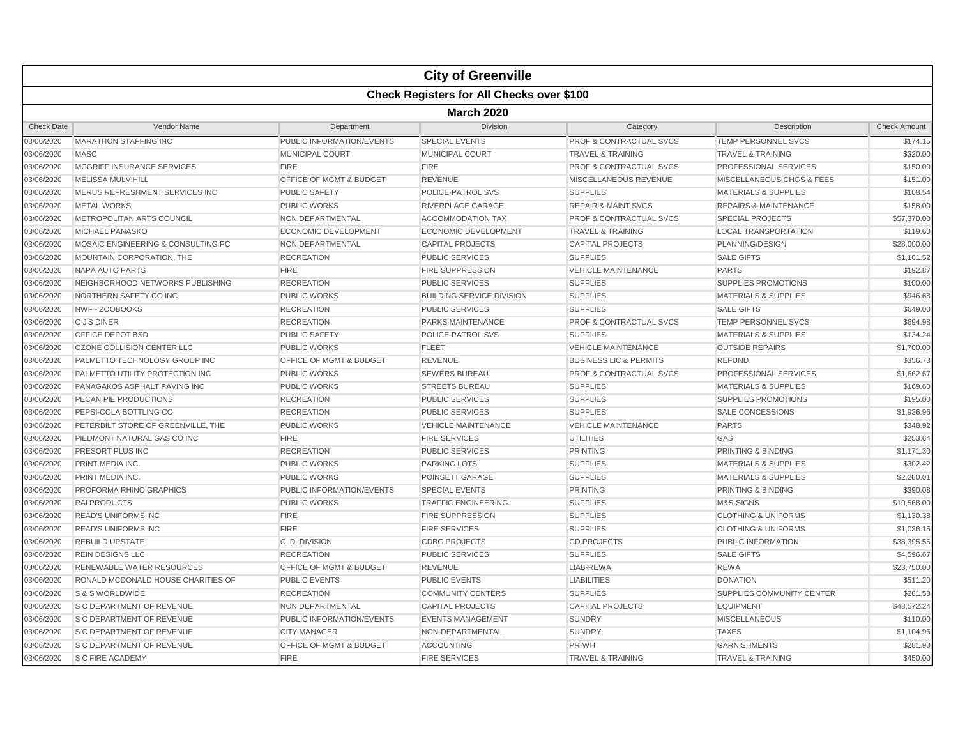|                   |                                                  |                           | <b>City of Greenville</b>        |                                    |                                      |                     |  |  |  |
|-------------------|--------------------------------------------------|---------------------------|----------------------------------|------------------------------------|--------------------------------------|---------------------|--|--|--|
|                   | <b>Check Registers for All Checks over \$100</b> |                           |                                  |                                    |                                      |                     |  |  |  |
|                   | <b>March 2020</b>                                |                           |                                  |                                    |                                      |                     |  |  |  |
| <b>Check Date</b> | Vendor Name                                      | Department                | <b>Division</b>                  | Category                           | Description                          | <b>Check Amount</b> |  |  |  |
| 03/06/2020        | <b>MARATHON STAFFING INC</b>                     | PUBLIC INFORMATION/EVENTS | SPECIAL EVENTS                   | <b>PROF &amp; CONTRACTUAL SVCS</b> | TEMP PERSONNEL SVCS                  | \$174.15            |  |  |  |
| 03/06/2020        | <b>MASC</b>                                      | <b>MUNICIPAL COURT</b>    | <b>MUNICIPAL COURT</b>           | <b>TRAVEL &amp; TRAINING</b>       | <b>TRAVEL &amp; TRAINING</b>         | \$320.00            |  |  |  |
| 03/06/2020        | MCGRIFF INSURANCE SERVICES                       | <b>FIRE</b>               | <b>FIRE</b>                      | <b>PROF &amp; CONTRACTUAL SVCS</b> | <b>PROFESSIONAL SERVICES</b>         | \$150.00            |  |  |  |
| 03/06/2020        | MELISSA MULVIHILL                                | OFFICE OF MGMT & BUDGET   | <b>REVENUE</b>                   | MISCELLANEOUS REVENUE              | <b>MISCELLANEOUS CHGS &amp; FEES</b> | \$151.00            |  |  |  |
| 03/06/2020        | MERUS REFRESHMENT SERVICES INC                   | <b>PUBLIC SAFETY</b>      | POLICE-PATROL SVS                | <b>SUPPLIES</b>                    | <b>MATERIALS &amp; SUPPLIES</b>      | \$108.54            |  |  |  |
| 03/06/2020        | <b>METAL WORKS</b>                               | <b>PUBLIC WORKS</b>       | RIVERPLACE GARAGE                | <b>REPAIR &amp; MAINT SVCS</b>     | <b>REPAIRS &amp; MAINTENANCE</b>     | \$158.00            |  |  |  |
| 03/06/2020        | METROPOLITAN ARTS COUNCIL                        | <b>NON DEPARTMENTAL</b>   | <b>ACCOMMODATION TAX</b>         | <b>PROF &amp; CONTRACTUAL SVCS</b> | <b>SPECIAL PROJECTS</b>              | \$57,370.00         |  |  |  |
| 03/06/2020        | MICHAEL PANASKO                                  | ECONOMIC DEVELOPMENT      | <b>ECONOMIC DEVELOPMENT</b>      | <b>TRAVEL &amp; TRAINING</b>       | <b>LOCAL TRANSPORTATION</b>          | \$119.60            |  |  |  |
| 03/06/2020        | MOSAIC ENGINEERING & CONSULTING PC               | NON DEPARTMENTAL          | <b>CAPITAL PROJECTS</b>          | <b>CAPITAL PROJECTS</b>            | PLANNING/DESIGN                      | \$28,000.00         |  |  |  |
| 03/06/2020        | MOUNTAIN CORPORATION, THE                        | <b>RECREATION</b>         | <b>PUBLIC SERVICES</b>           | <b>SUPPLIES</b>                    | <b>SALE GIFTS</b>                    | \$1,161.52          |  |  |  |
| 03/06/2020        | NAPA AUTO PARTS                                  | <b>FIRE</b>               | <b>FIRE SUPPRESSION</b>          | <b>VEHICLE MAINTENANCE</b>         | <b>PARTS</b>                         | \$192.87            |  |  |  |
| 03/06/2020        | NEIGHBORHOOD NETWORKS PUBLISHING                 | <b>RECREATION</b>         | <b>PUBLIC SERVICES</b>           | <b>SUPPLIES</b>                    | <b>SUPPLIES PROMOTIONS</b>           | \$100.00            |  |  |  |
| 03/06/2020        | NORTHERN SAFETY CO INC                           | <b>PUBLIC WORKS</b>       | <b>BUILDING SERVICE DIVISION</b> | <b>SUPPLIES</b>                    | <b>MATERIALS &amp; SUPPLIES</b>      | \$946.68            |  |  |  |
| 03/06/2020        | NWF - ZOOBOOKS                                   | <b>RECREATION</b>         | <b>PUBLIC SERVICES</b>           | <b>SUPPLIES</b>                    | <b>SALE GIFTS</b>                    | \$649.00            |  |  |  |
| 03/06/2020        | O J'S DINER                                      | <b>RECREATION</b>         | <b>PARKS MAINTENANCE</b>         | <b>PROF &amp; CONTRACTUAL SVCS</b> | <b>TEMP PERSONNEL SVCS</b>           | \$694.98            |  |  |  |
| 03/06/2020        | <b>OFFICE DEPOT BSD</b>                          | <b>PUBLIC SAFETY</b>      | POLICE-PATROL SVS                | <b>SUPPLIES</b>                    | <b>MATERIALS &amp; SUPPLIES</b>      | \$134.24            |  |  |  |
| 03/06/2020        | OZONE COLLISION CENTER LLC                       | <b>PUBLIC WORKS</b>       | <b>FLEET</b>                     | <b>VEHICLE MAINTENANCE</b>         | <b>OUTSIDE REPAIRS</b>               | \$1,700.00          |  |  |  |
| 03/06/2020        | PALMETTO TECHNOLOGY GROUP INC                    | OFFICE OF MGMT & BUDGET   | <b>REVENUE</b>                   | <b>BUSINESS LIC &amp; PERMITS</b>  | <b>REFUND</b>                        | \$356.73            |  |  |  |
| 03/06/2020        | PALMETTO UTILITY PROTECTION INC                  | PUBLIC WORKS              | <b>SEWERS BUREAU</b>             | <b>PROF &amp; CONTRACTUAL SVCS</b> | PROFESSIONAL SERVICES                | \$1,662.67          |  |  |  |
| 03/06/2020        | PANAGAKOS ASPHALT PAVING INC                     | <b>PUBLIC WORKS</b>       | <b>STREETS BUREAU</b>            | <b>SUPPLIES</b>                    | <b>MATERIALS &amp; SUPPLIES</b>      | \$169.60            |  |  |  |
| 03/06/2020        | PECAN PIE PRODUCTIONS                            | <b>RECREATION</b>         | <b>PUBLIC SERVICES</b>           | <b>SUPPLIES</b>                    | <b>SUPPLIES PROMOTIONS</b>           | \$195.00            |  |  |  |
| 03/06/2020        | PEPSI-COLA BOTTLING CO                           | <b>RECREATION</b>         | <b>PUBLIC SERVICES</b>           | <b>SUPPLIES</b>                    | <b>SALE CONCESSIONS</b>              | \$1,936.96          |  |  |  |
| 03/06/2020        | PETERBILT STORE OF GREENVILLE, THE               | PUBLIC WORKS              | <b>VEHICLE MAINTENANCE</b>       | <b>VEHICLE MAINTENANCE</b>         | <b>PARTS</b>                         | \$348.92            |  |  |  |
| 03/06/2020        | PIEDMONT NATURAL GAS CO INC                      | <b>FIRE</b>               | <b>FIRE SERVICES</b>             | <b>UTILITIES</b>                   | GAS                                  | \$253.64            |  |  |  |
| 03/06/2020        | PRESORT PLUS INC                                 | <b>RECREATION</b>         | <b>PUBLIC SERVICES</b>           | <b>PRINTING</b>                    | PRINTING & BINDING                   | \$1,171.30          |  |  |  |
| 03/06/2020        | PRINT MEDIA INC.                                 | <b>PUBLIC WORKS</b>       | <b>PARKING LOTS</b>              | <b>SUPPLIES</b>                    | <b>MATERIALS &amp; SUPPLIES</b>      | \$302.42            |  |  |  |
| 03/06/2020        | PRINT MEDIA INC.                                 | <b>PUBLIC WORKS</b>       | POINSETT GARAGE                  | <b>SUPPLIES</b>                    | <b>MATERIALS &amp; SUPPLIES</b>      | \$2,280.01          |  |  |  |
| 03/06/2020        | <b>PROFORMA RHINO GRAPHICS</b>                   | PUBLIC INFORMATION/EVENTS | <b>SPECIAL EVENTS</b>            | <b>PRINTING</b>                    | PRINTING & BINDING                   | \$390.08            |  |  |  |
| 03/06/2020        | <b>RAI PRODUCTS</b>                              | <b>PUBLIC WORKS</b>       | <b>TRAFFIC ENGINEERING</b>       | <b>SUPPLIES</b>                    | M&S-SIGNS                            | \$19,568.00         |  |  |  |
| 03/06/2020        | <b>READ'S UNIFORMS INC</b>                       | <b>FIRE</b>               | <b>FIRE SUPPRESSION</b>          | <b>SUPPLIES</b>                    | <b>CLOTHING &amp; UNIFORMS</b>       | \$1,130.38          |  |  |  |
| 03/06/2020        | <b>READ'S UNIFORMS INC</b>                       | <b>FIRE</b>               | <b>FIRE SERVICES</b>             | <b>SUPPLIES</b>                    | <b>CLOTHING &amp; UNIFORMS</b>       | \$1,036.15          |  |  |  |
| 03/06/2020        | <b>REBUILD UPSTATE</b>                           | C. D. DIVISION            | <b>CDBG PROJECTS</b>             | <b>CD PROJECTS</b>                 | PUBLIC INFORMATION                   | \$38,395.55         |  |  |  |
| 03/06/2020        | <b>REIN DESIGNS LLC</b>                          | <b>RECREATION</b>         | <b>PUBLIC SERVICES</b>           | <b>SUPPLIES</b>                    | <b>SALE GIFTS</b>                    | \$4,596.67          |  |  |  |
| 03/06/2020        | RENEWABLE WATER RESOURCES                        | OFFICE OF MGMT & BUDGET   | <b>REVENUE</b>                   | LIAB-REWA                          | <b>REWA</b>                          | \$23,750.00         |  |  |  |
| 03/06/2020        | RONALD MCDONALD HOUSE CHARITIES OF               | <b>PUBLIC EVENTS</b>      | <b>PUBLIC EVENTS</b>             | <b>LIABILITIES</b>                 | <b>DONATION</b>                      | \$511.20            |  |  |  |
| 03/06/2020        | S & S WORLDWIDE                                  | <b>RECREATION</b>         | <b>COMMUNITY CENTERS</b>         | <b>SUPPLIES</b>                    | SUPPLIES COMMUNITY CENTER            | \$281.58            |  |  |  |
| 03/06/2020        | <b>S C DEPARTMENT OF REVENUE</b>                 | <b>NON DEPARTMENTAL</b>   | <b>CAPITAL PROJECTS</b>          | <b>CAPITAL PROJECTS</b>            | <b>EQUIPMENT</b>                     | \$48,572.24         |  |  |  |
| 03/06/2020        | <b>S C DEPARTMENT OF REVENUE</b>                 | PUBLIC INFORMATION/EVENTS | <b>EVENTS MANAGEMENT</b>         | <b>SUNDRY</b>                      | <b>MISCELLANEOUS</b>                 | \$110.00            |  |  |  |
| 03/06/2020        | <b>S C DEPARTMENT OF REVENUE</b>                 | <b>CITY MANAGER</b>       | NON-DEPARTMENTAL                 | <b>SUNDRY</b>                      | <b>TAXES</b>                         | \$1,104.96          |  |  |  |
| 03/06/2020        | <b>S C DEPARTMENT OF REVENUE</b>                 | OFFICE OF MGMT & BUDGET   | <b>ACCOUNTING</b>                | PR-WH                              | <b>GARNISHMENTS</b>                  | \$281.90            |  |  |  |
| 03/06/2020        | <b>S C FIRE ACADEMY</b>                          | <b>FIRE</b>               | <b>FIRE SERVICES</b>             | <b>TRAVEL &amp; TRAINING</b>       | <b>TRAVEL &amp; TRAINING</b>         | \$450.00            |  |  |  |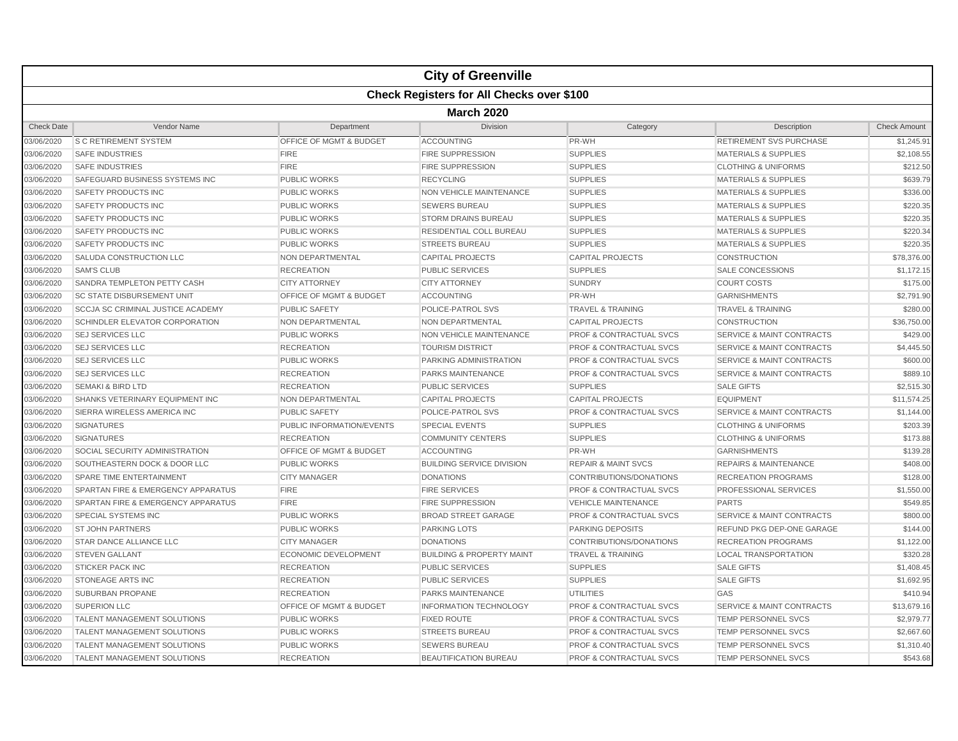|                   | <b>City of Greenville</b>                        |                             |                                      |                                    |                                      |                     |  |  |  |
|-------------------|--------------------------------------------------|-----------------------------|--------------------------------------|------------------------------------|--------------------------------------|---------------------|--|--|--|
|                   | <b>Check Registers for All Checks over \$100</b> |                             |                                      |                                    |                                      |                     |  |  |  |
|                   | <b>March 2020</b>                                |                             |                                      |                                    |                                      |                     |  |  |  |
| <b>Check Date</b> | Vendor Name                                      | Department                  | <b>Division</b>                      | Category                           | Description                          | <b>Check Amount</b> |  |  |  |
| 03/06/2020        | <b>S C RETIREMENT SYSTEM</b>                     | OFFICE OF MGMT & BUDGET     | <b>ACCOUNTING</b>                    | PR-WH                              | RETIREMENT SVS PURCHASE              | \$1,245.91          |  |  |  |
| 03/06/2020        | <b>SAFE INDUSTRIES</b>                           | <b>FIRE</b>                 | <b>FIRE SUPPRESSION</b>              | <b>SUPPLIES</b>                    | <b>MATERIALS &amp; SUPPLIES</b>      | \$2,108.55          |  |  |  |
| 03/06/2020        | <b>SAFE INDUSTRIES</b>                           | <b>FIRE</b>                 | <b>FIRE SUPPRESSION</b>              | <b>SUPPLIES</b>                    | <b>CLOTHING &amp; UNIFORMS</b>       | \$212.50            |  |  |  |
| 03/06/2020        | SAFEGUARD BUSINESS SYSTEMS INC                   | <b>PUBLIC WORKS</b>         | <b>RECYCLING</b>                     | <b>SUPPLIES</b>                    | <b>MATERIALS &amp; SUPPLIES</b>      | \$639.79            |  |  |  |
| 03/06/2020        | SAFETY PRODUCTS INC                              | <b>PUBLIC WORKS</b>         | <b>NON VEHICLE MAINTENANCE</b>       | <b>SUPPLIES</b>                    | <b>MATERIALS &amp; SUPPLIES</b>      | \$336.00            |  |  |  |
| 03/06/2020        | <b>SAFETY PRODUCTS INC</b>                       | <b>PUBLIC WORKS</b>         | <b>SEWERS BUREAU</b>                 | <b>SUPPLIES</b>                    | <b>MATERIALS &amp; SUPPLIES</b>      | \$220.35            |  |  |  |
| 03/06/2020        | <b>SAFETY PRODUCTS INC</b>                       | <b>PUBLIC WORKS</b>         | <b>STORM DRAINS BUREAU</b>           | <b>SUPPLIES</b>                    | <b>MATERIALS &amp; SUPPLIES</b>      | \$220.35            |  |  |  |
| 03/06/2020        | SAFETY PRODUCTS INC                              | <b>PUBLIC WORKS</b>         | RESIDENTIAL COLL BUREAU              | <b>SUPPLIES</b>                    | <b>MATERIALS &amp; SUPPLIES</b>      | \$220.34            |  |  |  |
| 03/06/2020        | <b>SAFETY PRODUCTS INC</b>                       | <b>PUBLIC WORKS</b>         | <b>STREETS BUREAU</b>                | <b>SUPPLIES</b>                    | <b>MATERIALS &amp; SUPPLIES</b>      | \$220.35            |  |  |  |
| 03/06/2020        | SALUDA CONSTRUCTION LLC                          | <b>NON DEPARTMENTAL</b>     | <b>CAPITAL PROJECTS</b>              | <b>CAPITAL PROJECTS</b>            | <b>CONSTRUCTION</b>                  | \$78,376.00         |  |  |  |
| 03/06/2020        | <b>SAM'S CLUB</b>                                | <b>RECREATION</b>           | <b>PUBLIC SERVICES</b>               | <b>SUPPLIES</b>                    | <b>SALE CONCESSIONS</b>              | \$1,172.15          |  |  |  |
| 03/06/2020        | SANDRA TEMPLETON PETTY CASH                      | <b>CITY ATTORNEY</b>        | <b>CITY ATTORNEY</b>                 | <b>SUNDRY</b>                      | <b>COURT COSTS</b>                   | \$175.00            |  |  |  |
| 03/06/2020        | <b>SC STATE DISBURSEMENT UNIT</b>                | OFFICE OF MGMT & BUDGET     | <b>ACCOUNTING</b>                    | PR-WH                              | <b>GARNISHMENTS</b>                  | \$2,791.90          |  |  |  |
| 03/06/2020        | <b>SCCJA SC CRIMINAL JUSTICE ACADEMY</b>         | <b>PUBLIC SAFETY</b>        | POLICE-PATROL SVS                    | <b>TRAVEL &amp; TRAINING</b>       | <b>TRAVEL &amp; TRAINING</b>         | \$280.00            |  |  |  |
| 03/06/2020        | <b>SCHINDLER ELEVATOR CORPORATION</b>            | <b>NON DEPARTMENTAL</b>     | <b>NON DEPARTMENTAL</b>              | <b>CAPITAL PROJECTS</b>            | CONSTRUCTION                         | \$36,750.00         |  |  |  |
| 03/06/2020        | <b>SEJ SERVICES LLC</b>                          | <b>PUBLIC WORKS</b>         | NON VEHICLE MAINTENANCE              | <b>PROF &amp; CONTRACTUAL SVCS</b> | <b>SERVICE &amp; MAINT CONTRACTS</b> | \$429.00            |  |  |  |
| 03/06/2020        | <b>SEJ SERVICES LLC</b>                          | <b>RECREATION</b>           | <b>TOURISM DISTRICT</b>              | <b>PROF &amp; CONTRACTUAL SVCS</b> | <b>SERVICE &amp; MAINT CONTRACTS</b> | \$4,445.50          |  |  |  |
| 03/06/2020        | <b>SEJ SERVICES LLC</b>                          | <b>PUBLIC WORKS</b>         | PARKING ADMINISTRATION               | <b>PROF &amp; CONTRACTUAL SVCS</b> | <b>SERVICE &amp; MAINT CONTRACTS</b> | \$600.00            |  |  |  |
| 03/06/2020        | <b>SEJ SERVICES LLC</b>                          | <b>RECREATION</b>           | <b>PARKS MAINTENANCE</b>             | <b>PROF &amp; CONTRACTUAL SVCS</b> | <b>SERVICE &amp; MAINT CONTRACTS</b> | \$889.10            |  |  |  |
| 03/06/2020        | <b>SEMAKI &amp; BIRD LTD</b>                     | <b>RECREATION</b>           | PUBLIC SERVICES                      | <b>SUPPLIES</b>                    | <b>SALE GIFTS</b>                    | \$2,515.30          |  |  |  |
| 03/06/2020        | SHANKS VETERINARY EQUIPMENT INC                  | NON DEPARTMENTAL            | <b>CAPITAL PROJECTS</b>              | <b>CAPITAL PROJECTS</b>            | <b>EQUIPMENT</b>                     | \$11,574.25         |  |  |  |
| 03/06/2020        | SIERRA WIRELESS AMERICA INC                      | <b>PUBLIC SAFETY</b>        | POLICE-PATROL SVS                    | <b>PROF &amp; CONTRACTUAL SVCS</b> | <b>SERVICE &amp; MAINT CONTRACTS</b> | \$1,144.00          |  |  |  |
| 03/06/2020        | <b>SIGNATURES</b>                                | PUBLIC INFORMATION/EVENTS   | <b>SPECIAL EVENTS</b>                | <b>SUPPLIES</b>                    | <b>CLOTHING &amp; UNIFORMS</b>       | \$203.39            |  |  |  |
| 03/06/2020        | <b>SIGNATURES</b>                                | <b>RECREATION</b>           | <b>COMMUNITY CENTERS</b>             | <b>SUPPLIES</b>                    | <b>CLOTHING &amp; UNIFORMS</b>       | \$173.88            |  |  |  |
| 03/06/2020        | SOCIAL SECURITY ADMINISTRATION                   | OFFICE OF MGMT & BUDGET     | <b>ACCOUNTING</b>                    | PR-WH                              | <b>GARNISHMENTS</b>                  | \$139.28            |  |  |  |
| 03/06/2020        | SOUTHEASTERN DOCK & DOOR LLC                     | <b>PUBLIC WORKS</b>         | <b>BUILDING SERVICE DIVISION</b>     | <b>REPAIR &amp; MAINT SVCS</b>     | <b>REPAIRS &amp; MAINTENANCE</b>     | \$408.00            |  |  |  |
| 03/06/2020        | <b>SPARE TIME ENTERTAINMENT</b>                  | <b>CITY MANAGER</b>         | <b>DONATIONS</b>                     | CONTRIBUTIONS/DONATIONS            | <b>RECREATION PROGRAMS</b>           | \$128.00            |  |  |  |
| 03/06/2020        | SPARTAN FIRE & EMERGENCY APPARATUS               | <b>FIRE</b>                 | <b>FIRE SERVICES</b>                 | PROF & CONTRACTUAL SVCS            | PROFESSIONAL SERVICES                | \$1,550.00          |  |  |  |
| 03/06/2020        | SPARTAN FIRE & EMERGENCY APPARATUS               | <b>FIRE</b>                 | <b>FIRE SUPPRESSION</b>              | <b>VEHICLE MAINTENANCE</b>         | <b>PARTS</b>                         | \$549.85            |  |  |  |
| 03/06/2020        | SPECIAL SYSTEMS INC                              | <b>PUBLIC WORKS</b>         | <b>BROAD STREET GARAGE</b>           | <b>PROF &amp; CONTRACTUAL SVCS</b> | <b>SERVICE &amp; MAINT CONTRACTS</b> | \$800.00            |  |  |  |
| 03/06/2020        | <b>ST JOHN PARTNERS</b>                          | <b>PUBLIC WORKS</b>         | <b>PARKING LOTS</b>                  | <b>PARKING DEPOSITS</b>            | <b>REFUND PKG DEP-ONE GARAGE</b>     | \$144.00            |  |  |  |
| 03/06/2020        | <b>STAR DANCE ALLIANCE LLC</b>                   | <b>CITY MANAGER</b>         | <b>DONATIONS</b>                     | CONTRIBUTIONS/DONATIONS            | <b>RECREATION PROGRAMS</b>           | \$1,122.00          |  |  |  |
| 03/06/2020        | <b>STEVEN GALLANT</b>                            | <b>ECONOMIC DEVELOPMENT</b> | <b>BUILDING &amp; PROPERTY MAINT</b> | <b>TRAVEL &amp; TRAINING</b>       | <b>LOCAL TRANSPORTATION</b>          | \$320.28            |  |  |  |
| 03/06/2020        | <b>STICKER PACK INC</b>                          | <b>RECREATION</b>           | <b>PUBLIC SERVICES</b>               | <b>SUPPLIES</b>                    | <b>SALE GIFTS</b>                    | \$1,408.45          |  |  |  |
| 03/06/2020        | STONEAGE ARTS INC                                | <b>RECREATION</b>           | <b>PUBLIC SERVICES</b>               | <b>SUPPLIES</b>                    | <b>SALE GIFTS</b>                    | \$1,692.95          |  |  |  |
| 03/06/2020        | <b>SUBURBAN PROPANE</b>                          | <b>RECREATION</b>           | PARKS MAINTENANCE                    | UTILITIES                          | GAS                                  | \$410.94            |  |  |  |
| 03/06/2020        | <b>SUPERION LLC</b>                              | OFFICE OF MGMT & BUDGET     | <b>INFORMATION TECHNOLOGY</b>        | <b>PROF &amp; CONTRACTUAL SVCS</b> | <b>SERVICE &amp; MAINT CONTRACTS</b> | \$13,679.16         |  |  |  |
| 03/06/2020        | <b>TALENT MANAGEMENT SOLUTIONS</b>               | <b>PUBLIC WORKS</b>         | <b>FIXED ROUTE</b>                   | <b>PROF &amp; CONTRACTUAL SVCS</b> | <b>TEMP PERSONNEL SVCS</b>           | \$2,979.77          |  |  |  |
| 03/06/2020        | <b>TALENT MANAGEMENT SOLUTIONS</b>               | <b>PUBLIC WORKS</b>         | <b>STREETS BUREAU</b>                | <b>PROF &amp; CONTRACTUAL SVCS</b> | TEMP PERSONNEL SVCS                  | \$2,667.60          |  |  |  |
| 03/06/2020        | <b>TALENT MANAGEMENT SOLUTIONS</b>               | PUBLIC WORKS                | <b>SEWERS BUREAU</b>                 | PROF & CONTRACTUAL SVCS            | <b>TEMP PERSONNEL SVCS</b>           | \$1,310.40          |  |  |  |
| 03/06/2020        | <b>TALENT MANAGEMENT SOLUTIONS</b>               | <b>RECREATION</b>           | <b>BEAUTIFICATION BUREAU</b>         | <b>PROF &amp; CONTRACTUAL SVCS</b> | <b>TEMP PERSONNEL SVCS</b>           | \$543.68            |  |  |  |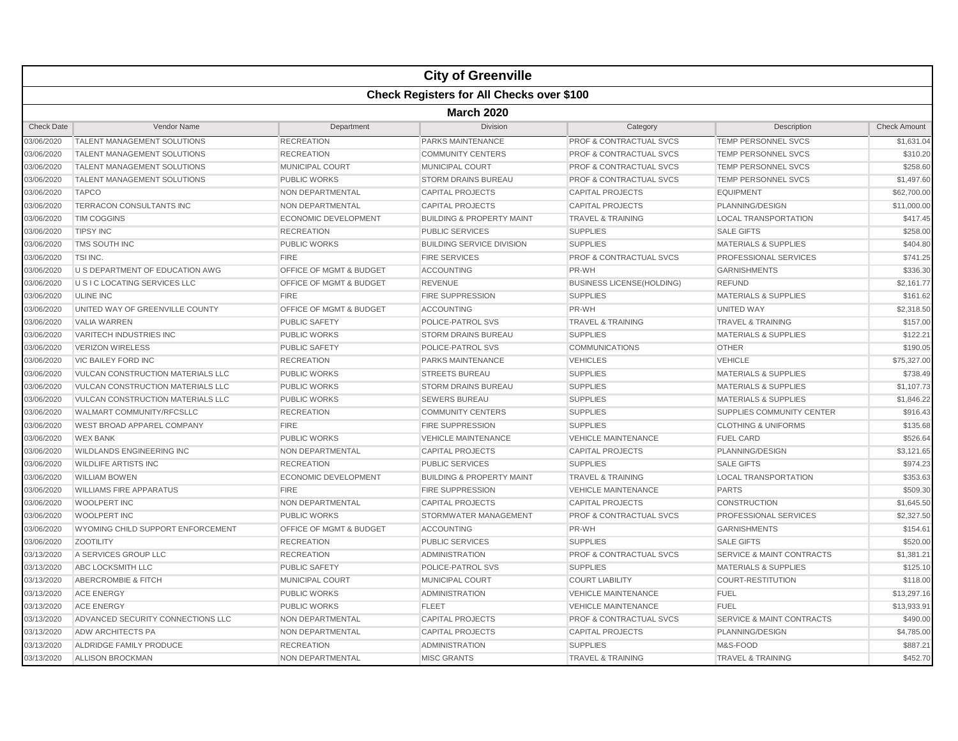|                   |                                                  |                             | <b>City of Greenville</b>            |                                    |                                      |                     |  |  |  |
|-------------------|--------------------------------------------------|-----------------------------|--------------------------------------|------------------------------------|--------------------------------------|---------------------|--|--|--|
|                   | <b>Check Registers for All Checks over \$100</b> |                             |                                      |                                    |                                      |                     |  |  |  |
|                   | <b>March 2020</b>                                |                             |                                      |                                    |                                      |                     |  |  |  |
| <b>Check Date</b> | Vendor Name                                      | Department                  | <b>Division</b>                      | Category                           | Description                          | <b>Check Amount</b> |  |  |  |
| 03/06/2020        | <b>TALENT MANAGEMENT SOLUTIONS</b>               | <b>RECREATION</b>           | PARKS MAINTENANCE                    | <b>PROF &amp; CONTRACTUAL SVCS</b> | <b>TEMP PERSONNEL SVCS</b>           | \$1,631.04          |  |  |  |
| 03/06/2020        | <b>TALENT MANAGEMENT SOLUTIONS</b>               | <b>RECREATION</b>           | <b>COMMUNITY CENTERS</b>             | <b>PROF &amp; CONTRACTUAL SVCS</b> | <b>TEMP PERSONNEL SVCS</b>           | \$310.20            |  |  |  |
| 03/06/2020        | <b>TALENT MANAGEMENT SOLUTIONS</b>               | MUNICIPAL COURT             | <b>MUNICIPAL COURT</b>               | <b>PROF &amp; CONTRACTUAL SVCS</b> | <b>TEMP PERSONNEL SVCS</b>           | \$258.60            |  |  |  |
| 03/06/2020        | <b>TALENT MANAGEMENT SOLUTIONS</b>               | <b>PUBLIC WORKS</b>         | <b>STORM DRAINS BUREAU</b>           | PROF & CONTRACTUAL SVCS            | <b>TEMP PERSONNEL SVCS</b>           | \$1,497.60          |  |  |  |
| 03/06/2020        | <b>TAPCO</b>                                     | NON DEPARTMENTAL            | <b>CAPITAL PROJECTS</b>              | <b>CAPITAL PROJECTS</b>            | <b>EQUIPMENT</b>                     | \$62,700.00         |  |  |  |
| 03/06/2020        | TERRACON CONSULTANTS INC                         | NON DEPARTMENTAL            | <b>CAPITAL PROJECTS</b>              | <b>CAPITAL PROJECTS</b>            | PLANNING/DESIGN                      | \$11,000.00         |  |  |  |
| 03/06/2020        | <b>TIM COGGINS</b>                               | <b>ECONOMIC DEVELOPMENT</b> | <b>BUILDING &amp; PROPERTY MAINT</b> | <b>TRAVEL &amp; TRAINING</b>       | <b>LOCAL TRANSPORTATION</b>          | \$417.45            |  |  |  |
| 03/06/2020        | <b>TIPSY INC</b>                                 | <b>RECREATION</b>           | <b>PUBLIC SERVICES</b>               | <b>SUPPLIES</b>                    | <b>SALE GIFTS</b>                    | \$258.00            |  |  |  |
| 03/06/2020        | TMS SOUTH INC                                    | <b>PUBLIC WORKS</b>         | <b>BUILDING SERVICE DIVISION</b>     | <b>SUPPLIES</b>                    | <b>MATERIALS &amp; SUPPLIES</b>      | \$404.80            |  |  |  |
| 03/06/2020        | TSI INC.                                         | <b>FIRE</b>                 | <b>FIRE SERVICES</b>                 | <b>PROF &amp; CONTRACTUAL SVCS</b> | PROFESSIONAL SERVICES                | \$741.25            |  |  |  |
| 03/06/2020        | U S DEPARTMENT OF EDUCATION AWG                  | OFFICE OF MGMT & BUDGET     | <b>ACCOUNTING</b>                    | PR-WH                              | <b>GARNISHMENTS</b>                  | \$336.30            |  |  |  |
| 03/06/2020        | U S I C LOCATING SERVICES LLC                    | OFFICE OF MGMT & BUDGET     | <b>REVENUE</b>                       | <b>BUSINESS LICENSE(HOLDING)</b>   | <b>REFUND</b>                        | \$2.161.77          |  |  |  |
| 03/06/2020        | <b>ULINE INC</b>                                 | <b>FIRE</b>                 | <b>FIRE SUPPRESSION</b>              | <b>SUPPLIES</b>                    | <b>MATERIALS &amp; SUPPLIES</b>      | \$161.62            |  |  |  |
| 03/06/2020        | UNITED WAY OF GREENVILLE COUNTY                  | OFFICE OF MGMT & BUDGET     | <b>ACCOUNTING</b>                    | PR-WH                              | <b>UNITED WAY</b>                    | \$2,318.50          |  |  |  |
| 03/06/2020        | <b>VALIA WARREN</b>                              | <b>PUBLIC SAFETY</b>        | POLICE-PATROL SVS                    | <b>TRAVEL &amp; TRAINING</b>       | <b>TRAVEL &amp; TRAINING</b>         | \$157.00            |  |  |  |
| 03/06/2020        | <b>VARITECH INDUSTRIES INC</b>                   | <b>PUBLIC WORKS</b>         | <b>STORM DRAINS BUREAU</b>           | <b>SUPPLIES</b>                    | <b>MATERIALS &amp; SUPPLIES</b>      | \$122.21            |  |  |  |
| 03/06/2020        | <b>VERIZON WIRELESS</b>                          | <b>PUBLIC SAFETY</b>        | POLICE-PATROL SVS                    | <b>COMMUNICATIONS</b>              | <b>OTHER</b>                         | \$190.05            |  |  |  |
| 03/06/2020        | <b>VIC BAILEY FORD INC</b>                       | <b>RECREATION</b>           | <b>PARKS MAINTENANCE</b>             | <b>VEHICLES</b>                    | <b>VEHICLE</b>                       | \$75,327.00         |  |  |  |
| 03/06/2020        | <b>VULCAN CONSTRUCTION MATERIALS LLC</b>         | <b>PUBLIC WORKS</b>         | <b>STREETS BUREAU</b>                | <b>SUPPLIES</b>                    | <b>MATERIALS &amp; SUPPLIES</b>      | \$738.49            |  |  |  |
| 03/06/2020        | <b>VULCAN CONSTRUCTION MATERIALS LLC</b>         | <b>PUBLIC WORKS</b>         | <b>STORM DRAINS BUREAU</b>           | <b>SUPPLIES</b>                    | <b>MATERIALS &amp; SUPPLIES</b>      | \$1,107.73          |  |  |  |
| 03/06/2020        | <b>VULCAN CONSTRUCTION MATERIALS LLC</b>         | <b>PUBLIC WORKS</b>         | <b>SEWERS BUREAU</b>                 | <b>SUPPLIES</b>                    | <b>MATERIALS &amp; SUPPLIES</b>      | \$1,846.22          |  |  |  |
| 03/06/2020        | WALMART COMMUNITY/RFCSLLC                        | <b>RECREATION</b>           | <b>COMMUNITY CENTERS</b>             | <b>SUPPLIES</b>                    | SUPPLIES COMMUNITY CENTER            | \$916.43            |  |  |  |
| 03/06/2020        | <b>WEST BROAD APPAREL COMPANY</b>                | <b>FIRE</b>                 | <b>FIRE SUPPRESSION</b>              | <b>SUPPLIES</b>                    | <b>CLOTHING &amp; UNIFORMS</b>       | \$135.68            |  |  |  |
| 03/06/2020        | <b>WEX BANK</b>                                  | <b>PUBLIC WORKS</b>         | <b>VEHICLE MAINTENANCE</b>           | <b>VEHICLE MAINTENANCE</b>         | <b>FUEL CARD</b>                     | \$526.64            |  |  |  |
| 03/06/2020        | <b>WILDLANDS ENGINEERING INC</b>                 | <b>NON DEPARTMENTAL</b>     | <b>CAPITAL PROJECTS</b>              | <b>CAPITAL PROJECTS</b>            | PLANNING/DESIGN                      | \$3,121.65          |  |  |  |
| 03/06/2020        | <b>WILDLIFE ARTISTS INC</b>                      | <b>RECREATION</b>           | <b>PUBLIC SERVICES</b>               | <b>SUPPLIES</b>                    | <b>SALE GIFTS</b>                    | \$974.23            |  |  |  |
| 03/06/2020        | <b>WILLIAM BOWEN</b>                             | <b>ECONOMIC DEVELOPMENT</b> | <b>BUILDING &amp; PROPERTY MAINT</b> | <b>TRAVEL &amp; TRAINING</b>       | <b>LOCAL TRANSPORTATION</b>          | \$353.63            |  |  |  |
| 03/06/2020        | <b>WILLIAMS FIRE APPARATUS</b>                   | <b>FIRE</b>                 | <b>FIRE SUPPRESSION</b>              | <b>VEHICLE MAINTENANCE</b>         | <b>PARTS</b>                         | \$509.30            |  |  |  |
| 03/06/2020        | WOOLPERT INC                                     | <b>NON DEPARTMENTAL</b>     | <b>CAPITAL PROJECTS</b>              | <b>CAPITAL PROJECTS</b>            | <b>CONSTRUCTION</b>                  | \$1,645.50          |  |  |  |
| 03/06/2020        | <b>WOOLPERT INC</b>                              | <b>PUBLIC WORKS</b>         | STORMWATER MANAGEMENT                | <b>PROF &amp; CONTRACTUAL SVCS</b> | PROFESSIONAL SERVICES                | \$2,327.50          |  |  |  |
| 03/06/2020        | WYOMING CHILD SUPPORT ENFORCEMENT                | OFFICE OF MGMT & BUDGET     | <b>ACCOUNTING</b>                    | PR-WH                              | <b>GARNISHMENTS</b>                  | \$154.61            |  |  |  |
| 03/06/2020        | <b>ZOOTILITY</b>                                 | <b>RECREATION</b>           | <b>PUBLIC SERVICES</b>               | <b>SUPPLIES</b>                    | <b>SALE GIFTS</b>                    | \$520.00            |  |  |  |
| 03/13/2020        | A SERVICES GROUP LLC                             | <b>RECREATION</b>           | <b>ADMINISTRATION</b>                | <b>PROF &amp; CONTRACTUAL SVCS</b> | <b>SERVICE &amp; MAINT CONTRACTS</b> | \$1,381.21          |  |  |  |
| 03/13/2020        | ABC LOCKSMITH LLC                                | <b>PUBLIC SAFETY</b>        | POLICE-PATROL SVS                    | <b>SUPPLIES</b>                    | <b>MATERIALS &amp; SUPPLIES</b>      | \$125.10            |  |  |  |
| 03/13/2020        | ABERCROMBIE & FITCH                              | MUNICIPAL COURT             | <b>MUNICIPAL COURT</b>               | <b>COURT LIABILITY</b>             | <b>COURT-RESTITUTION</b>             | \$118.00            |  |  |  |
| 03/13/2020        | <b>ACE ENERGY</b>                                | PUBLIC WORKS                | <b>ADMINISTRATION</b>                | <b>VEHICLE MAINTENANCE</b>         | <b>FUEL</b>                          | \$13,297.16         |  |  |  |
| 03/13/2020        | <b>ACE ENERGY</b>                                | <b>PUBLIC WORKS</b>         | <b>FLEET</b>                         | <b>VEHICLE MAINTENANCE</b>         | <b>FUEL</b>                          | \$13,933.91         |  |  |  |
| 03/13/2020        | ADVANCED SECURITY CONNECTIONS LLC                | <b>NON DEPARTMENTAL</b>     | <b>CAPITAL PROJECTS</b>              | <b>PROF &amp; CONTRACTUAL SVCS</b> | <b>SERVICE &amp; MAINT CONTRACTS</b> | \$490.00            |  |  |  |
| 03/13/2020        | <b>ADW ARCHITECTS PA</b>                         | NON DEPARTMENTAL            | <b>CAPITAL PROJECTS</b>              | <b>CAPITAL PROJECTS</b>            | PLANNING/DESIGN                      | \$4,785.00          |  |  |  |
| 03/13/2020        | ALDRIDGE FAMILY PRODUCE                          | <b>RECREATION</b>           | <b>ADMINISTRATION</b>                | <b>SUPPLIES</b>                    | M&S-FOOD                             | \$887.21            |  |  |  |
| 03/13/2020        | <b>ALLISON BROCKMAN</b>                          | <b>NON DEPARTMENTAL</b>     | <b>MISC GRANTS</b>                   | <b>TRAVEL &amp; TRAINING</b>       | <b>TRAVEL &amp; TRAINING</b>         | \$452.70            |  |  |  |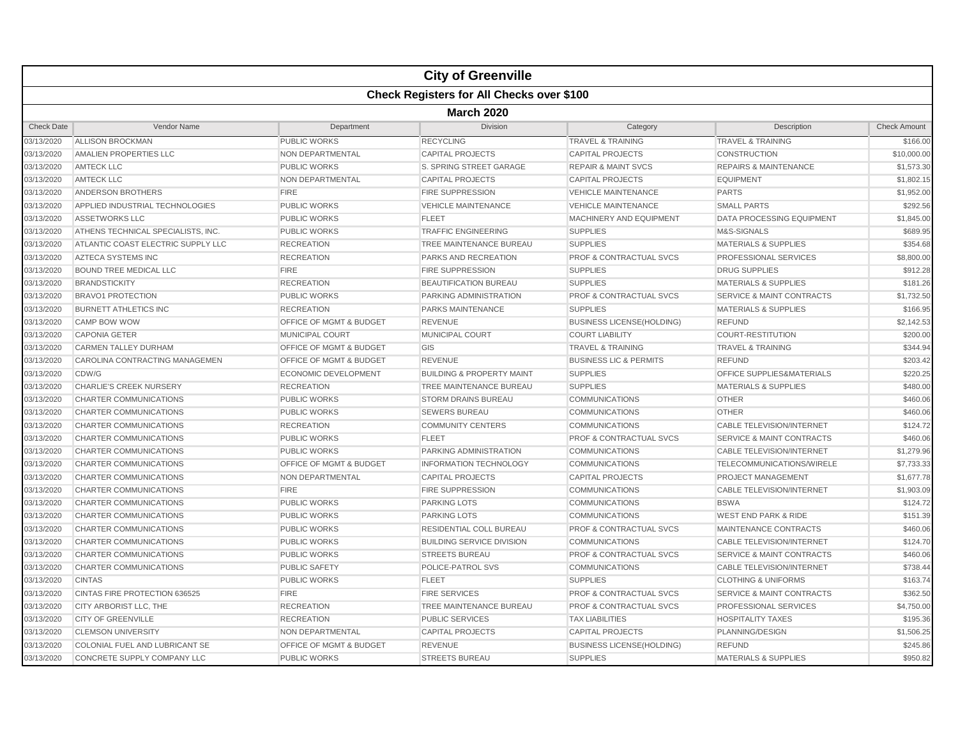|                   | <b>City of Greenville</b>                        |                                    |                                      |                                    |                                      |                     |  |  |  |  |
|-------------------|--------------------------------------------------|------------------------------------|--------------------------------------|------------------------------------|--------------------------------------|---------------------|--|--|--|--|
|                   | <b>Check Registers for All Checks over \$100</b> |                                    |                                      |                                    |                                      |                     |  |  |  |  |
|                   | <b>March 2020</b>                                |                                    |                                      |                                    |                                      |                     |  |  |  |  |
| <b>Check Date</b> | Vendor Name                                      | Department                         | <b>Division</b>                      | Category                           | Description                          | <b>Check Amount</b> |  |  |  |  |
| 03/13/2020        | ALLISON BROCKMAN                                 | <b>PUBLIC WORKS</b>                | <b>RECYCLING</b>                     | <b>TRAVEL &amp; TRAINING</b>       | <b>TRAVEL &amp; TRAINING</b>         | \$166.00            |  |  |  |  |
| 03/13/2020        | AMALIEN PROPERTIES LLC                           | <b>NON DEPARTMENTAL</b>            | <b>CAPITAL PROJECTS</b>              | <b>CAPITAL PROJECTS</b>            | <b>CONSTRUCTION</b>                  | \$10,000.00         |  |  |  |  |
| 03/13/2020        | <b>AMTECK LLC</b>                                | <b>PUBLIC WORKS</b>                | S. SPRING STREET GARAGE              | <b>REPAIR &amp; MAINT SVCS</b>     | <b>REPAIRS &amp; MAINTENANCE</b>     | \$1,573.30          |  |  |  |  |
| 03/13/2020        | <b>AMTECK LLC</b>                                | NON DEPARTMENTAL                   | <b>CAPITAL PROJECTS</b>              | <b>CAPITAL PROJECTS</b>            | <b>EQUIPMENT</b>                     | \$1,802.15          |  |  |  |  |
| 03/13/2020        | ANDERSON BROTHERS                                | <b>FIRE</b>                        | <b>FIRE SUPPRESSION</b>              | <b>VEHICLE MAINTENANCE</b>         | <b>PARTS</b>                         | \$1,952.00          |  |  |  |  |
| 03/13/2020        | APPLIED INDUSTRIAL TECHNOLOGIES                  | <b>PUBLIC WORKS</b>                | <b>VEHICLE MAINTENANCE</b>           | <b>VEHICLE MAINTENANCE</b>         | <b>SMALL PARTS</b>                   | \$292.56            |  |  |  |  |
| 03/13/2020        | <b>ASSETWORKS LLC</b>                            | <b>PUBLIC WORKS</b>                | <b>FLEET</b>                         | <b>MACHINERY AND EQUIPMENT</b>     | <b>DATA PROCESSING EQUIPMENT</b>     | \$1,845.00          |  |  |  |  |
| 03/13/2020        | ATHENS TECHNICAL SPECIALISTS, INC.               | <b>PUBLIC WORKS</b>                | <b>TRAFFIC ENGINEERING</b>           | <b>SUPPLIES</b>                    | M&S-SIGNALS                          | \$689.95            |  |  |  |  |
| 03/13/2020        | ATLANTIC COAST ELECTRIC SUPPLY LLC               | <b>RECREATION</b>                  | <b>TREE MAINTENANCE BUREAU</b>       | <b>SUPPLIES</b>                    | <b>MATERIALS &amp; SUPPLIES</b>      | \$354.68            |  |  |  |  |
| 03/13/2020        | AZTECA SYSTEMS INC                               | <b>RECREATION</b>                  | <b>PARKS AND RECREATION</b>          | <b>PROF &amp; CONTRACTUAL SVCS</b> | <b>PROFESSIONAL SERVICES</b>         | \$8,800.00          |  |  |  |  |
| 03/13/2020        | <b>BOUND TREE MEDICAL LLC</b>                    | <b>FIRE</b>                        | <b>FIRE SUPPRESSION</b>              | <b>SUPPLIES</b>                    | <b>DRUG SUPPLIES</b>                 | \$912.28            |  |  |  |  |
| 03/13/2020        | <b>BRANDSTICKITY</b>                             | <b>RECREATION</b>                  | <b>BEAUTIFICATION BUREAU</b>         | <b>SUPPLIES</b>                    | <b>MATERIALS &amp; SUPPLIES</b>      | \$181.26            |  |  |  |  |
| 03/13/2020        | <b>BRAVO1 PROTECTION</b>                         | <b>PUBLIC WORKS</b>                | PARKING ADMINISTRATION               | PROF & CONTRACTUAL SVCS            | <b>SERVICE &amp; MAINT CONTRACTS</b> | \$1,732.50          |  |  |  |  |
| 03/13/2020        | <b>BURNETT ATHLETICS INC</b>                     | <b>RECREATION</b>                  | PARKS MAINTENANCE                    | <b>SUPPLIES</b>                    | <b>MATERIALS &amp; SUPPLIES</b>      | \$166.95            |  |  |  |  |
| 03/13/2020        | CAMP BOW WOW                                     | OFFICE OF MGMT & BUDGET            | REVENUE                              | <b>BUSINESS LICENSE(HOLDING)</b>   | <b>REFUND</b>                        | \$2,142.53          |  |  |  |  |
| 03/13/2020        | <b>CAPONIA GETER</b>                             | <b>MUNICIPAL COURT</b>             | MUNICIPAL COURT                      | <b>COURT LIABILITY</b>             | <b>COURT-RESTITUTION</b>             | \$200.00            |  |  |  |  |
| 03/13/2020        | <b>CARMEN TALLEY DURHAM</b>                      | <b>OFFICE OF MGMT &amp; BUDGET</b> | GIS                                  | <b>TRAVEL &amp; TRAINING</b>       | <b>TRAVEL &amp; TRAINING</b>         | \$344.94            |  |  |  |  |
| 03/13/2020        | CAROLINA CONTRACTING MANAGEMEN                   | <b>OFFICE OF MGMT &amp; BUDGET</b> | <b>REVENUE</b>                       | <b>BUSINESS LIC &amp; PERMITS</b>  | <b>REFUND</b>                        | \$203.42            |  |  |  |  |
| 03/13/2020        | CDW/G                                            | <b>ECONOMIC DEVELOPMENT</b>        | <b>BUILDING &amp; PROPERTY MAINT</b> | <b>SUPPLIES</b>                    | <b>OFFICE SUPPLIES&amp;MATERIALS</b> | \$220.25            |  |  |  |  |
| 03/13/2020        | <b>CHARLIE'S CREEK NURSERY</b>                   | <b>RECREATION</b>                  | TREE MAINTENANCE BUREAU              | <b>SUPPLIES</b>                    | <b>MATERIALS &amp; SUPPLIES</b>      | \$480.00            |  |  |  |  |
| 03/13/2020        | <b>CHARTER COMMUNICATIONS</b>                    | <b>PUBLIC WORKS</b>                | <b>STORM DRAINS BUREAU</b>           | <b>COMMUNICATIONS</b>              | <b>OTHER</b>                         | \$460.06            |  |  |  |  |
| 03/13/2020        | <b>CHARTER COMMUNICATIONS</b>                    | <b>PUBLIC WORKS</b>                | <b>SEWERS BUREAU</b>                 | <b>COMMUNICATIONS</b>              | <b>OTHER</b>                         | \$460.06            |  |  |  |  |
| 03/13/2020        | <b>CHARTER COMMUNICATIONS</b>                    | <b>RECREATION</b>                  | <b>COMMUNITY CENTERS</b>             | <b>COMMUNICATIONS</b>              | <b>CABLE TELEVISION/INTERNET</b>     | \$124.72            |  |  |  |  |
| 03/13/2020        | <b>CHARTER COMMUNICATIONS</b>                    | <b>PUBLIC WORKS</b>                | <b>FLEET</b>                         | <b>PROF &amp; CONTRACTUAL SVCS</b> | <b>SERVICE &amp; MAINT CONTRACTS</b> | \$460.06            |  |  |  |  |
| 03/13/2020        | <b>CHARTER COMMUNICATIONS</b>                    | <b>PUBLIC WORKS</b>                | PARKING ADMINISTRATION               | <b>COMMUNICATIONS</b>              | <b>CABLE TELEVISION/INTERNET</b>     | \$1,279.96          |  |  |  |  |
| 03/13/2020        | <b>CHARTER COMMUNICATIONS</b>                    | <b>OFFICE OF MGMT &amp; BUDGET</b> | <b>INFORMATION TECHNOLOGY</b>        | <b>COMMUNICATIONS</b>              | TELECOMMUNICATIONS/WIRELE            | \$7,733.33          |  |  |  |  |
| 03/13/2020        | CHARTER COMMUNICATIONS                           | NON DEPARTMENTAL                   | <b>CAPITAL PROJECTS</b>              | <b>CAPITAL PROJECTS</b>            | <b>PROJECT MANAGEMENT</b>            | \$1,677.78          |  |  |  |  |
| 03/13/2020        | <b>CHARTER COMMUNICATIONS</b>                    | <b>FIRE</b>                        | <b>FIRE SUPPRESSION</b>              | <b>COMMUNICATIONS</b>              | <b>CABLE TELEVISION/INTERNET</b>     | \$1,903.09          |  |  |  |  |
| 03/13/2020        | <b>CHARTER COMMUNICATIONS</b>                    | <b>PUBLIC WORKS</b>                | <b>PARKING LOTS</b>                  | <b>COMMUNICATIONS</b>              | <b>BSWA</b>                          | \$124.72            |  |  |  |  |
| 03/13/2020        | <b>CHARTER COMMUNICATIONS</b>                    | <b>PUBLIC WORKS</b>                | <b>PARKING LOTS</b>                  | <b>COMMUNICATIONS</b>              | <b>WEST END PARK &amp; RIDE</b>      | \$151.39            |  |  |  |  |
| 03/13/2020        | CHARTER COMMUNICATIONS                           | <b>PUBLIC WORKS</b>                | <b>RESIDENTIAL COLL BUREAU</b>       | <b>PROF &amp; CONTRACTUAL SVCS</b> | MAINTENANCE CONTRACTS                | \$460.06            |  |  |  |  |
| 03/13/2020        | <b>CHARTER COMMUNICATIONS</b>                    | <b>PUBLIC WORKS</b>                | <b>BUILDING SERVICE DIVISION</b>     | <b>COMMUNICATIONS</b>              | <b>CABLE TELEVISION/INTERNET</b>     | \$124.70            |  |  |  |  |
| 03/13/2020        | CHARTER COMMUNICATIONS                           | <b>PUBLIC WORKS</b>                | <b>STREETS BUREAU</b>                | <b>PROF &amp; CONTRACTUAL SVCS</b> | <b>SERVICE &amp; MAINT CONTRACTS</b> | \$460.06            |  |  |  |  |
| 03/13/2020        | <b>CHARTER COMMUNICATIONS</b>                    | <b>PUBLIC SAFETY</b>               | <b>POLICE-PATROL SVS</b>             | <b>COMMUNICATIONS</b>              | <b>CABLE TELEVISION/INTERNET</b>     | \$738.44            |  |  |  |  |
| 03/13/2020        | <b>CINTAS</b>                                    | <b>PUBLIC WORKS</b>                | <b>FLEET</b>                         | <b>SUPPLIES</b>                    | <b>CLOTHING &amp; UNIFORMS</b>       | \$163.74            |  |  |  |  |
| 03/13/2020        | CINTAS FIRE PROTECTION 636525                    | <b>FIRE</b>                        | <b>FIRE SERVICES</b>                 | <b>PROF &amp; CONTRACTUAL SVCS</b> | <b>SERVICE &amp; MAINT CONTRACTS</b> | \$362.50            |  |  |  |  |
| 03/13/2020        | CITY ARBORIST LLC, THE                           | <b>RECREATION</b>                  | TREE MAINTENANCE BUREAU              | <b>PROF &amp; CONTRACTUAL SVCS</b> | <b>PROFESSIONAL SERVICES</b>         | \$4,750.00          |  |  |  |  |
| 03/13/2020        | <b>CITY OF GREENVILLE</b>                        | <b>RECREATION</b>                  | <b>PUBLIC SERVICES</b>               | <b>TAX LIABILITIES</b>             | <b>HOSPITALITY TAXES</b>             | \$195.36            |  |  |  |  |
| 03/13/2020        | <b>CLEMSON UNIVERSITY</b>                        | NON DEPARTMENTAL                   | <b>CAPITAL PROJECTS</b>              | <b>CAPITAL PROJECTS</b>            | PLANNING/DESIGN                      | \$1,506.25          |  |  |  |  |
| 03/13/2020        | COLONIAL FUEL AND LUBRICANT SE                   | <b>OFFICE OF MGMT &amp; BUDGET</b> | REVENUE                              | <b>BUSINESS LICENSE(HOLDING)</b>   | <b>REFUND</b>                        | \$245.86            |  |  |  |  |
| 03/13/2020        | CONCRETE SUPPLY COMPANY LLC                      | <b>PUBLIC WORKS</b>                | <b>STREETS BUREAU</b>                | <b>SUPPLIES</b>                    | <b>MATERIALS &amp; SUPPLIES</b>      | \$950.82            |  |  |  |  |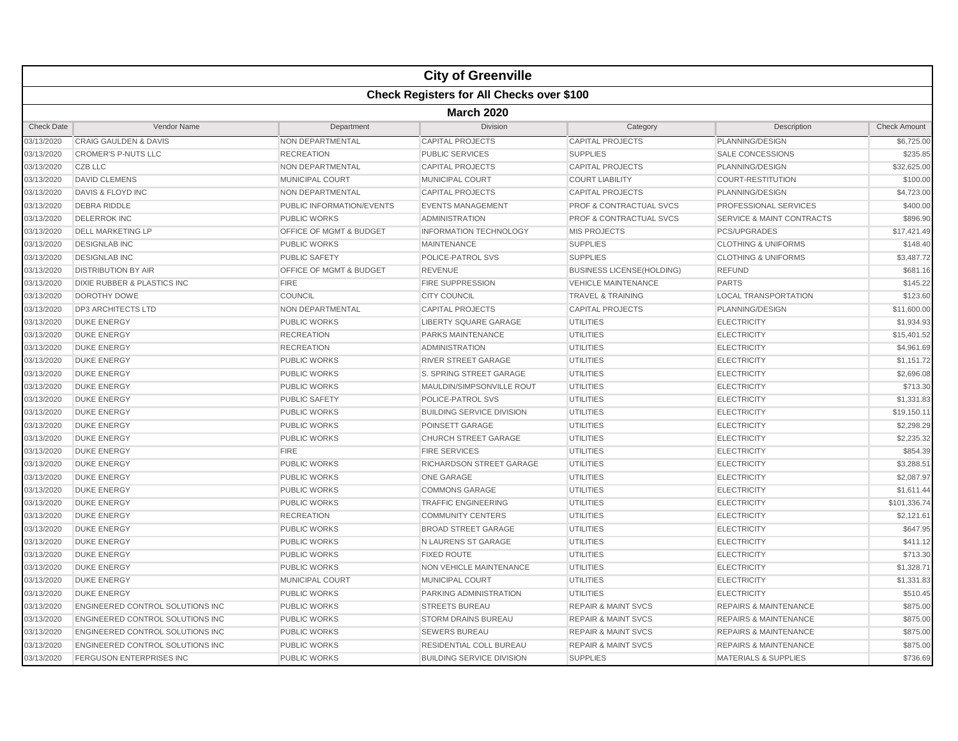|                   |                                                  |                                    | <b>City of Greenville</b>        |                                    |                                      |                     |  |  |  |  |
|-------------------|--------------------------------------------------|------------------------------------|----------------------------------|------------------------------------|--------------------------------------|---------------------|--|--|--|--|
|                   | <b>Check Registers for All Checks over \$100</b> |                                    |                                  |                                    |                                      |                     |  |  |  |  |
|                   | <b>March 2020</b>                                |                                    |                                  |                                    |                                      |                     |  |  |  |  |
| <b>Check Date</b> | Vendor Name                                      | Department                         | Division                         | Category                           | Description                          | <b>Check Amount</b> |  |  |  |  |
| 03/13/2020        | <b>CRAIG GAULDEN &amp; DAVIS</b>                 | NON DEPARTMENTAL                   | <b>CAPITAL PROJECTS</b>          | <b>CAPITAL PROJECTS</b>            | PLANNING/DESIGN                      | \$6,725.00          |  |  |  |  |
| 03/13/2020        | <b>CROMER'S P-NUTS LLC</b>                       | <b>RECREATION</b>                  | <b>PUBLIC SERVICES</b>           | <b>SUPPLIES</b>                    | <b>SALE CONCESSIONS</b>              | \$235.85            |  |  |  |  |
| 03/13/2020        | <b>CZB LLC</b>                                   | NON DEPARTMENTAL                   | <b>CAPITAL PROJECTS</b>          | <b>CAPITAL PROJECTS</b>            | PLANNING/DESIGN                      | \$32,625.00         |  |  |  |  |
| 03/13/2020        | <b>DAVID CLEMENS</b>                             | <b>MUNICIPAL COURT</b>             | <b>MUNICIPAL COURT</b>           | <b>COURT LIABILITY</b>             | <b>COURT-RESTITUTION</b>             | \$100.00            |  |  |  |  |
| 03/13/2020        | DAVIS & FLOYD INC                                | NON DEPARTMENTAL                   | <b>CAPITAL PROJECTS</b>          | <b>CAPITAL PROJECTS</b>            | PLANNING/DESIGN                      | \$4,723.00          |  |  |  |  |
| 03/13/2020        | <b>DEBRA RIDDLE</b>                              | PUBLIC INFORMATION/EVENTS          | <b>EVENTS MANAGEMENT</b>         | <b>PROF &amp; CONTRACTUAL SVCS</b> | PROFESSIONAL SERVICES                | \$400.00            |  |  |  |  |
| 03/13/2020        | <b>DELERROK INC</b>                              | <b>PUBLIC WORKS</b>                | <b>ADMINISTRATION</b>            | <b>PROF &amp; CONTRACTUAL SVCS</b> | <b>SERVICE &amp; MAINT CONTRACTS</b> | \$896.90            |  |  |  |  |
| 03/13/2020        | <b>DELL MARKETING LP</b>                         | OFFICE OF MGMT & BUDGET            | <b>INFORMATION TECHNOLOGY</b>    | <b>MIS PROJECTS</b>                | PCS/UPGRADES                         | \$17,421.49         |  |  |  |  |
| 03/13/2020        | <b>DESIGNLAB INC</b>                             | <b>PUBLIC WORKS</b>                | <b>MAINTENANCE</b>               | <b>SUPPLIES</b>                    | <b>CLOTHING &amp; UNIFORMS</b>       | \$148.40            |  |  |  |  |
| 03/13/2020        | <b>DESIGNLAB INC</b>                             | PUBLIC SAFETY                      | POLICE-PATROL SVS                | <b>SUPPLIES</b>                    | <b>CLOTHING &amp; UNIFORMS</b>       | \$3,487.72          |  |  |  |  |
| 03/13/2020        | <b>DISTRIBUTION BY AIR</b>                       | <b>OFFICE OF MGMT &amp; BUDGET</b> | <b>REVENUE</b>                   | <b>BUSINESS LICENSE(HOLDING)</b>   | <b>REFUND</b>                        | \$681.16            |  |  |  |  |
| 03/13/2020        | DIXIE RUBBER & PLASTICS INC                      | <b>FIRE</b>                        | <b>FIRE SUPPRESSION</b>          | <b>VEHICLE MAINTENANCE</b>         | <b>PARTS</b>                         | \$145.22            |  |  |  |  |
| 03/13/2020        | DOROTHY DOWE                                     | COUNCIL                            | <b>CITY COUNCIL</b>              | <b>TRAVEL &amp; TRAINING</b>       | <b>LOCAL TRANSPORTATION</b>          | \$123.60            |  |  |  |  |
| 03/13/2020        | <b>DP3 ARCHITECTS LTD</b>                        | <b>NON DEPARTMENTAL</b>            | <b>CAPITAL PROJECTS</b>          | <b>CAPITAL PROJECTS</b>            | PLANNING/DESIGN                      | \$11,600.00         |  |  |  |  |
| 03/13/2020        | <b>DUKE ENERGY</b>                               | <b>PUBLIC WORKS</b>                | <b>LIBERTY SQUARE GARAGE</b>     | <b>UTILITIES</b>                   | <b>ELECTRICITY</b>                   | \$1,934.93          |  |  |  |  |
| 03/13/2020        | <b>DUKE ENERGY</b>                               | <b>RECREATION</b>                  | <b>PARKS MAINTENANCE</b>         | <b>UTILITIES</b>                   | <b>ELECTRICITY</b>                   | \$15,401.52         |  |  |  |  |
| 03/13/2020        | <b>DUKE ENERGY</b>                               | <b>RECREATION</b>                  | <b>ADMINISTRATION</b>            | <b>UTILITIES</b>                   | <b>ELECTRICITY</b>                   | \$4,961.69          |  |  |  |  |
| 03/13/2020        | <b>DUKE ENERGY</b>                               | <b>PUBLIC WORKS</b>                | <b>RIVER STREET GARAGE</b>       | <b>UTILITIES</b>                   | <b>ELECTRICITY</b>                   | \$1,151.72          |  |  |  |  |
| 03/13/2020        | <b>DUKE ENERGY</b>                               | <b>PUBLIC WORKS</b>                | S. SPRING STREET GARAGE          | <b>UTILITIES</b>                   | <b>ELECTRICITY</b>                   | \$2,696.08          |  |  |  |  |
| 03/13/2020        | <b>DUKE ENERGY</b>                               | <b>PUBLIC WORKS</b>                | MAULDIN/SIMPSONVILLE ROUT        | <b>UTILITIES</b>                   | <b>ELECTRICITY</b>                   | \$713.30            |  |  |  |  |
| 03/13/2020        | <b>DUKE ENERGY</b>                               | <b>PUBLIC SAFETY</b>               | POLICE-PATROL SVS                | <b>UTILITIES</b>                   | <b>ELECTRICITY</b>                   | \$1,331.83          |  |  |  |  |
| 03/13/2020        | <b>DUKE ENERGY</b>                               | PUBLIC WORKS                       | <b>BUILDING SERVICE DIVISION</b> | <b>UTILITIES</b>                   | <b>ELECTRICITY</b>                   | \$19,150.1'         |  |  |  |  |
| 03/13/2020        | <b>DUKE ENERGY</b>                               | <b>PUBLIC WORKS</b>                | <b>POINSETT GARAGE</b>           | <b>UTILITIES</b>                   | <b>ELECTRICITY</b>                   | \$2,298.29          |  |  |  |  |
| 03/13/2020        | <b>DUKE ENERGY</b>                               | <b>PUBLIC WORKS</b>                | <b>CHURCH STREET GARAGE</b>      | <b>UTILITIES</b>                   | <b>ELECTRICITY</b>                   | \$2,235.32          |  |  |  |  |
| 03/13/2020        | <b>DUKE ENERGY</b>                               | <b>FIRE</b>                        | <b>FIRE SERVICES</b>             | <b>UTILITIES</b>                   | <b>ELECTRICITY</b>                   | \$854.39            |  |  |  |  |
| 03/13/2020        | <b>DUKE ENERGY</b>                               | <b>PUBLIC WORKS</b>                | RICHARDSON STREET GARAGE         | <b>UTILITIES</b>                   | <b>ELECTRICITY</b>                   | \$3,288.51          |  |  |  |  |
| 03/13/2020        | <b>DUKE ENERGY</b>                               | <b>PUBLIC WORKS</b>                | <b>ONE GARAGE</b>                | <b>UTILITIES</b>                   | <b>ELECTRICITY</b>                   | \$2,087.97          |  |  |  |  |
| 03/13/2020        | <b>DUKE ENERGY</b>                               | <b>PUBLIC WORKS</b>                | <b>COMMONS GARAGE</b>            | <b>UTILITIES</b>                   | <b>ELECTRICITY</b>                   | \$1,611.44          |  |  |  |  |
| 03/13/2020        | <b>DUKE ENERGY</b>                               | <b>PUBLIC WORKS</b>                | <b>TRAFFIC ENGINEERING</b>       | <b>UTILITIES</b>                   | <b>ELECTRICITY</b>                   | \$101,336.74        |  |  |  |  |
| 03/13/2020        | <b>DUKE ENERGY</b>                               | <b>RECREATION</b>                  | <b>COMMUNITY CENTERS</b>         | <b>UTILITIES</b>                   | <b>ELECTRICITY</b>                   | \$2,121.61          |  |  |  |  |
| 03/13/2020        | <b>DUKE ENERGY</b>                               | <b>PUBLIC WORKS</b>                | <b>BROAD STREET GARAGE</b>       | <b>UTILITIES</b>                   | <b>ELECTRICITY</b>                   | \$647.95            |  |  |  |  |
| 03/13/2020        | <b>DUKE ENERGY</b>                               | <b>PUBLIC WORKS</b>                | N LAURENS ST GARAGE              | <b>UTILITIES</b>                   | <b>ELECTRICITY</b>                   | \$411.12            |  |  |  |  |
| 03/13/2020        | <b>DUKE ENERGY</b>                               | <b>PUBLIC WORKS</b>                | <b>FIXED ROUTE</b>               | <b>UTILITIES</b>                   | <b>ELECTRICITY</b>                   | \$713.30            |  |  |  |  |
| 03/13/2020        | <b>DUKE ENERGY</b>                               | <b>PUBLIC WORKS</b>                | <b>NON VEHICLE MAINTENANCE</b>   | <b>UTILITIES</b>                   | <b>ELECTRICITY</b>                   | \$1,328.71          |  |  |  |  |
| 03/13/2020        | <b>DUKE ENERGY</b>                               | MUNICIPAL COURT                    | MUNICIPAL COURT                  | UTILITIES                          | <b>ELECTRICITY</b>                   | \$1,331.83          |  |  |  |  |
| 03/13/2020        | <b>DUKE ENERGY</b>                               | <b>PUBLIC WORKS</b>                | <b>PARKING ADMINISTRATION</b>    | <b>UTILITIES</b>                   | <b>ELECTRICITY</b>                   | \$510.45            |  |  |  |  |
| 03/13/2020        | ENGINEERED CONTROL SOLUTIONS INC                 | <b>PUBLIC WORKS</b>                | <b>STREETS BUREAU</b>            | <b>REPAIR &amp; MAINT SVCS</b>     | <b>REPAIRS &amp; MAINTENANCE</b>     | \$875.00            |  |  |  |  |
| 03/13/2020        | ENGINEERED CONTROL SOLUTIONS INC                 | <b>PUBLIC WORKS</b>                | <b>STORM DRAINS BUREAU</b>       | <b>REPAIR &amp; MAINT SVCS</b>     | <b>REPAIRS &amp; MAINTENANCE</b>     | \$875.00            |  |  |  |  |
| 03/13/2020        | ENGINEERED CONTROL SOLUTIONS INC                 | <b>PUBLIC WORKS</b>                | <b>SEWERS BUREAU</b>             | <b>REPAIR &amp; MAINT SVCS</b>     | <b>REPAIRS &amp; MAINTENANCE</b>     | \$875.00            |  |  |  |  |
| 03/13/2020        | ENGINEERED CONTROL SOLUTIONS INC                 | <b>PUBLIC WORKS</b>                | RESIDENTIAL COLL BUREAU          | <b>REPAIR &amp; MAINT SVCS</b>     | <b>REPAIRS &amp; MAINTENANCE</b>     | \$875.00            |  |  |  |  |
| 03/13/2020        | <b>FERGUSON ENTERPRISES INC</b>                  | <b>PUBLIC WORKS</b>                | <b>BUILDING SERVICE DIVISION</b> | <b>SUPPLIES</b>                    | <b>MATERIALS &amp; SUPPLIES</b>      | \$736.69            |  |  |  |  |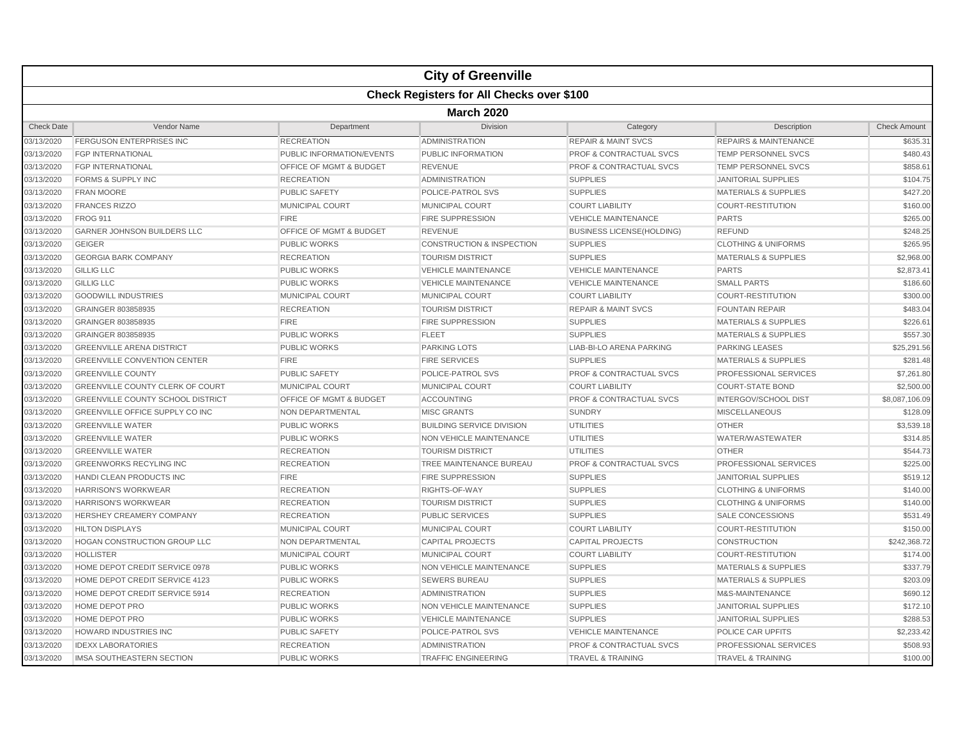|                   |                                                  |                                    | <b>City of Greenville</b>            |                                    |                                  |                     |  |  |  |
|-------------------|--------------------------------------------------|------------------------------------|--------------------------------------|------------------------------------|----------------------------------|---------------------|--|--|--|
|                   | <b>Check Registers for All Checks over \$100</b> |                                    |                                      |                                    |                                  |                     |  |  |  |
|                   | <b>March 2020</b>                                |                                    |                                      |                                    |                                  |                     |  |  |  |
| <b>Check Date</b> | Vendor Name                                      | Department                         | <b>Division</b>                      | Category                           | Description                      | <b>Check Amount</b> |  |  |  |
| 03/13/2020        | <b>FERGUSON ENTERPRISES INC</b>                  | <b>RECREATION</b>                  | <b>ADMINISTRATION</b>                | <b>REPAIR &amp; MAINT SVCS</b>     | <b>REPAIRS &amp; MAINTENANCE</b> | \$635.31            |  |  |  |
| 03/13/2020        | <b>FGP INTERNATIONAL</b>                         | <b>PUBLIC INFORMATION/EVENTS</b>   | PUBLIC INFORMATION                   | <b>PROF &amp; CONTRACTUAL SVCS</b> | <b>TEMP PERSONNEL SVCS</b>       | \$480.43            |  |  |  |
| 03/13/2020        | <b>FGP INTERNATIONAL</b>                         | <b>OFFICE OF MGMT &amp; BUDGET</b> | <b>REVENUE</b>                       | <b>PROF &amp; CONTRACTUAL SVCS</b> | <b>TEMP PERSONNEL SVCS</b>       | \$858.61            |  |  |  |
| 03/13/2020        | <b>FORMS &amp; SUPPLY INC</b>                    | <b>RECREATION</b>                  | <b>ADMINISTRATION</b>                | <b>SUPPLIES</b>                    | JANITORIAL SUPPLIES              | \$104.75            |  |  |  |
| 03/13/2020        | <b>FRAN MOORE</b>                                | <b>PUBLIC SAFETY</b>               | POLICE-PATROL SVS                    | <b>SUPPLIES</b>                    | <b>MATERIALS &amp; SUPPLIES</b>  | \$427.20            |  |  |  |
| 03/13/2020        | <b>FRANCES RIZZO</b>                             | MUNICIPAL COURT                    | MUNICIPAL COURT                      | <b>COURT LIABILITY</b>             | <b>COURT-RESTITUTION</b>         | \$160.00            |  |  |  |
| 03/13/2020        | <b>FROG 911</b>                                  | <b>FIRE</b>                        | <b>FIRE SUPPRESSION</b>              | <b>VEHICLE MAINTENANCE</b>         | <b>PARTS</b>                     | \$265.00            |  |  |  |
| 03/13/2020        | <b>GARNER JOHNSON BUILDERS LLC</b>               | OFFICE OF MGMT & BUDGET            | <b>REVENUE</b>                       | <b>BUSINESS LICENSE(HOLDING)</b>   | <b>REFUND</b>                    | \$248.25            |  |  |  |
| 03/13/2020        | <b>GEIGER</b>                                    | <b>PUBLIC WORKS</b>                | <b>CONSTRUCTION &amp; INSPECTION</b> | <b>SUPPLIES</b>                    | <b>CLOTHING &amp; UNIFORMS</b>   | \$265.95            |  |  |  |
| 03/13/2020        | <b>GEORGIA BARK COMPANY</b>                      | <b>RECREATION</b>                  | <b>TOURISM DISTRICT</b>              | <b>SUPPLIES</b>                    | <b>MATERIALS &amp; SUPPLIES</b>  | \$2,968.00          |  |  |  |
| 03/13/2020        | <b>GILLIG LLC</b>                                | <b>PUBLIC WORKS</b>                | <b>VEHICLE MAINTENANCE</b>           | <b>VEHICLE MAINTENANCE</b>         | <b>PARTS</b>                     | \$2,873.41          |  |  |  |
| 03/13/2020        | <b>GILLIG LLC</b>                                | <b>PUBLIC WORKS</b>                | <b>VEHICLE MAINTENANCE</b>           | <b>VEHICLE MAINTENANCE</b>         | <b>SMALL PARTS</b>               | \$186.60            |  |  |  |
| 03/13/2020        | <b>GOODWILL INDUSTRIES</b>                       | MUNICIPAL COURT                    | MUNICIPAL COURT                      | <b>COURT LIABILITY</b>             | <b>COURT-RESTITUTION</b>         | \$300.00            |  |  |  |
| 03/13/2020        | GRAINGER 803858935                               | <b>RECREATION</b>                  | <b>TOURISM DISTRICT</b>              | <b>REPAIR &amp; MAINT SVCS</b>     | <b>FOUNTAIN REPAIR</b>           | \$483.04            |  |  |  |
| 03/13/2020        | GRAINGER 803858935                               | <b>FIRE</b>                        | <b>FIRE SUPPRESSION</b>              | <b>SUPPLIES</b>                    | <b>MATERIALS &amp; SUPPLIES</b>  | \$226.61            |  |  |  |
| 03/13/2020        | GRAINGER 803858935                               | <b>PUBLIC WORKS</b>                | <b>FLEET</b>                         | <b>SUPPLIES</b>                    | <b>MATERIALS &amp; SUPPLIES</b>  | \$557.30            |  |  |  |
| 03/13/2020        | <b>GREENVILLE ARENA DISTRICT</b>                 | <b>PUBLIC WORKS</b>                | <b>PARKING LOTS</b>                  | LIAB-BI-LO ARENA PARKING           | <b>PARKING LEASES</b>            | \$25,291.56         |  |  |  |
| 03/13/2020        | <b>GREENVILLE CONVENTION CENTER</b>              | <b>FIRE</b>                        | <b>FIRE SERVICES</b>                 | <b>SUPPLIES</b>                    | <b>MATERIALS &amp; SUPPLIES</b>  | \$281.48            |  |  |  |
| 03/13/2020        | <b>GREENVILLE COUNTY</b>                         | <b>PUBLIC SAFETY</b>               | POLICE-PATROL SVS                    | <b>PROF &amp; CONTRACTUAL SVCS</b> | <b>PROFESSIONAL SERVICES</b>     | \$7,261.80          |  |  |  |
| 03/13/2020        | <b>GREENVILLE COUNTY CLERK OF COURT</b>          | MUNICIPAL COURT                    | <b>MUNICIPAL COURT</b>               | <b>COURT LIABILITY</b>             | <b>COURT-STATE BOND</b>          | \$2,500.00          |  |  |  |
| 03/13/2020        | <b>GREENVILLE COUNTY SCHOOL DISTRICT</b>         | <b>OFFICE OF MGMT &amp; BUDGET</b> | <b>ACCOUNTING</b>                    | <b>PROF &amp; CONTRACTUAL SVCS</b> | <b>INTERGOV/SCHOOL DIST</b>      | \$8,087,106.09      |  |  |  |
| 03/13/2020        | GREENVILLE OFFICE SUPPLY CO INC                  | NON DEPARTMENTAL                   | <b>MISC GRANTS</b>                   | <b>SUNDRY</b>                      | <b>MISCELLANEOUS</b>             | \$128.09            |  |  |  |
| 03/13/2020        | <b>GREENVILLE WATER</b>                          | <b>PUBLIC WORKS</b>                | <b>BUILDING SERVICE DIVISION</b>     | <b>UTILITIES</b>                   | <b>OTHER</b>                     | \$3,539.18          |  |  |  |
| 03/13/2020        | <b>GREENVILLE WATER</b>                          | <b>PUBLIC WORKS</b>                | NON VEHICLE MAINTENANCE              | <b>UTILITIES</b>                   | WATER/WASTEWATER                 | \$314.85            |  |  |  |
| 03/13/2020        | <b>GREENVILLE WATER</b>                          | <b>RECREATION</b>                  | <b>TOURISM DISTRICT</b>              | <b>UTILITIES</b>                   | <b>OTHER</b>                     | \$544.73            |  |  |  |
| 03/13/2020        | <b>GREENWORKS RECYLING INC</b>                   | <b>RECREATION</b>                  | TREE MAINTENANCE BUREAU              | <b>PROF &amp; CONTRACTUAL SVCS</b> | <b>PROFESSIONAL SERVICES</b>     | \$225.00            |  |  |  |
| 03/13/2020        | HANDI CLEAN PRODUCTS INC                         | <b>FIRE</b>                        | <b>FIRE SUPPRESSION</b>              | <b>SUPPLIES</b>                    | <b>JANITORIAL SUPPLIES</b>       | \$519.12            |  |  |  |
| 03/13/2020        | <b>HARRISON'S WORKWEAR</b>                       | <b>RECREATION</b>                  | RIGHTS-OF-WAY                        | <b>SUPPLIES</b>                    | <b>CLOTHING &amp; UNIFORMS</b>   | \$140.00            |  |  |  |
| 03/13/2020        | <b>HARRISON'S WORKWEAR</b>                       | <b>RECREATION</b>                  | <b>TOURISM DISTRICT</b>              | <b>SUPPLIES</b>                    | <b>CLOTHING &amp; UNIFORMS</b>   | \$140.00            |  |  |  |
| 03/13/2020        | HERSHEY CREAMERY COMPANY                         | <b>RECREATION</b>                  | PUBLIC SERVICES                      | <b>SUPPLIES</b>                    | <b>SALE CONCESSIONS</b>          | \$531.49            |  |  |  |
| 03/13/2020        | <b>HILTON DISPLAYS</b>                           | <b>MUNICIPAL COURT</b>             | <b>MUNICIPAL COURT</b>               | <b>COURT LIABILITY</b>             | <b>COURT-RESTITUTION</b>         | \$150.00            |  |  |  |
| 03/13/2020        | <b>HOGAN CONSTRUCTION GROUP LLC</b>              | NON DEPARTMENTAL                   | <b>CAPITAL PROJECTS</b>              | <b>CAPITAL PROJECTS</b>            | <b>CONSTRUCTION</b>              | \$242,368.72        |  |  |  |
| 03/13/2020        | <b>HOLLISTER</b>                                 | MUNICIPAL COURT                    | MUNICIPAL COURT                      | <b>COURT LIABILITY</b>             | <b>COURT-RESTITUTION</b>         | \$174.00            |  |  |  |
| 03/13/2020        | HOME DEPOT CREDIT SERVICE 0978                   | <b>PUBLIC WORKS</b>                | NON VEHICLE MAINTENANCE              | <b>SUPPLIES</b>                    | <b>MATERIALS &amp; SUPPLIES</b>  | \$337.79            |  |  |  |
| 03/13/2020        | HOME DEPOT CREDIT SERVICE 4123                   | <b>PUBLIC WORKS</b>                | <b>SEWERS BUREAU</b>                 | <b>SUPPLIES</b>                    | MATERIALS & SUPPLIES             | \$203.09            |  |  |  |
| 03/13/2020        | HOME DEPOT CREDIT SERVICE 5914                   | <b>RECREATION</b>                  | <b>ADMINISTRATION</b>                | <b>SUPPLIES</b>                    | M&S-MAINTENANCE                  | \$690.12            |  |  |  |
| 03/13/2020        | HOME DEPOT PRO                                   | <b>PUBLIC WORKS</b>                | NON VEHICLE MAINTENANCE              | <b>SUPPLIES</b>                    | <b>JANITORIAL SUPPLIES</b>       | \$172.10            |  |  |  |
| 03/13/2020        | <b>HOME DEPOT PRO</b>                            | <b>PUBLIC WORKS</b>                | <b>VEHICLE MAINTENANCE</b>           | <b>SUPPLIES</b>                    | <b>JANITORIAL SUPPLIES</b>       | \$288.53            |  |  |  |
| 03/13/2020        | HOWARD INDUSTRIES INC                            | <b>PUBLIC SAFETY</b>               | POLICE-PATROL SVS                    | <b>VEHICLE MAINTENANCE</b>         | POLICE CAR UPFITS                | \$2,233.42          |  |  |  |
| 03/13/2020        | <b>IDEXX LABORATORIES</b>                        | <b>RECREATION</b>                  | <b>ADMINISTRATION</b>                | <b>PROF &amp; CONTRACTUAL SVCS</b> | PROFESSIONAL SERVICES            | \$508.93            |  |  |  |
| 03/13/2020        | <b>IMSA SOUTHEASTERN SECTION</b>                 | <b>PUBLIC WORKS</b>                | <b>TRAFFIC ENGINEERING</b>           | <b>TRAVEL &amp; TRAINING</b>       | <b>TRAVEL &amp; TRAINING</b>     | \$100.00            |  |  |  |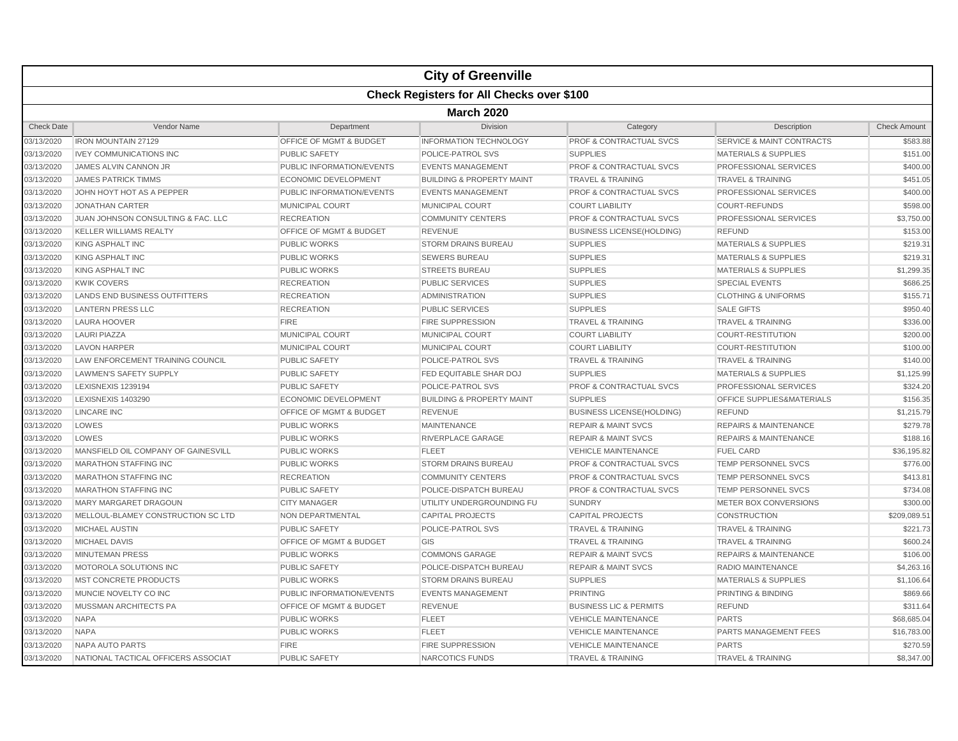|                   |                                                  |                                    | <b>City of Greenville</b>            |                                    |                                      |                     |  |  |  |  |
|-------------------|--------------------------------------------------|------------------------------------|--------------------------------------|------------------------------------|--------------------------------------|---------------------|--|--|--|--|
|                   | <b>Check Registers for All Checks over \$100</b> |                                    |                                      |                                    |                                      |                     |  |  |  |  |
|                   | <b>March 2020</b>                                |                                    |                                      |                                    |                                      |                     |  |  |  |  |
| <b>Check Date</b> | Vendor Name                                      | Department                         | Division                             | Category                           | Description                          | <b>Check Amount</b> |  |  |  |  |
| 03/13/2020        | <b>IRON MOUNTAIN 27129</b>                       | <b>OFFICE OF MGMT &amp; BUDGET</b> | <b>INFORMATION TECHNOLOGY</b>        | <b>PROF &amp; CONTRACTUAL SVCS</b> | <b>SERVICE &amp; MAINT CONTRACTS</b> | \$583.88            |  |  |  |  |
| 03/13/2020        | <b>IVEY COMMUNICATIONS INC</b>                   | <b>PUBLIC SAFETY</b>               | POLICE-PATROL SVS                    | <b>SUPPLIES</b>                    | <b>MATERIALS &amp; SUPPLIES</b>      | \$151.00            |  |  |  |  |
| 03/13/2020        | JAMES ALVIN CANNON JR                            | PUBLIC INFORMATION/EVENTS          | <b>EVENTS MANAGEMENT</b>             | <b>PROF &amp; CONTRACTUAL SVCS</b> | PROFESSIONAL SERVICES                | \$400.00            |  |  |  |  |
| 03/13/2020        | <b>JAMES PATRICK TIMMS</b>                       | <b>ECONOMIC DEVELOPMENT</b>        | <b>BUILDING &amp; PROPERTY MAINT</b> | <b>TRAVEL &amp; TRAINING</b>       | <b>TRAVEL &amp; TRAINING</b>         | \$451.05            |  |  |  |  |
| 03/13/2020        | JOHN HOYT HOT AS A PEPPER                        | PUBLIC INFORMATION/EVENTS          | <b>EVENTS MANAGEMENT</b>             | <b>PROF &amp; CONTRACTUAL SVCS</b> | PROFESSIONAL SERVICES                | \$400.00            |  |  |  |  |
| 03/13/2020        | <b>JONATHAN CARTER</b>                           | <b>MUNICIPAL COURT</b>             | <b>MUNICIPAL COURT</b>               | <b>COURT LIABILITY</b>             | <b>COURT-REFUNDS</b>                 | \$598.00            |  |  |  |  |
| 03/13/2020        | JUAN JOHNSON CONSULTING & FAC. LLC               | <b>RECREATION</b>                  | <b>COMMUNITY CENTERS</b>             | PROF & CONTRACTUAL SVCS            | PROFESSIONAL SERVICES                | \$3,750.00          |  |  |  |  |
| 03/13/2020        | <b>KELLER WILLIAMS REALTY</b>                    | OFFICE OF MGMT & BUDGET            | <b>REVENUE</b>                       | <b>BUSINESS LICENSE(HOLDING)</b>   | <b>REFUND</b>                        | \$153.00            |  |  |  |  |
| 03/13/2020        | <b>KING ASPHALT INC</b>                          | <b>PUBLIC WORKS</b>                | <b>STORM DRAINS BUREAU</b>           | <b>SUPPLIES</b>                    | <b>MATERIALS &amp; SUPPLIES</b>      | \$219.31            |  |  |  |  |
| 03/13/2020        | <b>KING ASPHALT INC</b>                          | <b>PUBLIC WORKS</b>                | <b>SEWERS BUREAU</b>                 | <b>SUPPLIES</b>                    | <b>MATERIALS &amp; SUPPLIES</b>      | \$219.31            |  |  |  |  |
| 03/13/2020        | <b>KING ASPHALT INC</b>                          | <b>PUBLIC WORKS</b>                | <b>STREETS BUREAU</b>                | <b>SUPPLIES</b>                    | <b>MATERIALS &amp; SUPPLIES</b>      | \$1,299.35          |  |  |  |  |
| 03/13/2020        | <b>KWIK COVERS</b>                               | <b>RECREATION</b>                  | <b>PUBLIC SERVICES</b>               | <b>SUPPLIES</b>                    | <b>SPECIAL EVENTS</b>                | \$686.25            |  |  |  |  |
| 03/13/2020        | LANDS END BUSINESS OUTFITTERS                    | <b>RECREATION</b>                  | <b>ADMINISTRATION</b>                | <b>SUPPLIES</b>                    | <b>CLOTHING &amp; UNIFORMS</b>       | \$155.71            |  |  |  |  |
| 03/13/2020        | <b>LANTERN PRESS LLC</b>                         | <b>RECREATION</b>                  | <b>PUBLIC SERVICES</b>               | <b>SUPPLIES</b>                    | <b>SALE GIFTS</b>                    | \$950.40            |  |  |  |  |
| 03/13/2020        | <b>LAURA HOOVER</b>                              | <b>FIRE</b>                        | <b>FIRE SUPPRESSION</b>              | <b>TRAVEL &amp; TRAINING</b>       | <b>TRAVEL &amp; TRAINING</b>         | \$336.00            |  |  |  |  |
| 03/13/2020        | <b>LAURI PIAZZA</b>                              | MUNICIPAL COURT                    | MUNICIPAL COURT                      | <b>COURT LIABILITY</b>             | <b>COURT-RESTITUTION</b>             | \$200.00            |  |  |  |  |
| 03/13/2020        | <b>LAVON HARPER</b>                              | <b>MUNICIPAL COURT</b>             | MUNICIPAL COURT                      | <b>COURT LIABILITY</b>             | <b>COURT-RESTITUTION</b>             | \$100.00            |  |  |  |  |
| 03/13/2020        | LAW ENFORCEMENT TRAINING COUNCIL                 | <b>PUBLIC SAFETY</b>               | POLICE-PATROL SVS                    | <b>TRAVEL &amp; TRAINING</b>       | <b>TRAVEL &amp; TRAINING</b>         | \$140.00            |  |  |  |  |
| 03/13/2020        | <b>LAWMEN'S SAFETY SUPPLY</b>                    | <b>PUBLIC SAFETY</b>               | FED EQUITABLE SHAR DOJ               | <b>SUPPLIES</b>                    | <b>MATERIALS &amp; SUPPLIES</b>      | \$1,125.99          |  |  |  |  |
| 03/13/2020        | LEXISNEXIS 1239194                               | <b>PUBLIC SAFETY</b>               | POLICE-PATROL SVS                    | <b>PROF &amp; CONTRACTUAL SVCS</b> | PROFESSIONAL SERVICES                | \$324.20            |  |  |  |  |
| 03/13/2020        | <b>LEXISNEXIS 1403290</b>                        | <b>ECONOMIC DEVELOPMENT</b>        | <b>BUILDING &amp; PROPERTY MAINT</b> | <b>SUPPLIES</b>                    | <b>OFFICE SUPPLIES&amp;MATERIALS</b> | \$156.35            |  |  |  |  |
| 03/13/2020        | <b>LINCARE INC</b>                               | OFFICE OF MGMT & BUDGET            | <b>REVENUE</b>                       | <b>BUSINESS LICENSE(HOLDING)</b>   | <b>REFUND</b>                        | \$1,215.79          |  |  |  |  |
| 03/13/2020        | LOWES                                            | <b>PUBLIC WORKS</b>                | <b>MAINTENANCE</b>                   | <b>REPAIR &amp; MAINT SVCS</b>     | <b>REPAIRS &amp; MAINTENANCE</b>     | \$279.78            |  |  |  |  |
| 03/13/2020        | LOWES                                            | <b>PUBLIC WORKS</b>                | RIVERPLACE GARAGE                    | <b>REPAIR &amp; MAINT SVCS</b>     | <b>REPAIRS &amp; MAINTENANCE</b>     | \$188.16            |  |  |  |  |
| 03/13/2020        | MANSFIELD OIL COMPANY OF GAINESVILL              | <b>PUBLIC WORKS</b>                | <b>FLEET</b>                         | <b>VEHICLE MAINTENANCE</b>         | <b>FUEL CARD</b>                     | \$36,195.82         |  |  |  |  |
| 03/13/2020        | <b>MARATHON STAFFING INC</b>                     | <b>PUBLIC WORKS</b>                | <b>STORM DRAINS BUREAU</b>           | <b>PROF &amp; CONTRACTUAL SVCS</b> | <b>TEMP PERSONNEL SVCS</b>           | \$776.00            |  |  |  |  |
| 03/13/2020        | <b>MARATHON STAFFING INC</b>                     | <b>RECREATION</b>                  | <b>COMMUNITY CENTERS</b>             | <b>PROF &amp; CONTRACTUAL SVCS</b> | <b>TEMP PERSONNEL SVCS</b>           | \$413.81            |  |  |  |  |
| 03/13/2020        | <b>MARATHON STAFFING INC</b>                     | <b>PUBLIC SAFETY</b>               | POLICE-DISPATCH BUREAU               | <b>PROF &amp; CONTRACTUAL SVCS</b> | <b>TEMP PERSONNEL SVCS</b>           | \$734.08            |  |  |  |  |
| 03/13/2020        | <b>MARY MARGARET DRAGOUN</b>                     | <b>CITY MANAGER</b>                | UTILITY UNDERGROUNDING FU            | <b>SUNDRY</b>                      | METER BOX CONVERSIONS                | \$300.00            |  |  |  |  |
| 03/13/2020        | MELLOUL-BLAMEY CONSTRUCTION SC LTD               | NON DEPARTMENTAL                   | <b>CAPITAL PROJECTS</b>              | <b>CAPITAL PROJECTS</b>            | <b>CONSTRUCTION</b>                  | \$209,089.51        |  |  |  |  |
| 03/13/2020        | <b>MICHAEL AUSTIN</b>                            | <b>PUBLIC SAFETY</b>               | POLICE-PATROL SVS                    | <b>TRAVEL &amp; TRAINING</b>       | <b>TRAVEL &amp; TRAINING</b>         | \$221.73            |  |  |  |  |
| 03/13/2020        | <b>MICHAEL DAVIS</b>                             | OFFICE OF MGMT & BUDGET            | GIS                                  | <b>TRAVEL &amp; TRAINING</b>       | <b>TRAVEL &amp; TRAINING</b>         | \$600.24            |  |  |  |  |
| 03/13/2020        | <b>MINUTEMAN PRESS</b>                           | <b>PUBLIC WORKS</b>                | <b>COMMONS GARAGE</b>                | <b>REPAIR &amp; MAINT SVCS</b>     | <b>REPAIRS &amp; MAINTENANCE</b>     | \$106.00            |  |  |  |  |
| 03/13/2020        | MOTOROLA SOLUTIONS INC                           | <b>PUBLIC SAFETY</b>               | POLICE-DISPATCH BUREAU               | <b>REPAIR &amp; MAINT SVCS</b>     | <b>RADIO MAINTENANCE</b>             | \$4,263.16          |  |  |  |  |
| 03/13/2020        | MST CONCRETE PRODUCTS                            | <b>PUBLIC WORKS</b>                | <b>STORM DRAINS BUREAU</b>           | <b>SUPPLIES</b>                    | <b>MATERIALS &amp; SUPPLIES</b>      | \$1,106.64          |  |  |  |  |
| 03/13/2020        | MUNCIE NOVELTY CO INC                            | <b>PUBLIC INFORMATION/EVENTS</b>   | <b>EVENTS MANAGEMENT</b>             | <b>PRINTING</b>                    | <b>PRINTING &amp; BINDING</b>        | \$869.66            |  |  |  |  |
| 03/13/2020        | MUSSMAN ARCHITECTS PA                            | OFFICE OF MGMT & BUDGET            | <b>REVENUE</b>                       | <b>BUSINESS LIC &amp; PERMITS</b>  | <b>REFUND</b>                        | \$311.64            |  |  |  |  |
| 03/13/2020        | <b>NAPA</b>                                      | <b>PUBLIC WORKS</b>                | <b>FLEET</b>                         | <b>VEHICLE MAINTENANCE</b>         | <b>PARTS</b>                         | \$68,685.04         |  |  |  |  |
| 03/13/2020        | <b>NAPA</b>                                      | <b>PUBLIC WORKS</b>                | <b>FLEET</b>                         | <b>VEHICLE MAINTENANCE</b>         | PARTS MANAGEMENT FEES                | \$16,783.00         |  |  |  |  |
| 03/13/2020        | <b>NAPA AUTO PARTS</b>                           | <b>FIRE</b>                        | <b>FIRE SUPPRESSION</b>              | <b>VEHICLE MAINTENANCE</b>         | <b>PARTS</b>                         | \$270.59            |  |  |  |  |
| 03/13/2020        | NATIONAL TACTICAL OFFICERS ASSOCIAT              | <b>PUBLIC SAFETY</b>               | NARCOTICS FUNDS                      | <b>TRAVEL &amp; TRAINING</b>       | <b>TRAVEL &amp; TRAINING</b>         | \$8,347.00          |  |  |  |  |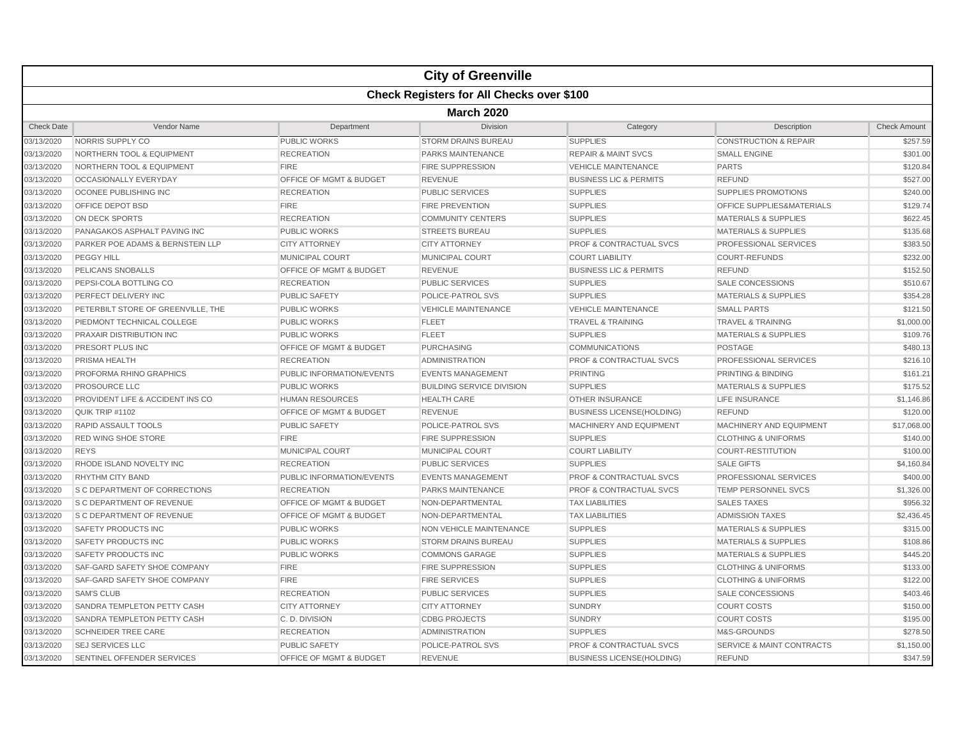|                   |                                                  |                                    | <b>City of Greenville</b>        |                                    |                                      |                     |  |  |  |  |
|-------------------|--------------------------------------------------|------------------------------------|----------------------------------|------------------------------------|--------------------------------------|---------------------|--|--|--|--|
|                   | <b>Check Registers for All Checks over \$100</b> |                                    |                                  |                                    |                                      |                     |  |  |  |  |
|                   | <b>March 2020</b>                                |                                    |                                  |                                    |                                      |                     |  |  |  |  |
| <b>Check Date</b> | Vendor Name                                      | Department                         | <b>Division</b>                  | Category                           | Description                          | <b>Check Amount</b> |  |  |  |  |
| 03/13/2020        | NORRIS SUPPLY CO                                 | <b>PUBLIC WORKS</b>                | <b>STORM DRAINS BUREAU</b>       | <b>SUPPLIES</b>                    | <b>CONSTRUCTION &amp; REPAIR</b>     | \$257.59            |  |  |  |  |
| 03/13/2020        | NORTHERN TOOL & EQUIPMENT                        | <b>RECREATION</b>                  | <b>PARKS MAINTENANCE</b>         | <b>REPAIR &amp; MAINT SVCS</b>     | <b>SMALL ENGINE</b>                  | \$301.00            |  |  |  |  |
| 03/13/2020        | <b>NORTHERN TOOL &amp; EQUIPMENT</b>             | <b>FIRE</b>                        | <b>FIRE SUPPRESSION</b>          | <b>VEHICLE MAINTENANCE</b>         | <b>PARTS</b>                         | \$120.84            |  |  |  |  |
| 03/13/2020        | OCCASIONALLY EVERYDAY                            | OFFICE OF MGMT & BUDGET            | <b>REVENUE</b>                   | <b>BUSINESS LIC &amp; PERMITS</b>  | <b>REFUND</b>                        | \$527.00            |  |  |  |  |
| 03/13/2020        | OCONEE PUBLISHING INC                            | <b>RECREATION</b>                  | PUBLIC SERVICES                  | <b>SUPPLIES</b>                    | <b>SUPPLIES PROMOTIONS</b>           | \$240.00            |  |  |  |  |
| 03/13/2020        | <b>OFFICE DEPOT BSD</b>                          | <b>FIRE</b>                        | <b>FIRE PREVENTION</b>           | <b>SUPPLIES</b>                    | <b>OFFICE SUPPLIES&amp;MATERIALS</b> | \$129.74            |  |  |  |  |
| 03/13/2020        | ON DECK SPORTS                                   | <b>RECREATION</b>                  | <b>COMMUNITY CENTERS</b>         | <b>SUPPLIES</b>                    | <b>MATERIALS &amp; SUPPLIES</b>      | \$622.45            |  |  |  |  |
| 03/13/2020        | PANAGAKOS ASPHALT PAVING INC                     | <b>PUBLIC WORKS</b>                | <b>STREETS BUREAU</b>            | <b>SUPPLIES</b>                    | <b>MATERIALS &amp; SUPPLIES</b>      | \$135.68            |  |  |  |  |
| 03/13/2020        | PARKER POE ADAMS & BERNSTEIN LLP                 | <b>CITY ATTORNEY</b>               | <b>CITY ATTORNEY</b>             | <b>PROF &amp; CONTRACTUAL SVCS</b> | <b>PROFESSIONAL SERVICES</b>         | \$383.50            |  |  |  |  |
| 03/13/2020        | <b>PEGGY HILL</b>                                | <b>MUNICIPAL COURT</b>             | <b>MUNICIPAL COURT</b>           | <b>COURT LIABILITY</b>             | <b>COURT-REFUNDS</b>                 | \$232.00            |  |  |  |  |
| 03/13/2020        | PELICANS SNOBALLS                                | <b>OFFICE OF MGMT &amp; BUDGET</b> | <b>REVENUE</b>                   | <b>BUSINESS LIC &amp; PERMITS</b>  | <b>REFUND</b>                        | \$152.50            |  |  |  |  |
| 03/13/2020        | PEPSI-COLA BOTTLING CO                           | <b>RECREATION</b>                  | <b>PUBLIC SERVICES</b>           | <b>SUPPLIES</b>                    | <b>SALE CONCESSIONS</b>              | \$510.67            |  |  |  |  |
| 03/13/2020        | PERFECT DELIVERY INC                             | <b>PUBLIC SAFETY</b>               | POLICE-PATROL SVS                | <b>SUPPLIES</b>                    | <b>MATERIALS &amp; SUPPLIES</b>      | \$354.28            |  |  |  |  |
| 03/13/2020        | PETERBILT STORE OF GREENVILLE, THE               | <b>PUBLIC WORKS</b>                | <b>VEHICLE MAINTENANCE</b>       | <b>VEHICLE MAINTENANCE</b>         | <b>SMALL PARTS</b>                   | \$121.50            |  |  |  |  |
| 03/13/2020        | PIEDMONT TECHNICAL COLLEGE                       | <b>PUBLIC WORKS</b>                | <b>FLEET</b>                     | <b>TRAVEL &amp; TRAINING</b>       | <b>TRAVEL &amp; TRAINING</b>         | \$1,000.00          |  |  |  |  |
| 03/13/2020        | <b>PRAXAIR DISTRIBUTION INC</b>                  | <b>PUBLIC WORKS</b>                | <b>FLEET</b>                     | <b>SUPPLIES</b>                    | MATERIALS & SUPPLIES                 | \$109.76            |  |  |  |  |
| 03/13/2020        | PRESORT PLUS INC                                 | OFFICE OF MGMT & BUDGET            | <b>PURCHASING</b>                | <b>COMMUNICATIONS</b>              | <b>POSTAGE</b>                       | \$480.13            |  |  |  |  |
| 03/13/2020        | PRISMA HEALTH                                    | <b>RECREATION</b>                  | <b>ADMINISTRATION</b>            | <b>PROF &amp; CONTRACTUAL SVCS</b> | PROFESSIONAL SERVICES                | \$216.10            |  |  |  |  |
| 03/13/2020        | <b>PROFORMA RHINO GRAPHICS</b>                   | <b>PUBLIC INFORMATION/EVENTS</b>   | <b>EVENTS MANAGEMENT</b>         | <b>PRINTING</b>                    | <b>PRINTING &amp; BINDING</b>        | \$161.21            |  |  |  |  |
| 03/13/2020        | PROSOURCE LLC                                    | <b>PUBLIC WORKS</b>                | <b>BUILDING SERVICE DIVISION</b> | <b>SUPPLIES</b>                    | <b>MATERIALS &amp; SUPPLIES</b>      | \$175.52            |  |  |  |  |
| 03/13/2020        | PROVIDENT LIFE & ACCIDENT INS CO                 | <b>HUMAN RESOURCES</b>             | <b>HEALTH CARE</b>               | <b>OTHER INSURANCE</b>             | <b>LIFE INSURANCE</b>                | \$1,146.86          |  |  |  |  |
| 03/13/2020        | QUIK TRIP #1102                                  | OFFICE OF MGMT & BUDGET            | <b>REVENUE</b>                   | <b>BUSINESS LICENSE(HOLDING)</b>   | <b>REFUND</b>                        | \$120.00            |  |  |  |  |
| 03/13/2020        | <b>RAPID ASSAULT TOOLS</b>                       | <b>PUBLIC SAFETY</b>               | POLICE-PATROL SVS                | MACHINERY AND EQUIPMENT            | MACHINERY AND EQUIPMENT              | \$17,068.00         |  |  |  |  |
| 03/13/2020        | <b>RED WING SHOE STORE</b>                       | <b>FIRE</b>                        | <b>FIRE SUPPRESSION</b>          | <b>SUPPLIES</b>                    | <b>CLOTHING &amp; UNIFORMS</b>       | \$140.00            |  |  |  |  |
| 03/13/2020        | <b>REYS</b>                                      | <b>MUNICIPAL COURT</b>             | MUNICIPAL COURT                  | <b>COURT LIABILITY</b>             | <b>COURT-RESTITUTION</b>             | \$100.00            |  |  |  |  |
| 03/13/2020        | RHODE ISLAND NOVELTY INC                         | <b>RECREATION</b>                  | <b>PUBLIC SERVICES</b>           | <b>SUPPLIES</b>                    | <b>SALE GIFTS</b>                    | \$4,160.84          |  |  |  |  |
| 03/13/2020        | <b>RHYTHM CITY BAND</b>                          | PUBLIC INFORMATION/EVENTS          | <b>EVENTS MANAGEMENT</b>         | <b>PROF &amp; CONTRACTUAL SVCS</b> | <b>PROFESSIONAL SERVICES</b>         | \$400.00            |  |  |  |  |
| 03/13/2020        | S C DEPARTMENT OF CORRECTIONS                    | <b>RECREATION</b>                  | PARKS MAINTENANCE                | PROF & CONTRACTUAL SVCS            | TEMP PERSONNEL SVCS                  | \$1,326.00          |  |  |  |  |
| 03/13/2020        | <b>S C DEPARTMENT OF REVENUE</b>                 | <b>OFFICE OF MGMT &amp; BUDGET</b> | NON-DEPARTMENTAL                 | <b>TAX LIABILITIES</b>             | <b>SALES TAXES</b>                   | \$956.32            |  |  |  |  |
| 03/13/2020        | S C DEPARTMENT OF REVENUE                        | OFFICE OF MGMT & BUDGET            | NON-DEPARTMENTAL                 | <b>TAX LIABILITIES</b>             | <b>ADMISSION TAXES</b>               | \$2,436.45          |  |  |  |  |
| 03/13/2020        | <b>SAFETY PRODUCTS INC</b>                       | <b>PUBLIC WORKS</b>                | NON VEHICLE MAINTENANCE          | <b>SUPPLIES</b>                    | <b>MATERIALS &amp; SUPPLIES</b>      | \$315.00            |  |  |  |  |
| 03/13/2020        | <b>SAFETY PRODUCTS INC</b>                       | <b>PUBLIC WORKS</b>                | <b>STORM DRAINS BUREAU</b>       | <b>SUPPLIES</b>                    | <b>MATERIALS &amp; SUPPLIES</b>      | \$108.86            |  |  |  |  |
| 03/13/2020        | <b>SAFETY PRODUCTS INC</b>                       | <b>PUBLIC WORKS</b>                | <b>COMMONS GARAGE</b>            | <b>SUPPLIES</b>                    | <b>MATERIALS &amp; SUPPLIES</b>      | \$445.20            |  |  |  |  |
| 03/13/2020        | SAF-GARD SAFETY SHOE COMPANY                     | <b>FIRE</b>                        | <b>FIRE SUPPRESSION</b>          | <b>SUPPLIES</b>                    | <b>CLOTHING &amp; UNIFORMS</b>       | \$133.00            |  |  |  |  |
| 03/13/2020        | SAF-GARD SAFETY SHOE COMPANY                     | <b>FIRE</b>                        | <b>FIRE SERVICES</b>             | <b>SUPPLIES</b>                    | <b>CLOTHING &amp; UNIFORMS</b>       | \$122.00            |  |  |  |  |
| 03/13/2020        | <b>SAM'S CLUB</b>                                | <b>RECREATION</b>                  | <b>PUBLIC SERVICES</b>           | <b>SUPPLIES</b>                    | <b>SALE CONCESSIONS</b>              | \$403.46            |  |  |  |  |
| 03/13/2020        | SANDRA TEMPLETON PETTY CASH                      | <b>CITY ATTORNEY</b>               | <b>CITY ATTORNEY</b>             | <b>SUNDRY</b>                      | <b>COURT COSTS</b>                   | \$150.00            |  |  |  |  |
| 03/13/2020        | SANDRA TEMPLETON PETTY CASH                      | C.D. DIVISION                      | <b>CDBG PROJECTS</b>             | <b>SUNDRY</b>                      | <b>COURT COSTS</b>                   | \$195.00            |  |  |  |  |
| 03/13/2020        | <b>SCHNEIDER TREE CARE</b>                       | <b>RECREATION</b>                  | <b>ADMINISTRATION</b>            | <b>SUPPLIES</b>                    | M&S-GROUNDS                          | \$278.50            |  |  |  |  |
| 03/13/2020        | <b>SEJ SERVICES LLC</b>                          | <b>PUBLIC SAFETY</b>               | POLICE-PATROL SVS                | PROF & CONTRACTUAL SVCS            | <b>SERVICE &amp; MAINT CONTRACTS</b> | \$1,150.00          |  |  |  |  |
| 03/13/2020        | SENTINEL OFFENDER SERVICES                       | <b>OFFICE OF MGMT &amp; BUDGET</b> | <b>REVENUE</b>                   | <b>BUSINESS LICENSE(HOLDING)</b>   | <b>REFUND</b>                        | \$347.59            |  |  |  |  |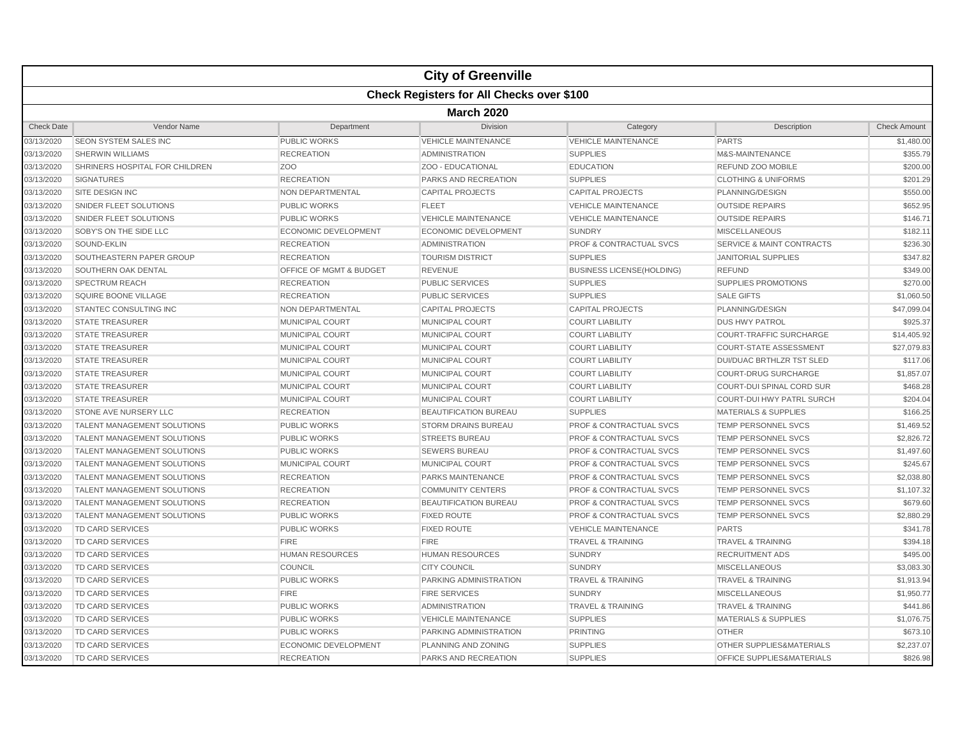|                   |                                    |                             | <b>City of Greenville</b>                        |                                    |                                      |                     |  |  |  |
|-------------------|------------------------------------|-----------------------------|--------------------------------------------------|------------------------------------|--------------------------------------|---------------------|--|--|--|
|                   |                                    |                             | <b>Check Registers for All Checks over \$100</b> |                                    |                                      |                     |  |  |  |
|                   | <b>March 2020</b>                  |                             |                                                  |                                    |                                      |                     |  |  |  |
| <b>Check Date</b> | Vendor Name                        | Department                  | <b>Division</b>                                  | Category                           | Description                          | <b>Check Amount</b> |  |  |  |
| 03/13/2020        | <b>SEON SYSTEM SALES INC</b>       | PUBLIC WORKS                | <b>VEHICLE MAINTENANCE</b>                       | <b>VEHICLE MAINTENANCE</b>         | <b>PARTS</b>                         | \$1,480.00          |  |  |  |
| 03/13/2020        | <b>SHERWIN WILLIAMS</b>            | <b>RECREATION</b>           | <b>ADMINISTRATION</b>                            | <b>SUPPLIES</b>                    | M&S-MAINTENANCE                      | \$355.79            |  |  |  |
| 03/13/2020        | SHRINERS HOSPITAL FOR CHILDREN     | ZO <sub>O</sub>             | ZOO - EDUCATIONAL                                | <b>EDUCATION</b>                   | REFUND ZOO MOBILE                    | \$200.00            |  |  |  |
| 03/13/2020        | <b>SIGNATURES</b>                  | <b>RECREATION</b>           | PARKS AND RECREATION                             | <b>SUPPLIES</b>                    | <b>CLOTHING &amp; UNIFORMS</b>       | \$201.29            |  |  |  |
| 03/13/2020        | <b>SITE DESIGN INC</b>             | <b>NON DEPARTMENTAL</b>     | <b>CAPITAL PROJECTS</b>                          | <b>CAPITAL PROJECTS</b>            | PLANNING/DESIGN                      | \$550.00            |  |  |  |
| 03/13/2020        | SNIDER FLEET SOLUTIONS             | <b>PUBLIC WORKS</b>         | <b>FLEET</b>                                     | <b>VEHICLE MAINTENANCE</b>         | <b>OUTSIDE REPAIRS</b>               | \$652.95            |  |  |  |
| 03/13/2020        | <b>SNIDER FLEET SOLUTIONS</b>      | <b>PUBLIC WORKS</b>         | <b>VEHICLE MAINTENANCE</b>                       | <b>VEHICLE MAINTENANCE</b>         | <b>OUTSIDE REPAIRS</b>               | \$146.71            |  |  |  |
| 03/13/2020        | SOBY'S ON THE SIDE LLC             | ECONOMIC DEVELOPMENT        | <b>ECONOMIC DEVELOPMENT</b>                      | <b>SUNDRY</b>                      | <b>MISCELLANEOUS</b>                 | \$182.11            |  |  |  |
| 03/13/2020        | SOUND-EKLIN                        | <b>RECREATION</b>           | <b>ADMINISTRATION</b>                            | <b>PROF &amp; CONTRACTUAL SVCS</b> | <b>SERVICE &amp; MAINT CONTRACTS</b> | \$236.30            |  |  |  |
| 03/13/2020        | SOUTHEASTERN PAPER GROUP           | <b>RECREATION</b>           | <b>TOURISM DISTRICT</b>                          | <b>SUPPLIES</b>                    | <b>JANITORIAL SUPPLIES</b>           | \$347.82            |  |  |  |
| 03/13/2020        | SOUTHERN OAK DENTAL                | OFFICE OF MGMT & BUDGET     | <b>REVENUE</b>                                   | <b>BUSINESS LICENSE(HOLDING)</b>   | <b>REFUND</b>                        | \$349.00            |  |  |  |
| 03/13/2020        | <b>SPECTRUM REACH</b>              | <b>RECREATION</b>           | <b>PUBLIC SERVICES</b>                           | <b>SUPPLIES</b>                    | <b>SUPPLIES PROMOTIONS</b>           | \$270.00            |  |  |  |
| 03/13/2020        | SQUIRE BOONE VILLAGE               | <b>RECREATION</b>           | <b>PUBLIC SERVICES</b>                           | <b>SUPPLIES</b>                    | <b>SALE GIFTS</b>                    | \$1,060.50          |  |  |  |
| 03/13/2020        | <b>STANTEC CONSULTING INC</b>      | NON DEPARTMENTAL            | <b>CAPITAL PROJECTS</b>                          | <b>CAPITAL PROJECTS</b>            | PLANNING/DESIGN                      | \$47,099.04         |  |  |  |
| 03/13/2020        | <b>STATE TREASURER</b>             | <b>MUNICIPAL COURT</b>      | <b>MUNICIPAL COURT</b>                           | <b>COURT LIABILITY</b>             | <b>DUS HWY PATROL</b>                | \$925.37            |  |  |  |
| 03/13/2020        | <b>STATE TREASURER</b>             | MUNICIPAL COURT             | MUNICIPAL COURT                                  | <b>COURT LIABILITY</b>             | <b>COURT-TRAFFIC SURCHARGE</b>       | \$14,405.92         |  |  |  |
| 03/13/2020        | <b>STATE TREASURER</b>             | MUNICIPAL COURT             | <b>MUNICIPAL COURT</b>                           | <b>COURT LIABILITY</b>             | <b>COURT-STATE ASSESSMENT</b>        | \$27,079.83         |  |  |  |
| 03/13/2020        | <b>STATE TREASURER</b>             | MUNICIPAL COURT             | MUNICIPAL COURT                                  | <b>COURT LIABILITY</b>             | <b>DUI/DUAC BRTHLZR TST SLED</b>     | \$117.06            |  |  |  |
| 03/13/2020        | <b>STATE TREASURER</b>             | <b>MUNICIPAL COURT</b>      | <b>MUNICIPAL COURT</b>                           | <b>COURT LIABILITY</b>             | <b>COURT-DRUG SURCHARGE</b>          | \$1,857.07          |  |  |  |
| 03/13/2020        | <b>STATE TREASURER</b>             | MUNICIPAL COURT             | <b>MUNICIPAL COURT</b>                           | <b>COURT LIABILITY</b>             | <b>COURT-DUI SPINAL CORD SUR</b>     | \$468.28            |  |  |  |
| 03/13/2020        | <b>STATE TREASURER</b>             | <b>MUNICIPAL COURT</b>      | MUNICIPAL COURT                                  | <b>COURT LIABILITY</b>             | <b>COURT-DUI HWY PATRL SURCH</b>     | \$204.04            |  |  |  |
| 03/13/2020        | STONE AVE NURSERY LLC              | <b>RECREATION</b>           | <b>BEAUTIFICATION BUREAU</b>                     | <b>SUPPLIES</b>                    | <b>MATERIALS &amp; SUPPLIES</b>      | \$166.25            |  |  |  |
| 03/13/2020        | <b>TALENT MANAGEMENT SOLUTIONS</b> | <b>PUBLIC WORKS</b>         | <b>STORM DRAINS BUREAU</b>                       | <b>PROF &amp; CONTRACTUAL SVCS</b> | TEMP PERSONNEL SVCS                  | \$1,469.52          |  |  |  |
| 03/13/2020        | <b>TALENT MANAGEMENT SOLUTIONS</b> | <b>PUBLIC WORKS</b>         | <b>STREETS BUREAU</b>                            | <b>PROF &amp; CONTRACTUAL SVCS</b> | <b>TEMP PERSONNEL SVCS</b>           | \$2,826.72          |  |  |  |
| 03/13/2020        | <b>TALENT MANAGEMENT SOLUTIONS</b> | <b>PUBLIC WORKS</b>         | <b>SEWERS BUREAU</b>                             | PROF & CONTRACTUAL SVCS            | <b>TEMP PERSONNEL SVCS</b>           | \$1,497.60          |  |  |  |
| 03/13/2020        | <b>TALENT MANAGEMENT SOLUTIONS</b> | MUNICIPAL COURT             | MUNICIPAL COURT                                  | PROF & CONTRACTUAL SVCS            | TEMP PERSONNEL SVCS                  | \$245.67            |  |  |  |
| 03/13/2020        | <b>TALENT MANAGEMENT SOLUTIONS</b> | <b>RECREATION</b>           | PARKS MAINTENANCE                                | <b>PROF &amp; CONTRACTUAL SVCS</b> | <b>TEMP PERSONNEL SVCS</b>           | \$2,038.80          |  |  |  |
| 03/13/2020        | <b>TALENT MANAGEMENT SOLUTIONS</b> | <b>RECREATION</b>           | <b>COMMUNITY CENTERS</b>                         | <b>PROF &amp; CONTRACTUAL SVCS</b> | <b>TEMP PERSONNEL SVCS</b>           | \$1,107.32          |  |  |  |
| 03/13/2020        | <b>TALENT MANAGEMENT SOLUTIONS</b> | <b>RECREATION</b>           | <b>BEAUTIFICATION BUREAU</b>                     | <b>PROF &amp; CONTRACTUAL SVCS</b> | <b>TEMP PERSONNEL SVCS</b>           | \$679.60            |  |  |  |
| 03/13/2020        | <b>TALENT MANAGEMENT SOLUTIONS</b> | <b>PUBLIC WORKS</b>         | <b>FIXED ROUTE</b>                               | <b>PROF &amp; CONTRACTUAL SVCS</b> | TEMP PERSONNEL SVCS                  | \$2,880.29          |  |  |  |
| 03/13/2020        | <b>TD CARD SERVICES</b>            | PUBLIC WORKS                | <b>FIXED ROUTE</b>                               | <b>VEHICLE MAINTENANCE</b>         | <b>PARTS</b>                         | \$341.78            |  |  |  |
| 03/13/2020        | TD CARD SERVICES                   | <b>FIRE</b>                 | <b>FIRE</b>                                      | <b>TRAVEL &amp; TRAINING</b>       | <b>TRAVEL &amp; TRAINING</b>         | \$394.18            |  |  |  |
| 03/13/2020        | <b>TD CARD SERVICES</b>            | <b>HUMAN RESOURCES</b>      | <b>HUMAN RESOURCES</b>                           | <b>SUNDRY</b>                      | <b>RECRUITMENT ADS</b>               | \$495.00            |  |  |  |
| 03/13/2020        | <b>TD CARD SERVICES</b>            | <b>COUNCIL</b>              | <b>CITY COUNCIL</b>                              | <b>SUNDRY</b>                      | <b>MISCELLANEOUS</b>                 | \$3,083,30          |  |  |  |
| 03/13/2020        | <b>TD CARD SERVICES</b>            | <b>PUBLIC WORKS</b>         | PARKING ADMINISTRATION                           | <b>TRAVEL &amp; TRAINING</b>       | <b>TRAVEL &amp; TRAINING</b>         | \$1,913.94          |  |  |  |
| 03/13/2020        | <b>TD CARD SERVICES</b>            | <b>FIRE</b>                 | <b>FIRE SERVICES</b>                             | <b>SUNDRY</b>                      | <b>MISCELLANEOUS</b>                 | \$1,950.77          |  |  |  |
| 03/13/2020        | TD CARD SERVICES                   | <b>PUBLIC WORKS</b>         | <b>ADMINISTRATION</b>                            | <b>TRAVEL &amp; TRAINING</b>       | <b>TRAVEL &amp; TRAINING</b>         | \$441.86            |  |  |  |
| 03/13/2020        | <b>TD CARD SERVICES</b>            | <b>PUBLIC WORKS</b>         | <b>VEHICLE MAINTENANCE</b>                       | <b>SUPPLIES</b>                    | <b>MATERIALS &amp; SUPPLIES</b>      | \$1,076.75          |  |  |  |
| 03/13/2020        | <b>TD CARD SERVICES</b>            | <b>PUBLIC WORKS</b>         | PARKING ADMINISTRATION                           | <b>PRINTING</b>                    | <b>OTHER</b>                         | \$673.10            |  |  |  |
| 03/13/2020        | TD CARD SERVICES                   | <b>ECONOMIC DEVELOPMENT</b> | PLANNING AND ZONING                              | <b>SUPPLIES</b>                    | <b>OTHER SUPPLIES&amp;MATERIALS</b>  | \$2,237.07          |  |  |  |
| 03/13/2020        | <b>TD CARD SERVICES</b>            | <b>RECREATION</b>           | <b>PARKS AND RECREATION</b>                      | <b>SUPPLIES</b>                    | OFFICE SUPPLIES&MATERIALS            | \$826.98            |  |  |  |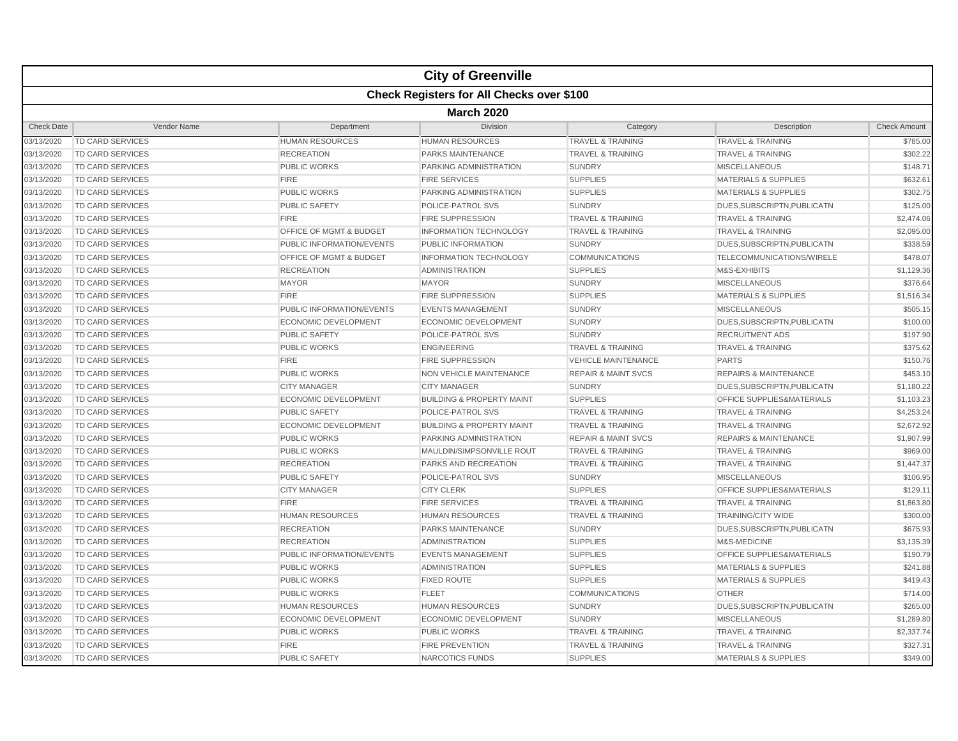|                   |                         |                             | <b>City of Greenville</b>                        |                                |                                      |                     |  |  |  |
|-------------------|-------------------------|-----------------------------|--------------------------------------------------|--------------------------------|--------------------------------------|---------------------|--|--|--|
|                   |                         |                             | <b>Check Registers for All Checks over \$100</b> |                                |                                      |                     |  |  |  |
|                   | <b>March 2020</b>       |                             |                                                  |                                |                                      |                     |  |  |  |
| <b>Check Date</b> | Vendor Name             | Department                  | <b>Division</b>                                  | Category                       | Description                          | <b>Check Amount</b> |  |  |  |
| 03/13/2020        | <b>TD CARD SERVICES</b> | <b>HUMAN RESOURCES</b>      | <b>HUMAN RESOURCES</b>                           | <b>TRAVEL &amp; TRAINING</b>   | <b>TRAVEL &amp; TRAINING</b>         | \$785.00            |  |  |  |
| 03/13/2020        | TD CARD SERVICES        | <b>RECREATION</b>           | <b>PARKS MAINTENANCE</b>                         | <b>TRAVEL &amp; TRAINING</b>   | <b>TRAVEL &amp; TRAINING</b>         | \$302.22            |  |  |  |
| 03/13/2020        | TD CARD SERVICES        | <b>PUBLIC WORKS</b>         | PARKING ADMINISTRATION                           | <b>SUNDRY</b>                  | <b>MISCELLANEOUS</b>                 | \$148.71            |  |  |  |
| 03/13/2020        | TD CARD SERVICES        | <b>FIRE</b>                 | <b>FIRE SERVICES</b>                             | <b>SUPPLIES</b>                | <b>MATERIALS &amp; SUPPLIES</b>      | \$632.61            |  |  |  |
| 03/13/2020        | <b>TD CARD SERVICES</b> | <b>PUBLIC WORKS</b>         | PARKING ADMINISTRATION                           | <b>SUPPLIES</b>                | <b>MATERIALS &amp; SUPPLIES</b>      | \$302.75            |  |  |  |
| 03/13/2020        | <b>TD CARD SERVICES</b> | PUBLIC SAFETY               | POLICE-PATROL SVS                                | <b>SUNDRY</b>                  | DUES, SUBSCRIPTN, PUBLICATN          | \$125.00            |  |  |  |
| 03/13/2020        | <b>TD CARD SERVICES</b> | <b>FIRE</b>                 | <b>FIRE SUPPRESSION</b>                          | <b>TRAVEL &amp; TRAINING</b>   | <b>TRAVEL &amp; TRAINING</b>         | \$2,474.06          |  |  |  |
| 03/13/2020        | <b>TD CARD SERVICES</b> | OFFICE OF MGMT & BUDGET     | <b>INFORMATION TECHNOLOGY</b>                    | <b>TRAVEL &amp; TRAINING</b>   | <b>TRAVEL &amp; TRAINING</b>         | \$2,095.00          |  |  |  |
| 03/13/2020        | <b>TD CARD SERVICES</b> | PUBLIC INFORMATION/EVENTS   | PUBLIC INFORMATION                               | <b>SUNDRY</b>                  | DUES, SUBSCRIPTN, PUBLICATN          | \$338.59            |  |  |  |
| 03/13/2020        | <b>TD CARD SERVICES</b> | OFFICE OF MGMT & BUDGET     | <b>INFORMATION TECHNOLOGY</b>                    | <b>COMMUNICATIONS</b>          | TELECOMMUNICATIONS/WIRELE            | \$478.07            |  |  |  |
| 03/13/2020        | <b>TD CARD SERVICES</b> | <b>RECREATION</b>           | <b>ADMINISTRATION</b>                            | <b>SUPPLIES</b>                | M&S-EXHIBITS                         | \$1,129.36          |  |  |  |
| 03/13/2020        | TD CARD SERVICES        | <b>MAYOR</b>                | <b>MAYOR</b>                                     | <b>SUNDRY</b>                  | <b>MISCELLANEOUS</b>                 | \$376.64            |  |  |  |
| 03/13/2020        | <b>TD CARD SERVICES</b> | <b>FIRE</b>                 | <b>FIRE SUPPRESSION</b>                          | <b>SUPPLIES</b>                | <b>MATERIALS &amp; SUPPLIES</b>      | \$1,516.34          |  |  |  |
| 03/13/2020        | TD CARD SERVICES        | PUBLIC INFORMATION/EVENTS   | <b>EVENTS MANAGEMENT</b>                         | <b>SUNDRY</b>                  | <b>MISCELLANEOUS</b>                 | \$505.15            |  |  |  |
| 03/13/2020        | <b>TD CARD SERVICES</b> | ECONOMIC DEVELOPMENT        | <b>ECONOMIC DEVELOPMENT</b>                      | SUNDRY                         | DUES, SUBSCRIPTN, PUBLICATN          | \$100.00            |  |  |  |
| 03/13/2020        | <b>TD CARD SERVICES</b> | <b>PUBLIC SAFETY</b>        | POLICE-PATROL SVS                                | <b>SUNDRY</b>                  | <b>RECRUITMENT ADS</b>               | \$197.90            |  |  |  |
| 03/13/2020        | <b>TD CARD SERVICES</b> | <b>PUBLIC WORKS</b>         | <b>ENGINEERING</b>                               | <b>TRAVEL &amp; TRAINING</b>   | <b>TRAVEL &amp; TRAINING</b>         | \$375.62            |  |  |  |
| 03/13/2020        | <b>TD CARD SERVICES</b> | <b>FIRE</b>                 | <b>FIRE SUPPRESSION</b>                          | <b>VEHICLE MAINTENANCE</b>     | <b>PARTS</b>                         | \$150.76            |  |  |  |
| 03/13/2020        | <b>TD CARD SERVICES</b> | <b>PUBLIC WORKS</b>         | NON VEHICLE MAINTENANCE                          | <b>REPAIR &amp; MAINT SVCS</b> | <b>REPAIRS &amp; MAINTENANCE</b>     | \$453.10            |  |  |  |
| 03/13/2020        | TD CARD SERVICES        | <b>CITY MANAGER</b>         | <b>CITY MANAGER</b>                              | <b>SUNDRY</b>                  | DUES, SUBSCRIPTN, PUBLICATN          | \$1,180.22          |  |  |  |
| 03/13/2020        | <b>TD CARD SERVICES</b> | <b>ECONOMIC DEVELOPMENT</b> | <b>BUILDING &amp; PROPERTY MAINT</b>             | <b>SUPPLIES</b>                | <b>OFFICE SUPPLIES&amp;MATERIALS</b> | \$1,103.23          |  |  |  |
| 03/13/2020        | TD CARD SERVICES        | <b>PUBLIC SAFETY</b>        | POLICE-PATROL SVS                                | <b>TRAVEL &amp; TRAINING</b>   | <b>TRAVEL &amp; TRAINING</b>         | \$4,253.24          |  |  |  |
| 03/13/2020        | <b>TD CARD SERVICES</b> | <b>ECONOMIC DEVELOPMENT</b> | <b>BUILDING &amp; PROPERTY MAINT</b>             | <b>TRAVEL &amp; TRAINING</b>   | <b>TRAVEL &amp; TRAINING</b>         | \$2,672.92          |  |  |  |
| 03/13/2020        | TD CARD SERVICES        | <b>PUBLIC WORKS</b>         | <b>PARKING ADMINISTRATION</b>                    | <b>REPAIR &amp; MAINT SVCS</b> | <b>REPAIRS &amp; MAINTENANCE</b>     | \$1,907.99          |  |  |  |
| 03/13/2020        | <b>TD CARD SERVICES</b> | <b>PUBLIC WORKS</b>         | MAULDIN/SIMPSONVILLE ROUT                        | <b>TRAVEL &amp; TRAINING</b>   | <b>TRAVEL &amp; TRAINING</b>         | \$969.00            |  |  |  |
| 03/13/2020        | <b>TD CARD SERVICES</b> | <b>RECREATION</b>           | PARKS AND RECREATION                             | <b>TRAVEL &amp; TRAINING</b>   | <b>TRAVEL &amp; TRAINING</b>         | \$1,447.37          |  |  |  |
| 03/13/2020        | TD CARD SERVICES        | <b>PUBLIC SAFETY</b>        | POLICE-PATROL SVS                                | <b>SUNDRY</b>                  | <b>MISCELLANEOUS</b>                 | \$106.95            |  |  |  |
| 03/13/2020        | <b>TD CARD SERVICES</b> | <b>CITY MANAGER</b>         | <b>CITY CLERK</b>                                | <b>SUPPLIES</b>                | OFFICE SUPPLIES&MATERIALS            | \$129.11            |  |  |  |
| 03/13/2020        | <b>TD CARD SERVICES</b> | <b>FIRE</b>                 | <b>FIRE SERVICES</b>                             | <b>TRAVEL &amp; TRAINING</b>   | <b>TRAVEL &amp; TRAINING</b>         | \$1,863.80          |  |  |  |
| 03/13/2020        | TD CARD SERVICES        | <b>HUMAN RESOURCES</b>      | <b>HUMAN RESOURCES</b>                           | <b>TRAVEL &amp; TRAINING</b>   | <b>TRAINING/CITY WIDE</b>            | \$300.00            |  |  |  |
| 03/13/2020        | <b>TD CARD SERVICES</b> | <b>RECREATION</b>           | PARKS MAINTENANCE                                | <b>SUNDRY</b>                  | DUES, SUBSCRIPTN, PUBLICATN          | \$675.93            |  |  |  |
| 03/13/2020        | TD CARD SERVICES        | <b>RECREATION</b>           | <b>ADMINISTRATION</b>                            | <b>SUPPLIES</b>                | M&S-MEDICINE                         | \$3,135.39          |  |  |  |
| 03/13/2020        | <b>TD CARD SERVICES</b> | PUBLIC INFORMATION/EVENTS   | <b>EVENTS MANAGEMENT</b>                         | <b>SUPPLIES</b>                | OFFICE SUPPLIES&MATERIALS            | \$190.79            |  |  |  |
| 03/13/2020        | TD CARD SERVICES        | <b>PUBLIC WORKS</b>         | <b>ADMINISTRATION</b>                            | <b>SUPPLIES</b>                | <b>MATERIALS &amp; SUPPLIES</b>      | \$241.88            |  |  |  |
| 03/13/2020        | <b>TD CARD SERVICES</b> | <b>PUBLIC WORKS</b>         | <b>FIXED ROUTE</b>                               | <b>SUPPLIES</b>                | <b>MATERIALS &amp; SUPPLIES</b>      | \$419.43            |  |  |  |
| 03/13/2020        | <b>TD CARD SERVICES</b> | <b>PUBLIC WORKS</b>         | <b>FLEET</b>                                     | <b>COMMUNICATIONS</b>          | <b>OTHER</b>                         | \$714.00            |  |  |  |
| 03/13/2020        | TD CARD SERVICES        | <b>HUMAN RESOURCES</b>      | <b>HUMAN RESOURCES</b>                           | <b>SUNDRY</b>                  | DUES, SUBSCRIPTN, PUBLICATN          | \$265.00            |  |  |  |
| 03/13/2020        | <b>TD CARD SERVICES</b> | ECONOMIC DEVELOPMENT        | <b>ECONOMIC DEVELOPMENT</b>                      | <b>SUNDRY</b>                  | <b>MISCELLANEOUS</b>                 | \$1,289.80          |  |  |  |
| 03/13/2020        | <b>TD CARD SERVICES</b> | <b>PUBLIC WORKS</b>         | <b>PUBLIC WORKS</b>                              | <b>TRAVEL &amp; TRAINING</b>   | <b>TRAVEL &amp; TRAINING</b>         | \$2,337.74          |  |  |  |
| 03/13/2020        | TD CARD SERVICES        | <b>FIRE</b>                 | <b>FIRE PREVENTION</b>                           | <b>TRAVEL &amp; TRAINING</b>   | <b>TRAVEL &amp; TRAINING</b>         | \$327.31            |  |  |  |
| 03/13/2020        | <b>TD CARD SERVICES</b> | <b>PUBLIC SAFETY</b>        | NARCOTICS FUNDS                                  | <b>SUPPLIES</b>                | <b>MATERIALS &amp; SUPPLIES</b>      | \$349.00            |  |  |  |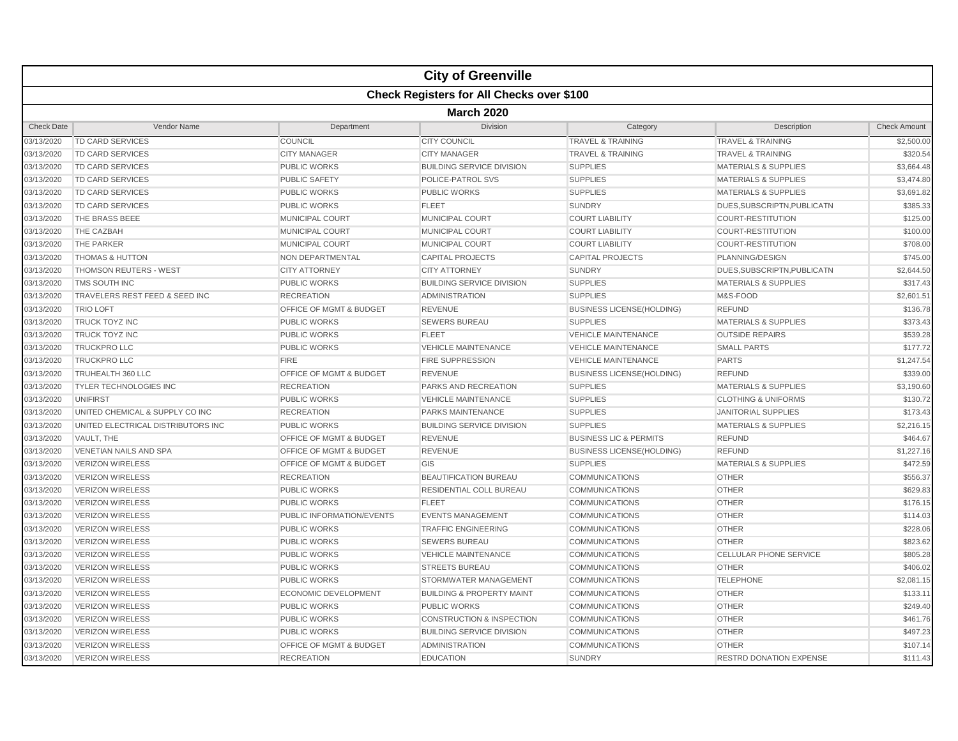|                   |                                    |                                    | <b>City of Greenville</b>                        |                                   |                                 |                     |  |  |  |
|-------------------|------------------------------------|------------------------------------|--------------------------------------------------|-----------------------------------|---------------------------------|---------------------|--|--|--|
|                   |                                    |                                    | <b>Check Registers for All Checks over \$100</b> |                                   |                                 |                     |  |  |  |
|                   | <b>March 2020</b>                  |                                    |                                                  |                                   |                                 |                     |  |  |  |
| <b>Check Date</b> | Vendor Name                        | Department                         | <b>Division</b>                                  | Category                          | Description                     | <b>Check Amount</b> |  |  |  |
| 03/13/2020        | <b>TD CARD SERVICES</b>            | <b>COUNCIL</b>                     | <b>CITY COUNCIL</b>                              | <b>TRAVEL &amp; TRAINING</b>      | <b>TRAVEL &amp; TRAINING</b>    | \$2,500.00          |  |  |  |
| 03/13/2020        | <b>TD CARD SERVICES</b>            | <b>CITY MANAGER</b>                | <b>CITY MANAGER</b>                              | <b>TRAVEL &amp; TRAINING</b>      | <b>TRAVEL &amp; TRAINING</b>    | \$320.54            |  |  |  |
| 03/13/2020        | <b>TD CARD SERVICES</b>            | <b>PUBLIC WORKS</b>                | <b>BUILDING SERVICE DIVISION</b>                 | <b>SUPPLIES</b>                   | <b>MATERIALS &amp; SUPPLIES</b> | \$3,664.48          |  |  |  |
| 03/13/2020        | <b>TD CARD SERVICES</b>            | <b>PUBLIC SAFETY</b>               | POLICE-PATROL SVS                                | <b>SUPPLIES</b>                   | <b>MATERIALS &amp; SUPPLIES</b> | \$3,474.80          |  |  |  |
| 03/13/2020        | <b>TD CARD SERVICES</b>            | <b>PUBLIC WORKS</b>                | <b>PUBLIC WORKS</b>                              | <b>SUPPLIES</b>                   | <b>MATERIALS &amp; SUPPLIES</b> | \$3,691.82          |  |  |  |
| 03/13/2020        | <b>TD CARD SERVICES</b>            | <b>PUBLIC WORKS</b>                | <b>FLEET</b>                                     | <b>SUNDRY</b>                     | DUES, SUBSCRIPTN, PUBLICATN     | \$385.33            |  |  |  |
| 03/13/2020        | THE BRASS BEEE                     | MUNICIPAL COURT                    | <b>MUNICIPAL COURT</b>                           | <b>COURT LIABILITY</b>            | <b>COURT-RESTITUTION</b>        | \$125.00            |  |  |  |
| 03/13/2020        | THE CAZBAH                         | MUNICIPAL COURT                    | <b>MUNICIPAL COURT</b>                           | <b>COURT LIABILITY</b>            | <b>COURT-RESTITUTION</b>        | \$100.00            |  |  |  |
| 03/13/2020        | THE PARKER                         | MUNICIPAL COURT                    | MUNICIPAL COURT                                  | <b>COURT LIABILITY</b>            | <b>COURT-RESTITUTION</b>        | \$708.00            |  |  |  |
| 03/13/2020        | <b>THOMAS &amp; HUTTON</b>         | NON DEPARTMENTAL                   | <b>CAPITAL PROJECTS</b>                          | <b>CAPITAL PROJECTS</b>           | PLANNING/DESIGN                 | \$745.00            |  |  |  |
| 03/13/2020        | <b>THOMSON REUTERS - WEST</b>      | <b>CITY ATTORNEY</b>               | <b>CITY ATTORNEY</b>                             | <b>SUNDRY</b>                     | DUES, SUBSCRIPTN, PUBLICATN     | \$2,644.50          |  |  |  |
| 03/13/2020        | TMS SOUTH INC                      | <b>PUBLIC WORKS</b>                | <b>BUILDING SERVICE DIVISION</b>                 | <b>SUPPLIES</b>                   | <b>MATERIALS &amp; SUPPLIES</b> | \$317.43            |  |  |  |
| 03/13/2020        | TRAVELERS REST FEED & SEED INC     | <b>RECREATION</b>                  | <b>ADMINISTRATION</b>                            | <b>SUPPLIES</b>                   | M&S-FOOD                        | \$2,601.51          |  |  |  |
| 03/13/2020        | <b>TRIO LOFT</b>                   | <b>OFFICE OF MGMT &amp; BUDGET</b> | <b>REVENUE</b>                                   | <b>BUSINESS LICENSE(HOLDING)</b>  | <b>REFUND</b>                   | \$136.78            |  |  |  |
| 03/13/2020        | <b>TRUCK TOYZ INC</b>              | <b>PUBLIC WORKS</b>                | <b>SEWERS BUREAU</b>                             | <b>SUPPLIES</b>                   | <b>MATERIALS &amp; SUPPLIES</b> | \$373.43            |  |  |  |
| 03/13/2020        | <b>TRUCK TOYZ INC</b>              | <b>PUBLIC WORKS</b>                | <b>FLEET</b>                                     | <b>VEHICLE MAINTENANCE</b>        | <b>OUTSIDE REPAIRS</b>          | \$539.28            |  |  |  |
| 03/13/2020        | <b>TRUCKPRO LLC</b>                | <b>PUBLIC WORKS</b>                | <b>VEHICLE MAINTENANCE</b>                       | <b>VEHICLE MAINTENANCE</b>        | <b>SMALL PARTS</b>              | \$177.72            |  |  |  |
| 03/13/2020        | TRUCKPRO LLC                       | <b>FIRE</b>                        | <b>FIRE SUPPRESSION</b>                          | <b>VEHICLE MAINTENANCE</b>        | <b>PARTS</b>                    | \$1,247.54          |  |  |  |
| 03/13/2020        | TRUHEALTH 360 LLC                  | OFFICE OF MGMT & BUDGET            | <b>REVENUE</b>                                   | <b>BUSINESS LICENSE(HOLDING)</b>  | <b>REFUND</b>                   | \$339.00            |  |  |  |
| 03/13/2020        | TYLER TECHNOLOGIES INC             | <b>RECREATION</b>                  | PARKS AND RECREATION                             | <b>SUPPLIES</b>                   | <b>MATERIALS &amp; SUPPLIES</b> | \$3,190.60          |  |  |  |
| 03/13/2020        | <b>UNIFIRST</b>                    | <b>PUBLIC WORKS</b>                | <b>VEHICLE MAINTENANCE</b>                       | <b>SUPPLIES</b>                   | <b>CLOTHING &amp; UNIFORMS</b>  | \$130.72            |  |  |  |
| 03/13/2020        | UNITED CHEMICAL & SUPPLY CO INC    | <b>RECREATION</b>                  | <b>PARKS MAINTENANCE</b>                         | <b>SUPPLIES</b>                   | <b>JANITORIAL SUPPLIES</b>      | \$173.43            |  |  |  |
| 03/13/2020        | UNITED ELECTRICAL DISTRIBUTORS INC | <b>PUBLIC WORKS</b>                | <b>BUILDING SERVICE DIVISION</b>                 | <b>SUPPLIES</b>                   | <b>MATERIALS &amp; SUPPLIES</b> | \$2,216.15          |  |  |  |
| 03/13/2020        | VAULT. THE                         | <b>OFFICE OF MGMT &amp; BUDGET</b> | <b>REVENUE</b>                                   | <b>BUSINESS LIC &amp; PERMITS</b> | <b>REFUND</b>                   | \$464.67            |  |  |  |
| 03/13/2020        | <b>VENETIAN NAILS AND SPA</b>      | OFFICE OF MGMT & BUDGET            | <b>REVENUE</b>                                   | <b>BUSINESS LICENSE(HOLDING)</b>  | <b>REFUND</b>                   | \$1,227.16          |  |  |  |
| 03/13/2020        | <b>VERIZON WIRELESS</b>            | OFFICE OF MGMT & BUDGET            | GIS                                              | <b>SUPPLIES</b>                   | <b>MATERIALS &amp; SUPPLIES</b> | \$472.59            |  |  |  |
| 03/13/2020        | <b>VERIZON WIRELESS</b>            | <b>RECREATION</b>                  | <b>BEAUTIFICATION BUREAU</b>                     | <b>COMMUNICATIONS</b>             | <b>OTHER</b>                    | \$556.37            |  |  |  |
| 03/13/2020        | <b>VERIZON WIRELESS</b>            | <b>PUBLIC WORKS</b>                | RESIDENTIAL COLL BUREAU                          | <b>COMMUNICATIONS</b>             | <b>OTHER</b>                    | \$629.83            |  |  |  |
| 03/13/2020        | <b>VERIZON WIRELESS</b>            | <b>PUBLIC WORKS</b>                | <b>FLEET</b>                                     | <b>COMMUNICATIONS</b>             | <b>OTHER</b>                    | \$176.15            |  |  |  |
| 03/13/2020        | <b>VERIZON WIRELESS</b>            | <b>PUBLIC INFORMATION/EVENTS</b>   | <b>EVENTS MANAGEMENT</b>                         | <b>COMMUNICATIONS</b>             | <b>OTHER</b>                    | \$114.03            |  |  |  |
| 03/13/2020        | <b>VERIZON WIRELESS</b>            | <b>PUBLIC WORKS</b>                | <b>TRAFFIC ENGINEERING</b>                       | <b>COMMUNICATIONS</b>             | <b>OTHER</b>                    | \$228.06            |  |  |  |
| 03/13/2020        | <b>VERIZON WIRELESS</b>            | <b>PUBLIC WORKS</b>                | <b>SEWERS BUREAU</b>                             | <b>COMMUNICATIONS</b>             | <b>OTHER</b>                    | \$823.62            |  |  |  |
| 03/13/2020        | <b>VERIZON WIRELESS</b>            | <b>PUBLIC WORKS</b>                | <b>VEHICLE MAINTENANCE</b>                       | <b>COMMUNICATIONS</b>             | <b>CELLULAR PHONE SERVICE</b>   | \$805.28            |  |  |  |
| 03/13/2020        | <b>VERIZON WIRELESS</b>            | <b>PUBLIC WORKS</b>                | <b>STREETS BUREAU</b>                            | <b>COMMUNICATIONS</b>             | <b>OTHER</b>                    | \$406.02            |  |  |  |
| 03/13/2020        | <b>VERIZON WIRELESS</b>            | <b>PUBLIC WORKS</b>                | STORMWATER MANAGEMENT                            | <b>COMMUNICATIONS</b>             | <b>TELEPHONE</b>                | \$2,081.15          |  |  |  |
| 03/13/2020        | <b>VERIZON WIRELESS</b>            | ECONOMIC DEVELOPMENT               | <b>BUILDING &amp; PROPERTY MAINT</b>             | <b>COMMUNICATIONS</b>             | <b>OTHER</b>                    | \$133.11            |  |  |  |
| 03/13/2020        | VERIZON WIRELESS                   | <b>PUBLIC WORKS</b>                | <b>PUBLIC WORKS</b>                              | <b>COMMUNICATIONS</b>             | <b>OTHER</b>                    | \$249.40            |  |  |  |
| 03/13/2020        | <b>VERIZON WIRELESS</b>            | <b>PUBLIC WORKS</b>                | <b>CONSTRUCTION &amp; INSPECTION</b>             | <b>COMMUNICATIONS</b>             | <b>OTHER</b>                    | \$461.76            |  |  |  |
| 03/13/2020        | <b>VERIZON WIRELESS</b>            | <b>PUBLIC WORKS</b>                | <b>BUILDING SERVICE DIVISION</b>                 | <b>COMMUNICATIONS</b>             | <b>OTHER</b>                    | \$497.23            |  |  |  |
| 03/13/2020        | <b>VERIZON WIRELESS</b>            | OFFICE OF MGMT & BUDGET            | <b>ADMINISTRATION</b>                            | <b>COMMUNICATIONS</b>             | <b>OTHER</b>                    | \$107.14            |  |  |  |
| 03/13/2020        | <b>VERIZON WIRELESS</b>            | <b>RECREATION</b>                  | <b>EDUCATION</b>                                 | <b>SUNDRY</b>                     | <b>RESTRD DONATION EXPENSE</b>  | \$111.43            |  |  |  |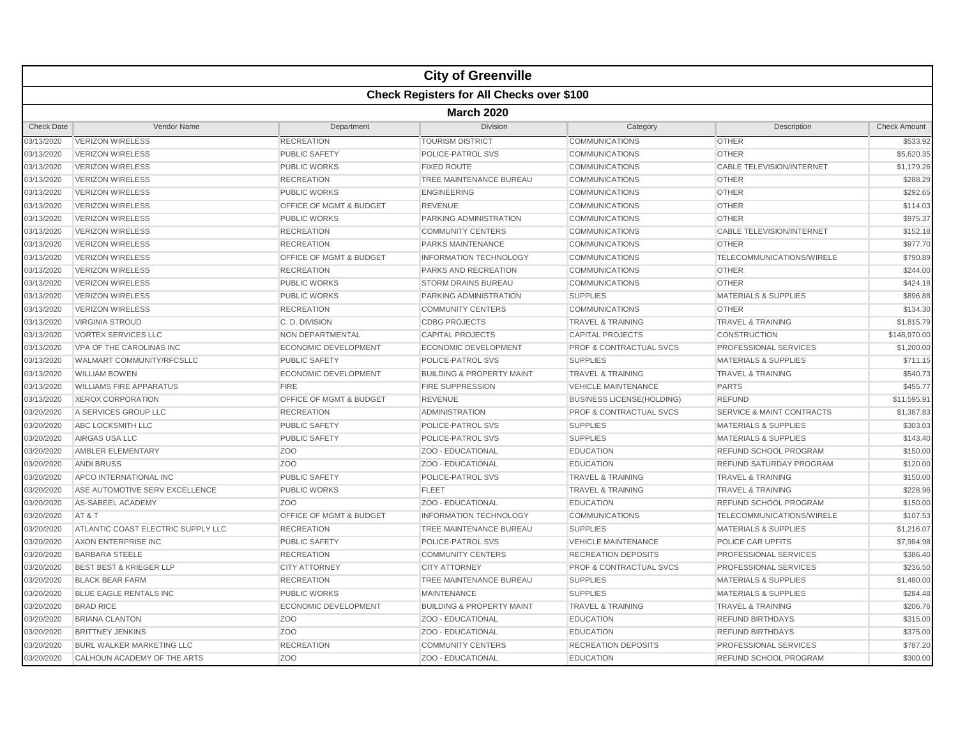|                   |                                    |                                    | <b>City of Greenville</b>                        |                                    |                                      |                     |  |  |  |
|-------------------|------------------------------------|------------------------------------|--------------------------------------------------|------------------------------------|--------------------------------------|---------------------|--|--|--|
|                   |                                    |                                    | <b>Check Registers for All Checks over \$100</b> |                                    |                                      |                     |  |  |  |
|                   | <b>March 2020</b>                  |                                    |                                                  |                                    |                                      |                     |  |  |  |
| <b>Check Date</b> | Vendor Name                        | Department                         | Division                                         | Category                           | Description                          | <b>Check Amount</b> |  |  |  |
| 03/13/2020        | <b>VERIZON WIRELESS</b>            | <b>RECREATION</b>                  | <b>TOURISM DISTRICT</b>                          | <b>COMMUNICATIONS</b>              | <b>OTHER</b>                         | \$533.92            |  |  |  |
| 03/13/2020        | <b>VERIZON WIRELESS</b>            | <b>PUBLIC SAFETY</b>               | POLICE-PATROL SVS                                | <b>COMMUNICATIONS</b>              | <b>OTHER</b>                         | \$5,620.35          |  |  |  |
| 03/13/2020        | <b>VERIZON WIRELESS</b>            | <b>PUBLIC WORKS</b>                | <b>FIXED ROUTE</b>                               | <b>COMMUNICATIONS</b>              | <b>CABLE TELEVISION/INTERNET</b>     | \$1,179.26          |  |  |  |
| 03/13/2020        | <b>VERIZON WIRELESS</b>            | <b>RECREATION</b>                  | TREE MAINTENANCE BUREAU                          | <b>COMMUNICATIONS</b>              | <b>OTHER</b>                         | \$288.29            |  |  |  |
| 03/13/2020        | <b>VERIZON WIRELESS</b>            | <b>PUBLIC WORKS</b>                | <b>ENGINEERING</b>                               | <b>COMMUNICATIONS</b>              | <b>OTHER</b>                         | \$292.65            |  |  |  |
| 03/13/2020        | <b>VERIZON WIRELESS</b>            | OFFICE OF MGMT & BUDGET            | <b>REVENUE</b>                                   | <b>COMMUNICATIONS</b>              | <b>OTHER</b>                         | \$114.03            |  |  |  |
| 03/13/2020        | <b>VERIZON WIRELESS</b>            | <b>PUBLIC WORKS</b>                | PARKING ADMINISTRATION                           | <b>COMMUNICATIONS</b>              | <b>OTHER</b>                         | \$975.37            |  |  |  |
| 03/13/2020        | <b>VERIZON WIRELESS</b>            | <b>RECREATION</b>                  | <b>COMMUNITY CENTERS</b>                         | <b>COMMUNICATIONS</b>              | <b>CABLE TELEVISION/INTERNET</b>     | \$152.18            |  |  |  |
| 03/13/2020        | <b>VERIZON WIRELESS</b>            | <b>RECREATION</b>                  | <b>PARKS MAINTENANCE</b>                         | <b>COMMUNICATIONS</b>              | <b>OTHER</b>                         | \$977.70            |  |  |  |
| 03/13/2020        | <b>VERIZON WIRELESS</b>            | <b>OFFICE OF MGMT &amp; BUDGET</b> | <b>INFORMATION TECHNOLOGY</b>                    | <b>COMMUNICATIONS</b>              | TELECOMMUNICATIONS/WIRELE            | \$790.89            |  |  |  |
| 03/13/2020        | <b>VERIZON WIRELESS</b>            | <b>RECREATION</b>                  | PARKS AND RECREATION                             | <b>COMMUNICATIONS</b>              | <b>OTHER</b>                         | \$244.00            |  |  |  |
| 03/13/2020        | <b>VERIZON WIRELESS</b>            | <b>PUBLIC WORKS</b>                | <b>STORM DRAINS BUREAU</b>                       | <b>COMMUNICATIONS</b>              | <b>OTHER</b>                         | \$424.18            |  |  |  |
| 03/13/2020        | <b>VERIZON WIRELESS</b>            | <b>PUBLIC WORKS</b>                | PARKING ADMINISTRATION                           | <b>SUPPLIES</b>                    | <b>MATERIALS &amp; SUPPLIES</b>      | \$896.88            |  |  |  |
| 03/13/2020        | <b>VERIZON WIRELESS</b>            | <b>RECREATION</b>                  | <b>COMMUNITY CENTERS</b>                         | <b>COMMUNICATIONS</b>              | <b>OTHER</b>                         | \$134.30            |  |  |  |
| 03/13/2020        | <b>VIRGINIA STROUD</b>             | C. D. DIVISION                     | <b>CDBG PROJECTS</b>                             | <b>TRAVEL &amp; TRAINING</b>       | <b>TRAVEL &amp; TRAINING</b>         | \$1,815.79          |  |  |  |
| 03/13/2020        | <b>VORTEX SERVICES LLC</b>         | NON DEPARTMENTAL                   | <b>CAPITAL PROJECTS</b>                          | <b>CAPITAL PROJECTS</b>            | <b>CONSTRUCTION</b>                  | \$148,970.00        |  |  |  |
| 03/13/2020        | VPA OF THE CAROLINAS INC           | <b>ECONOMIC DEVELOPMENT</b>        | <b>ECONOMIC DEVELOPMENT</b>                      | <b>PROF &amp; CONTRACTUAL SVCS</b> | <b>PROFESSIONAL SERVICES</b>         | \$1,200.00          |  |  |  |
| 03/13/2020        | WALMART COMMUNITY/RFCSLLC          | <b>PUBLIC SAFETY</b>               | POLICE-PATROL SVS                                | <b>SUPPLIES</b>                    | <b>MATERIALS &amp; SUPPLIES</b>      | \$711.15            |  |  |  |
| 03/13/2020        | <b>WILLIAM BOWEN</b>               | <b>ECONOMIC DEVELOPMENT</b>        | <b>BUILDING &amp; PROPERTY MAINT</b>             | <b>TRAVEL &amp; TRAINING</b>       | <b>TRAVEL &amp; TRAINING</b>         | \$540.73            |  |  |  |
| 03/13/2020        | <b>WILLIAMS FIRE APPARATUS</b>     | <b>FIRE</b>                        | <b>FIRE SUPPRESSION</b>                          | <b>VEHICLE MAINTENANCE</b>         | <b>PARTS</b>                         | \$455.77            |  |  |  |
| 03/13/2020        | <b>XEROX CORPORATION</b>           | OFFICE OF MGMT & BUDGET            | <b>REVENUE</b>                                   | <b>BUSINESS LICENSE(HOLDING)</b>   | <b>REFUND</b>                        | \$11,595.91         |  |  |  |
| 03/20/2020        | A SERVICES GROUP LLC               | <b>RECREATION</b>                  | <b>ADMINISTRATION</b>                            | <b>PROF &amp; CONTRACTUAL SVCS</b> | <b>SERVICE &amp; MAINT CONTRACTS</b> | \$1,387.83          |  |  |  |
| 03/20/2020        | ABC LOCKSMITH LLC                  | <b>PUBLIC SAFETY</b>               | POLICE-PATROL SVS                                | <b>SUPPLIES</b>                    | <b>MATERIALS &amp; SUPPLIES</b>      | \$303.03            |  |  |  |
| 03/20/2020        | AIRGAS USA LLC                     | <b>PUBLIC SAFETY</b>               | POLICE-PATROL SVS                                | <b>SUPPLIES</b>                    | <b>MATERIALS &amp; SUPPLIES</b>      | \$143.40            |  |  |  |
| 03/20/2020        | AMBLER ELEMENTARY                  | Z <sub>O</sub> O                   | ZOO - EDUCATIONAL                                | <b>EDUCATION</b>                   | <b>REFUND SCHOOL PROGRAM</b>         | \$150.00            |  |  |  |
| 03/20/2020        | <b>ANDI BRUSS</b>                  | Z <sub>O</sub> O                   | ZOO - EDUCATIONAL                                | <b>EDUCATION</b>                   | <b>REFUND SATURDAY PROGRAM</b>       | \$120.00            |  |  |  |
| 03/20/2020        | APCO INTERNATIONAL INC             | <b>PUBLIC SAFETY</b>               | POLICE-PATROL SVS                                | <b>TRAVEL &amp; TRAINING</b>       | <b>TRAVEL &amp; TRAINING</b>         | \$150.00            |  |  |  |
| 03/20/2020        | ASE AUTOMOTIVE SERV EXCELLENCE     | <b>PUBLIC WORKS</b>                | <b>FLEET</b>                                     | <b>TRAVEL &amp; TRAINING</b>       | <b>TRAVEL &amp; TRAINING</b>         | \$228.96            |  |  |  |
| 03/20/2020        | AS-SABEEL ACADEMY                  | Z <sub>O</sub> O                   | ZOO - EDUCATIONAL                                | <b>EDUCATION</b>                   | <b>REFUND SCHOOL PROGRAM</b>         | \$150.00            |  |  |  |
| 03/20/2020        | AT&T                               | OFFICE OF MGMT & BUDGET            | <b>INFORMATION TECHNOLOGY</b>                    | <b>COMMUNICATIONS</b>              | TELECOMMUNICATIONS/WIRELE            | \$107.53            |  |  |  |
| 03/20/2020        | ATLANTIC COAST ELECTRIC SUPPLY LLC | <b>RECREATION</b>                  | TREE MAINTENANCE BUREAU                          | <b>SUPPLIES</b>                    | <b>MATERIALS &amp; SUPPLIES</b>      | \$1,216.07          |  |  |  |
| 03/20/2020        | <b>AXON ENTERPRISE INC</b>         | <b>PUBLIC SAFETY</b>               | <b>POLICE-PATROL SVS</b>                         | <b>VEHICLE MAINTENANCE</b>         | <b>POLICE CAR UPFITS</b>             | \$7,984.98          |  |  |  |
| 03/20/2020        | <b>BARBARA STEELE</b>              | <b>RECREATION</b>                  | <b>COMMUNITY CENTERS</b>                         | <b>RECREATION DEPOSITS</b>         | <b>PROFESSIONAL SERVICES</b>         | \$386.40            |  |  |  |
| 03/20/2020        | <b>BEST BEST &amp; KRIEGER LLP</b> | <b>CITY ATTORNEY</b>               | <b>CITY ATTORNEY</b>                             | <b>PROF &amp; CONTRACTUAL SVCS</b> | <b>PROFESSIONAL SERVICES</b>         | \$236.50            |  |  |  |
| 03/20/2020        | <b>BLACK BEAR FARM</b>             | <b>RECREATION</b>                  | TREE MAINTENANCE BUREAU                          | <b>SUPPLIES</b>                    | <b>MATERIALS &amp; SUPPLIES</b>      | \$1,480.00          |  |  |  |
| 03/20/2020        | <b>BLUE EAGLE RENTALS INC</b>      | <b>PUBLIC WORKS</b>                | <b>MAINTENANCE</b>                               | <b>SUPPLIES</b>                    | <b>MATERIALS &amp; SUPPLIES</b>      | \$284.48            |  |  |  |
| 03/20/2020        | <b>BRAD RICE</b>                   | <b>ECONOMIC DEVELOPMENT</b>        | <b>BUILDING &amp; PROPERTY MAINT</b>             | <b>TRAVEL &amp; TRAINING</b>       | <b>TRAVEL &amp; TRAINING</b>         | \$206.76            |  |  |  |
| 03/20/2020        | <b>BRIANA CLANTON</b>              | Z <sub>O</sub> O                   | ZOO - EDUCATIONAL                                | <b>EDUCATION</b>                   | <b>REFUND BIRTHDAYS</b>              | \$315.00            |  |  |  |
| 03/20/2020        | <b>BRITTNEY JENKINS</b>            | Z <sub>O</sub> O                   | ZOO - EDUCATIONAL                                | <b>EDUCATION</b>                   | <b>REFUND BIRTHDAYS</b>              | \$375.00            |  |  |  |
| 03/20/2020        | <b>BURL WALKER MARKETING LLC</b>   | <b>RECREATION</b>                  | <b>COMMUNITY CENTERS</b>                         | <b>RECREATION DEPOSITS</b>         | <b>PROFESSIONAL SERVICES</b>         | \$787.20            |  |  |  |
| 03/20/2020        | CALHOUN ACADEMY OF THE ARTS        | Z <sub>O</sub> O                   | ZOO - EDUCATIONAL                                | <b>EDUCATION</b>                   | <b>REFUND SCHOOL PROGRAM</b>         | \$300.00            |  |  |  |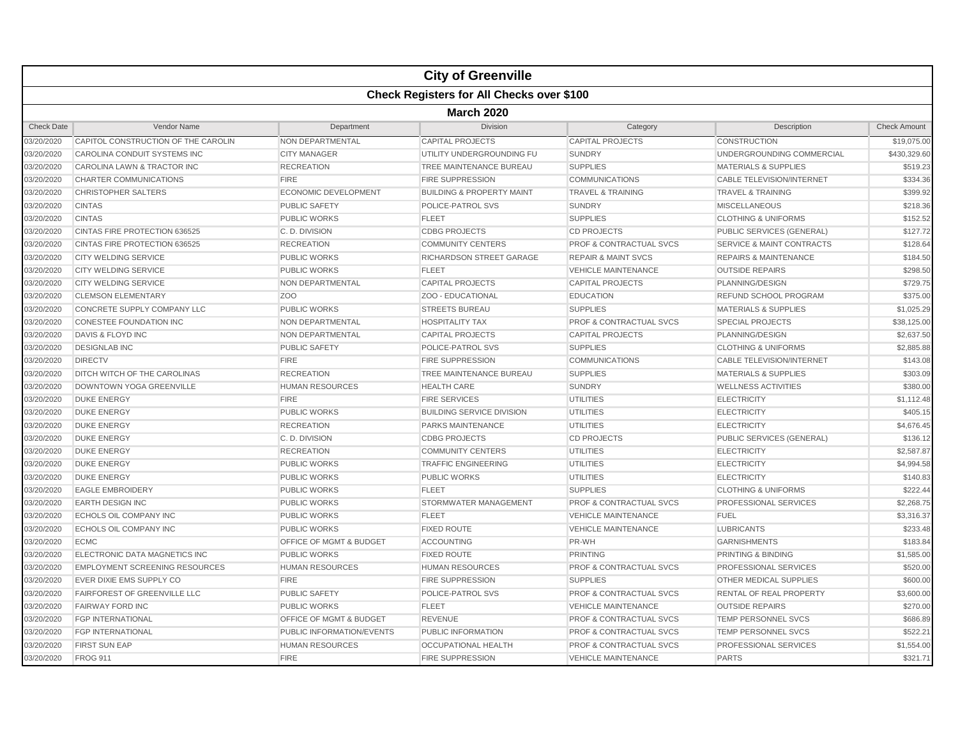|                   |                                       |                             | <b>City of Greenville</b>                        |                                    |                                      |                     |  |  |  |
|-------------------|---------------------------------------|-----------------------------|--------------------------------------------------|------------------------------------|--------------------------------------|---------------------|--|--|--|
|                   |                                       |                             | <b>Check Registers for All Checks over \$100</b> |                                    |                                      |                     |  |  |  |
|                   | <b>March 2020</b>                     |                             |                                                  |                                    |                                      |                     |  |  |  |
| <b>Check Date</b> | Vendor Name                           | Department                  | <b>Division</b>                                  | Category                           | Description                          | <b>Check Amount</b> |  |  |  |
| 03/20/2020        | CAPITOL CONSTRUCTION OF THE CAROLIN   | NON DEPARTMENTAL            | <b>CAPITAL PROJECTS</b>                          | <b>CAPITAL PROJECTS</b>            | CONSTRUCTION                         | \$19,075.00         |  |  |  |
| 03/20/2020        | CAROLINA CONDUIT SYSTEMS INC          | <b>CITY MANAGER</b>         | UTILITY UNDERGROUNDING FU                        | <b>SUNDRY</b>                      | UNDERGROUNDING COMMERCIAL            | \$430,329.60        |  |  |  |
| 03/20/2020        | CAROLINA LAWN & TRACTOR INC           | <b>RECREATION</b>           | TREE MAINTENANCE BUREAU                          | <b>SUPPLIES</b>                    | <b>MATERIALS &amp; SUPPLIES</b>      | \$519.23            |  |  |  |
| 03/20/2020        | <b>CHARTER COMMUNICATIONS</b>         | <b>FIRE</b>                 | <b>FIRE SUPPRESSION</b>                          | <b>COMMUNICATIONS</b>              | <b>CABLE TELEVISION/INTERNET</b>     | \$334.36            |  |  |  |
| 03/20/2020        | <b>CHRISTOPHER SALTERS</b>            | <b>ECONOMIC DEVELOPMENT</b> | <b>BUILDING &amp; PROPERTY MAINT</b>             | <b>TRAVEL &amp; TRAINING</b>       | <b>TRAVEL &amp; TRAINING</b>         | \$399.92            |  |  |  |
| 03/20/2020        | <b>CINTAS</b>                         | <b>PUBLIC SAFETY</b>        | POLICE-PATROL SVS                                | <b>SUNDRY</b>                      | <b>MISCELLANEOUS</b>                 | \$218.36            |  |  |  |
| 03/20/2020        | <b>CINTAS</b>                         | <b>PUBLIC WORKS</b>         | <b>FLEET</b>                                     | <b>SUPPLIES</b>                    | <b>CLOTHING &amp; UNIFORMS</b>       | \$152.52            |  |  |  |
| 03/20/2020        | <b>CINTAS FIRE PROTECTION 636525</b>  | C.D. DIVISION               | <b>CDBG PROJECTS</b>                             | <b>CD PROJECTS</b>                 | PUBLIC SERVICES (GENERAL)            | \$127.72            |  |  |  |
| 03/20/2020        | CINTAS FIRE PROTECTION 636525         | <b>RECREATION</b>           | <b>COMMUNITY CENTERS</b>                         | <b>PROF &amp; CONTRACTUAL SVCS</b> | <b>SERVICE &amp; MAINT CONTRACTS</b> | \$128.64            |  |  |  |
| 03/20/2020        | <b>CITY WELDING SERVICE</b>           | <b>PUBLIC WORKS</b>         | <b>RICHARDSON STREET GARAGE</b>                  | <b>REPAIR &amp; MAINT SVCS</b>     | <b>REPAIRS &amp; MAINTENANCE</b>     | \$184.50            |  |  |  |
| 03/20/2020        | <b>CITY WELDING SERVICE</b>           | <b>PUBLIC WORKS</b>         | <b>FLEET</b>                                     | <b>VEHICLE MAINTENANCE</b>         | <b>OUTSIDE REPAIRS</b>               | \$298.50            |  |  |  |
| 03/20/2020        | <b>CITY WELDING SERVICE</b>           | NON DEPARTMENTAL            | <b>CAPITAL PROJECTS</b>                          | <b>CAPITAL PROJECTS</b>            | PLANNING/DESIGN                      | \$729.75            |  |  |  |
| 03/20/2020        | <b>CLEMSON ELEMENTARY</b>             | Z <sub>O</sub> O            | ZOO - EDUCATIONAL                                | <b>EDUCATION</b>                   | <b>REFUND SCHOOL PROGRAM</b>         | \$375.00            |  |  |  |
| 03/20/2020        | CONCRETE SUPPLY COMPANY LLC           | <b>PUBLIC WORKS</b>         | <b>STREETS BUREAU</b>                            | <b>SUPPLIES</b>                    | <b>MATERIALS &amp; SUPPLIES</b>      | \$1,025.29          |  |  |  |
| 03/20/2020        | <b>CONESTEE FOUNDATION INC</b>        | NON DEPARTMENTAL            | <b>HOSPITALITY TAX</b>                           | <b>PROF &amp; CONTRACTUAL SVCS</b> | <b>SPECIAL PROJECTS</b>              | \$38,125.00         |  |  |  |
| 03/20/2020        | <b>DAVIS &amp; FLOYD INC</b>          | NON DEPARTMENTAL            | <b>CAPITAL PROJECTS</b>                          | <b>CAPITAL PROJECTS</b>            | PLANNING/DESIGN                      | \$2,637.50          |  |  |  |
| 03/20/2020        | <b>DESIGNLAB INC</b>                  | <b>PUBLIC SAFETY</b>        | POLICE-PATROL SVS                                | <b>SUPPLIES</b>                    | <b>CLOTHING &amp; UNIFORMS</b>       | \$2,885.88          |  |  |  |
| 03/20/2020        | <b>DIRECTV</b>                        | <b>FIRE</b>                 | <b>FIRE SUPPRESSION</b>                          | <b>COMMUNICATIONS</b>              | <b>CABLE TELEVISION/INTERNET</b>     | \$143.08            |  |  |  |
| 03/20/2020        | DITCH WITCH OF THE CAROLINAS          | <b>RECREATION</b>           | TREE MAINTENANCE BUREAU                          | <b>SUPPLIES</b>                    | <b>MATERIALS &amp; SUPPLIES</b>      | \$303.09            |  |  |  |
| 03/20/2020        | DOWNTOWN YOGA GREENVILLE              | <b>HUMAN RESOURCES</b>      | <b>HEALTH CARE</b>                               | <b>SUNDRY</b>                      | <b>WELLNESS ACTIVITIES</b>           | \$380.00            |  |  |  |
| 03/20/2020        | <b>DUKE ENERGY</b>                    | <b>FIRE</b>                 | <b>FIRE SERVICES</b>                             | <b>UTILITIES</b>                   | <b>ELECTRICITY</b>                   | \$1,112.48          |  |  |  |
| 03/20/2020        | <b>DUKE ENERGY</b>                    | <b>PUBLIC WORKS</b>         | <b>BUILDING SERVICE DIVISION</b>                 | <b>UTILITIES</b>                   | <b>ELECTRICITY</b>                   | \$405.15            |  |  |  |
| 03/20/2020        | <b>DUKE ENERGY</b>                    | <b>RECREATION</b>           | <b>PARKS MAINTENANCE</b>                         | <b>UTILITIES</b>                   | <b>ELECTRICITY</b>                   | \$4,676.45          |  |  |  |
| 03/20/2020        | <b>DUKE ENERGY</b>                    | C.D. DIVISION               | <b>CDBG PROJECTS</b>                             | <b>CD PROJECTS</b>                 | PUBLIC SERVICES (GENERAL)            | \$136.12            |  |  |  |
| 03/20/2020        | <b>DUKE ENERGY</b>                    | <b>RECREATION</b>           | <b>COMMUNITY CENTERS</b>                         | <b>UTILITIES</b>                   | <b>ELECTRICITY</b>                   | \$2,587.87          |  |  |  |
| 03/20/2020        | <b>DUKE ENERGY</b>                    | <b>PUBLIC WORKS</b>         | <b>TRAFFIC ENGINEERING</b>                       | <b>UTILITIES</b>                   | <b>ELECTRICITY</b>                   | \$4,994.58          |  |  |  |
| 03/20/2020        | <b>DUKE ENERGY</b>                    | PUBLIC WORKS                | PUBLIC WORKS                                     | <b>UTILITIES</b>                   | <b>ELECTRICITY</b>                   | \$140.83            |  |  |  |
| 03/20/2020        | <b>EAGLE EMBROIDERY</b>               | <b>PUBLIC WORKS</b>         | <b>FLEET</b>                                     | <b>SUPPLIES</b>                    | <b>CLOTHING &amp; UNIFORMS</b>       | \$222.44            |  |  |  |
| 03/20/2020        | <b>EARTH DESIGN INC</b>               | <b>PUBLIC WORKS</b>         | STORMWATER MANAGEMENT                            | <b>PROF &amp; CONTRACTUAL SVCS</b> | <b>PROFESSIONAL SERVICES</b>         | \$2,268.75          |  |  |  |
| 03/20/2020        | ECHOLS OIL COMPANY INC                | <b>PUBLIC WORKS</b>         | <b>FLEET</b>                                     | <b>VEHICLE MAINTENANCE</b>         | <b>FUEL</b>                          | \$3,316.37          |  |  |  |
| 03/20/2020        | <b>ECHOLS OIL COMPANY INC</b>         | <b>PUBLIC WORKS</b>         | <b>FIXED ROUTE</b>                               | <b>VEHICLE MAINTENANCE</b>         | <b>LUBRICANTS</b>                    | \$233.48            |  |  |  |
| 03/20/2020        | <b>ECMC</b>                           | OFFICE OF MGMT & BUDGET     | <b>ACCOUNTING</b>                                | PR-WH                              | <b>GARNISHMENTS</b>                  | \$183.84            |  |  |  |
| 03/20/2020        | ELECTRONIC DATA MAGNETICS INC         | <b>PUBLIC WORKS</b>         | <b>FIXED ROUTE</b>                               | <b>PRINTING</b>                    | PRINTING & BINDING                   | \$1,585.00          |  |  |  |
| 03/20/2020        | <b>EMPLOYMENT SCREENING RESOURCES</b> | <b>HUMAN RESOURCES</b>      | <b>HUMAN RESOURCES</b>                           | <b>PROF &amp; CONTRACTUAL SVCS</b> | <b>PROFESSIONAL SERVICES</b>         | \$520.00            |  |  |  |
| 03/20/2020        | EVER DIXIE EMS SUPPLY CO              | <b>FIRE</b>                 | <b>FIRE SUPPRESSION</b>                          | <b>SUPPLIES</b>                    | OTHER MEDICAL SUPPLIES               | \$600.00            |  |  |  |
| 03/20/2020        | <b>FAIRFOREST OF GREENVILLE LLC</b>   | <b>PUBLIC SAFETY</b>        | POLICE-PATROL SVS                                | <b>PROF &amp; CONTRACTUAL SVCS</b> | <b>RENTAL OF REAL PROPERTY</b>       | \$3,600.00          |  |  |  |
| 03/20/2020        | <b>FAIRWAY FORD INC</b>               | <b>PUBLIC WORKS</b>         | <b>FLEET</b>                                     | <b>VEHICLE MAINTENANCE</b>         | <b>OUTSIDE REPAIRS</b>               | \$270.00            |  |  |  |
| 03/20/2020        | <b>FGP INTERNATIONAL</b>              | OFFICE OF MGMT & BUDGET     | <b>REVENUE</b>                                   | <b>PROF &amp; CONTRACTUAL SVCS</b> | <b>TEMP PERSONNEL SVCS</b>           | \$686.89            |  |  |  |
| 03/20/2020        | <b>FGP INTERNATIONAL</b>              | PUBLIC INFORMATION/EVENTS   | PUBLIC INFORMATION                               | <b>PROF &amp; CONTRACTUAL SVCS</b> | <b>TEMP PERSONNEL SVCS</b>           | \$522.21            |  |  |  |
| 03/20/2020        | <b>FIRST SUN EAP</b>                  | <b>HUMAN RESOURCES</b>      | <b>OCCUPATIONAL HEALTH</b>                       | <b>PROF &amp; CONTRACTUAL SVCS</b> | PROFESSIONAL SERVICES                | \$1,554.00          |  |  |  |
| 03/20/2020        | <b>FROG 911</b>                       | <b>FIRE</b>                 | <b>FIRE SUPPRESSION</b>                          | <b>VEHICLE MAINTENANCE</b>         | <b>PARTS</b>                         | \$321.71            |  |  |  |
|                   |                                       |                             |                                                  |                                    |                                      |                     |  |  |  |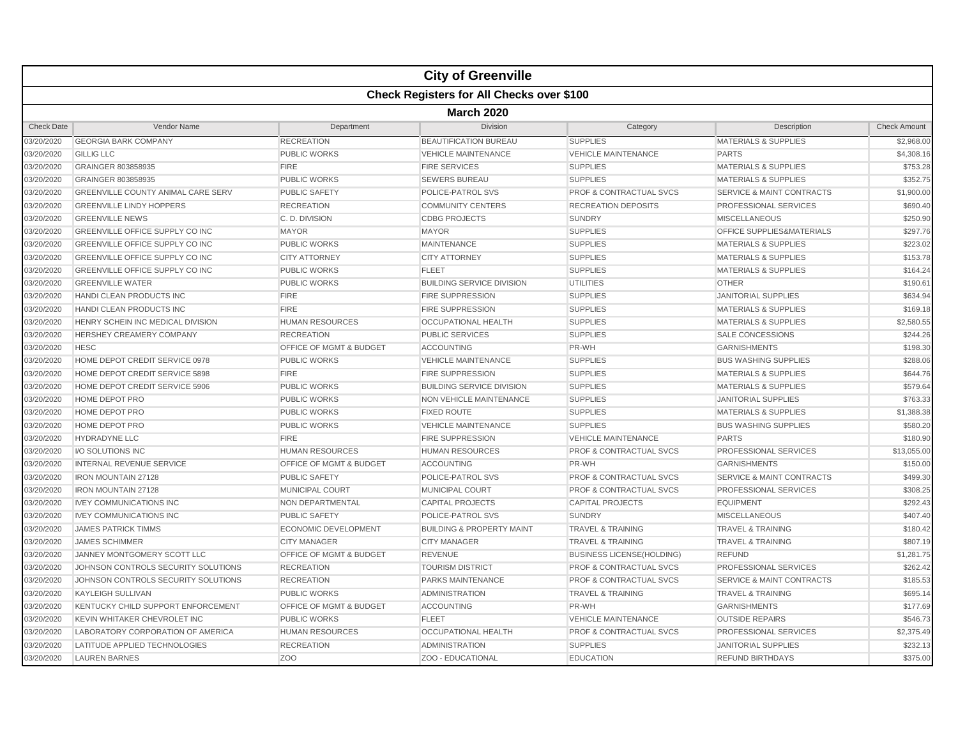| <b>Check Registers for All Checks over \$100</b><br><b>March 2020</b><br><b>Check Date</b><br>Vendor Name<br>Department<br><b>Division</b><br>Category<br>Description<br><b>SUPPLIES</b><br>03/20/2020<br><b>GEORGIA BARK COMPANY</b><br><b>RECREATION</b><br><b>BEAUTIFICATION BUREAU</b><br><b>MATERIALS &amp; SUPPLIES</b><br>03/20/2020<br><b>GILLIG LLC</b><br><b>PUBLIC WORKS</b><br><b>VEHICLE MAINTENANCE</b><br><b>PARTS</b><br><b>VEHICLE MAINTENANCE</b><br>03/20/2020<br>GRAINGER 803858935<br><b>FIRE</b><br><b>FIRE SERVICES</b><br><b>SUPPLIES</b><br><b>MATERIALS &amp; SUPPLIES</b><br>03/20/2020<br>GRAINGER 803858935<br><b>PUBLIC WORKS</b><br><b>SEWERS BUREAU</b><br><b>SUPPLIES</b><br><b>MATERIALS &amp; SUPPLIES</b><br>03/20/2020<br><b>GREENVILLE COUNTY ANIMAL CARE SERV</b><br><b>PUBLIC SAFETY</b><br>POLICE-PATROL SVS<br><b>PROF &amp; CONTRACTUAL SVCS</b><br><b>SERVICE &amp; MAINT CONTRACTS</b><br>03/20/2020<br><b>GREENVILLE LINDY HOPPERS</b><br><b>COMMUNITY CENTERS</b><br><b>RECREATION DEPOSITS</b><br>PROFESSIONAL SERVICES<br><b>RECREATION</b><br>03/20/2020<br><b>GREENVILLE NEWS</b><br>C.D. DIVISION<br><b>CDBG PROJECTS</b><br><b>SUNDRY</b><br><b>MISCELLANEOUS</b><br>03/20/2020<br><b>GREENVILLE OFFICE SUPPLY CO INC</b><br><b>MAYOR</b><br><b>MAYOR</b><br><b>SUPPLIES</b><br><b>OFFICE SUPPLIES&amp;MATERIALS</b><br>03/20/2020<br><b>GREENVILLE OFFICE SUPPLY CO INC</b><br><b>SUPPLIES</b><br><b>MATERIALS &amp; SUPPLIES</b><br><b>PUBLIC WORKS</b><br><b>MAINTENANCE</b><br>03/20/2020<br><b>GREENVILLE OFFICE SUPPLY CO INC.</b><br><b>CITY ATTORNEY</b><br><b>CITY ATTORNEY</b><br><b>SUPPLIES</b><br><b>MATERIALS &amp; SUPPLIES</b><br>03/20/2020<br>GREENVILLE OFFICE SUPPLY CO INC<br><b>SUPPLIES</b><br><b>MATERIALS &amp; SUPPLIES</b><br><b>PUBLIC WORKS</b><br><b>FLEET</b><br>03/20/2020<br><b>GREENVILLE WATER</b><br><b>PUBLIC WORKS</b><br><b>BUILDING SERVICE DIVISION</b><br><b>UTILITIES</b><br><b>OTHER</b><br>03/20/2020<br><b>HANDI CLEAN PRODUCTS INC</b><br><b>FIRE</b><br><b>FIRE SUPPRESSION</b><br><b>SUPPLIES</b><br><b>JANITORIAL SUPPLIES</b><br>03/20/2020<br>HANDI CLEAN PRODUCTS INC<br><b>FIRE</b><br><b>FIRE SUPPRESSION</b><br><b>SUPPLIES</b><br><b>MATERIALS &amp; SUPPLIES</b><br>03/20/2020<br>HENRY SCHEIN INC MEDICAL DIVISION<br><b>HUMAN RESOURCES</b><br><b>OCCUPATIONAL HEALTH</b><br><b>SUPPLIES</b><br><b>MATERIALS &amp; SUPPLIES</b><br>03/20/2020<br><b>SUPPLIES</b><br><b>HERSHEY CREAMERY COMPANY</b><br><b>RECREATION</b><br><b>PUBLIC SERVICES</b><br><b>SALE CONCESSIONS</b><br>03/20/2020<br><b>HESC</b><br>OFFICE OF MGMT & BUDGET<br><b>ACCOUNTING</b><br>PR-WH<br><b>GARNISHMENTS</b><br>03/20/2020<br>HOME DEPOT CREDIT SERVICE 0978<br><b>PUBLIC WORKS</b><br><b>VEHICLE MAINTENANCE</b><br><b>SUPPLIES</b><br><b>BUS WASHING SUPPLIES</b><br>03/20/2020<br>HOME DEPOT CREDIT SERVICE 5898<br><b>FIRE SUPPRESSION</b><br><b>SUPPLIES</b><br><b>FIRE</b><br><b>MATERIALS &amp; SUPPLIES</b><br>03/20/2020<br>HOME DEPOT CREDIT SERVICE 5906<br><b>PUBLIC WORKS</b><br><b>BUILDING SERVICE DIVISION</b><br><b>SUPPLIES</b><br><b>MATERIALS &amp; SUPPLIES</b><br>03/20/2020<br>HOME DEPOT PRO<br><b>PUBLIC WORKS</b><br>NON VEHICLE MAINTENANCE<br><b>SUPPLIES</b><br><b>JANITORIAL SUPPLIES</b><br>03/20/2020<br>HOME DEPOT PRO<br><b>FIXED ROUTE</b><br><b>SUPPLIES</b><br><b>MATERIALS &amp; SUPPLIES</b><br><b>PUBLIC WORKS</b><br>03/20/2020<br><b>HOME DEPOT PRO</b><br><b>PUBLIC WORKS</b><br><b>VEHICLE MAINTENANCE</b><br><b>SUPPLIES</b><br><b>BUS WASHING SUPPLIES</b><br>03/20/2020<br><b>HYDRADYNE LLC</b><br><b>FIRE</b><br><b>FIRE SUPPRESSION</b><br><b>VEHICLE MAINTENANCE</b><br><b>PARTS</b><br>03/20/2020<br>I/O SOLUTIONS INC<br><b>HUMAN RESOURCES</b><br><b>HUMAN RESOURCES</b><br><b>PROF &amp; CONTRACTUAL SVCS</b><br>PROFESSIONAL SERVICES<br>03/20/2020<br><b>INTERNAL REVENUE SERVICE</b><br>OFFICE OF MGMT & BUDGET<br><b>ACCOUNTING</b><br>PR-WH<br><b>GARNISHMENTS</b><br>03/20/2020<br>POLICE-PATROL SVS<br><b>PROF &amp; CONTRACTUAL SVCS</b><br><b>SERVICE &amp; MAINT CONTRACTS</b><br><b>IRON MOUNTAIN 27128</b><br><b>PUBLIC SAFETY</b><br><b>PROFESSIONAL SERVICES</b><br>03/20/2020<br><b>IRON MOUNTAIN 27128</b><br><b>MUNICIPAL COURT</b><br><b>MUNICIPAL COURT</b><br><b>PROF &amp; CONTRACTUAL SVCS</b><br>03/20/2020<br><b>IVEY COMMUNICATIONS INC</b><br>NON DEPARTMENTAL<br><b>CAPITAL PROJECTS</b><br><b>EQUIPMENT</b><br><b>CAPITAL PROJECTS</b><br>03/20/2020<br><b>IVEY COMMUNICATIONS INC</b><br>POLICE-PATROL SVS<br><b>SUNDRY</b><br><b>MISCELLANEOUS</b><br><b>PUBLIC SAFETY</b><br>03/20/2020<br><b>JAMES PATRICK TIMMS</b><br><b>ECONOMIC DEVELOPMENT</b><br><b>BUILDING &amp; PROPERTY MAINT</b><br><b>TRAVEL &amp; TRAINING</b><br><b>TRAVEL &amp; TRAINING</b><br>03/20/2020<br><b>JAMES SCHIMMER</b><br><b>CITY MANAGER</b><br><b>TRAVEL &amp; TRAINING</b><br><b>TRAVEL &amp; TRAINING</b><br><b>CITY MANAGER</b><br>03/20/2020<br>JANNEY MONTGOMERY SCOTT LLC<br><b>OFFICE OF MGMT &amp; BUDGET</b><br><b>REVENUE</b><br><b>BUSINESS LICENSE(HOLDING)</b><br><b>REFUND</b><br>03/20/2020<br>JOHNSON CONTROLS SECURITY SOLUTIONS<br><b>RECREATION</b><br><b>TOURISM DISTRICT</b><br><b>PROF &amp; CONTRACTUAL SVCS</b><br><b>PROFESSIONAL SERVICES</b><br>03/20/2020<br>JOHNSON CONTROLS SECURITY SOLUTIONS<br><b>PROF &amp; CONTRACTUAL SVCS</b><br><b>SERVICE &amp; MAINT CONTRACTS</b><br><b>RECREATION</b><br><b>PARKS MAINTENANCE</b><br>03/20/2020<br><b>KAYLEIGH SULLIVAN</b><br><b>PUBLIC WORKS</b><br><b>ADMINISTRATION</b><br><b>TRAVEL &amp; TRAINING</b><br><b>TRAVEL &amp; TRAINING</b><br><b>KENTUCKY CHILD SUPPORT ENFORCEMENT</b><br>OFFICE OF MGMT & BUDGET<br>03/20/2020<br><b>ACCOUNTING</b><br>PR-WH<br><b>GARNISHMENTS</b><br>03/20/2020<br>KEVIN WHITAKER CHEVROLET INC<br><b>PUBLIC WORKS</b><br><b>FLEET</b><br><b>VEHICLE MAINTENANCE</b><br><b>OUTSIDE REPAIRS</b><br>03/20/2020<br>LABORATORY CORPORATION OF AMERICA<br><b>HUMAN RESOURCES</b><br><b>OCCUPATIONAL HEALTH</b><br><b>PROF &amp; CONTRACTUAL SVCS</b><br>PROFESSIONAL SERVICES<br>03/20/2020<br>LATITUDE APPLIED TECHNOLOGIES<br><b>RECREATION</b><br><b>ADMINISTRATION</b><br><b>SUPPLIES</b><br><b>JANITORIAL SUPPLIES</b> |  |  | <b>City of Greenville</b> |  |  |                     |  |  |  |
|----------------------------------------------------------------------------------------------------------------------------------------------------------------------------------------------------------------------------------------------------------------------------------------------------------------------------------------------------------------------------------------------------------------------------------------------------------------------------------------------------------------------------------------------------------------------------------------------------------------------------------------------------------------------------------------------------------------------------------------------------------------------------------------------------------------------------------------------------------------------------------------------------------------------------------------------------------------------------------------------------------------------------------------------------------------------------------------------------------------------------------------------------------------------------------------------------------------------------------------------------------------------------------------------------------------------------------------------------------------------------------------------------------------------------------------------------------------------------------------------------------------------------------------------------------------------------------------------------------------------------------------------------------------------------------------------------------------------------------------------------------------------------------------------------------------------------------------------------------------------------------------------------------------------------------------------------------------------------------------------------------------------------------------------------------------------------------------------------------------------------------------------------------------------------------------------------------------------------------------------------------------------------------------------------------------------------------------------------------------------------------------------------------------------------------------------------------------------------------------------------------------------------------------------------------------------------------------------------------------------------------------------------------------------------------------------------------------------------------------------------------------------------------------------------------------------------------------------------------------------------------------------------------------------------------------------------------------------------------------------------------------------------------------------------------------------------------------------------------------------------------------------------------------------------------------------------------------------------------------------------------------------------------------------------------------------------------------------------------------------------------------------------------------------------------------------------------------------------------------------------------------------------------------------------------------------------------------------------------------------------------------------------------------------------------------------------------------------------------------------------------------------------------------------------------------------------------------------------------------------------------------------------------------------------------------------------------------------------------------------------------------------------------------------------------------------------------------------------------------------------------------------------------------------------------------------------------------------------------------------------------------------------------------------------------------------------------------------------------------------------------------------------------------------------------------------------------------------------------------------------------------------------------------------------------------------------------------------------------------------------------------------------------------------------------------------------------------------------------------------------------------------------------------------------------------------------------------------------------------------------------------------------------------------------------------------------------------------------------------------------------------------------------------------------------------------------------------------------------------------------------------------------------------------------------------------------------------------------------------------------------------------------------------------------------------------------------------------------------------------------------------------------------------------------------------------------------------------------------------------------------------------------------------------------------------------------------------------------------------------------------------------------------------------------------------------------------------------------------------------------------------------------------------------------------------------------------------------------------------------------------------------------------------------------------------------------------------------------------------------------------------------------------------------------------------------------------------------------------------------------------------------------------------------------------------------------------------------------------------------------------------------------------------------------------|--|--|---------------------------|--|--|---------------------|--|--|--|
|                                                                                                                                                                                                                                                                                                                                                                                                                                                                                                                                                                                                                                                                                                                                                                                                                                                                                                                                                                                                                                                                                                                                                                                                                                                                                                                                                                                                                                                                                                                                                                                                                                                                                                                                                                                                                                                                                                                                                                                                                                                                                                                                                                                                                                                                                                                                                                                                                                                                                                                                                                                                                                                                                                                                                                                                                                                                                                                                                                                                                                                                                                                                                                                                                                                                                                                                                                                                                                                                                                                                                                                                                                                                                                                                                                                                                                                                                                                                                                                                                                                                                                                                                                                                                                                                                                                                                                                                                                                                                                                                                                                                                                                                                                                                                                                                                                                                                                                                                                                                                                                                                                                                                                                                                                                                                                                                                                                                                                                                                                                                                                                                                                                                                                                                                                                                                                                                                                                                                                                                                                                                                                                                                                                                                                                                                                          |  |  |                           |  |  |                     |  |  |  |
|                                                                                                                                                                                                                                                                                                                                                                                                                                                                                                                                                                                                                                                                                                                                                                                                                                                                                                                                                                                                                                                                                                                                                                                                                                                                                                                                                                                                                                                                                                                                                                                                                                                                                                                                                                                                                                                                                                                                                                                                                                                                                                                                                                                                                                                                                                                                                                                                                                                                                                                                                                                                                                                                                                                                                                                                                                                                                                                                                                                                                                                                                                                                                                                                                                                                                                                                                                                                                                                                                                                                                                                                                                                                                                                                                                                                                                                                                                                                                                                                                                                                                                                                                                                                                                                                                                                                                                                                                                                                                                                                                                                                                                                                                                                                                                                                                                                                                                                                                                                                                                                                                                                                                                                                                                                                                                                                                                                                                                                                                                                                                                                                                                                                                                                                                                                                                                                                                                                                                                                                                                                                                                                                                                                                                                                                                                          |  |  |                           |  |  |                     |  |  |  |
|                                                                                                                                                                                                                                                                                                                                                                                                                                                                                                                                                                                                                                                                                                                                                                                                                                                                                                                                                                                                                                                                                                                                                                                                                                                                                                                                                                                                                                                                                                                                                                                                                                                                                                                                                                                                                                                                                                                                                                                                                                                                                                                                                                                                                                                                                                                                                                                                                                                                                                                                                                                                                                                                                                                                                                                                                                                                                                                                                                                                                                                                                                                                                                                                                                                                                                                                                                                                                                                                                                                                                                                                                                                                                                                                                                                                                                                                                                                                                                                                                                                                                                                                                                                                                                                                                                                                                                                                                                                                                                                                                                                                                                                                                                                                                                                                                                                                                                                                                                                                                                                                                                                                                                                                                                                                                                                                                                                                                                                                                                                                                                                                                                                                                                                                                                                                                                                                                                                                                                                                                                                                                                                                                                                                                                                                                                          |  |  |                           |  |  | <b>Check Amount</b> |  |  |  |
|                                                                                                                                                                                                                                                                                                                                                                                                                                                                                                                                                                                                                                                                                                                                                                                                                                                                                                                                                                                                                                                                                                                                                                                                                                                                                                                                                                                                                                                                                                                                                                                                                                                                                                                                                                                                                                                                                                                                                                                                                                                                                                                                                                                                                                                                                                                                                                                                                                                                                                                                                                                                                                                                                                                                                                                                                                                                                                                                                                                                                                                                                                                                                                                                                                                                                                                                                                                                                                                                                                                                                                                                                                                                                                                                                                                                                                                                                                                                                                                                                                                                                                                                                                                                                                                                                                                                                                                                                                                                                                                                                                                                                                                                                                                                                                                                                                                                                                                                                                                                                                                                                                                                                                                                                                                                                                                                                                                                                                                                                                                                                                                                                                                                                                                                                                                                                                                                                                                                                                                                                                                                                                                                                                                                                                                                                                          |  |  |                           |  |  | \$2,968.00          |  |  |  |
|                                                                                                                                                                                                                                                                                                                                                                                                                                                                                                                                                                                                                                                                                                                                                                                                                                                                                                                                                                                                                                                                                                                                                                                                                                                                                                                                                                                                                                                                                                                                                                                                                                                                                                                                                                                                                                                                                                                                                                                                                                                                                                                                                                                                                                                                                                                                                                                                                                                                                                                                                                                                                                                                                                                                                                                                                                                                                                                                                                                                                                                                                                                                                                                                                                                                                                                                                                                                                                                                                                                                                                                                                                                                                                                                                                                                                                                                                                                                                                                                                                                                                                                                                                                                                                                                                                                                                                                                                                                                                                                                                                                                                                                                                                                                                                                                                                                                                                                                                                                                                                                                                                                                                                                                                                                                                                                                                                                                                                                                                                                                                                                                                                                                                                                                                                                                                                                                                                                                                                                                                                                                                                                                                                                                                                                                                                          |  |  |                           |  |  | \$4,308.16          |  |  |  |
|                                                                                                                                                                                                                                                                                                                                                                                                                                                                                                                                                                                                                                                                                                                                                                                                                                                                                                                                                                                                                                                                                                                                                                                                                                                                                                                                                                                                                                                                                                                                                                                                                                                                                                                                                                                                                                                                                                                                                                                                                                                                                                                                                                                                                                                                                                                                                                                                                                                                                                                                                                                                                                                                                                                                                                                                                                                                                                                                                                                                                                                                                                                                                                                                                                                                                                                                                                                                                                                                                                                                                                                                                                                                                                                                                                                                                                                                                                                                                                                                                                                                                                                                                                                                                                                                                                                                                                                                                                                                                                                                                                                                                                                                                                                                                                                                                                                                                                                                                                                                                                                                                                                                                                                                                                                                                                                                                                                                                                                                                                                                                                                                                                                                                                                                                                                                                                                                                                                                                                                                                                                                                                                                                                                                                                                                                                          |  |  |                           |  |  | \$753.28            |  |  |  |
|                                                                                                                                                                                                                                                                                                                                                                                                                                                                                                                                                                                                                                                                                                                                                                                                                                                                                                                                                                                                                                                                                                                                                                                                                                                                                                                                                                                                                                                                                                                                                                                                                                                                                                                                                                                                                                                                                                                                                                                                                                                                                                                                                                                                                                                                                                                                                                                                                                                                                                                                                                                                                                                                                                                                                                                                                                                                                                                                                                                                                                                                                                                                                                                                                                                                                                                                                                                                                                                                                                                                                                                                                                                                                                                                                                                                                                                                                                                                                                                                                                                                                                                                                                                                                                                                                                                                                                                                                                                                                                                                                                                                                                                                                                                                                                                                                                                                                                                                                                                                                                                                                                                                                                                                                                                                                                                                                                                                                                                                                                                                                                                                                                                                                                                                                                                                                                                                                                                                                                                                                                                                                                                                                                                                                                                                                                          |  |  |                           |  |  | \$352.75            |  |  |  |
|                                                                                                                                                                                                                                                                                                                                                                                                                                                                                                                                                                                                                                                                                                                                                                                                                                                                                                                                                                                                                                                                                                                                                                                                                                                                                                                                                                                                                                                                                                                                                                                                                                                                                                                                                                                                                                                                                                                                                                                                                                                                                                                                                                                                                                                                                                                                                                                                                                                                                                                                                                                                                                                                                                                                                                                                                                                                                                                                                                                                                                                                                                                                                                                                                                                                                                                                                                                                                                                                                                                                                                                                                                                                                                                                                                                                                                                                                                                                                                                                                                                                                                                                                                                                                                                                                                                                                                                                                                                                                                                                                                                                                                                                                                                                                                                                                                                                                                                                                                                                                                                                                                                                                                                                                                                                                                                                                                                                                                                                                                                                                                                                                                                                                                                                                                                                                                                                                                                                                                                                                                                                                                                                                                                                                                                                                                          |  |  |                           |  |  | \$1,900.00          |  |  |  |
|                                                                                                                                                                                                                                                                                                                                                                                                                                                                                                                                                                                                                                                                                                                                                                                                                                                                                                                                                                                                                                                                                                                                                                                                                                                                                                                                                                                                                                                                                                                                                                                                                                                                                                                                                                                                                                                                                                                                                                                                                                                                                                                                                                                                                                                                                                                                                                                                                                                                                                                                                                                                                                                                                                                                                                                                                                                                                                                                                                                                                                                                                                                                                                                                                                                                                                                                                                                                                                                                                                                                                                                                                                                                                                                                                                                                                                                                                                                                                                                                                                                                                                                                                                                                                                                                                                                                                                                                                                                                                                                                                                                                                                                                                                                                                                                                                                                                                                                                                                                                                                                                                                                                                                                                                                                                                                                                                                                                                                                                                                                                                                                                                                                                                                                                                                                                                                                                                                                                                                                                                                                                                                                                                                                                                                                                                                          |  |  |                           |  |  | \$690.40            |  |  |  |
|                                                                                                                                                                                                                                                                                                                                                                                                                                                                                                                                                                                                                                                                                                                                                                                                                                                                                                                                                                                                                                                                                                                                                                                                                                                                                                                                                                                                                                                                                                                                                                                                                                                                                                                                                                                                                                                                                                                                                                                                                                                                                                                                                                                                                                                                                                                                                                                                                                                                                                                                                                                                                                                                                                                                                                                                                                                                                                                                                                                                                                                                                                                                                                                                                                                                                                                                                                                                                                                                                                                                                                                                                                                                                                                                                                                                                                                                                                                                                                                                                                                                                                                                                                                                                                                                                                                                                                                                                                                                                                                                                                                                                                                                                                                                                                                                                                                                                                                                                                                                                                                                                                                                                                                                                                                                                                                                                                                                                                                                                                                                                                                                                                                                                                                                                                                                                                                                                                                                                                                                                                                                                                                                                                                                                                                                                                          |  |  |                           |  |  | \$250.90            |  |  |  |
|                                                                                                                                                                                                                                                                                                                                                                                                                                                                                                                                                                                                                                                                                                                                                                                                                                                                                                                                                                                                                                                                                                                                                                                                                                                                                                                                                                                                                                                                                                                                                                                                                                                                                                                                                                                                                                                                                                                                                                                                                                                                                                                                                                                                                                                                                                                                                                                                                                                                                                                                                                                                                                                                                                                                                                                                                                                                                                                                                                                                                                                                                                                                                                                                                                                                                                                                                                                                                                                                                                                                                                                                                                                                                                                                                                                                                                                                                                                                                                                                                                                                                                                                                                                                                                                                                                                                                                                                                                                                                                                                                                                                                                                                                                                                                                                                                                                                                                                                                                                                                                                                                                                                                                                                                                                                                                                                                                                                                                                                                                                                                                                                                                                                                                                                                                                                                                                                                                                                                                                                                                                                                                                                                                                                                                                                                                          |  |  |                           |  |  | \$297.76            |  |  |  |
|                                                                                                                                                                                                                                                                                                                                                                                                                                                                                                                                                                                                                                                                                                                                                                                                                                                                                                                                                                                                                                                                                                                                                                                                                                                                                                                                                                                                                                                                                                                                                                                                                                                                                                                                                                                                                                                                                                                                                                                                                                                                                                                                                                                                                                                                                                                                                                                                                                                                                                                                                                                                                                                                                                                                                                                                                                                                                                                                                                                                                                                                                                                                                                                                                                                                                                                                                                                                                                                                                                                                                                                                                                                                                                                                                                                                                                                                                                                                                                                                                                                                                                                                                                                                                                                                                                                                                                                                                                                                                                                                                                                                                                                                                                                                                                                                                                                                                                                                                                                                                                                                                                                                                                                                                                                                                                                                                                                                                                                                                                                                                                                                                                                                                                                                                                                                                                                                                                                                                                                                                                                                                                                                                                                                                                                                                                          |  |  |                           |  |  | \$223.02            |  |  |  |
|                                                                                                                                                                                                                                                                                                                                                                                                                                                                                                                                                                                                                                                                                                                                                                                                                                                                                                                                                                                                                                                                                                                                                                                                                                                                                                                                                                                                                                                                                                                                                                                                                                                                                                                                                                                                                                                                                                                                                                                                                                                                                                                                                                                                                                                                                                                                                                                                                                                                                                                                                                                                                                                                                                                                                                                                                                                                                                                                                                                                                                                                                                                                                                                                                                                                                                                                                                                                                                                                                                                                                                                                                                                                                                                                                                                                                                                                                                                                                                                                                                                                                                                                                                                                                                                                                                                                                                                                                                                                                                                                                                                                                                                                                                                                                                                                                                                                                                                                                                                                                                                                                                                                                                                                                                                                                                                                                                                                                                                                                                                                                                                                                                                                                                                                                                                                                                                                                                                                                                                                                                                                                                                                                                                                                                                                                                          |  |  |                           |  |  | \$153.78            |  |  |  |
|                                                                                                                                                                                                                                                                                                                                                                                                                                                                                                                                                                                                                                                                                                                                                                                                                                                                                                                                                                                                                                                                                                                                                                                                                                                                                                                                                                                                                                                                                                                                                                                                                                                                                                                                                                                                                                                                                                                                                                                                                                                                                                                                                                                                                                                                                                                                                                                                                                                                                                                                                                                                                                                                                                                                                                                                                                                                                                                                                                                                                                                                                                                                                                                                                                                                                                                                                                                                                                                                                                                                                                                                                                                                                                                                                                                                                                                                                                                                                                                                                                                                                                                                                                                                                                                                                                                                                                                                                                                                                                                                                                                                                                                                                                                                                                                                                                                                                                                                                                                                                                                                                                                                                                                                                                                                                                                                                                                                                                                                                                                                                                                                                                                                                                                                                                                                                                                                                                                                                                                                                                                                                                                                                                                                                                                                                                          |  |  |                           |  |  | \$164.24            |  |  |  |
|                                                                                                                                                                                                                                                                                                                                                                                                                                                                                                                                                                                                                                                                                                                                                                                                                                                                                                                                                                                                                                                                                                                                                                                                                                                                                                                                                                                                                                                                                                                                                                                                                                                                                                                                                                                                                                                                                                                                                                                                                                                                                                                                                                                                                                                                                                                                                                                                                                                                                                                                                                                                                                                                                                                                                                                                                                                                                                                                                                                                                                                                                                                                                                                                                                                                                                                                                                                                                                                                                                                                                                                                                                                                                                                                                                                                                                                                                                                                                                                                                                                                                                                                                                                                                                                                                                                                                                                                                                                                                                                                                                                                                                                                                                                                                                                                                                                                                                                                                                                                                                                                                                                                                                                                                                                                                                                                                                                                                                                                                                                                                                                                                                                                                                                                                                                                                                                                                                                                                                                                                                                                                                                                                                                                                                                                                                          |  |  |                           |  |  | \$190.61            |  |  |  |
|                                                                                                                                                                                                                                                                                                                                                                                                                                                                                                                                                                                                                                                                                                                                                                                                                                                                                                                                                                                                                                                                                                                                                                                                                                                                                                                                                                                                                                                                                                                                                                                                                                                                                                                                                                                                                                                                                                                                                                                                                                                                                                                                                                                                                                                                                                                                                                                                                                                                                                                                                                                                                                                                                                                                                                                                                                                                                                                                                                                                                                                                                                                                                                                                                                                                                                                                                                                                                                                                                                                                                                                                                                                                                                                                                                                                                                                                                                                                                                                                                                                                                                                                                                                                                                                                                                                                                                                                                                                                                                                                                                                                                                                                                                                                                                                                                                                                                                                                                                                                                                                                                                                                                                                                                                                                                                                                                                                                                                                                                                                                                                                                                                                                                                                                                                                                                                                                                                                                                                                                                                                                                                                                                                                                                                                                                                          |  |  |                           |  |  | \$634.94            |  |  |  |
|                                                                                                                                                                                                                                                                                                                                                                                                                                                                                                                                                                                                                                                                                                                                                                                                                                                                                                                                                                                                                                                                                                                                                                                                                                                                                                                                                                                                                                                                                                                                                                                                                                                                                                                                                                                                                                                                                                                                                                                                                                                                                                                                                                                                                                                                                                                                                                                                                                                                                                                                                                                                                                                                                                                                                                                                                                                                                                                                                                                                                                                                                                                                                                                                                                                                                                                                                                                                                                                                                                                                                                                                                                                                                                                                                                                                                                                                                                                                                                                                                                                                                                                                                                                                                                                                                                                                                                                                                                                                                                                                                                                                                                                                                                                                                                                                                                                                                                                                                                                                                                                                                                                                                                                                                                                                                                                                                                                                                                                                                                                                                                                                                                                                                                                                                                                                                                                                                                                                                                                                                                                                                                                                                                                                                                                                                                          |  |  |                           |  |  | \$169.18            |  |  |  |
|                                                                                                                                                                                                                                                                                                                                                                                                                                                                                                                                                                                                                                                                                                                                                                                                                                                                                                                                                                                                                                                                                                                                                                                                                                                                                                                                                                                                                                                                                                                                                                                                                                                                                                                                                                                                                                                                                                                                                                                                                                                                                                                                                                                                                                                                                                                                                                                                                                                                                                                                                                                                                                                                                                                                                                                                                                                                                                                                                                                                                                                                                                                                                                                                                                                                                                                                                                                                                                                                                                                                                                                                                                                                                                                                                                                                                                                                                                                                                                                                                                                                                                                                                                                                                                                                                                                                                                                                                                                                                                                                                                                                                                                                                                                                                                                                                                                                                                                                                                                                                                                                                                                                                                                                                                                                                                                                                                                                                                                                                                                                                                                                                                                                                                                                                                                                                                                                                                                                                                                                                                                                                                                                                                                                                                                                                                          |  |  |                           |  |  | \$2,580.55          |  |  |  |
|                                                                                                                                                                                                                                                                                                                                                                                                                                                                                                                                                                                                                                                                                                                                                                                                                                                                                                                                                                                                                                                                                                                                                                                                                                                                                                                                                                                                                                                                                                                                                                                                                                                                                                                                                                                                                                                                                                                                                                                                                                                                                                                                                                                                                                                                                                                                                                                                                                                                                                                                                                                                                                                                                                                                                                                                                                                                                                                                                                                                                                                                                                                                                                                                                                                                                                                                                                                                                                                                                                                                                                                                                                                                                                                                                                                                                                                                                                                                                                                                                                                                                                                                                                                                                                                                                                                                                                                                                                                                                                                                                                                                                                                                                                                                                                                                                                                                                                                                                                                                                                                                                                                                                                                                                                                                                                                                                                                                                                                                                                                                                                                                                                                                                                                                                                                                                                                                                                                                                                                                                                                                                                                                                                                                                                                                                                          |  |  |                           |  |  | \$244.26            |  |  |  |
|                                                                                                                                                                                                                                                                                                                                                                                                                                                                                                                                                                                                                                                                                                                                                                                                                                                                                                                                                                                                                                                                                                                                                                                                                                                                                                                                                                                                                                                                                                                                                                                                                                                                                                                                                                                                                                                                                                                                                                                                                                                                                                                                                                                                                                                                                                                                                                                                                                                                                                                                                                                                                                                                                                                                                                                                                                                                                                                                                                                                                                                                                                                                                                                                                                                                                                                                                                                                                                                                                                                                                                                                                                                                                                                                                                                                                                                                                                                                                                                                                                                                                                                                                                                                                                                                                                                                                                                                                                                                                                                                                                                                                                                                                                                                                                                                                                                                                                                                                                                                                                                                                                                                                                                                                                                                                                                                                                                                                                                                                                                                                                                                                                                                                                                                                                                                                                                                                                                                                                                                                                                                                                                                                                                                                                                                                                          |  |  |                           |  |  | \$198.30            |  |  |  |
|                                                                                                                                                                                                                                                                                                                                                                                                                                                                                                                                                                                                                                                                                                                                                                                                                                                                                                                                                                                                                                                                                                                                                                                                                                                                                                                                                                                                                                                                                                                                                                                                                                                                                                                                                                                                                                                                                                                                                                                                                                                                                                                                                                                                                                                                                                                                                                                                                                                                                                                                                                                                                                                                                                                                                                                                                                                                                                                                                                                                                                                                                                                                                                                                                                                                                                                                                                                                                                                                                                                                                                                                                                                                                                                                                                                                                                                                                                                                                                                                                                                                                                                                                                                                                                                                                                                                                                                                                                                                                                                                                                                                                                                                                                                                                                                                                                                                                                                                                                                                                                                                                                                                                                                                                                                                                                                                                                                                                                                                                                                                                                                                                                                                                                                                                                                                                                                                                                                                                                                                                                                                                                                                                                                                                                                                                                          |  |  |                           |  |  | \$288.06            |  |  |  |
|                                                                                                                                                                                                                                                                                                                                                                                                                                                                                                                                                                                                                                                                                                                                                                                                                                                                                                                                                                                                                                                                                                                                                                                                                                                                                                                                                                                                                                                                                                                                                                                                                                                                                                                                                                                                                                                                                                                                                                                                                                                                                                                                                                                                                                                                                                                                                                                                                                                                                                                                                                                                                                                                                                                                                                                                                                                                                                                                                                                                                                                                                                                                                                                                                                                                                                                                                                                                                                                                                                                                                                                                                                                                                                                                                                                                                                                                                                                                                                                                                                                                                                                                                                                                                                                                                                                                                                                                                                                                                                                                                                                                                                                                                                                                                                                                                                                                                                                                                                                                                                                                                                                                                                                                                                                                                                                                                                                                                                                                                                                                                                                                                                                                                                                                                                                                                                                                                                                                                                                                                                                                                                                                                                                                                                                                                                          |  |  |                           |  |  | \$644.76            |  |  |  |
|                                                                                                                                                                                                                                                                                                                                                                                                                                                                                                                                                                                                                                                                                                                                                                                                                                                                                                                                                                                                                                                                                                                                                                                                                                                                                                                                                                                                                                                                                                                                                                                                                                                                                                                                                                                                                                                                                                                                                                                                                                                                                                                                                                                                                                                                                                                                                                                                                                                                                                                                                                                                                                                                                                                                                                                                                                                                                                                                                                                                                                                                                                                                                                                                                                                                                                                                                                                                                                                                                                                                                                                                                                                                                                                                                                                                                                                                                                                                                                                                                                                                                                                                                                                                                                                                                                                                                                                                                                                                                                                                                                                                                                                                                                                                                                                                                                                                                                                                                                                                                                                                                                                                                                                                                                                                                                                                                                                                                                                                                                                                                                                                                                                                                                                                                                                                                                                                                                                                                                                                                                                                                                                                                                                                                                                                                                          |  |  |                           |  |  | \$579.64            |  |  |  |
|                                                                                                                                                                                                                                                                                                                                                                                                                                                                                                                                                                                                                                                                                                                                                                                                                                                                                                                                                                                                                                                                                                                                                                                                                                                                                                                                                                                                                                                                                                                                                                                                                                                                                                                                                                                                                                                                                                                                                                                                                                                                                                                                                                                                                                                                                                                                                                                                                                                                                                                                                                                                                                                                                                                                                                                                                                                                                                                                                                                                                                                                                                                                                                                                                                                                                                                                                                                                                                                                                                                                                                                                                                                                                                                                                                                                                                                                                                                                                                                                                                                                                                                                                                                                                                                                                                                                                                                                                                                                                                                                                                                                                                                                                                                                                                                                                                                                                                                                                                                                                                                                                                                                                                                                                                                                                                                                                                                                                                                                                                                                                                                                                                                                                                                                                                                                                                                                                                                                                                                                                                                                                                                                                                                                                                                                                                          |  |  |                           |  |  | \$763.33            |  |  |  |
|                                                                                                                                                                                                                                                                                                                                                                                                                                                                                                                                                                                                                                                                                                                                                                                                                                                                                                                                                                                                                                                                                                                                                                                                                                                                                                                                                                                                                                                                                                                                                                                                                                                                                                                                                                                                                                                                                                                                                                                                                                                                                                                                                                                                                                                                                                                                                                                                                                                                                                                                                                                                                                                                                                                                                                                                                                                                                                                                                                                                                                                                                                                                                                                                                                                                                                                                                                                                                                                                                                                                                                                                                                                                                                                                                                                                                                                                                                                                                                                                                                                                                                                                                                                                                                                                                                                                                                                                                                                                                                                                                                                                                                                                                                                                                                                                                                                                                                                                                                                                                                                                                                                                                                                                                                                                                                                                                                                                                                                                                                                                                                                                                                                                                                                                                                                                                                                                                                                                                                                                                                                                                                                                                                                                                                                                                                          |  |  |                           |  |  | \$1,388.38          |  |  |  |
|                                                                                                                                                                                                                                                                                                                                                                                                                                                                                                                                                                                                                                                                                                                                                                                                                                                                                                                                                                                                                                                                                                                                                                                                                                                                                                                                                                                                                                                                                                                                                                                                                                                                                                                                                                                                                                                                                                                                                                                                                                                                                                                                                                                                                                                                                                                                                                                                                                                                                                                                                                                                                                                                                                                                                                                                                                                                                                                                                                                                                                                                                                                                                                                                                                                                                                                                                                                                                                                                                                                                                                                                                                                                                                                                                                                                                                                                                                                                                                                                                                                                                                                                                                                                                                                                                                                                                                                                                                                                                                                                                                                                                                                                                                                                                                                                                                                                                                                                                                                                                                                                                                                                                                                                                                                                                                                                                                                                                                                                                                                                                                                                                                                                                                                                                                                                                                                                                                                                                                                                                                                                                                                                                                                                                                                                                                          |  |  |                           |  |  | \$580.20            |  |  |  |
|                                                                                                                                                                                                                                                                                                                                                                                                                                                                                                                                                                                                                                                                                                                                                                                                                                                                                                                                                                                                                                                                                                                                                                                                                                                                                                                                                                                                                                                                                                                                                                                                                                                                                                                                                                                                                                                                                                                                                                                                                                                                                                                                                                                                                                                                                                                                                                                                                                                                                                                                                                                                                                                                                                                                                                                                                                                                                                                                                                                                                                                                                                                                                                                                                                                                                                                                                                                                                                                                                                                                                                                                                                                                                                                                                                                                                                                                                                                                                                                                                                                                                                                                                                                                                                                                                                                                                                                                                                                                                                                                                                                                                                                                                                                                                                                                                                                                                                                                                                                                                                                                                                                                                                                                                                                                                                                                                                                                                                                                                                                                                                                                                                                                                                                                                                                                                                                                                                                                                                                                                                                                                                                                                                                                                                                                                                          |  |  |                           |  |  | \$180.90            |  |  |  |
|                                                                                                                                                                                                                                                                                                                                                                                                                                                                                                                                                                                                                                                                                                                                                                                                                                                                                                                                                                                                                                                                                                                                                                                                                                                                                                                                                                                                                                                                                                                                                                                                                                                                                                                                                                                                                                                                                                                                                                                                                                                                                                                                                                                                                                                                                                                                                                                                                                                                                                                                                                                                                                                                                                                                                                                                                                                                                                                                                                                                                                                                                                                                                                                                                                                                                                                                                                                                                                                                                                                                                                                                                                                                                                                                                                                                                                                                                                                                                                                                                                                                                                                                                                                                                                                                                                                                                                                                                                                                                                                                                                                                                                                                                                                                                                                                                                                                                                                                                                                                                                                                                                                                                                                                                                                                                                                                                                                                                                                                                                                                                                                                                                                                                                                                                                                                                                                                                                                                                                                                                                                                                                                                                                                                                                                                                                          |  |  |                           |  |  | \$13,055.00         |  |  |  |
|                                                                                                                                                                                                                                                                                                                                                                                                                                                                                                                                                                                                                                                                                                                                                                                                                                                                                                                                                                                                                                                                                                                                                                                                                                                                                                                                                                                                                                                                                                                                                                                                                                                                                                                                                                                                                                                                                                                                                                                                                                                                                                                                                                                                                                                                                                                                                                                                                                                                                                                                                                                                                                                                                                                                                                                                                                                                                                                                                                                                                                                                                                                                                                                                                                                                                                                                                                                                                                                                                                                                                                                                                                                                                                                                                                                                                                                                                                                                                                                                                                                                                                                                                                                                                                                                                                                                                                                                                                                                                                                                                                                                                                                                                                                                                                                                                                                                                                                                                                                                                                                                                                                                                                                                                                                                                                                                                                                                                                                                                                                                                                                                                                                                                                                                                                                                                                                                                                                                                                                                                                                                                                                                                                                                                                                                                                          |  |  |                           |  |  | \$150.00            |  |  |  |
|                                                                                                                                                                                                                                                                                                                                                                                                                                                                                                                                                                                                                                                                                                                                                                                                                                                                                                                                                                                                                                                                                                                                                                                                                                                                                                                                                                                                                                                                                                                                                                                                                                                                                                                                                                                                                                                                                                                                                                                                                                                                                                                                                                                                                                                                                                                                                                                                                                                                                                                                                                                                                                                                                                                                                                                                                                                                                                                                                                                                                                                                                                                                                                                                                                                                                                                                                                                                                                                                                                                                                                                                                                                                                                                                                                                                                                                                                                                                                                                                                                                                                                                                                                                                                                                                                                                                                                                                                                                                                                                                                                                                                                                                                                                                                                                                                                                                                                                                                                                                                                                                                                                                                                                                                                                                                                                                                                                                                                                                                                                                                                                                                                                                                                                                                                                                                                                                                                                                                                                                                                                                                                                                                                                                                                                                                                          |  |  |                           |  |  | \$499.30            |  |  |  |
|                                                                                                                                                                                                                                                                                                                                                                                                                                                                                                                                                                                                                                                                                                                                                                                                                                                                                                                                                                                                                                                                                                                                                                                                                                                                                                                                                                                                                                                                                                                                                                                                                                                                                                                                                                                                                                                                                                                                                                                                                                                                                                                                                                                                                                                                                                                                                                                                                                                                                                                                                                                                                                                                                                                                                                                                                                                                                                                                                                                                                                                                                                                                                                                                                                                                                                                                                                                                                                                                                                                                                                                                                                                                                                                                                                                                                                                                                                                                                                                                                                                                                                                                                                                                                                                                                                                                                                                                                                                                                                                                                                                                                                                                                                                                                                                                                                                                                                                                                                                                                                                                                                                                                                                                                                                                                                                                                                                                                                                                                                                                                                                                                                                                                                                                                                                                                                                                                                                                                                                                                                                                                                                                                                                                                                                                                                          |  |  |                           |  |  | \$308.25            |  |  |  |
|                                                                                                                                                                                                                                                                                                                                                                                                                                                                                                                                                                                                                                                                                                                                                                                                                                                                                                                                                                                                                                                                                                                                                                                                                                                                                                                                                                                                                                                                                                                                                                                                                                                                                                                                                                                                                                                                                                                                                                                                                                                                                                                                                                                                                                                                                                                                                                                                                                                                                                                                                                                                                                                                                                                                                                                                                                                                                                                                                                                                                                                                                                                                                                                                                                                                                                                                                                                                                                                                                                                                                                                                                                                                                                                                                                                                                                                                                                                                                                                                                                                                                                                                                                                                                                                                                                                                                                                                                                                                                                                                                                                                                                                                                                                                                                                                                                                                                                                                                                                                                                                                                                                                                                                                                                                                                                                                                                                                                                                                                                                                                                                                                                                                                                                                                                                                                                                                                                                                                                                                                                                                                                                                                                                                                                                                                                          |  |  |                           |  |  | \$292.43            |  |  |  |
|                                                                                                                                                                                                                                                                                                                                                                                                                                                                                                                                                                                                                                                                                                                                                                                                                                                                                                                                                                                                                                                                                                                                                                                                                                                                                                                                                                                                                                                                                                                                                                                                                                                                                                                                                                                                                                                                                                                                                                                                                                                                                                                                                                                                                                                                                                                                                                                                                                                                                                                                                                                                                                                                                                                                                                                                                                                                                                                                                                                                                                                                                                                                                                                                                                                                                                                                                                                                                                                                                                                                                                                                                                                                                                                                                                                                                                                                                                                                                                                                                                                                                                                                                                                                                                                                                                                                                                                                                                                                                                                                                                                                                                                                                                                                                                                                                                                                                                                                                                                                                                                                                                                                                                                                                                                                                                                                                                                                                                                                                                                                                                                                                                                                                                                                                                                                                                                                                                                                                                                                                                                                                                                                                                                                                                                                                                          |  |  |                           |  |  | \$407.40            |  |  |  |
|                                                                                                                                                                                                                                                                                                                                                                                                                                                                                                                                                                                                                                                                                                                                                                                                                                                                                                                                                                                                                                                                                                                                                                                                                                                                                                                                                                                                                                                                                                                                                                                                                                                                                                                                                                                                                                                                                                                                                                                                                                                                                                                                                                                                                                                                                                                                                                                                                                                                                                                                                                                                                                                                                                                                                                                                                                                                                                                                                                                                                                                                                                                                                                                                                                                                                                                                                                                                                                                                                                                                                                                                                                                                                                                                                                                                                                                                                                                                                                                                                                                                                                                                                                                                                                                                                                                                                                                                                                                                                                                                                                                                                                                                                                                                                                                                                                                                                                                                                                                                                                                                                                                                                                                                                                                                                                                                                                                                                                                                                                                                                                                                                                                                                                                                                                                                                                                                                                                                                                                                                                                                                                                                                                                                                                                                                                          |  |  |                           |  |  | \$180.42            |  |  |  |
|                                                                                                                                                                                                                                                                                                                                                                                                                                                                                                                                                                                                                                                                                                                                                                                                                                                                                                                                                                                                                                                                                                                                                                                                                                                                                                                                                                                                                                                                                                                                                                                                                                                                                                                                                                                                                                                                                                                                                                                                                                                                                                                                                                                                                                                                                                                                                                                                                                                                                                                                                                                                                                                                                                                                                                                                                                                                                                                                                                                                                                                                                                                                                                                                                                                                                                                                                                                                                                                                                                                                                                                                                                                                                                                                                                                                                                                                                                                                                                                                                                                                                                                                                                                                                                                                                                                                                                                                                                                                                                                                                                                                                                                                                                                                                                                                                                                                                                                                                                                                                                                                                                                                                                                                                                                                                                                                                                                                                                                                                                                                                                                                                                                                                                                                                                                                                                                                                                                                                                                                                                                                                                                                                                                                                                                                                                          |  |  |                           |  |  | \$807.19            |  |  |  |
|                                                                                                                                                                                                                                                                                                                                                                                                                                                                                                                                                                                                                                                                                                                                                                                                                                                                                                                                                                                                                                                                                                                                                                                                                                                                                                                                                                                                                                                                                                                                                                                                                                                                                                                                                                                                                                                                                                                                                                                                                                                                                                                                                                                                                                                                                                                                                                                                                                                                                                                                                                                                                                                                                                                                                                                                                                                                                                                                                                                                                                                                                                                                                                                                                                                                                                                                                                                                                                                                                                                                                                                                                                                                                                                                                                                                                                                                                                                                                                                                                                                                                                                                                                                                                                                                                                                                                                                                                                                                                                                                                                                                                                                                                                                                                                                                                                                                                                                                                                                                                                                                                                                                                                                                                                                                                                                                                                                                                                                                                                                                                                                                                                                                                                                                                                                                                                                                                                                                                                                                                                                                                                                                                                                                                                                                                                          |  |  |                           |  |  | \$1,281.75          |  |  |  |
|                                                                                                                                                                                                                                                                                                                                                                                                                                                                                                                                                                                                                                                                                                                                                                                                                                                                                                                                                                                                                                                                                                                                                                                                                                                                                                                                                                                                                                                                                                                                                                                                                                                                                                                                                                                                                                                                                                                                                                                                                                                                                                                                                                                                                                                                                                                                                                                                                                                                                                                                                                                                                                                                                                                                                                                                                                                                                                                                                                                                                                                                                                                                                                                                                                                                                                                                                                                                                                                                                                                                                                                                                                                                                                                                                                                                                                                                                                                                                                                                                                                                                                                                                                                                                                                                                                                                                                                                                                                                                                                                                                                                                                                                                                                                                                                                                                                                                                                                                                                                                                                                                                                                                                                                                                                                                                                                                                                                                                                                                                                                                                                                                                                                                                                                                                                                                                                                                                                                                                                                                                                                                                                                                                                                                                                                                                          |  |  |                           |  |  | \$262.42            |  |  |  |
|                                                                                                                                                                                                                                                                                                                                                                                                                                                                                                                                                                                                                                                                                                                                                                                                                                                                                                                                                                                                                                                                                                                                                                                                                                                                                                                                                                                                                                                                                                                                                                                                                                                                                                                                                                                                                                                                                                                                                                                                                                                                                                                                                                                                                                                                                                                                                                                                                                                                                                                                                                                                                                                                                                                                                                                                                                                                                                                                                                                                                                                                                                                                                                                                                                                                                                                                                                                                                                                                                                                                                                                                                                                                                                                                                                                                                                                                                                                                                                                                                                                                                                                                                                                                                                                                                                                                                                                                                                                                                                                                                                                                                                                                                                                                                                                                                                                                                                                                                                                                                                                                                                                                                                                                                                                                                                                                                                                                                                                                                                                                                                                                                                                                                                                                                                                                                                                                                                                                                                                                                                                                                                                                                                                                                                                                                                          |  |  |                           |  |  | \$185.53            |  |  |  |
|                                                                                                                                                                                                                                                                                                                                                                                                                                                                                                                                                                                                                                                                                                                                                                                                                                                                                                                                                                                                                                                                                                                                                                                                                                                                                                                                                                                                                                                                                                                                                                                                                                                                                                                                                                                                                                                                                                                                                                                                                                                                                                                                                                                                                                                                                                                                                                                                                                                                                                                                                                                                                                                                                                                                                                                                                                                                                                                                                                                                                                                                                                                                                                                                                                                                                                                                                                                                                                                                                                                                                                                                                                                                                                                                                                                                                                                                                                                                                                                                                                                                                                                                                                                                                                                                                                                                                                                                                                                                                                                                                                                                                                                                                                                                                                                                                                                                                                                                                                                                                                                                                                                                                                                                                                                                                                                                                                                                                                                                                                                                                                                                                                                                                                                                                                                                                                                                                                                                                                                                                                                                                                                                                                                                                                                                                                          |  |  |                           |  |  | \$695.14            |  |  |  |
|                                                                                                                                                                                                                                                                                                                                                                                                                                                                                                                                                                                                                                                                                                                                                                                                                                                                                                                                                                                                                                                                                                                                                                                                                                                                                                                                                                                                                                                                                                                                                                                                                                                                                                                                                                                                                                                                                                                                                                                                                                                                                                                                                                                                                                                                                                                                                                                                                                                                                                                                                                                                                                                                                                                                                                                                                                                                                                                                                                                                                                                                                                                                                                                                                                                                                                                                                                                                                                                                                                                                                                                                                                                                                                                                                                                                                                                                                                                                                                                                                                                                                                                                                                                                                                                                                                                                                                                                                                                                                                                                                                                                                                                                                                                                                                                                                                                                                                                                                                                                                                                                                                                                                                                                                                                                                                                                                                                                                                                                                                                                                                                                                                                                                                                                                                                                                                                                                                                                                                                                                                                                                                                                                                                                                                                                                                          |  |  |                           |  |  | \$177.69            |  |  |  |
|                                                                                                                                                                                                                                                                                                                                                                                                                                                                                                                                                                                                                                                                                                                                                                                                                                                                                                                                                                                                                                                                                                                                                                                                                                                                                                                                                                                                                                                                                                                                                                                                                                                                                                                                                                                                                                                                                                                                                                                                                                                                                                                                                                                                                                                                                                                                                                                                                                                                                                                                                                                                                                                                                                                                                                                                                                                                                                                                                                                                                                                                                                                                                                                                                                                                                                                                                                                                                                                                                                                                                                                                                                                                                                                                                                                                                                                                                                                                                                                                                                                                                                                                                                                                                                                                                                                                                                                                                                                                                                                                                                                                                                                                                                                                                                                                                                                                                                                                                                                                                                                                                                                                                                                                                                                                                                                                                                                                                                                                                                                                                                                                                                                                                                                                                                                                                                                                                                                                                                                                                                                                                                                                                                                                                                                                                                          |  |  |                           |  |  | \$546.73            |  |  |  |
|                                                                                                                                                                                                                                                                                                                                                                                                                                                                                                                                                                                                                                                                                                                                                                                                                                                                                                                                                                                                                                                                                                                                                                                                                                                                                                                                                                                                                                                                                                                                                                                                                                                                                                                                                                                                                                                                                                                                                                                                                                                                                                                                                                                                                                                                                                                                                                                                                                                                                                                                                                                                                                                                                                                                                                                                                                                                                                                                                                                                                                                                                                                                                                                                                                                                                                                                                                                                                                                                                                                                                                                                                                                                                                                                                                                                                                                                                                                                                                                                                                                                                                                                                                                                                                                                                                                                                                                                                                                                                                                                                                                                                                                                                                                                                                                                                                                                                                                                                                                                                                                                                                                                                                                                                                                                                                                                                                                                                                                                                                                                                                                                                                                                                                                                                                                                                                                                                                                                                                                                                                                                                                                                                                                                                                                                                                          |  |  |                           |  |  | \$2,375.49          |  |  |  |
|                                                                                                                                                                                                                                                                                                                                                                                                                                                                                                                                                                                                                                                                                                                                                                                                                                                                                                                                                                                                                                                                                                                                                                                                                                                                                                                                                                                                                                                                                                                                                                                                                                                                                                                                                                                                                                                                                                                                                                                                                                                                                                                                                                                                                                                                                                                                                                                                                                                                                                                                                                                                                                                                                                                                                                                                                                                                                                                                                                                                                                                                                                                                                                                                                                                                                                                                                                                                                                                                                                                                                                                                                                                                                                                                                                                                                                                                                                                                                                                                                                                                                                                                                                                                                                                                                                                                                                                                                                                                                                                                                                                                                                                                                                                                                                                                                                                                                                                                                                                                                                                                                                                                                                                                                                                                                                                                                                                                                                                                                                                                                                                                                                                                                                                                                                                                                                                                                                                                                                                                                                                                                                                                                                                                                                                                                                          |  |  |                           |  |  | \$232.13            |  |  |  |
| 03/20/2020<br><b>LAUREN BARNES</b><br>ZOO - EDUCATIONAL<br><b>EDUCATION</b><br><b>REFUND BIRTHDAYS</b><br>Z <sub>O</sub> O                                                                                                                                                                                                                                                                                                                                                                                                                                                                                                                                                                                                                                                                                                                                                                                                                                                                                                                                                                                                                                                                                                                                                                                                                                                                                                                                                                                                                                                                                                                                                                                                                                                                                                                                                                                                                                                                                                                                                                                                                                                                                                                                                                                                                                                                                                                                                                                                                                                                                                                                                                                                                                                                                                                                                                                                                                                                                                                                                                                                                                                                                                                                                                                                                                                                                                                                                                                                                                                                                                                                                                                                                                                                                                                                                                                                                                                                                                                                                                                                                                                                                                                                                                                                                                                                                                                                                                                                                                                                                                                                                                                                                                                                                                                                                                                                                                                                                                                                                                                                                                                                                                                                                                                                                                                                                                                                                                                                                                                                                                                                                                                                                                                                                                                                                                                                                                                                                                                                                                                                                                                                                                                                                                               |  |  |                           |  |  | \$375.00            |  |  |  |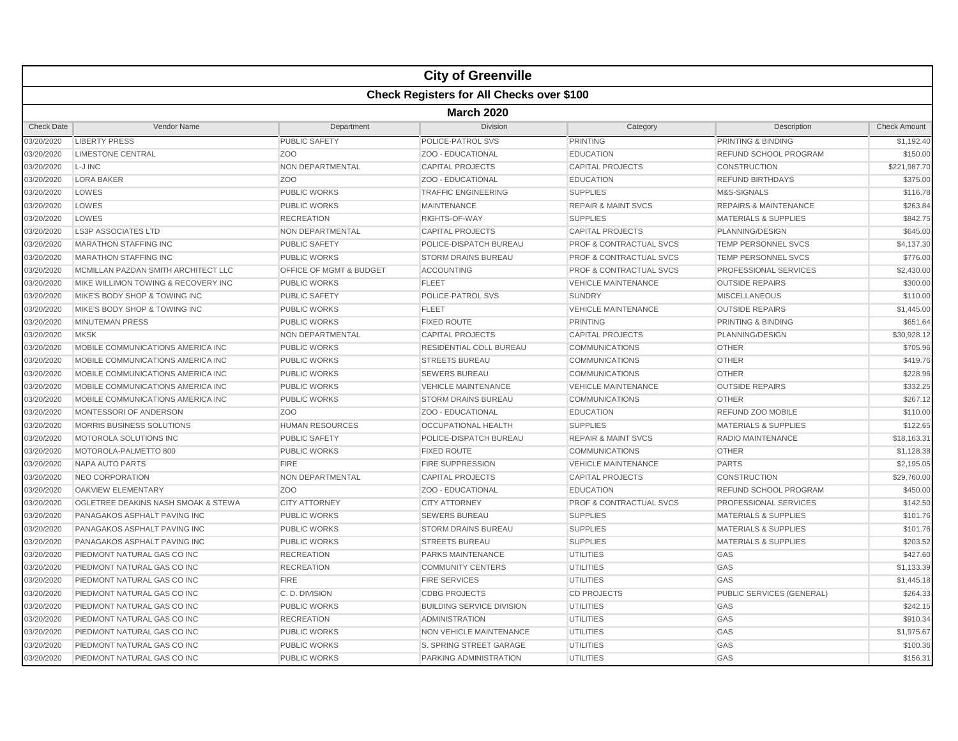|                   |                                                  |                         | <b>City of Greenville</b>        |                                    |                                  |                     |  |  |  |
|-------------------|--------------------------------------------------|-------------------------|----------------------------------|------------------------------------|----------------------------------|---------------------|--|--|--|
|                   | <b>Check Registers for All Checks over \$100</b> |                         |                                  |                                    |                                  |                     |  |  |  |
|                   | <b>March 2020</b>                                |                         |                                  |                                    |                                  |                     |  |  |  |
| <b>Check Date</b> | Vendor Name                                      | Department              | <b>Division</b>                  | Category                           | Description                      | <b>Check Amount</b> |  |  |  |
| 03/20/2020        | <b>LIBERTY PRESS</b>                             | <b>PUBLIC SAFETY</b>    | POLICE-PATROL SVS                | <b>PRINTING</b>                    | PRINTING & BINDING               | \$1,192.40          |  |  |  |
| 03/20/2020        | <b>LIMESTONE CENTRAL</b>                         | Z <sub>O</sub> O        | ZOO - EDUCATIONAL                | <b>EDUCATION</b>                   | <b>REFUND SCHOOL PROGRAM</b>     | \$150.00            |  |  |  |
| 03/20/2020        | L-J INC                                          | NON DEPARTMENTAL        | <b>CAPITAL PROJECTS</b>          | <b>CAPITAL PROJECTS</b>            | CONSTRUCTION                     | \$221,987.70        |  |  |  |
| 03/20/2020        | <b>LORA BAKER</b>                                | ZO <sub>O</sub>         | ZOO - EDUCATIONAL                | <b>EDUCATION</b>                   | <b>REFUND BIRTHDAYS</b>          | \$375.00            |  |  |  |
| 03/20/2020        | LOWES                                            | <b>PUBLIC WORKS</b>     | <b>TRAFFIC ENGINEERING</b>       | <b>SUPPLIES</b>                    | M&S-SIGNALS                      | \$116.78            |  |  |  |
| 03/20/2020        | LOWES                                            | <b>PUBLIC WORKS</b>     | <b>MAINTENANCE</b>               | <b>REPAIR &amp; MAINT SVCS</b>     | <b>REPAIRS &amp; MAINTENANCE</b> | \$263.84            |  |  |  |
| 03/20/2020        | LOWES                                            | <b>RECREATION</b>       | RIGHTS-OF-WAY                    | <b>SUPPLIES</b>                    | <b>MATERIALS &amp; SUPPLIES</b>  | \$842.75            |  |  |  |
| 03/20/2020        | <b>LS3P ASSOCIATES LTD</b>                       | NON DEPARTMENTAL        | <b>CAPITAL PROJECTS</b>          | <b>CAPITAL PROJECTS</b>            | PLANNING/DESIGN                  | \$645.00            |  |  |  |
| 03/20/2020        | <b>MARATHON STAFFING INC</b>                     | <b>PUBLIC SAFETY</b>    | POLICE-DISPATCH BUREAU           | <b>PROF &amp; CONTRACTUAL SVCS</b> | <b>TEMP PERSONNEL SVCS</b>       | \$4,137.30          |  |  |  |
| 03/20/2020        | <b>MARATHON STAFFING INC</b>                     | <b>PUBLIC WORKS</b>     | <b>STORM DRAINS BUREAU</b>       | <b>PROF &amp; CONTRACTUAL SVCS</b> | <b>TEMP PERSONNEL SVCS</b>       | \$776.00            |  |  |  |
| 03/20/2020        | MCMILLAN PAZDAN SMITH ARCHITECT LLC              | OFFICE OF MGMT & BUDGET | <b>ACCOUNTING</b>                | <b>PROF &amp; CONTRACTUAL SVCS</b> | PROFESSIONAL SERVICES            | \$2,430.00          |  |  |  |
| 03/20/2020        | MIKE WILLIMON TOWING & RECOVERY INC              | <b>PUBLIC WORKS</b>     | <b>FLEET</b>                     | <b>VEHICLE MAINTENANCE</b>         | <b>OUTSIDE REPAIRS</b>           | \$300.00            |  |  |  |
| 03/20/2020        | MIKE'S BODY SHOP & TOWING INC                    | <b>PUBLIC SAFETY</b>    | POLICE-PATROL SVS                | <b>SUNDRY</b>                      | <b>MISCELLANEOUS</b>             | \$110.00            |  |  |  |
| 03/20/2020        | MIKE'S BODY SHOP & TOWING INC                    | <b>PUBLIC WORKS</b>     | <b>FLEET</b>                     | <b>VEHICLE MAINTENANCE</b>         | <b>OUTSIDE REPAIRS</b>           | \$1,445.00          |  |  |  |
| 03/20/2020        | <b>MINUTEMAN PRESS</b>                           | PUBLIC WORKS            | <b>FIXED ROUTE</b>               | <b>PRINTING</b>                    | PRINTING & BINDING               | \$651.64            |  |  |  |
| 03/20/2020        | <b>MKSK</b>                                      | NON DEPARTMENTAL        | <b>CAPITAL PROJECTS</b>          | <b>CAPITAL PROJECTS</b>            | PLANNING/DESIGN                  | \$30,928.12         |  |  |  |
| 03/20/2020        | MOBILE COMMUNICATIONS AMERICA INC                | <b>PUBLIC WORKS</b>     | RESIDENTIAL COLL BUREAU          | <b>COMMUNICATIONS</b>              | <b>OTHER</b>                     | \$705.96            |  |  |  |
| 03/20/2020        | MOBILE COMMUNICATIONS AMERICA INC                | <b>PUBLIC WORKS</b>     | <b>STREETS BUREAU</b>            | <b>COMMUNICATIONS</b>              | <b>OTHER</b>                     | \$419.76            |  |  |  |
| 03/20/2020        | MOBILE COMMUNICATIONS AMERICA INC                | <b>PUBLIC WORKS</b>     | <b>SEWERS BUREAU</b>             | <b>COMMUNICATIONS</b>              | <b>OTHER</b>                     | \$228.96            |  |  |  |
| 03/20/2020        | MOBILE COMMUNICATIONS AMERICA INC                | <b>PUBLIC WORKS</b>     | <b>VEHICLE MAINTENANCE</b>       | <b>VEHICLE MAINTENANCE</b>         | <b>OUTSIDE REPAIRS</b>           | \$332.25            |  |  |  |
| 03/20/2020        | MOBILE COMMUNICATIONS AMERICA INC                | <b>PUBLIC WORKS</b>     | <b>STORM DRAINS BUREAU</b>       | <b>COMMUNICATIONS</b>              | <b>OTHER</b>                     | \$267.12            |  |  |  |
| 03/20/2020        | MONTESSORI OF ANDERSON                           | ZOO                     | ZOO - EDUCATIONAL                | <b>EDUCATION</b>                   | REFUND ZOO MOBILE                | \$110.00            |  |  |  |
| 03/20/2020        | MORRIS BUSINESS SOLUTIONS                        | <b>HUMAN RESOURCES</b>  | <b>OCCUPATIONAL HEALTH</b>       | <b>SUPPLIES</b>                    | <b>MATERIALS &amp; SUPPLIES</b>  | \$122.65            |  |  |  |
| 03/20/2020        | MOTOROLA SOLUTIONS INC                           | <b>PUBLIC SAFETY</b>    | POLICE-DISPATCH BUREAU           | <b>REPAIR &amp; MAINT SVCS</b>     | <b>RADIO MAINTENANCE</b>         | \$18,163.31         |  |  |  |
| 03/20/2020        | MOTOROLA-PALMETTO 800                            | <b>PUBLIC WORKS</b>     | <b>FIXED ROUTE</b>               | <b>COMMUNICATIONS</b>              | <b>OTHER</b>                     | \$1,128.38          |  |  |  |
| 03/20/2020        | NAPA AUTO PARTS                                  | <b>FIRE</b>             | <b>FIRE SUPPRESSION</b>          | <b>VEHICLE MAINTENANCE</b>         | <b>PARTS</b>                     | \$2,195.05          |  |  |  |
| 03/20/2020        | NEO CORPORATION                                  | NON DEPARTMENTAL        | <b>CAPITAL PROJECTS</b>          | <b>CAPITAL PROJECTS</b>            | <b>CONSTRUCTION</b>              | \$29,760.00         |  |  |  |
| 03/20/2020        | <b>OAKVIEW ELEMENTARY</b>                        | Z <sub>O</sub> O        | ZOO - EDUCATIONAL                | <b>EDUCATION</b>                   | REFUND SCHOOL PROGRAM            | \$450.00            |  |  |  |
| 03/20/2020        | OGLETREE DEAKINS NASH SMOAK & STEWA              | <b>CITY ATTORNEY</b>    | <b>CITY ATTORNEY</b>             | <b>PROF &amp; CONTRACTUAL SVCS</b> | PROFESSIONAL SERVICES            | \$142.50            |  |  |  |
| 03/20/2020        | PANAGAKOS ASPHALT PAVING INC                     | <b>PUBLIC WORKS</b>     | <b>SEWERS BUREAU</b>             | <b>SUPPLIES</b>                    | <b>MATERIALS &amp; SUPPLIES</b>  | \$101.76            |  |  |  |
| 03/20/2020        | PANAGAKOS ASPHALT PAVING INC                     | <b>PUBLIC WORKS</b>     | <b>STORM DRAINS BUREAU</b>       | <b>SUPPLIES</b>                    | <b>MATERIALS &amp; SUPPLIES</b>  | \$101.76            |  |  |  |
| 03/20/2020        | PANAGAKOS ASPHALT PAVING INC                     | <b>PUBLIC WORKS</b>     | <b>STREETS BUREAU</b>            | <b>SUPPLIES</b>                    | <b>MATERIALS &amp; SUPPLIES</b>  | \$203.52            |  |  |  |
| 03/20/2020        | PIEDMONT NATURAL GAS CO INC                      | <b>RECREATION</b>       | <b>PARKS MAINTENANCE</b>         | <b>UTILITIES</b>                   | GAS                              | \$427.60            |  |  |  |
| 03/20/2020        | PIEDMONT NATURAL GAS CO INC                      | <b>RECREATION</b>       | <b>COMMUNITY CENTERS</b>         | <b>UTILITIES</b>                   | GAS                              | \$1,133.39          |  |  |  |
| 03/20/2020        | PIEDMONT NATURAL GAS CO INC                      | <b>FIRE</b>             | <b>FIRE SERVICES</b>             | <b>UTILITIES</b>                   | GAS                              | \$1,445.18          |  |  |  |
| 03/20/2020        | PIEDMONT NATURAL GAS CO INC                      | C. D. DIVISION          | <b>CDBG PROJECTS</b>             | <b>CD PROJECTS</b>                 | PUBLIC SERVICES (GENERAL)        | \$264.33            |  |  |  |
| 03/20/2020        | PIEDMONT NATURAL GAS CO INC                      | <b>PUBLIC WORKS</b>     | <b>BUILDING SERVICE DIVISION</b> | <b>UTILITIES</b>                   | GAS                              | \$242.15            |  |  |  |
| 03/20/2020        | PIEDMONT NATURAL GAS CO INC                      | <b>RECREATION</b>       | <b>ADMINISTRATION</b>            | <b>UTILITIES</b>                   | GAS                              | \$910.34            |  |  |  |
| 03/20/2020        | PIEDMONT NATURAL GAS CO INC                      | <b>PUBLIC WORKS</b>     | <b>NON VEHICLE MAINTENANCE</b>   | <b>UTILITIES</b>                   | GAS                              | \$1,975.67          |  |  |  |
| 03/20/2020        | PIEDMONT NATURAL GAS CO INC                      | PUBLIC WORKS            | S. SPRING STREET GARAGE          | <b>UTILITIES</b>                   | GAS                              | \$100.36            |  |  |  |
| 03/20/2020        | PIEDMONT NATURAL GAS CO INC                      | <b>PUBLIC WORKS</b>     | PARKING ADMINISTRATION           | <b>UTILITIES</b>                   | GAS                              | \$156.31            |  |  |  |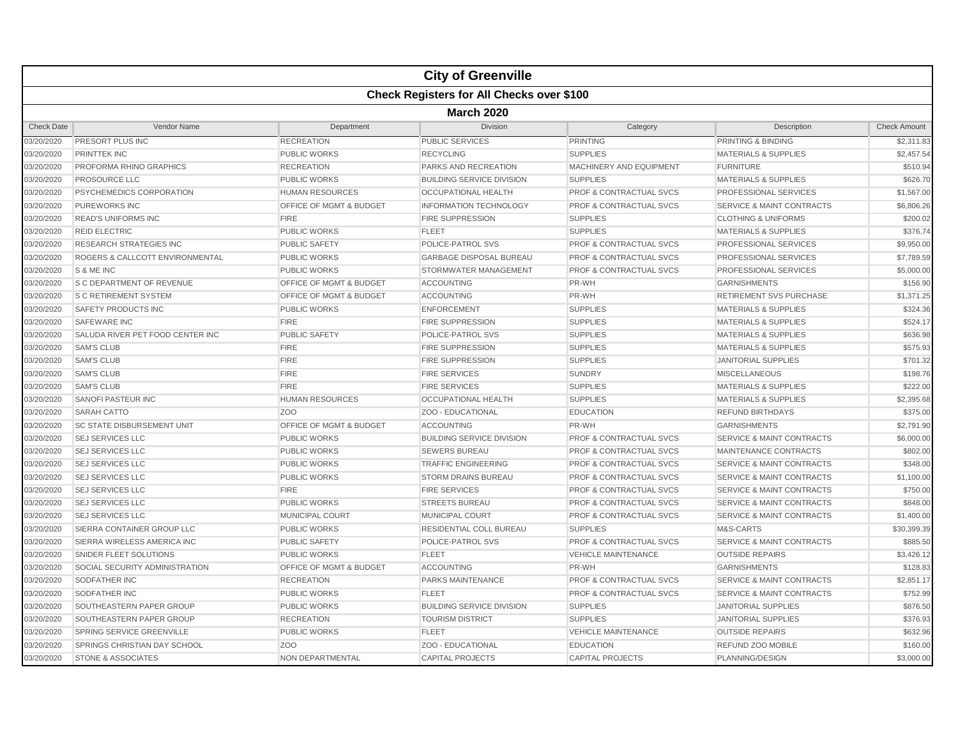|                   |                                   |                                    | <b>City of Greenville</b>                        |                                    |                                      |                     |  |  |  |
|-------------------|-----------------------------------|------------------------------------|--------------------------------------------------|------------------------------------|--------------------------------------|---------------------|--|--|--|
|                   |                                   |                                    | <b>Check Registers for All Checks over \$100</b> |                                    |                                      |                     |  |  |  |
|                   | <b>March 2020</b>                 |                                    |                                                  |                                    |                                      |                     |  |  |  |
| <b>Check Date</b> | Vendor Name                       | Department                         | <b>Division</b>                                  | Category                           | Description                          | <b>Check Amount</b> |  |  |  |
| 03/20/2020        | <b>PRESORT PLUS INC</b>           | <b>RECREATION</b>                  | <b>PUBLIC SERVICES</b>                           | <b>PRINTING</b>                    | PRINTING & BINDING                   | \$2,311.83          |  |  |  |
| 03/20/2020        | <b>PRINTTEK INC</b>               | <b>PUBLIC WORKS</b>                | <b>RECYCLING</b>                                 | <b>SUPPLIES</b>                    | <b>MATERIALS &amp; SUPPLIES</b>      | \$2,457.54          |  |  |  |
| 03/20/2020        | PROFORMA RHINO GRAPHICS           | <b>RECREATION</b>                  | PARKS AND RECREATION                             | MACHINERY AND EQUIPMENT            | <b>FURNITURE</b>                     | \$510.94            |  |  |  |
| 03/20/2020        | <b>PROSOURCE LLC</b>              | <b>PUBLIC WORKS</b>                | <b>BUILDING SERVICE DIVISION</b>                 | <b>SUPPLIES</b>                    | <b>MATERIALS &amp; SUPPLIES</b>      | \$626.70            |  |  |  |
| 03/20/2020        | PSYCHEMEDICS CORPORATION          | <b>HUMAN RESOURCES</b>             | <b>OCCUPATIONAL HEALTH</b>                       | <b>PROF &amp; CONTRACTUAL SVCS</b> | PROFESSIONAL SERVICES                | \$1,567.00          |  |  |  |
| 03/20/2020        | <b>PUREWORKS INC</b>              | <b>OFFICE OF MGMT &amp; BUDGET</b> | <b>INFORMATION TECHNOLOGY</b>                    | <b>PROF &amp; CONTRACTUAL SVCS</b> | <b>SERVICE &amp; MAINT CONTRACTS</b> | \$6,806.26          |  |  |  |
| 03/20/2020        | <b>READ'S UNIFORMS INC</b>        | <b>FIRE</b>                        | <b>FIRE SUPPRESSION</b>                          | <b>SUPPLIES</b>                    | <b>CLOTHING &amp; UNIFORMS</b>       | \$200.02            |  |  |  |
| 03/20/2020        | <b>REID ELECTRIC</b>              | <b>PUBLIC WORKS</b>                | <b>FLEET</b>                                     | <b>SUPPLIES</b>                    | <b>MATERIALS &amp; SUPPLIES</b>      | \$376.74            |  |  |  |
| 03/20/2020        | <b>RESEARCH STRATEGIES INC</b>    | <b>PUBLIC SAFETY</b>               | POLICE-PATROL SVS                                | <b>PROF &amp; CONTRACTUAL SVCS</b> | <b>PROFESSIONAL SERVICES</b>         | \$9,950.00          |  |  |  |
| 03/20/2020        | ROGERS & CALLCOTT ENVIRONMENTAL   | <b>PUBLIC WORKS</b>                | <b>GARBAGE DISPOSAL BUREAU</b>                   | <b>PROF &amp; CONTRACTUAL SVCS</b> | PROFESSIONAL SERVICES                | \$7,789.59          |  |  |  |
| 03/20/2020        | S & ME INC                        | <b>PUBLIC WORKS</b>                | STORMWATER MANAGEMENT                            | <b>PROF &amp; CONTRACTUAL SVCS</b> | PROFESSIONAL SERVICES                | \$5,000.00          |  |  |  |
| 03/20/2020        | <b>S C DEPARTMENT OF REVENUE</b>  | OFFICE OF MGMT & BUDGET            | <b>ACCOUNTING</b>                                | PR-WH                              | <b>GARNISHMENTS</b>                  | \$156.90            |  |  |  |
| 03/20/2020        | <b>S C RETIREMENT SYSTEM</b>      | OFFICE OF MGMT & BUDGET            | <b>ACCOUNTING</b>                                | PR-WH                              | <b>RETIREMENT SVS PURCHASE</b>       | \$1,371.25          |  |  |  |
| 03/20/2020        | SAFETY PRODUCTS INC               | <b>PUBLIC WORKS</b>                | <b>ENFORCEMENT</b>                               | <b>SUPPLIES</b>                    | <b>MATERIALS &amp; SUPPLIES</b>      | \$324.36            |  |  |  |
| 03/20/2020        | <b>SAFEWARE INC</b>               | <b>FIRE</b>                        | FIRE SUPPRESSION                                 | <b>SUPPLIES</b>                    | <b>MATERIALS &amp; SUPPLIES</b>      | \$524.17            |  |  |  |
| 03/20/2020        | SALUDA RIVER PET FOOD CENTER INC  | <b>PUBLIC SAFETY</b>               | POLICE-PATROL SVS                                | <b>SUPPLIES</b>                    | <b>MATERIALS &amp; SUPPLIES</b>      | \$636.98            |  |  |  |
| 03/20/2020        | <b>SAM'S CLUB</b>                 | <b>FIRE</b>                        | <b>FIRE SUPPRESSION</b>                          | <b>SUPPLIES</b>                    | <b>MATERIALS &amp; SUPPLIES</b>      | \$575.93            |  |  |  |
| 03/20/2020        | <b>SAM'S CLUB</b>                 | <b>FIRE</b>                        | <b>FIRE SUPPRESSION</b>                          | <b>SUPPLIES</b>                    | <b>JANITORIAL SUPPLIES</b>           | \$701.32            |  |  |  |
| 03/20/2020        | <b>SAM'S CLUB</b>                 | <b>FIRE</b>                        | <b>FIRE SERVICES</b>                             | <b>SUNDRY</b>                      | <b>MISCELLANEOUS</b>                 | \$198.76            |  |  |  |
| 03/20/2020        | <b>SAM'S CLUB</b>                 | <b>FIRE</b>                        | <b>FIRE SERVICES</b>                             | <b>SUPPLIES</b>                    | <b>MATERIALS &amp; SUPPLIES</b>      | \$222.00            |  |  |  |
| 03/20/2020        | <b>SANOFI PASTEUR INC</b>         | <b>HUMAN RESOURCES</b>             | <b>OCCUPATIONAL HEALTH</b>                       | <b>SUPPLIES</b>                    | <b>MATERIALS &amp; SUPPLIES</b>      | \$2,395.68          |  |  |  |
| 03/20/2020        | <b>SARAH CATTO</b>                | Z <sub>O</sub> O                   | ZOO - EDUCATIONAL                                | <b>EDUCATION</b>                   | <b>REFUND BIRTHDAYS</b>              | \$375.00            |  |  |  |
| 03/20/2020        | <b>SC STATE DISBURSEMENT UNIT</b> | OFFICE OF MGMT & BUDGET            | <b>ACCOUNTING</b>                                | PR-WH                              | <b>GARNISHMENTS</b>                  | \$2,791.90          |  |  |  |
| 03/20/2020        | <b>SEJ SERVICES LLC</b>           | <b>PUBLIC WORKS</b>                | <b>BUILDING SERVICE DIVISION</b>                 | <b>PROF &amp; CONTRACTUAL SVCS</b> | <b>SERVICE &amp; MAINT CONTRACTS</b> | \$6,000.00          |  |  |  |
| 03/20/2020        | <b>SEJ SERVICES LLC</b>           | <b>PUBLIC WORKS</b>                | <b>SEWERS BUREAU</b>                             | <b>PROF &amp; CONTRACTUAL SVCS</b> | MAINTENANCE CONTRACTS                | \$802.00            |  |  |  |
| 03/20/2020        | <b>SEJ SERVICES LLC</b>           | <b>PUBLIC WORKS</b>                | <b>TRAFFIC ENGINEERING</b>                       | <b>PROF &amp; CONTRACTUAL SVCS</b> | <b>SERVICE &amp; MAINT CONTRACTS</b> | \$348.00            |  |  |  |
| 03/20/2020        | <b>SEJ SERVICES LLC</b>           | <b>PUBLIC WORKS</b>                | <b>STORM DRAINS BUREAU</b>                       | <b>PROF &amp; CONTRACTUAL SVCS</b> | <b>SERVICE &amp; MAINT CONTRACTS</b> | \$1,100.00          |  |  |  |
| 03/20/2020        | <b>SEJ SERVICES LLC</b>           | <b>FIRE</b>                        | <b>FIRE SERVICES</b>                             | <b>PROF &amp; CONTRACTUAL SVCS</b> | <b>SERVICE &amp; MAINT CONTRACTS</b> | \$750.00            |  |  |  |
| 03/20/2020        | <b>SEJ SERVICES LLC</b>           | <b>PUBLIC WORKS</b>                | <b>STREETS BUREAU</b>                            | <b>PROF &amp; CONTRACTUAL SVCS</b> | <b>SERVICE &amp; MAINT CONTRACTS</b> | \$848.00            |  |  |  |
| 03/20/2020        | <b>SEJ SERVICES LLC</b>           | <b>MUNICIPAL COURT</b>             | MUNICIPAL COURT                                  | <b>PROF &amp; CONTRACTUAL SVCS</b> | <b>SERVICE &amp; MAINT CONTRACTS</b> | \$1,400.00          |  |  |  |
| 03/20/2020        | SIERRA CONTAINER GROUP LLC        | <b>PUBLIC WORKS</b>                | <b>RESIDENTIAL COLL BUREAU</b>                   | <b>SUPPLIES</b>                    | M&S-CARTS                            | \$30,399.39         |  |  |  |
| 03/20/2020        | SIERRA WIRELESS AMERICA INC       | <b>PUBLIC SAFETY</b>               | POLICE-PATROL SVS                                | <b>PROF &amp; CONTRACTUAL SVCS</b> | <b>SERVICE &amp; MAINT CONTRACTS</b> | \$885.50            |  |  |  |
| 03/20/2020        | SNIDER FLEET SOLUTIONS            | <b>PUBLIC WORKS</b>                | <b>FLEET</b>                                     | <b>VEHICLE MAINTENANCE</b>         | <b>OUTSIDE REPAIRS</b>               | \$3,426.12          |  |  |  |
| 03/20/2020        | SOCIAL SECURITY ADMINISTRATION    | OFFICE OF MGMT & BUDGET            | <b>ACCOUNTING</b>                                | PR-WH                              | <b>GARNISHMENTS</b>                  | \$128.83            |  |  |  |
| 03/20/2020        | <b>SODFATHER INC</b>              | <b>RECREATION</b>                  | PARKS MAINTENANCE                                | <b>PROF &amp; CONTRACTUAL SVCS</b> | <b>SERVICE &amp; MAINT CONTRACTS</b> | \$2,851.17          |  |  |  |
| 03/20/2020        | <b>SODFATHER INC</b>              | <b>PUBLIC WORKS</b>                | <b>FLEET</b>                                     | <b>PROF &amp; CONTRACTUAL SVCS</b> | <b>SERVICE &amp; MAINT CONTRACTS</b> | \$752.99            |  |  |  |
| 03/20/2020        | SOUTHEASTERN PAPER GROUP          | <b>PUBLIC WORKS</b>                | <b>BUILDING SERVICE DIVISION</b>                 | <b>SUPPLIES</b>                    | <b>JANITORIAL SUPPLIES</b>           | \$876.50            |  |  |  |
| 03/20/2020        | SOUTHEASTERN PAPER GROUP          | <b>RECREATION</b>                  | <b>TOURISM DISTRICT</b>                          | <b>SUPPLIES</b>                    | <b>JANITORIAL SUPPLIES</b>           | \$376.93            |  |  |  |
| 03/20/2020        | SPRING SERVICE GREENVILLE         | <b>PUBLIC WORKS</b>                | <b>FLEET</b>                                     | <b>VEHICLE MAINTENANCE</b>         | <b>OUTSIDE REPAIRS</b>               | \$632.96            |  |  |  |
| 03/20/2020        | SPRINGS CHRISTIAN DAY SCHOOL      | Z <sub>O</sub> O                   | ZOO - EDUCATIONAL                                | <b>EDUCATION</b>                   | REFUND ZOO MOBILE                    | \$160.00            |  |  |  |
| 03/20/2020        | <b>STONE &amp; ASSOCIATES</b>     | NON DEPARTMENTAL                   | <b>CAPITAL PROJECTS</b>                          | <b>CAPITAL PROJECTS</b>            | PLANNING/DESIGN                      | \$3,000.00          |  |  |  |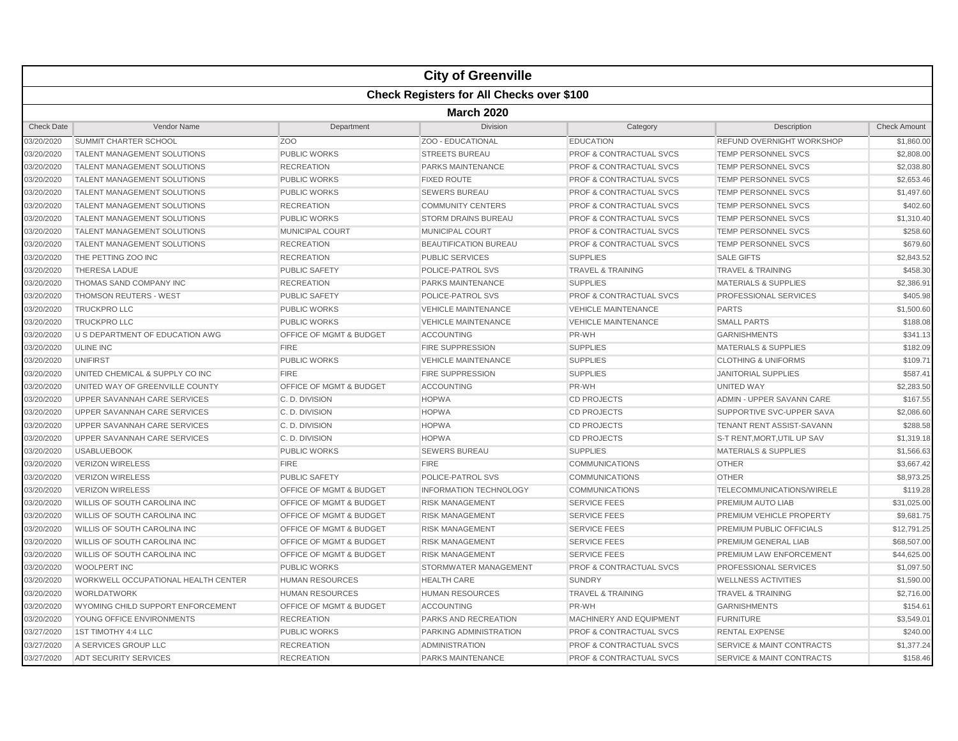|                   |                                     |                         | <b>City of Greenville</b>                        |                                    |                                      |                     |  |  |  |
|-------------------|-------------------------------------|-------------------------|--------------------------------------------------|------------------------------------|--------------------------------------|---------------------|--|--|--|
|                   |                                     |                         | <b>Check Registers for All Checks over \$100</b> |                                    |                                      |                     |  |  |  |
|                   | <b>March 2020</b>                   |                         |                                                  |                                    |                                      |                     |  |  |  |
| <b>Check Date</b> | Vendor Name                         | Department              | <b>Division</b>                                  | Category                           | Description                          | <b>Check Amount</b> |  |  |  |
| 03/20/2020        | SUMMIT CHARTER SCHOOL               | ZOO                     | ZOO - EDUCATIONAL                                | <b>EDUCATION</b>                   | REFUND OVERNIGHT WORKSHOP            | \$1,860.00          |  |  |  |
| 03/20/2020        | <b>TALENT MANAGEMENT SOLUTIONS</b>  | <b>PUBLIC WORKS</b>     | <b>STREETS BUREAU</b>                            | <b>PROF &amp; CONTRACTUAL SVCS</b> | <b>TEMP PERSONNEL SVCS</b>           | \$2,808.00          |  |  |  |
| 03/20/2020        | <b>TALENT MANAGEMENT SOLUTIONS</b>  | <b>RECREATION</b>       | PARKS MAINTENANCE                                | <b>PROF &amp; CONTRACTUAL SVCS</b> | TEMP PERSONNEL SVCS                  | \$2,038.80          |  |  |  |
| 03/20/2020        | <b>TALENT MANAGEMENT SOLUTIONS</b>  | <b>PUBLIC WORKS</b>     | <b>FIXED ROUTE</b>                               | <b>PROF &amp; CONTRACTUAL SVCS</b> | TEMP PERSONNEL SVCS                  | \$2,653.46          |  |  |  |
| 03/20/2020        | <b>TALENT MANAGEMENT SOLUTIONS</b>  | <b>PUBLIC WORKS</b>     | <b>SEWERS BUREAU</b>                             | <b>PROF &amp; CONTRACTUAL SVCS</b> | TEMP PERSONNEL SVCS                  | \$1,497.60          |  |  |  |
| 03/20/2020        | <b>TALENT MANAGEMENT SOLUTIONS</b>  | <b>RECREATION</b>       | <b>COMMUNITY CENTERS</b>                         | <b>PROF &amp; CONTRACTUAL SVCS</b> | <b>TEMP PERSONNEL SVCS</b>           | \$402.60            |  |  |  |
| 03/20/2020        | <b>TALENT MANAGEMENT SOLUTIONS</b>  | <b>PUBLIC WORKS</b>     | <b>STORM DRAINS BUREAU</b>                       | <b>PROF &amp; CONTRACTUAL SVCS</b> | <b>TEMP PERSONNEL SVCS</b>           | \$1,310.40          |  |  |  |
| 03/20/2020        | <b>TALENT MANAGEMENT SOLUTIONS</b>  | MUNICIPAL COURT         | <b>MUNICIPAL COURT</b>                           | PROF & CONTRACTUAL SVCS            | <b>TEMP PERSONNEL SVCS</b>           | \$258.60            |  |  |  |
| 03/20/2020        | <b>TALENT MANAGEMENT SOLUTIONS</b>  | <b>RECREATION</b>       | <b>BEAUTIFICATION BUREAU</b>                     | <b>PROF &amp; CONTRACTUAL SVCS</b> | <b>TEMP PERSONNEL SVCS</b>           | \$679.60            |  |  |  |
| 03/20/2020        | THE PETTING ZOO INC                 | <b>RECREATION</b>       | <b>PUBLIC SERVICES</b>                           | <b>SUPPLIES</b>                    | <b>SALE GIFTS</b>                    | \$2,843.52          |  |  |  |
| 03/20/2020        | <b>THERESA LADUE</b>                | <b>PUBLIC SAFETY</b>    | POLICE-PATROL SVS                                | <b>TRAVEL &amp; TRAINING</b>       | <b>TRAVEL &amp; TRAINING</b>         | \$458.30            |  |  |  |
| 03/20/2020        | THOMAS SAND COMPANY INC             | <b>RECREATION</b>       | PARKS MAINTENANCE                                | <b>SUPPLIES</b>                    | <b>MATERIALS &amp; SUPPLIES</b>      | \$2,386.91          |  |  |  |
| 03/20/2020        | <b>THOMSON REUTERS - WEST</b>       | <b>PUBLIC SAFETY</b>    | POLICE-PATROL SVS                                | <b>PROF &amp; CONTRACTUAL SVCS</b> | PROFESSIONAL SERVICES                | \$405.98            |  |  |  |
| 03/20/2020        | <b>TRUCKPROLLC</b>                  | <b>PUBLIC WORKS</b>     | <b>VEHICLE MAINTENANCE</b>                       | <b>VEHICLE MAINTENANCE</b>         | <b>PARTS</b>                         | \$1,500.60          |  |  |  |
| 03/20/2020        | <b>TRUCKPROLLC</b>                  | PUBLIC WORKS            | <b>VEHICLE MAINTENANCE</b>                       | <b>VEHICLE MAINTENANCE</b>         | <b>SMALL PARTS</b>                   | \$188.08            |  |  |  |
| 03/20/2020        | U S DEPARTMENT OF EDUCATION AWG     | OFFICE OF MGMT & BUDGET | <b>ACCOUNTING</b>                                | PR-WH                              | <b>GARNISHMENTS</b>                  | \$341.13            |  |  |  |
| 03/20/2020        | <b>ULINE INC</b>                    | <b>FIRE</b>             | <b>FIRE SUPPRESSION</b>                          | <b>SUPPLIES</b>                    | <b>MATERIALS &amp; SUPPLIES</b>      | \$182.09            |  |  |  |
| 03/20/2020        | <b>UNIFIRST</b>                     | <b>PUBLIC WORKS</b>     | <b>VEHICLE MAINTENANCE</b>                       | <b>SUPPLIES</b>                    | <b>CLOTHING &amp; UNIFORMS</b>       | \$109.71            |  |  |  |
| 03/20/2020        | UNITED CHEMICAL & SUPPLY CO INC     | <b>FIRE</b>             | <b>FIRE SUPPRESSION</b>                          | <b>SUPPLIES</b>                    | <b>JANITORIAL SUPPLIES</b>           | \$587.41            |  |  |  |
| 03/20/2020        | UNITED WAY OF GREENVILLE COUNTY     | OFFICE OF MGMT & BUDGET | <b>ACCOUNTING</b>                                | PR-WH                              | <b>UNITED WAY</b>                    | \$2,283.50          |  |  |  |
| 03/20/2020        | UPPER SAVANNAH CARE SERVICES        | C.D. DIVISION           | <b>HOPWA</b>                                     | <b>CD PROJECTS</b>                 | ADMIN - UPPER SAVANN CARE            | \$167.55            |  |  |  |
| 03/20/2020        | UPPER SAVANNAH CARE SERVICES        | C. D. DIVISION          | <b>HOPWA</b>                                     | <b>CD PROJECTS</b>                 | SUPPORTIVE SVC-UPPER SAVA            | \$2,086.60          |  |  |  |
| 03/20/2020        | UPPER SAVANNAH CARE SERVICES        | C. D. DIVISION          | <b>HOPWA</b>                                     | <b>CD PROJECTS</b>                 | TENANT RENT ASSIST-SAVANN            | \$288.58            |  |  |  |
| 03/20/2020        | UPPER SAVANNAH CARE SERVICES        | C.D. DIVISION           | <b>HOPWA</b>                                     | <b>CD PROJECTS</b>                 | S-T RENT.MORT.UTIL UP SAV            | \$1,319.18          |  |  |  |
| 03/20/2020        | <b>USABLUEBOOK</b>                  | <b>PUBLIC WORKS</b>     | <b>SEWERS BUREAU</b>                             | <b>SUPPLIES</b>                    | <b>MATERIALS &amp; SUPPLIES</b>      | \$1,566.63          |  |  |  |
| 03/20/2020        | <b>VERIZON WIRELESS</b>             | <b>FIRE</b>             | <b>FIRE</b>                                      | COMMUNICATIONS                     | <b>OTHER</b>                         | \$3,667.42          |  |  |  |
| 03/20/2020        | <b>VERIZON WIRELESS</b>             | <b>PUBLIC SAFETY</b>    | POLICE-PATROL SVS                                | <b>COMMUNICATIONS</b>              | <b>OTHER</b>                         | \$8,973.25          |  |  |  |
| 03/20/2020        | <b>VERIZON WIRELESS</b>             | OFFICE OF MGMT & BUDGET | <b>INFORMATION TECHNOLOGY</b>                    | <b>COMMUNICATIONS</b>              | TELECOMMUNICATIONS/WIRELE            | \$119.28            |  |  |  |
| 03/20/2020        | WILLIS OF SOUTH CAROLINA INC        | OFFICE OF MGMT & BUDGET | <b>RISK MANAGEMENT</b>                           | <b>SERVICE FEES</b>                | PREMIUM AUTO LIAB                    | \$31,025.00         |  |  |  |
| 03/20/2020        | WILLIS OF SOUTH CAROLINA INC        | OFFICE OF MGMT & BUDGET | <b>RISK MANAGEMENT</b>                           | <b>SERVICE FEES</b>                | PREMIUM VEHICLE PROPERTY             | \$9,681.75          |  |  |  |
| 03/20/2020        | WILLIS OF SOUTH CAROLINA INC        | OFFICE OF MGMT & BUDGET | <b>RISK MANAGEMENT</b>                           | <b>SERVICE FEES</b>                | PREMIUM PUBLIC OFFICIALS             | \$12,791.25         |  |  |  |
| 03/20/2020        | WILLIS OF SOUTH CAROLINA INC        | OFFICE OF MGMT & BUDGET | <b>RISK MANAGEMENT</b>                           | <b>SERVICE FEES</b>                | PREMIUM GENERAL LIAB                 | \$68,507.00         |  |  |  |
| 03/20/2020        | WILLIS OF SOUTH CAROLINA INC        | OFFICE OF MGMT & BUDGET | <b>RISK MANAGEMENT</b>                           | <b>SERVICE FEES</b>                | PREMIUM LAW ENFORCEMENT              | \$44,625.00         |  |  |  |
| 03/20/2020        | <b>WOOLPERT INC</b>                 | <b>PUBLIC WORKS</b>     | STORMWATER MANAGEMENT                            | PROF & CONTRACTUAL SVCS            | <b>PROFESSIONAL SERVICES</b>         | \$1,097.50          |  |  |  |
| 03/20/2020        | WORKWELL OCCUPATIONAL HEALTH CENTER | <b>HUMAN RESOURCES</b>  | <b>HEALTH CARE</b>                               | <b>SUNDRY</b>                      | <b>WELLNESS ACTIVITIES</b>           | \$1,590.00          |  |  |  |
| 03/20/2020        | WORLDATWORK                         | <b>HUMAN RESOURCES</b>  | <b>HUMAN RESOURCES</b>                           | <b>TRAVEL &amp; TRAINING</b>       | <b>TRAVEL &amp; TRAINING</b>         | \$2,716.00          |  |  |  |
| 03/20/2020        | WYOMING CHILD SUPPORT ENFORCEMENT   | OFFICE OF MGMT & BUDGET | <b>ACCOUNTING</b>                                | PR-WH                              | <b>GARNISHMENTS</b>                  | \$154.61            |  |  |  |
| 03/20/2020        | YOUNG OFFICE ENVIRONMENTS           | <b>RECREATION</b>       | PARKS AND RECREATION                             | MACHINERY AND EQUIPMENT            | <b>FURNITURE</b>                     | \$3,549.01          |  |  |  |
| 03/27/2020        | 1ST TIMOTHY 4:4 LLC                 | <b>PUBLIC WORKS</b>     | PARKING ADMINISTRATION                           | <b>PROF &amp; CONTRACTUAL SVCS</b> | <b>RENTAL EXPENSE</b>                | \$240.00            |  |  |  |
| 03/27/2020        | A SERVICES GROUP LLC                | <b>RECREATION</b>       | <b>ADMINISTRATION</b>                            | PROF & CONTRACTUAL SVCS            | <b>SERVICE &amp; MAINT CONTRACTS</b> | \$1,377.24          |  |  |  |
| 03/27/2020        | <b>ADT SECURITY SERVICES</b>        | <b>RECREATION</b>       | <b>PARKS MAINTENANCE</b>                         | <b>PROF &amp; CONTRACTUAL SVCS</b> | <b>SERVICE &amp; MAINT CONTRACTS</b> | \$158.46            |  |  |  |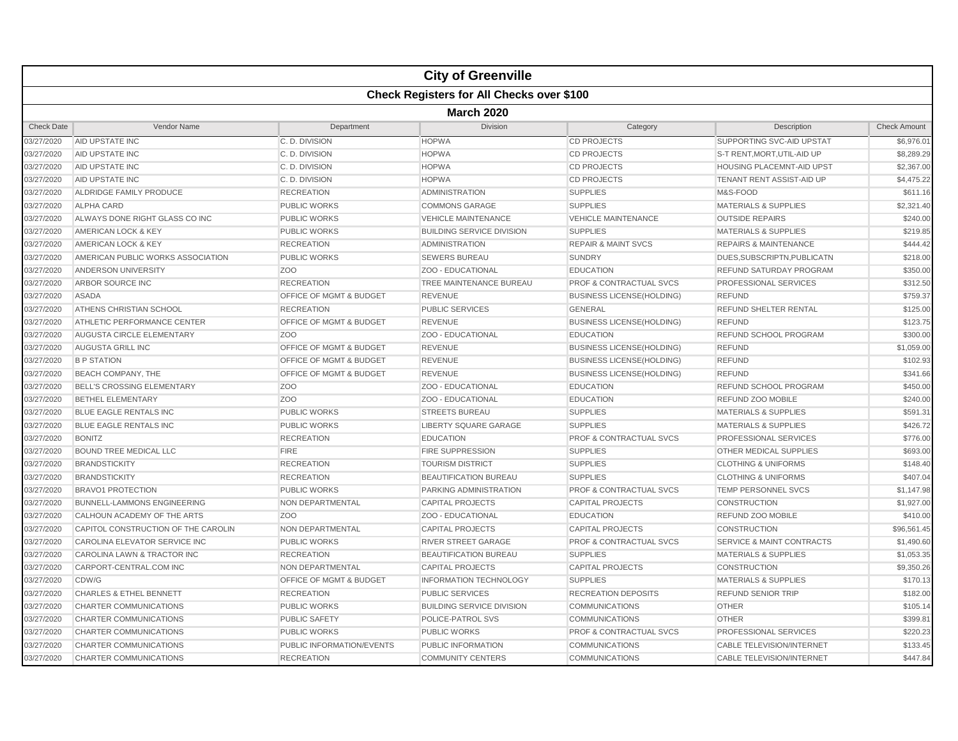|                   |                                     |                           | <b>City of Greenville</b>                        |                                    |                                      |                     |  |  |  |
|-------------------|-------------------------------------|---------------------------|--------------------------------------------------|------------------------------------|--------------------------------------|---------------------|--|--|--|
|                   |                                     |                           | <b>Check Registers for All Checks over \$100</b> |                                    |                                      |                     |  |  |  |
|                   | <b>March 2020</b>                   |                           |                                                  |                                    |                                      |                     |  |  |  |
| <b>Check Date</b> | Vendor Name                         | Department                | Division                                         | Category                           | Description                          | <b>Check Amount</b> |  |  |  |
| 03/27/2020        | AID UPSTATE INC                     | C.D. DIVISION             | <b>HOPWA</b>                                     | <b>CD PROJECTS</b>                 | SUPPORTING SVC-AID UPSTAT            | \$6,976.01          |  |  |  |
| 03/27/2020        | AID UPSTATE INC                     | C.D. DIVISION             | <b>HOPWA</b>                                     | <b>CD PROJECTS</b>                 | S-T RENT, MORT, UTIL-AID UP          | \$8,289.29          |  |  |  |
| 03/27/2020        | AID UPSTATE INC                     | C. D. DIVISION            | <b>HOPWA</b>                                     | <b>CD PROJECTS</b>                 | <b>HOUSING PLACEMNT-AID UPST</b>     | \$2,367.00          |  |  |  |
| 03/27/2020        | AID UPSTATE INC                     | C. D. DIVISION            | <b>HOPWA</b>                                     | <b>CD PROJECTS</b>                 | TENANT RENT ASSIST-AID UP            | \$4,475.22          |  |  |  |
| 03/27/2020        | ALDRIDGE FAMILY PRODUCE             | <b>RECREATION</b>         | <b>ADMINISTRATION</b>                            | <b>SUPPLIES</b>                    | M&S-FOOD                             | \$611.16            |  |  |  |
| 03/27/2020        | <b>ALPHA CARD</b>                   | <b>PUBLIC WORKS</b>       | <b>COMMONS GARAGE</b>                            | <b>SUPPLIES</b>                    | <b>MATERIALS &amp; SUPPLIES</b>      | \$2,321.40          |  |  |  |
| 03/27/2020        | ALWAYS DONE RIGHT GLASS CO INC      | <b>PUBLIC WORKS</b>       | <b>VEHICLE MAINTENANCE</b>                       | <b>VEHICLE MAINTENANCE</b>         | <b>OUTSIDE REPAIRS</b>               | \$240.00            |  |  |  |
| 03/27/2020        | AMERICAN LOCK & KEY                 | <b>PUBLIC WORKS</b>       | <b>BUILDING SERVICE DIVISION</b>                 | <b>SUPPLIES</b>                    | <b>MATERIALS &amp; SUPPLIES</b>      | \$219.85            |  |  |  |
| 03/27/2020        | AMERICAN LOCK & KEY                 | <b>RECREATION</b>         | <b>ADMINISTRATION</b>                            | <b>REPAIR &amp; MAINT SVCS</b>     | <b>REPAIRS &amp; MAINTENANCE</b>     | \$444.42            |  |  |  |
| 03/27/2020        | AMERICAN PUBLIC WORKS ASSOCIATION   | <b>PUBLIC WORKS</b>       | <b>SEWERS BUREAU</b>                             | <b>SUNDRY</b>                      | DUES.SUBSCRIPTN.PUBLICATN            | \$218.00            |  |  |  |
| 03/27/2020        | ANDERSON UNIVERSITY                 | ZO <sub>O</sub>           | ZOO - EDUCATIONAL                                | <b>EDUCATION</b>                   | REFUND SATURDAY PROGRAM              | \$350.00            |  |  |  |
| 03/27/2020        | ARBOR SOURCE INC                    | <b>RECREATION</b>         | TREE MAINTENANCE BUREAU                          | <b>PROF &amp; CONTRACTUAL SVCS</b> | PROFESSIONAL SERVICES                | \$312.50            |  |  |  |
| 03/27/2020        | <b>ASADA</b>                        | OFFICE OF MGMT & BUDGET   | <b>REVENUE</b>                                   | <b>BUSINESS LICENSE(HOLDING)</b>   | <b>REFUND</b>                        | \$759.37            |  |  |  |
| 03/27/2020        | ATHENS CHRISTIAN SCHOOL             | <b>RECREATION</b>         | <b>PUBLIC SERVICES</b>                           | <b>GENERAL</b>                     | REFUND SHELTER RENTAL                | \$125.00            |  |  |  |
| 03/27/2020        | ATHLETIC PERFORMANCE CENTER         | OFFICE OF MGMT & BUDGET   | <b>REVENUE</b>                                   | <b>BUSINESS LICENSE(HOLDING)</b>   | <b>REFUND</b>                        | \$123.75            |  |  |  |
| 03/27/2020        | <b>AUGUSTA CIRCLE ELEMENTARY</b>    | Z <sub>O</sub> O          | ZOO - EDUCATIONAL                                | <b>EDUCATION</b>                   | REFUND SCHOOL PROGRAM                | \$300.00            |  |  |  |
| 03/27/2020        | AUGUSTA GRILL INC                   | OFFICE OF MGMT & BUDGET   | <b>REVENUE</b>                                   | <b>BUSINESS LICENSE(HOLDING)</b>   | <b>REFUND</b>                        | \$1,059.00          |  |  |  |
| 03/27/2020        | <b>B P STATION</b>                  | OFFICE OF MGMT & BUDGET   | <b>REVENUE</b>                                   | <b>BUSINESS LICENSE(HOLDING)</b>   | <b>REFUND</b>                        | \$102.93            |  |  |  |
| 03/27/2020        | BEACH COMPANY, THE                  | OFFICE OF MGMT & BUDGET   | <b>REVENUE</b>                                   | <b>BUSINESS LICENSE(HOLDING)</b>   | <b>REFUND</b>                        | \$341.66            |  |  |  |
| 03/27/2020        | <b>BELL'S CROSSING ELEMENTARY</b>   | ZO <sub>O</sub>           | ZOO - EDUCATIONAL                                | <b>EDUCATION</b>                   | REFUND SCHOOL PROGRAM                | \$450.00            |  |  |  |
| 03/27/2020        | <b>BETHEL ELEMENTARY</b>            | ZO <sub>O</sub>           | ZOO - EDUCATIONAL                                | <b>EDUCATION</b>                   | REFUND ZOO MOBILE                    | \$240.00            |  |  |  |
| 03/27/2020        | <b>BLUE EAGLE RENTALS INC</b>       | <b>PUBLIC WORKS</b>       | <b>STREETS BUREAU</b>                            | <b>SUPPLIES</b>                    | <b>MATERIALS &amp; SUPPLIES</b>      | \$591.31            |  |  |  |
| 03/27/2020        | BLUE EAGLE RENTALS INC              | <b>PUBLIC WORKS</b>       | <b>LIBERTY SQUARE GARAGE</b>                     | <b>SUPPLIES</b>                    | <b>MATERIALS &amp; SUPPLIES</b>      | \$426.72            |  |  |  |
| 03/27/2020        | <b>BONITZ</b>                       | <b>RECREATION</b>         | <b>EDUCATION</b>                                 | <b>PROF &amp; CONTRACTUAL SVCS</b> | PROFESSIONAL SERVICES                | \$776.00            |  |  |  |
| 03/27/2020        | <b>BOUND TREE MEDICAL LLC</b>       | <b>FIRE</b>               | <b>FIRE SUPPRESSION</b>                          | <b>SUPPLIES</b>                    | OTHER MEDICAL SUPPLIES               | \$693.00            |  |  |  |
| 03/27/2020        | <b>BRANDSTICKITY</b>                | <b>RECREATION</b>         | <b>TOURISM DISTRICT</b>                          | <b>SUPPLIES</b>                    | <b>CLOTHING &amp; UNIFORMS</b>       | \$148.40            |  |  |  |
| 03/27/2020        | <b>BRANDSTICKITY</b>                | <b>RECREATION</b>         | <b>BEAUTIFICATION BUREAU</b>                     | <b>SUPPLIES</b>                    | <b>CLOTHING &amp; UNIFORMS</b>       | \$407.04            |  |  |  |
| 03/27/2020        | <b>BRAVO1 PROTECTION</b>            | <b>PUBLIC WORKS</b>       | PARKING ADMINISTRATION                           | <b>PROF &amp; CONTRACTUAL SVCS</b> | <b>TEMP PERSONNEL SVCS</b>           | \$1,147.98          |  |  |  |
| 03/27/2020        | <b>BUNNELL-LAMMONS ENGINEERING</b>  | NON DEPARTMENTAL          | <b>CAPITAL PROJECTS</b>                          | <b>CAPITAL PROJECTS</b>            | <b>CONSTRUCTION</b>                  | \$1,927.00          |  |  |  |
| 03/27/2020        | CALHOUN ACADEMY OF THE ARTS         | ZO <sub>O</sub>           | ZOO - EDUCATIONAL                                | <b>EDUCATION</b>                   | REFUND ZOO MOBILE                    | \$410.00            |  |  |  |
| 03/27/2020        | CAPITOL CONSTRUCTION OF THE CAROLIN | NON DEPARTMENTAL          | <b>CAPITAL PROJECTS</b>                          | <b>CAPITAL PROJECTS</b>            | <b>CONSTRUCTION</b>                  | \$96,561.45         |  |  |  |
| 03/27/2020        | CAROLINA ELEVATOR SERVICE INC       | <b>PUBLIC WORKS</b>       | <b>RIVER STREET GARAGE</b>                       | <b>PROF &amp; CONTRACTUAL SVCS</b> | <b>SERVICE &amp; MAINT CONTRACTS</b> | \$1,490.60          |  |  |  |
| 03/27/2020        | CAROLINA LAWN & TRACTOR INC         | <b>RECREATION</b>         | <b>BEAUTIFICATION BUREAU</b>                     | <b>SUPPLIES</b>                    | <b>MATERIALS &amp; SUPPLIES</b>      | \$1,053.35          |  |  |  |
| 03/27/2020        | CARPORT-CENTRAL.COM INC             | NON DEPARTMENTAL          | <b>CAPITAL PROJECTS</b>                          | <b>CAPITAL PROJECTS</b>            | <b>CONSTRUCTION</b>                  | \$9,350.26          |  |  |  |
| 03/27/2020        | CDW/G                               | OFFICE OF MGMT & BUDGET   | <b>INFORMATION TECHNOLOGY</b>                    | <b>SUPPLIES</b>                    | <b>MATERIALS &amp; SUPPLIES</b>      | \$170.13            |  |  |  |
| 03/27/2020        | <b>CHARLES &amp; ETHEL BENNETT</b>  | <b>RECREATION</b>         | <b>PUBLIC SERVICES</b>                           | <b>RECREATION DEPOSITS</b>         | REFUND SENIOR TRIP                   | \$182.00            |  |  |  |
| 03/27/2020        | <b>CHARTER COMMUNICATIONS</b>       | <b>PUBLIC WORKS</b>       | <b>BUILDING SERVICE DIVISION</b>                 | <b>COMMUNICATIONS</b>              | <b>OTHER</b>                         | \$105.14            |  |  |  |
| 03/27/2020        | CHARTER COMMUNICATIONS              | PUBLIC SAFETY             | POLICE-PATROL SVS                                | <b>COMMUNICATIONS</b>              | <b>OTHER</b>                         | \$399.81            |  |  |  |
| 03/27/2020        | CHARTER COMMUNICATIONS              | <b>PUBLIC WORKS</b>       | <b>PUBLIC WORKS</b>                              | PROF & CONTRACTUAL SVCS            | PROFESSIONAL SERVICES                | \$220.23            |  |  |  |
| 03/27/2020        | <b>CHARTER COMMUNICATIONS</b>       | PUBLIC INFORMATION/EVENTS | PUBLIC INFORMATION                               | <b>COMMUNICATIONS</b>              | <b>CABLE TELEVISION/INTERNET</b>     | \$133.45            |  |  |  |
| 03/27/2020        | <b>CHARTER COMMUNICATIONS</b>       | <b>RECREATION</b>         | <b>COMMUNITY CENTERS</b>                         | <b>COMMUNICATIONS</b>              | <b>CABLE TELEVISION/INTERNET</b>     | \$447.84            |  |  |  |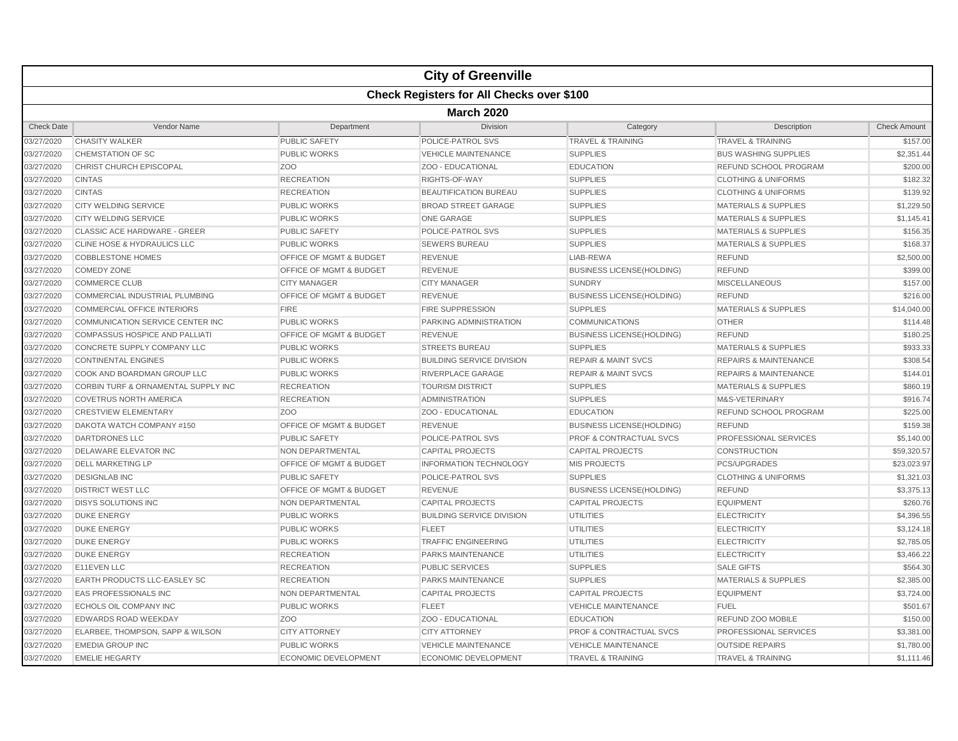|                   |                                                  |                                    | <b>City of Greenville</b>        |                                    |                                  |                     |  |  |  |
|-------------------|--------------------------------------------------|------------------------------------|----------------------------------|------------------------------------|----------------------------------|---------------------|--|--|--|
|                   | <b>Check Registers for All Checks over \$100</b> |                                    |                                  |                                    |                                  |                     |  |  |  |
|                   | <b>March 2020</b>                                |                                    |                                  |                                    |                                  |                     |  |  |  |
| <b>Check Date</b> | Vendor Name                                      | Department                         | <b>Division</b>                  | Category                           | Description                      | <b>Check Amount</b> |  |  |  |
| 03/27/2020        | <b>CHASITY WALKER</b>                            | <b>PUBLIC SAFETY</b>               | POLICE-PATROL SVS                | <b>TRAVEL &amp; TRAINING</b>       | <b>TRAVEL &amp; TRAINING</b>     | \$157.00            |  |  |  |
| 03/27/2020        | <b>CHEMSTATION OF SC</b>                         | <b>PUBLIC WORKS</b>                | <b>VEHICLE MAINTENANCE</b>       | <b>SUPPLIES</b>                    | <b>BUS WASHING SUPPLIES</b>      | \$2,351.44          |  |  |  |
| 03/27/2020        | CHRIST CHURCH EPISCOPAL                          | Z <sub>O</sub> O                   | ZOO - EDUCATIONAL                | <b>EDUCATION</b>                   | REFUND SCHOOL PROGRAM            | \$200.00            |  |  |  |
| 03/27/2020        | <b>CINTAS</b>                                    | <b>RECREATION</b>                  | RIGHTS-OF-WAY                    | <b>SUPPLIES</b>                    | <b>CLOTHING &amp; UNIFORMS</b>   | \$182.32            |  |  |  |
| 03/27/2020        | <b>CINTAS</b>                                    | <b>RECREATION</b>                  | <b>BEAUTIFICATION BUREAU</b>     | <b>SUPPLIES</b>                    | <b>CLOTHING &amp; UNIFORMS</b>   | \$139.92            |  |  |  |
| 03/27/2020        | <b>CITY WELDING SERVICE</b>                      | <b>PUBLIC WORKS</b>                | <b>BROAD STREET GARAGE</b>       | <b>SUPPLIES</b>                    | <b>MATERIALS &amp; SUPPLIES</b>  | \$1,229.50          |  |  |  |
| 03/27/2020        | <b>CITY WELDING SERVICE</b>                      | <b>PUBLIC WORKS</b>                | <b>ONE GARAGE</b>                | <b>SUPPLIES</b>                    | <b>MATERIALS &amp; SUPPLIES</b>  | \$1,145.41          |  |  |  |
| 03/27/2020        | <b>CLASSIC ACE HARDWARE - GREER</b>              | <b>PUBLIC SAFETY</b>               | POLICE-PATROL SVS                | <b>SUPPLIES</b>                    | <b>MATERIALS &amp; SUPPLIES</b>  | \$156.35            |  |  |  |
| 03/27/2020        | <b>CLINE HOSE &amp; HYDRAULICS LLC</b>           | <b>PUBLIC WORKS</b>                | <b>SEWERS BUREAU</b>             | <b>SUPPLIES</b>                    | <b>MATERIALS &amp; SUPPLIES</b>  | \$168.37            |  |  |  |
| 03/27/2020        | <b>COBBLESTONE HOMES</b>                         | <b>OFFICE OF MGMT &amp; BUDGET</b> | <b>REVENUE</b>                   | LIAB-REWA                          | <b>REFUND</b>                    | \$2,500.00          |  |  |  |
| 03/27/2020        | <b>COMEDY ZONE</b>                               | <b>OFFICE OF MGMT &amp; BUDGET</b> | <b>REVENUE</b>                   | <b>BUSINESS LICENSE(HOLDING)</b>   | <b>REFUND</b>                    | \$399.00            |  |  |  |
| 03/27/2020        | <b>COMMERCE CLUB</b>                             | <b>CITY MANAGER</b>                | <b>CITY MANAGER</b>              | <b>SUNDRY</b>                      | <b>MISCELLANEOUS</b>             | \$157.00            |  |  |  |
| 03/27/2020        | COMMERCIAL INDUSTRIAL PLUMBING                   | OFFICE OF MGMT & BUDGET            | <b>REVENUE</b>                   | <b>BUSINESS LICENSE(HOLDING)</b>   | <b>REFUND</b>                    | \$216.00            |  |  |  |
| 03/27/2020        | <b>COMMERCIAL OFFICE INTERIORS</b>               | <b>FIRE</b>                        | <b>FIRE SUPPRESSION</b>          | <b>SUPPLIES</b>                    | <b>MATERIALS &amp; SUPPLIES</b>  | \$14,040.00         |  |  |  |
| 03/27/2020        | COMMUNICATION SERVICE CENTER INC                 | PUBLIC WORKS                       | PARKING ADMINISTRATION           | <b>COMMUNICATIONS</b>              | <b>OTHER</b>                     | \$114.48            |  |  |  |
| 03/27/2020        | <b>COMPASSUS HOSPICE AND PALLIAT</b>             | <b>OFFICE OF MGMT &amp; BUDGET</b> | <b>REVENUE</b>                   | <b>BUSINESS LICENSE(HOLDING)</b>   | <b>REFUND</b>                    | \$180.25            |  |  |  |
| 03/27/2020        | CONCRETE SUPPLY COMPANY LLC                      | <b>PUBLIC WORKS</b>                | <b>STREETS BUREAU</b>            | <b>SUPPLIES</b>                    | <b>MATERIALS &amp; SUPPLIES</b>  | \$933.33            |  |  |  |
| 03/27/2020        | <b>CONTINENTAL ENGINES</b>                       | <b>PUBLIC WORKS</b>                | <b>BUILDING SERVICE DIVISION</b> | <b>REPAIR &amp; MAINT SVCS</b>     | <b>REPAIRS &amp; MAINTENANCE</b> | \$308.54            |  |  |  |
| 03/27/2020        | COOK AND BOARDMAN GROUP LLC                      | <b>PUBLIC WORKS</b>                | <b>RIVERPLACE GARAGE</b>         | <b>REPAIR &amp; MAINT SVCS</b>     | <b>REPAIRS &amp; MAINTENANCE</b> | \$144.01            |  |  |  |
| 03/27/2020        | CORBIN TURF & ORNAMENTAL SUPPLY INC              | <b>RECREATION</b>                  | <b>TOURISM DISTRICT</b>          | <b>SUPPLIES</b>                    | <b>MATERIALS &amp; SUPPLIES</b>  | \$860.19            |  |  |  |
| 03/27/2020        | <b>COVETRUS NORTH AMERICA</b>                    | <b>RECREATION</b>                  | <b>ADMINISTRATION</b>            | <b>SUPPLIES</b>                    | M&S-VETERINARY                   | \$916.74            |  |  |  |
| 03/27/2020        | <b>CRESTVIEW ELEMENTARY</b>                      | Z <sub>OO</sub>                    | ZOO - EDUCATIONAL                | <b>EDUCATION</b>                   | <b>REFUND SCHOOL PROGRAM</b>     | \$225.00            |  |  |  |
| 03/27/2020        | DAKOTA WATCH COMPANY #150                        | OFFICE OF MGMT & BUDGET            | <b>REVENUE</b>                   | <b>BUSINESS LICENSE(HOLDING)</b>   | REFUND                           | \$159.38            |  |  |  |
| 03/27/2020        | <b>DARTDRONES LLC</b>                            | <b>PUBLIC SAFETY</b>               | POLICE-PATROL SVS                | <b>PROF &amp; CONTRACTUAL SVCS</b> | <b>PROFESSIONAL SERVICES</b>     | \$5,140.00          |  |  |  |
| 03/27/2020        | DELAWARE ELEVATOR INC                            | NON DEPARTMENTAL                   | <b>CAPITAL PROJECTS</b>          | <b>CAPITAL PROJECTS</b>            | <b>CONSTRUCTION</b>              | \$59,320.57         |  |  |  |
| 03/27/2020        | <b>DELL MARKETING LP</b>                         | <b>OFFICE OF MGMT &amp; BUDGET</b> | <b>INFORMATION TECHNOLOGY</b>    | <b>MIS PROJECTS</b>                | <b>PCS/UPGRADES</b>              | \$23,023.97         |  |  |  |
| 03/27/2020        | <b>DESIGNLAB INC</b>                             | <b>PUBLIC SAFETY</b>               | <b>POLICE-PATROL SVS</b>         | <b>SUPPLIES</b>                    | <b>CLOTHING &amp; UNIFORMS</b>   | \$1,321.03          |  |  |  |
| 03/27/2020        | <b>DISTRICT WEST LLC</b>                         | OFFICE OF MGMT & BUDGET            | <b>REVENUE</b>                   | <b>BUSINESS LICENSE(HOLDING)</b>   | <b>REFUND</b>                    | \$3,375.13          |  |  |  |
| 03/27/2020        | <b>DISYS SOLUTIONS INC</b>                       | NON DEPARTMENTAL                   | <b>CAPITAL PROJECTS</b>          | <b>CAPITAL PROJECTS</b>            | <b>EQUIPMENT</b>                 | \$260.76            |  |  |  |
| 03/27/2020        | <b>DUKE ENERGY</b>                               | PUBLIC WORKS                       | <b>BUILDING SERVICE DIVISION</b> | UTILITIES                          | <b>ELECTRICITY</b>               | \$4,396.55          |  |  |  |
| 03/27/2020        | <b>DUKE ENERGY</b>                               | <b>PUBLIC WORKS</b>                | <b>FLEET</b>                     | <b>UTILITIES</b>                   | <b>ELECTRICITY</b>               | \$3,124.18          |  |  |  |
| 03/27/2020        | <b>DUKE ENERGY</b>                               | <b>PUBLIC WORKS</b>                | <b>TRAFFIC ENGINEERING</b>       | UTILITIES                          | <b>ELECTRICITY</b>               | \$2,785.05          |  |  |  |
| 03/27/2020        | <b>DUKE ENERGY</b>                               | <b>RECREATION</b>                  | PARKS MAINTENANCE                | <b>UTILITIES</b>                   | <b>ELECTRICITY</b>               | \$3,466.22          |  |  |  |
| 03/27/2020        | <b>E11EVEN LLC</b>                               | <b>RECREATION</b>                  | <b>PUBLIC SERVICES</b>           | <b>SUPPLIES</b>                    | <b>SALE GIFTS</b>                | \$564.30            |  |  |  |
| 03/27/2020        | <b>EARTH PRODUCTS LLC-EASLEY SC</b>              | <b>RECREATION</b>                  | PARKS MAINTENANCE                | <b>SUPPLIES</b>                    | <b>MATERIALS &amp; SUPPLIES</b>  | \$2,385.00          |  |  |  |
| 03/27/2020        | <b>EAS PROFESSIONALS INC</b>                     | <b>NON DEPARTMENTAL</b>            | <b>CAPITAL PROJECTS</b>          | <b>CAPITAL PROJECTS</b>            | <b>EQUIPMENT</b>                 | \$3,724.00          |  |  |  |
| 03/27/2020        | <b>ECHOLS OIL COMPANY INC</b>                    | <b>PUBLIC WORKS</b>                | <b>FLEET</b>                     | <b>VEHICLE MAINTENANCE</b>         | <b>FUEL</b>                      | \$501.67            |  |  |  |
| 03/27/2020        | <b>EDWARDS ROAD WEEKDAY</b>                      | ZO <sub>O</sub>                    | ZOO - EDUCATIONAL                | <b>EDUCATION</b>                   | REFUND ZOO MOBILE                | \$150.00            |  |  |  |
| 03/27/2020        | ELARBEE, THOMPSON, SAPP & WILSON                 | <b>CITY ATTORNEY</b>               | <b>CITY ATTORNEY</b>             | <b>PROF &amp; CONTRACTUAL SVCS</b> | <b>PROFESSIONAL SERVICES</b>     | \$3,381.00          |  |  |  |
| 03/27/2020        | <b>EMEDIA GROUP INC</b>                          | <b>PUBLIC WORKS</b>                | <b>VEHICLE MAINTENANCE</b>       | <b>VEHICLE MAINTENANCE</b>         | <b>OUTSIDE REPAIRS</b>           | \$1,780.00          |  |  |  |
| 03/27/2020        | <b>EMELIE HEGARTY</b>                            | <b>ECONOMIC DEVELOPMENT</b>        | <b>ECONOMIC DEVELOPMENT</b>      | <b>TRAVEL &amp; TRAINING</b>       | <b>TRAVEL &amp; TRAINING</b>     | \$1,111.46          |  |  |  |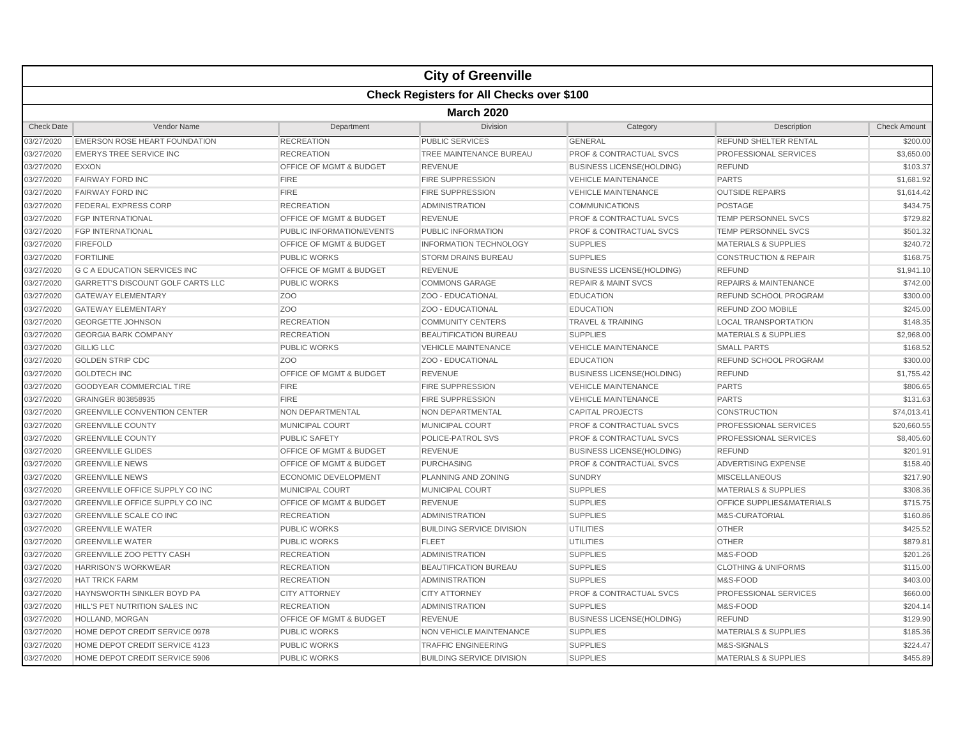|                   |                                          |                                    | <b>City of Greenville</b>                        |                                    |                                  |                     |  |  |  |
|-------------------|------------------------------------------|------------------------------------|--------------------------------------------------|------------------------------------|----------------------------------|---------------------|--|--|--|
|                   |                                          |                                    | <b>Check Registers for All Checks over \$100</b> |                                    |                                  |                     |  |  |  |
|                   | <b>March 2020</b>                        |                                    |                                                  |                                    |                                  |                     |  |  |  |
| <b>Check Date</b> | Vendor Name                              | Department                         | Division                                         | Category                           | Description                      | <b>Check Amount</b> |  |  |  |
| 03/27/2020        | <b>EMERSON ROSE HEART FOUNDATION</b>     | <b>RECREATION</b>                  | PUBLIC SERVICES                                  | <b>GENERAL</b>                     | REFUND SHELTER RENTAL            | \$200.00            |  |  |  |
| 03/27/2020        | <b>EMERYS TREE SERVICE INC</b>           | <b>RECREATION</b>                  | TREE MAINTENANCE BUREAU                          | PROF & CONTRACTUAL SVCS            | PROFESSIONAL SERVICES            | \$3,650.00          |  |  |  |
| 03/27/2020        | <b>EXXON</b>                             | OFFICE OF MGMT & BUDGET            | <b>REVENUE</b>                                   | <b>BUSINESS LICENSE(HOLDING)</b>   | <b>REFUND</b>                    | \$103.37            |  |  |  |
| 03/27/2020        | <b>FAIRWAY FORD INC</b>                  | <b>FIRE</b>                        | FIRE SUPPRESSION                                 | <b>VEHICLE MAINTENANCE</b>         | <b>PARTS</b>                     | \$1,681.92          |  |  |  |
| 03/27/2020        | <b>FAIRWAY FORD INC</b>                  | <b>FIRE</b>                        | <b>FIRE SUPPRESSION</b>                          | <b>VEHICLE MAINTENANCE</b>         | <b>OUTSIDE REPAIRS</b>           | \$1,614.42          |  |  |  |
| 03/27/2020        | <b>FEDERAL EXPRESS CORP</b>              | <b>RECREATION</b>                  | <b>ADMINISTRATION</b>                            | <b>COMMUNICATIONS</b>              | <b>POSTAGE</b>                   | \$434.75            |  |  |  |
| 03/27/2020        | <b>FGP INTERNATIONAL</b>                 | <b>OFFICE OF MGMT &amp; BUDGET</b> | <b>REVENUE</b>                                   | <b>PROF &amp; CONTRACTUAL SVCS</b> | <b>TEMP PERSONNEL SVCS</b>       | \$729.82            |  |  |  |
| 03/27/2020        | <b>FGP INTERNATIONAL</b>                 | PUBLIC INFORMATION/EVENTS          | PUBLIC INFORMATION                               | <b>PROF &amp; CONTRACTUAL SVCS</b> | <b>TEMP PERSONNEL SVCS</b>       | \$501.32            |  |  |  |
| 03/27/2020        | <b>FIREFOLD</b>                          | OFFICE OF MGMT & BUDGET            | <b>INFORMATION TECHNOLOGY</b>                    | <b>SUPPLIES</b>                    | <b>MATERIALS &amp; SUPPLIES</b>  | \$240.72            |  |  |  |
| 03/27/2020        | <b>FORTILINE</b>                         | <b>PUBLIC WORKS</b>                | <b>STORM DRAINS BUREAU</b>                       | <b>SUPPLIES</b>                    | <b>CONSTRUCTION &amp; REPAIR</b> | \$168.75            |  |  |  |
| 03/27/2020        | <b>G C A EDUCATION SERVICES INC</b>      | OFFICE OF MGMT & BUDGET            | <b>REVENUE</b>                                   | <b>BUSINESS LICENSE(HOLDING)</b>   | <b>REFUND</b>                    | \$1,941.10          |  |  |  |
| 03/27/2020        | <b>GARRETT'S DISCOUNT GOLF CARTS LLC</b> | <b>PUBLIC WORKS</b>                | <b>COMMONS GARAGE</b>                            | <b>REPAIR &amp; MAINT SVCS</b>     | <b>REPAIRS &amp; MAINTENANCE</b> | \$742.00            |  |  |  |
| 03/27/2020        | <b>GATEWAY ELEMENTARY</b>                | Z <sub>OO</sub>                    | ZOO - EDUCATIONAL                                | <b>EDUCATION</b>                   | REFUND SCHOOL PROGRAM            | \$300.00            |  |  |  |
| 03/27/2020        | <b>GATEWAY ELEMENTARY</b>                | Z <sub>O</sub> O                   | ZOO - EDUCATIONAL                                | <b>EDUCATION</b>                   | <b>REFUND ZOO MOBILE</b>         | \$245.00            |  |  |  |
| 03/27/2020        | <b>GEORGETTE JOHNSON</b>                 | <b>RECREATION</b>                  | <b>COMMUNITY CENTERS</b>                         | <b>TRAVEL &amp; TRAINING</b>       | <b>LOCAL TRANSPORTATION</b>      | \$148.35            |  |  |  |
| 03/27/2020        | <b>GEORGIA BARK COMPANY</b>              | <b>RECREATION</b>                  | <b>BEAUTIFICATION BUREAU</b>                     | <b>SUPPLIES</b>                    | <b>MATERIALS &amp; SUPPLIES</b>  | \$2,968.00          |  |  |  |
| 03/27/2020        | <b>GILLIG LLC</b>                        | <b>PUBLIC WORKS</b>                | <b>VEHICLE MAINTENANCE</b>                       | <b>VEHICLE MAINTENANCE</b>         | <b>SMALL PARTS</b>               | \$168.52            |  |  |  |
| 03/27/2020        | <b>GOLDEN STRIP CDC</b>                  | Z <sub>O</sub> O                   | ZOO - EDUCATIONAL                                | <b>EDUCATION</b>                   | REFUND SCHOOL PROGRAM            | \$300.00            |  |  |  |
| 03/27/2020        | <b>GOLDTECH INC</b>                      | <b>OFFICE OF MGMT &amp; BUDGET</b> | <b>REVENUE</b>                                   | <b>BUSINESS LICENSE(HOLDING)</b>   | <b>REFUND</b>                    | \$1,755.42          |  |  |  |
| 03/27/2020        | <b>GOODYEAR COMMERCIAL TIRE</b>          | <b>FIRE</b>                        | <b>FIRE SUPPRESSION</b>                          | <b>VEHICLE MAINTENANCE</b>         | <b>PARTS</b>                     | \$806.65            |  |  |  |
| 03/27/2020        | GRAINGER 803858935                       | <b>FIRE</b>                        | <b>FIRE SUPPRESSION</b>                          | <b>VEHICLE MAINTENANCE</b>         | <b>PARTS</b>                     | \$131.63            |  |  |  |
| 03/27/2020        | <b>GREENVILLE CONVENTION CENTER</b>      | NON DEPARTMENTAL                   | <b>NON DEPARTMENTAL</b>                          | <b>CAPITAL PROJECTS</b>            | <b>CONSTRUCTION</b>              | \$74,013.41         |  |  |  |
| 03/27/2020        | <b>GREENVILLE COUNTY</b>                 | MUNICIPAL COURT                    | <b>MUNICIPAL COURT</b>                           | <b>PROF &amp; CONTRACTUAL SVCS</b> | PROFESSIONAL SERVICES            | \$20,660.55         |  |  |  |
| 03/27/2020        | <b>GREENVILLE COUNTY</b>                 | <b>PUBLIC SAFETY</b>               | POLICE-PATROL SVS                                | PROF & CONTRACTUAL SVCS            | PROFESSIONAL SERVICES            | \$8,405.60          |  |  |  |
| 03/27/2020        | <b>GREENVILLE GLIDES</b>                 | OFFICE OF MGMT & BUDGET            | <b>REVENUE</b>                                   | <b>BUSINESS LICENSE(HOLDING)</b>   | <b>REFUND</b>                    | \$201.91            |  |  |  |
| 03/27/2020        | <b>GREENVILLE NEWS</b>                   | OFFICE OF MGMT & BUDGET            | <b>PURCHASING</b>                                | PROF & CONTRACTUAL SVCS            | ADVERTISING EXPENSE              | \$158.40            |  |  |  |
| 03/27/2020        | <b>GREENVILLE NEWS</b>                   | <b>ECONOMIC DEVELOPMENT</b>        | PLANNING AND ZONING                              | <b>SUNDRY</b>                      | <b>MISCELLANEOUS</b>             | \$217.90            |  |  |  |
| 03/27/2020        | GREENVILLE OFFICE SUPPLY CO INC          | MUNICIPAL COURT                    | <b>MUNICIPAL COURT</b>                           | <b>SUPPLIES</b>                    | <b>MATERIALS &amp; SUPPLIES</b>  | \$308.36            |  |  |  |
| 03/27/2020        | GREENVILLE OFFICE SUPPLY CO INC          | OFFICE OF MGMT & BUDGET            | <b>REVENUE</b>                                   | <b>SUPPLIES</b>                    | OFFICE SUPPLIES&MATERIALS        | \$715.75            |  |  |  |
| 03/27/2020        | <b>GREENVILLE SCALE CO INC</b>           | <b>RECREATION</b>                  | <b>ADMINISTRATION</b>                            | <b>SUPPLIES</b>                    | M&S-CURATORIAL                   | \$160.86            |  |  |  |
| 03/27/2020        | <b>GREENVILLE WATER</b>                  | <b>PUBLIC WORKS</b>                | <b>BUILDING SERVICE DIVISION</b>                 | <b>UTILITIES</b>                   | <b>OTHER</b>                     | \$425.52            |  |  |  |
| 03/27/2020        | <b>GREENVILLE WATER</b>                  | <b>PUBLIC WORKS</b>                | <b>FLEET</b>                                     | <b>UTILITIES</b>                   | <b>OTHER</b>                     | \$879.81            |  |  |  |
| 03/27/2020        | <b>GREENVILLE ZOO PETTY CASH</b>         | <b>RECREATION</b>                  | <b>ADMINISTRATION</b>                            | <b>SUPPLIES</b>                    | M&S-FOOD                         | \$201.26            |  |  |  |
| 03/27/2020        | <b>HARRISON'S WORKWEAR</b>               | <b>RECREATION</b>                  | <b>BEAUTIFICATION BUREAU</b>                     | <b>SUPPLIES</b>                    | <b>CLOTHING &amp; UNIFORMS</b>   | \$115.00            |  |  |  |
| 03/27/2020        | <b>HAT TRICK FARM</b>                    | <b>RECREATION</b>                  | <b>ADMINISTRATION</b>                            | <b>SUPPLIES</b>                    | M&S-FOOD                         | \$403.00            |  |  |  |
| 03/27/2020        | HAYNSWORTH SINKLER BOYD PA               | <b>CITY ATTORNEY</b>               | <b>CITY ATTORNEY</b>                             | <b>PROF &amp; CONTRACTUAL SVCS</b> | PROFESSIONAL SERVICES            | \$660.00            |  |  |  |
| 03/27/2020        | HILL'S PET NUTRITION SALES INC           | <b>RECREATION</b>                  | <b>ADMINISTRATION</b>                            | <b>SUPPLIES</b>                    | M&S-FOOD                         | \$204.14            |  |  |  |
| 03/27/2020        | HOLLAND, MORGAN                          | OFFICE OF MGMT & BUDGET            | <b>REVENUE</b>                                   | <b>BUSINESS LICENSE(HOLDING)</b>   | <b>REFUND</b>                    | \$129.90            |  |  |  |
| 03/27/2020        | HOME DEPOT CREDIT SERVICE 0978           | <b>PUBLIC WORKS</b>                | <b>NON VEHICLE MAINTENANCE</b>                   | <b>SUPPLIES</b>                    | <b>MATERIALS &amp; SUPPLIES</b>  | \$185.36            |  |  |  |
| 03/27/2020        | HOME DEPOT CREDIT SERVICE 4123           | <b>PUBLIC WORKS</b>                | <b>TRAFFIC ENGINEERING</b>                       | <b>SUPPLIES</b>                    | M&S-SIGNALS                      | \$224.47            |  |  |  |
| 03/27/2020        | HOME DEPOT CREDIT SERVICE 5906           | <b>PUBLIC WORKS</b>                | <b>BUILDING SERVICE DIVISION</b>                 | <b>SUPPLIES</b>                    | <b>MATERIALS &amp; SUPPLIES</b>  | \$455.89            |  |  |  |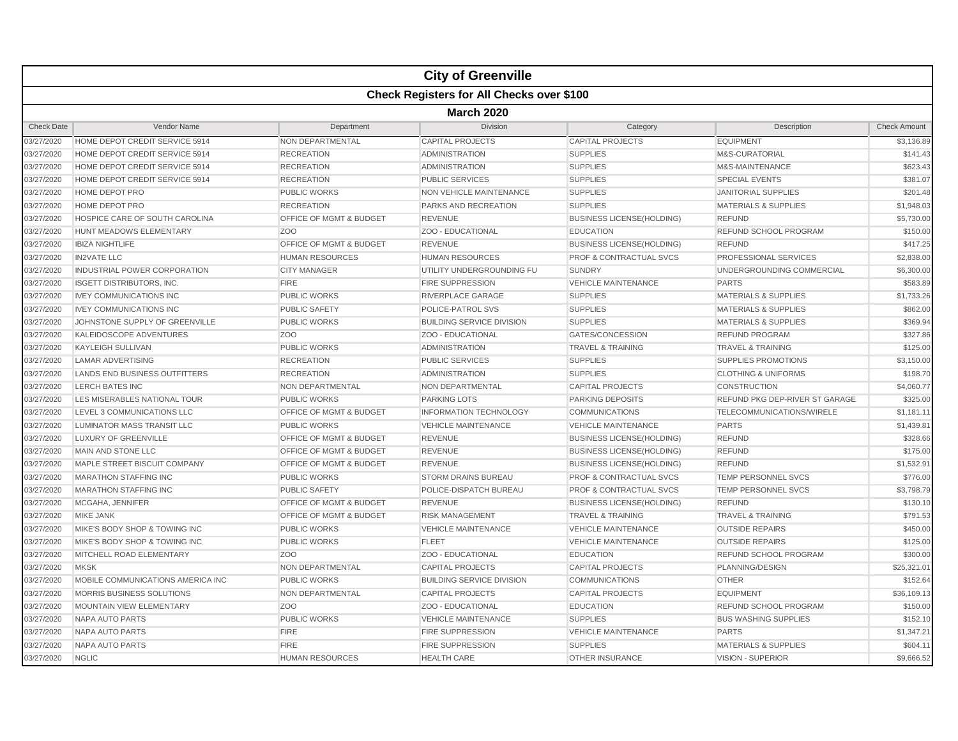|                   |                                                  |                                    | <b>City of Greenville</b>        |                                    |                                 |                     |  |  |  |
|-------------------|--------------------------------------------------|------------------------------------|----------------------------------|------------------------------------|---------------------------------|---------------------|--|--|--|
|                   | <b>Check Registers for All Checks over \$100</b> |                                    |                                  |                                    |                                 |                     |  |  |  |
|                   | <b>March 2020</b>                                |                                    |                                  |                                    |                                 |                     |  |  |  |
| <b>Check Date</b> | Vendor Name                                      | Department                         | <b>Division</b>                  | Category                           | Description                     | <b>Check Amount</b> |  |  |  |
| 03/27/2020        | HOME DEPOT CREDIT SERVICE 5914                   | <b>NON DEPARTMENTAL</b>            | <b>CAPITAL PROJECTS</b>          | <b>CAPITAL PROJECTS</b>            | <b>EQUIPMENT</b>                | \$3,136.89          |  |  |  |
| 03/27/2020        | HOME DEPOT CREDIT SERVICE 5914                   | <b>RECREATION</b>                  | <b>ADMINISTRATION</b>            | <b>SUPPLIES</b>                    | <b>M&amp;S-CURATORIAL</b>       | \$141.43            |  |  |  |
| 03/27/2020        | HOME DEPOT CREDIT SERVICE 5914                   | <b>RECREATION</b>                  | <b>ADMINISTRATION</b>            | <b>SUPPLIES</b>                    | M&S-MAINTENANCE                 | \$623.43            |  |  |  |
| 03/27/2020        | HOME DEPOT CREDIT SERVICE 5914                   | <b>RECREATION</b>                  | <b>PUBLIC SERVICES</b>           | <b>SUPPLIES</b>                    | <b>SPECIAL EVENTS</b>           | \$381.07            |  |  |  |
| 03/27/2020        | HOME DEPOT PRO                                   | <b>PUBLIC WORKS</b>                | <b>NON VEHICLE MAINTENANCE</b>   | <b>SUPPLIES</b>                    | <b>JANITORIAL SUPPLIES</b>      | \$201.48            |  |  |  |
| 03/27/2020        | <b>HOME DEPOT PRO</b>                            | <b>RECREATION</b>                  | <b>PARKS AND RECREATION</b>      | <b>SUPPLIES</b>                    | <b>MATERIALS &amp; SUPPLIES</b> | \$1,948.03          |  |  |  |
| 03/27/2020        | HOSPICE CARE OF SOUTH CAROLINA                   | <b>OFFICE OF MGMT &amp; BUDGET</b> | <b>REVENUE</b>                   | <b>BUSINESS LICENSE(HOLDING)</b>   | <b>REFUND</b>                   | \$5,730.00          |  |  |  |
| 03/27/2020        | HUNT MEADOWS ELEMENTARY                          | Z <sub>OO</sub>                    | ZOO - EDUCATIONAL                | <b>EDUCATION</b>                   | REFUND SCHOOL PROGRAM           | \$150.00            |  |  |  |
| 03/27/2020        | <b>IBIZA NIGHTLIFE</b>                           | <b>OFFICE OF MGMT &amp; BUDGET</b> | <b>REVENUE</b>                   | <b>BUSINESS LICENSE(HOLDING)</b>   | <b>REFUND</b>                   | \$417.25            |  |  |  |
| 03/27/2020        | <b>IN2VATE LLC</b>                               | <b>HUMAN RESOURCES</b>             | <b>HUMAN RESOURCES</b>           | <b>PROF &amp; CONTRACTUAL SVCS</b> | PROFESSIONAL SERVICES           | \$2,838.00          |  |  |  |
| 03/27/2020        | INDUSTRIAL POWER CORPORATION                     | <b>CITY MANAGER</b>                | UTILITY UNDERGROUNDING FU        | <b>SUNDRY</b>                      | UNDERGROUNDING COMMERCIAL       | \$6,300.00          |  |  |  |
| 03/27/2020        | <b>ISGETT DISTRIBUTORS, INC.</b>                 | <b>FIRE</b>                        | <b>FIRE SUPPRESSION</b>          | <b>VEHICLE MAINTENANCE</b>         | <b>PARTS</b>                    | \$583.89            |  |  |  |
| 03/27/2020        | <b>IVEY COMMUNICATIONS INC</b>                   | <b>PUBLIC WORKS</b>                | RIVERPLACE GARAGE                | <b>SUPPLIES</b>                    | <b>MATERIALS &amp; SUPPLIES</b> | \$1,733.26          |  |  |  |
| 03/27/2020        | <b>IVEY COMMUNICATIONS INC</b>                   | <b>PUBLIC SAFETY</b>               | POLICE-PATROL SVS                | <b>SUPPLIES</b>                    | <b>MATERIALS &amp; SUPPLIES</b> | \$862.00            |  |  |  |
| 03/27/2020        | JOHNSTONE SUPPLY OF GREENVILLE                   | <b>PUBLIC WORKS</b>                | <b>BUILDING SERVICE DIVISION</b> | <b>SUPPLIES</b>                    | <b>MATERIALS &amp; SUPPLIES</b> | \$369.94            |  |  |  |
| 03/27/2020        | KALEIDOSCOPE ADVENTURES                          | Z <sub>O</sub> O                   | ZOO - EDUCATIONAL                | GATES/CONCESSION                   | <b>REFUND PROGRAM</b>           | \$327.86            |  |  |  |
| 03/27/2020        | <b>KAYLEIGH SULLIVAN</b>                         | <b>PUBLIC WORKS</b>                | <b>ADMINISTRATION</b>            | <b>TRAVEL &amp; TRAINING</b>       | <b>TRAVEL &amp; TRAINING</b>    | \$125.00            |  |  |  |
| 03/27/2020        | <b>LAMAR ADVERTISING</b>                         | <b>RECREATION</b>                  | <b>PUBLIC SERVICES</b>           | <b>SUPPLIES</b>                    | SUPPLIES PROMOTIONS             | \$3,150.00          |  |  |  |
| 03/27/2020        | <b>LANDS END BUSINESS OUTFITTERS</b>             | <b>RECREATION</b>                  | <b>ADMINISTRATION</b>            | <b>SUPPLIES</b>                    | <b>CLOTHING &amp; UNIFORMS</b>  | \$198.70            |  |  |  |
| 03/27/2020        | <b>LERCH BATES INC</b>                           | NON DEPARTMENTAL                   | NON DEPARTMENTAL                 | <b>CAPITAL PROJECTS</b>            | <b>CONSTRUCTION</b>             | \$4,060.77          |  |  |  |
| 03/27/2020        | LES MISERABLES NATIONAL TOUR                     | <b>PUBLIC WORKS</b>                | <b>PARKING LOTS</b>              | <b>PARKING DEPOSITS</b>            | REFUND PKG DEP-RIVER ST GARAGE  | \$325.00            |  |  |  |
| 03/27/2020        | LEVEL 3 COMMUNICATIONS LLC                       | OFFICE OF MGMT & BUDGET            | <b>INFORMATION TECHNOLOGY</b>    | <b>COMMUNICATIONS</b>              | TELECOMMUNICATIONS/WIRELE       | \$1,181.11          |  |  |  |
| 03/27/2020        | LUMINATOR MASS TRANSIT LLC                       | <b>PUBLIC WORKS</b>                | <b>VEHICLE MAINTENANCE</b>       | <b>VEHICLE MAINTENANCE</b>         | <b>PARTS</b>                    | \$1,439.81          |  |  |  |
| 03/27/2020        | <b>LUXURY OF GREENVILLE</b>                      | <b>OFFICE OF MGMT &amp; BUDGET</b> | <b>REVENUE</b>                   | <b>BUSINESS LICENSE(HOLDING)</b>   | <b>REFUND</b>                   | \$328.66            |  |  |  |
| 03/27/2020        | MAIN AND STONE LLC                               | OFFICE OF MGMT & BUDGET            | <b>REVENUE</b>                   | <b>BUSINESS LICENSE(HOLDING)</b>   | <b>REFUND</b>                   | \$175.00            |  |  |  |
| 03/27/2020        | MAPLE STREET BISCUIT COMPANY                     | <b>OFFICE OF MGMT &amp; BUDGET</b> | <b>REVENUE</b>                   | <b>BUSINESS LICENSE(HOLDING)</b>   | <b>REFUND</b>                   | \$1,532.91          |  |  |  |
| 03/27/2020        | <b>MARATHON STAFFING INC</b>                     | <b>PUBLIC WORKS</b>                | <b>STORM DRAINS BUREAU</b>       | <b>PROF &amp; CONTRACTUAL SVCS</b> | <b>TEMP PERSONNEL SVCS</b>      | \$776.00            |  |  |  |
| 03/27/2020        | <b>MARATHON STAFFING INC</b>                     | <b>PUBLIC SAFETY</b>               | POLICE-DISPATCH BUREAU           | PROF & CONTRACTUAL SVCS            | TEMP PERSONNEL SVCS             | \$3,798.79          |  |  |  |
| 03/27/2020        | MCGAHA, JENNIFER                                 | OFFICE OF MGMT & BUDGET            | <b>REVENUE</b>                   | <b>BUSINESS LICENSE(HOLDING)</b>   | <b>REFUND</b>                   | \$130.10            |  |  |  |
| 03/27/2020        | <b>MIKE JANK</b>                                 | OFFICE OF MGMT & BUDGET            | <b>RISK MANAGEMENT</b>           | <b>TRAVEL &amp; TRAINING</b>       | <b>TRAVEL &amp; TRAINING</b>    | \$791.53            |  |  |  |
| 03/27/2020        | MIKE'S BODY SHOP & TOWING INC                    | <b>PUBLIC WORKS</b>                | <b>VEHICLE MAINTENANCE</b>       | <b>VEHICLE MAINTENANCE</b>         | <b>OUTSIDE REPAIRS</b>          | \$450.00            |  |  |  |
| 03/27/2020        | MIKE'S BODY SHOP & TOWING INC                    | <b>PUBLIC WORKS</b>                | <b>FLEET</b>                     | <b>VEHICLE MAINTENANCE</b>         | <b>OUTSIDE REPAIRS</b>          | \$125.00            |  |  |  |
| 03/27/2020        | MITCHELL ROAD ELEMENTARY                         | Z <sub>O</sub> O                   | ZOO - EDUCATIONAL                | <b>EDUCATION</b>                   | REFUND SCHOOL PROGRAM           | \$300.00            |  |  |  |
| 03/27/2020        | <b>MKSK</b>                                      | NON DEPARTMENTAL                   | <b>CAPITAL PROJECTS</b>          | <b>CAPITAL PROJECTS</b>            | PLANNING/DESIGN                 | \$25.321.01         |  |  |  |
| 03/27/2020        | MOBILE COMMUNICATIONS AMERICA INC                | <b>PUBLIC WORKS</b>                | <b>BUILDING SERVICE DIVISION</b> | <b>COMMUNICATIONS</b>              | <b>OTHER</b>                    | \$152.64            |  |  |  |
| 03/27/2020        | MORRIS BUSINESS SOLUTIONS                        | NON DEPARTMENTAL                   | <b>CAPITAL PROJECTS</b>          | <b>CAPITAL PROJECTS</b>            | <b>EQUIPMENT</b>                | \$36,109.13         |  |  |  |
| 03/27/2020        | MOUNTAIN VIEW ELEMENTARY                         | Z <sub>O</sub> O                   | ZOO - EDUCATIONAL                | <b>EDUCATION</b>                   | REFUND SCHOOL PROGRAM           | \$150.00            |  |  |  |
| 03/27/2020        | <b>NAPA AUTO PARTS</b>                           | <b>PUBLIC WORKS</b>                | <b>VEHICLE MAINTENANCE</b>       | <b>SUPPLIES</b>                    | <b>BUS WASHING SUPPLIES</b>     | \$152.10            |  |  |  |
| 03/27/2020        | <b>NAPA AUTO PARTS</b>                           | <b>FIRE</b>                        | <b>FIRE SUPPRESSION</b>          | <b>VEHICLE MAINTENANCE</b>         | <b>PARTS</b>                    | \$1,347.21          |  |  |  |
| 03/27/2020        | NAPA AUTO PARTS                                  | <b>FIRE</b>                        | <b>FIRE SUPPRESSION</b>          | <b>SUPPLIES</b>                    | <b>MATERIALS &amp; SUPPLIES</b> | \$604.11            |  |  |  |
| 03/27/2020        | <b>NGLIC</b>                                     | <b>HUMAN RESOURCES</b>             | <b>HEALTH CARE</b>               | <b>OTHER INSURANCE</b>             | <b>VISION - SUPERIOR</b>        | \$9,666.52          |  |  |  |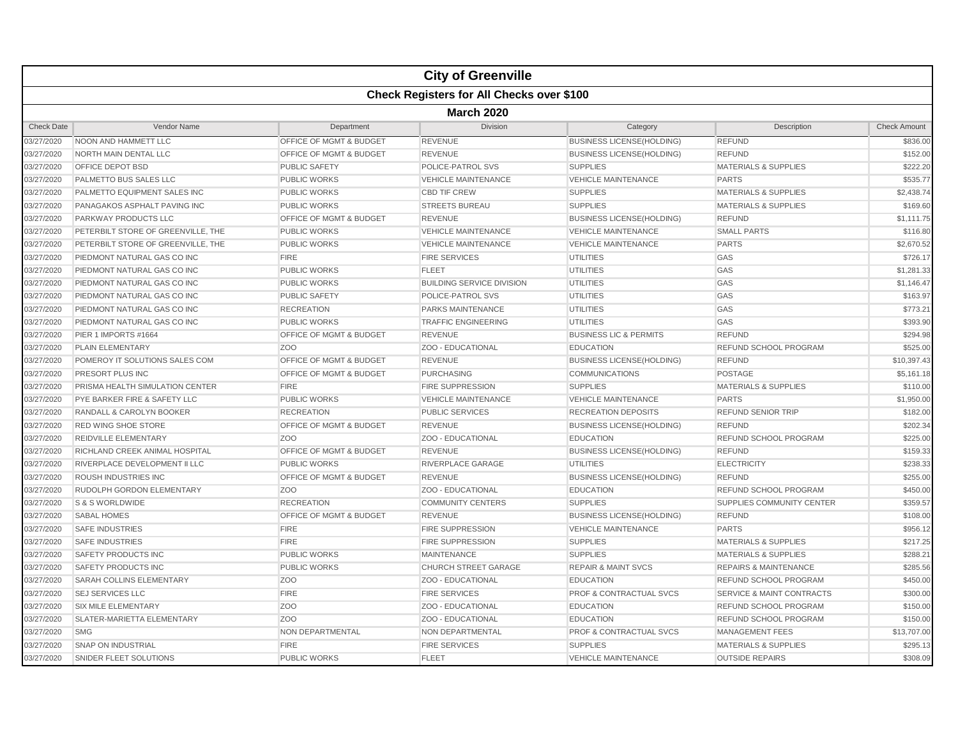|                   | <b>City of Greenville</b>                        |                                    |                                  |                                    |                                      |                     |  |  |
|-------------------|--------------------------------------------------|------------------------------------|----------------------------------|------------------------------------|--------------------------------------|---------------------|--|--|
|                   | <b>Check Registers for All Checks over \$100</b> |                                    |                                  |                                    |                                      |                     |  |  |
|                   | <b>March 2020</b>                                |                                    |                                  |                                    |                                      |                     |  |  |
| <b>Check Date</b> | <b>Vendor Name</b>                               | Department                         | Division                         | Category                           | Description                          | <b>Check Amount</b> |  |  |
| 03/27/2020        | NOON AND HAMMETT LLC                             | <b>OFFICE OF MGMT &amp; BUDGET</b> | <b>REVENUE</b>                   | <b>BUSINESS LICENSE(HOLDING)</b>   | <b>REFUND</b>                        | \$836.00            |  |  |
| 03/27/2020        | NORTH MAIN DENTAL LLC                            | <b>OFFICE OF MGMT &amp; BUDGET</b> | <b>REVENUE</b>                   | <b>BUSINESS LICENSE(HOLDING)</b>   | <b>REFUND</b>                        | \$152.00            |  |  |
| 03/27/2020        | OFFICE DEPOT BSD                                 | <b>PUBLIC SAFETY</b>               | POLICE-PATROL SVS                | <b>SUPPLIES</b>                    | <b>MATERIALS &amp; SUPPLIES</b>      | \$222.20            |  |  |
| 03/27/2020        | PALMETTO BUS SALES LLC                           | <b>PUBLIC WORKS</b>                | <b>VEHICLE MAINTENANCE</b>       | <b>VEHICLE MAINTENANCE</b>         | <b>PARTS</b>                         | \$535.77            |  |  |
| 03/27/2020        | PALMETTO EQUIPMENT SALES INC                     | <b>PUBLIC WORKS</b>                | <b>CBD TIF CREW</b>              | <b>SUPPLIES</b>                    | <b>MATERIALS &amp; SUPPLIES</b>      | \$2,438.74          |  |  |
| 03/27/2020        | PANAGAKOS ASPHALT PAVING INC                     | <b>PUBLIC WORKS</b>                | <b>STREETS BUREAU</b>            | <b>SUPPLIES</b>                    | <b>MATERIALS &amp; SUPPLIES</b>      | \$169.60            |  |  |
| 03/27/2020        | <b>PARKWAY PRODUCTS LLC</b>                      | <b>OFFICE OF MGMT &amp; BUDGET</b> | <b>REVENUE</b>                   | <b>BUSINESS LICENSE(HOLDING)</b>   | <b>REFUND</b>                        | \$1,111.75          |  |  |
| 03/27/2020        | PETERBILT STORE OF GREENVILLE, THE               | <b>PUBLIC WORKS</b>                | <b>VEHICLE MAINTENANCE</b>       | <b>VEHICLE MAINTENANCE</b>         | <b>SMALL PARTS</b>                   | \$116.80            |  |  |
| 03/27/2020        | PETERBILT STORE OF GREENVILLE. THE               | <b>PUBLIC WORKS</b>                | <b>VEHICLE MAINTENANCE</b>       | <b>VEHICLE MAINTENANCE</b>         | <b>PARTS</b>                         | \$2,670.52          |  |  |
| 03/27/2020        | PIEDMONT NATURAL GAS CO INC                      | <b>FIRE</b>                        | <b>FIRE SERVICES</b>             | <b>UTILITIES</b>                   | GAS                                  | \$726.17            |  |  |
| 03/27/2020        | PIEDMONT NATURAL GAS CO INC                      | <b>PUBLIC WORKS</b>                | <b>FLEET</b>                     | <b>UTILITIES</b>                   | GAS                                  | \$1,281.33          |  |  |
| 03/27/2020        | PIEDMONT NATURAL GAS CO INC                      | <b>PUBLIC WORKS</b>                | <b>BUILDING SERVICE DIVISION</b> | <b>UTILITIES</b>                   | GAS                                  | \$1,146.47          |  |  |
| 03/27/2020        | PIEDMONT NATURAL GAS CO INC                      | <b>PUBLIC SAFETY</b>               | <b>POLICE-PATROL SVS</b>         | <b>UTILITIES</b>                   | GAS                                  | \$163.97            |  |  |
| 03/27/2020        | PIEDMONT NATURAL GAS CO INC                      | <b>RECREATION</b>                  | <b>PARKS MAINTENANCE</b>         | <b>UTILITIES</b>                   | GAS                                  | \$773.21            |  |  |
| 03/27/2020        | PIEDMONT NATURAL GAS CO INC                      | <b>PUBLIC WORKS</b>                | <b>TRAFFIC ENGINEERING</b>       | <b>UTILITIES</b>                   | GAS                                  | \$393.90            |  |  |
| 03/27/2020        | PIER 1 IMPORTS #1664                             | OFFICE OF MGMT & BUDGET            | <b>REVENUE</b>                   | <b>BUSINESS LIC &amp; PERMITS</b>  | <b>REFUND</b>                        | \$294.98            |  |  |
| 03/27/2020        | <b>PLAIN ELEMENTARY</b>                          | Z <sub>OO</sub>                    | ZOO - EDUCATIONAL                | <b>EDUCATION</b>                   | REFUND SCHOOL PROGRAM                | \$525.00            |  |  |
| 03/27/2020        | POMEROY IT SOLUTIONS SALES COM                   | OFFICE OF MGMT & BUDGET            | <b>REVENUE</b>                   | <b>BUSINESS LICENSE(HOLDING)</b>   | <b>REFUND</b>                        | \$10,397.43         |  |  |
| 03/27/2020        | PRESORT PLUS INC                                 | OFFICE OF MGMT & BUDGET            | <b>PURCHASING</b>                | <b>COMMUNICATIONS</b>              | <b>POSTAGE</b>                       | \$5,161.18          |  |  |
| 03/27/2020        | PRISMA HEALTH SIMULATION CENTER                  | <b>FIRE</b>                        | <b>FIRE SUPPRESSION</b>          | <b>SUPPLIES</b>                    | <b>MATERIALS &amp; SUPPLIES</b>      | \$110.00            |  |  |
| 03/27/2020        | PYE BARKER FIRE & SAFETY LLC                     | <b>PUBLIC WORKS</b>                | <b>VEHICLE MAINTENANCE</b>       | <b>VEHICLE MAINTENANCE</b>         | <b>PARTS</b>                         | \$1,950.00          |  |  |
| 03/27/2020        | RANDALL & CAROLYN BOOKER                         | <b>RECREATION</b>                  | <b>PUBLIC SERVICES</b>           | <b>RECREATION DEPOSITS</b>         | <b>REFUND SENIOR TRIP</b>            | \$182.00            |  |  |
| 03/27/2020        | <b>RED WING SHOE STORE</b>                       | OFFICE OF MGMT & BUDGET            | <b>REVENUE</b>                   | <b>BUSINESS LICENSE(HOLDING)</b>   | <b>REFUND</b>                        | \$202.34            |  |  |
| 03/27/2020        | <b>REIDVILLE ELEMENTARY</b>                      | Z <sub>O</sub> O                   | ZOO - EDUCATIONAL                | <b>EDUCATION</b>                   | <b>REFUND SCHOOL PROGRAM</b>         | \$225.00            |  |  |
| 03/27/2020        | RICHLAND CREEK ANIMAL HOSPITAL                   | OFFICE OF MGMT & BUDGET            | <b>REVENUE</b>                   | <b>BUSINESS LICENSE(HOLDING)</b>   | <b>REFUND</b>                        | \$159.33            |  |  |
| 03/27/2020        | RIVERPLACE DEVELOPMENT II LLC                    | <b>PUBLIC WORKS</b>                | RIVERPLACE GARAGE                | <b>UTILITIES</b>                   | <b>ELECTRICITY</b>                   | \$238.33            |  |  |
| 03/27/2020        | <b>ROUSH INDUSTRIES INC</b>                      | <b>OFFICE OF MGMT &amp; BUDGET</b> | <b>REVENUE</b>                   | <b>BUSINESS LICENSE(HOLDING)</b>   | <b>REFUND</b>                        | \$255.00            |  |  |
| 03/27/2020        | RUDOLPH GORDON ELEMENTARY                        | Z <sub>O</sub> O                   | ZOO - EDUCATIONAL                | <b>EDUCATION</b>                   | <b>REFUND SCHOOL PROGRAM</b>         | \$450.00            |  |  |
| 03/27/2020        | S & S WORLDWIDE                                  | <b>RECREATION</b>                  | <b>COMMUNITY CENTERS</b>         | <b>SUPPLIES</b>                    | <b>SUPPLIES COMMUNITY CENTER</b>     | \$359.57            |  |  |
| 03/27/2020        | <b>SABAL HOMES</b>                               | OFFICE OF MGMT & BUDGET            | <b>REVENUE</b>                   | <b>BUSINESS LICENSE(HOLDING)</b>   | <b>REFUND</b>                        | \$108.00            |  |  |
| 03/27/2020        | <b>SAFE INDUSTRIES</b>                           | <b>FIRE</b>                        | <b>FIRE SUPPRESSION</b>          | <b>VEHICLE MAINTENANCE</b>         | <b>PARTS</b>                         | \$956.12            |  |  |
| 03/27/2020        | <b>SAFE INDUSTRIES</b>                           | <b>FIRE</b>                        | <b>FIRE SUPPRESSION</b>          | <b>SUPPLIES</b>                    | <b>MATERIALS &amp; SUPPLIES</b>      | \$217.25            |  |  |
| 03/27/2020        | SAFETY PRODUCTS INC                              | <b>PUBLIC WORKS</b>                | <b>MAINTENANCE</b>               | <b>SUPPLIES</b>                    | <b>MATERIALS &amp; SUPPLIES</b>      | \$288.21            |  |  |
| 03/27/2020        | <b>SAFETY PRODUCTS INC</b>                       | <b>PUBLIC WORKS</b>                | <b>CHURCH STREET GARAGE</b>      | <b>REPAIR &amp; MAINT SVCS</b>     | <b>REPAIRS &amp; MAINTENANCE</b>     | \$285.56            |  |  |
| 03/27/2020        | SARAH COLLINS ELEMENTARY                         | Z <sub>O</sub> O                   | ZOO - EDUCATIONAL                | <b>EDUCATION</b>                   | REFUND SCHOOL PROGRAM                | \$450.00            |  |  |
| 03/27/2020        | <b>SEJ SERVICES LLC</b>                          | <b>FIRE</b>                        | <b>FIRE SERVICES</b>             | <b>PROF &amp; CONTRACTUAL SVCS</b> | <b>SERVICE &amp; MAINT CONTRACTS</b> | \$300.00            |  |  |
| 03/27/2020        | <b>SIX MILE ELEMENTARY</b>                       | Z <sub>O</sub> O                   | ZOO - EDUCATIONAL                | <b>EDUCATION</b>                   | REFUND SCHOOL PROGRAM                | \$150.00            |  |  |
| 03/27/2020        | SLATER-MARIETTA ELEMENTARY                       | Z <sub>O</sub> O                   | ZOO - EDUCATIONAL                | <b>EDUCATION</b>                   | REFUND SCHOOL PROGRAM                | \$150.00            |  |  |
| 03/27/2020        | <b>SMG</b>                                       | NON DEPARTMENTAL                   | NON DEPARTMENTAL                 | <b>PROF &amp; CONTRACTUAL SVCS</b> | <b>MANAGEMENT FEES</b>               | \$13,707.00         |  |  |
| 03/27/2020        | <b>SNAP ON INDUSTRIAL</b>                        | <b>FIRE</b>                        | <b>FIRE SERVICES</b>             | <b>SUPPLIES</b>                    | <b>MATERIALS &amp; SUPPLIES</b>      | \$295.13            |  |  |
| 03/27/2020        | SNIDER FLEET SOLUTIONS                           | <b>PUBLIC WORKS</b>                | <b>FLEET</b>                     | <b>VEHICLE MAINTENANCE</b>         | <b>OUTSIDE REPAIRS</b>               | \$308.09            |  |  |